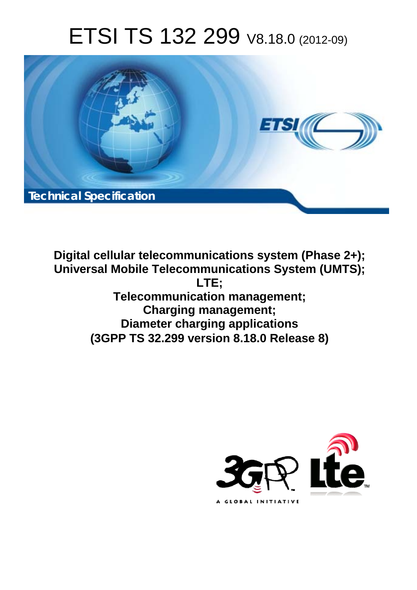# ETSI TS 132 299 V8.18.0 (2012-09)



**Digital cellular telecommunications system (Phase 2+); Universal Mobile Telecommunications System (UMTS); LTE; Telecommunication management; Charging management; Diameter charging applications (3GPP TS 32.299 version 8.18.0 Release 8)** 

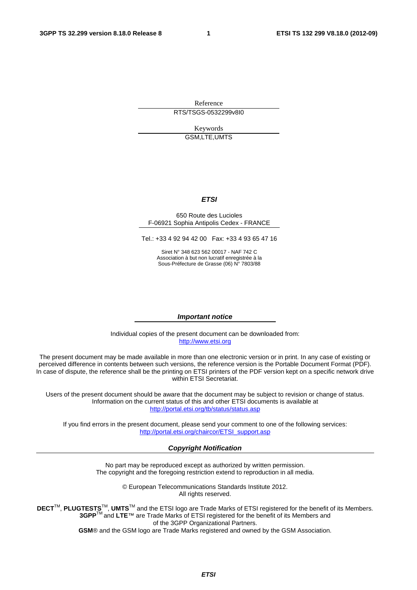Reference RTS/TSGS-0532299v8I0

> Keywords GSM,LTE,UMTS

#### *ETSI*

#### 650 Route des Lucioles F-06921 Sophia Antipolis Cedex - FRANCE

Tel.: +33 4 92 94 42 00 Fax: +33 4 93 65 47 16

Siret N° 348 623 562 00017 - NAF 742 C Association à but non lucratif enregistrée à la Sous-Préfecture de Grasse (06) N° 7803/88

#### *Important notice*

Individual copies of the present document can be downloaded from: [http://www.etsi.org](http://www.etsi.org/)

The present document may be made available in more than one electronic version or in print. In any case of existing or perceived difference in contents between such versions, the reference version is the Portable Document Format (PDF). In case of dispute, the reference shall be the printing on ETSI printers of the PDF version kept on a specific network drive within ETSI Secretariat.

Users of the present document should be aware that the document may be subject to revision or change of status. Information on the current status of this and other ETSI documents is available at <http://portal.etsi.org/tb/status/status.asp>

If you find errors in the present document, please send your comment to one of the following services: [http://portal.etsi.org/chaircor/ETSI\\_support.asp](http://portal.etsi.org/chaircor/ETSI_support.asp)

#### *Copyright Notification*

No part may be reproduced except as authorized by written permission. The copyright and the foregoing restriction extend to reproduction in all media.

> © European Telecommunications Standards Institute 2012. All rights reserved.

**DECT**TM, **PLUGTESTS**TM, **UMTS**TM and the ETSI logo are Trade Marks of ETSI registered for the benefit of its Members. **3GPP**TM and **LTE**™ are Trade Marks of ETSI registered for the benefit of its Members and of the 3GPP Organizational Partners.

**GSM**® and the GSM logo are Trade Marks registered and owned by the GSM Association.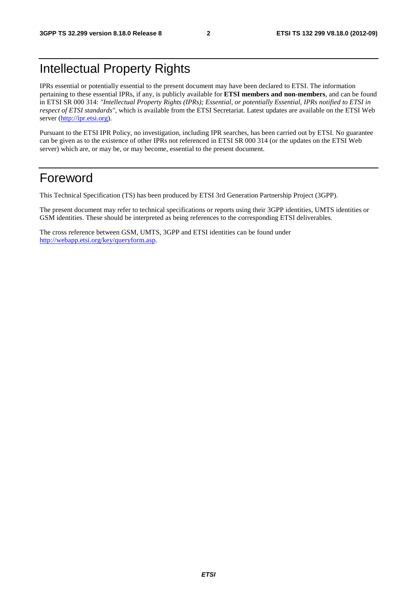# Intellectual Property Rights

IPRs essential or potentially essential to the present document may have been declared to ETSI. The information pertaining to these essential IPRs, if any, is publicly available for **ETSI members and non-members**, and can be found in ETSI SR 000 314: *"Intellectual Property Rights (IPRs); Essential, or potentially Essential, IPRs notified to ETSI in respect of ETSI standards"*, which is available from the ETSI Secretariat. Latest updates are available on the ETSI Web server [\(http://ipr.etsi.org](http://webapp.etsi.org/IPR/home.asp)).

Pursuant to the ETSI IPR Policy, no investigation, including IPR searches, has been carried out by ETSI. No guarantee can be given as to the existence of other IPRs not referenced in ETSI SR 000 314 (or the updates on the ETSI Web server) which are, or may be, or may become, essential to the present document.

# Foreword

This Technical Specification (TS) has been produced by ETSI 3rd Generation Partnership Project (3GPP).

The present document may refer to technical specifications or reports using their 3GPP identities, UMTS identities or GSM identities. These should be interpreted as being references to the corresponding ETSI deliverables.

The cross reference between GSM, UMTS, 3GPP and ETSI identities can be found under <http://webapp.etsi.org/key/queryform.asp>.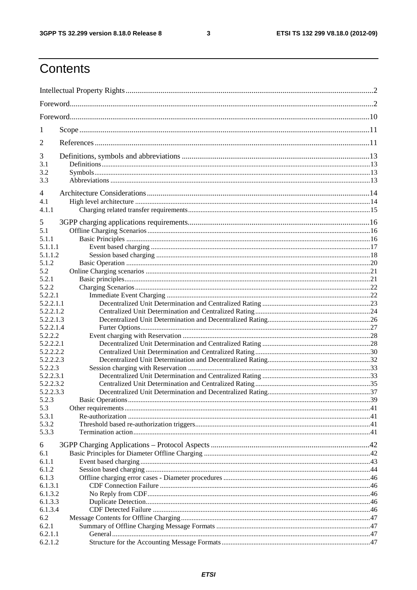$\mathbf{3}$ 

# Contents

| 1              |  |  |  |
|----------------|--|--|--|
| $\overline{2}$ |  |  |  |
| 3              |  |  |  |
| 3.1            |  |  |  |
| 3.2<br>3.3     |  |  |  |
| 4              |  |  |  |
| 4.1            |  |  |  |
| 4.1.1          |  |  |  |
| 5              |  |  |  |
|                |  |  |  |
| 5.1<br>5.1.1   |  |  |  |
| 5.1.1.1        |  |  |  |
| 5.1.1.2        |  |  |  |
| 5.1.2          |  |  |  |
| 5.2            |  |  |  |
| 5.2.1          |  |  |  |
| 5.2.2          |  |  |  |
| 5.2.2.1        |  |  |  |
| 5.2.2.1.1      |  |  |  |
| 5.2.2.1.2      |  |  |  |
| 5.2.2.1.3      |  |  |  |
| 5.2.2.1.4      |  |  |  |
| 5.2.2.2        |  |  |  |
| 5.2.2.2.1      |  |  |  |
| 5.2.2.2.2      |  |  |  |
| 5.2.2.2.3      |  |  |  |
| 5.2.2.3        |  |  |  |
| 5.2.2.3.1      |  |  |  |
| 5.2.2.3.2      |  |  |  |
| 5.2.2.3.3      |  |  |  |
| 5.2.3          |  |  |  |
| 5.3            |  |  |  |
| 5.3.1          |  |  |  |
| 5.3.2          |  |  |  |
| 5.3.3          |  |  |  |
| 6              |  |  |  |
| 6.1            |  |  |  |
| 6.1.1          |  |  |  |
| 6.1.2          |  |  |  |
| 6.1.3          |  |  |  |
| 6.1.3.1        |  |  |  |
| 6.1.3.2        |  |  |  |
| 6.1.3.3        |  |  |  |
| 6.1.3.4        |  |  |  |
| 6.2            |  |  |  |
| 6.2.1          |  |  |  |
| 6.2.1.1        |  |  |  |
| 6.2.1.2        |  |  |  |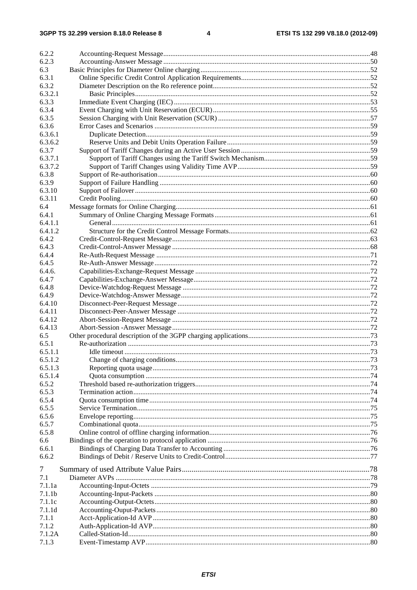| 6.2.2              |  |
|--------------------|--|
| 6.2.3              |  |
| 6.3                |  |
| 6.3.1              |  |
| 6.3.2              |  |
| 6.3.2.1            |  |
| 6.3.3              |  |
| 6.3.4              |  |
| 6.3.5              |  |
| 6.3.6              |  |
| 6.3.6.1            |  |
| 6.3.6.2            |  |
| 6.3.7              |  |
| 6.3.7.1            |  |
| 6.3.7.2            |  |
| 6.3.8              |  |
| 6.3.9              |  |
| 6.3.10             |  |
| 6.3.11             |  |
| 6.4                |  |
| 6.4.1              |  |
| 6.4.1.1            |  |
| 6.4.1.2            |  |
| 6.4.2<br>6.4.3     |  |
| 6.4.4              |  |
| 6.4.5              |  |
| 6.4.6.             |  |
| 6.4.7              |  |
| 6.4.8              |  |
| 6.4.9              |  |
| 6.4.10             |  |
| 6.4.11             |  |
| 6.4.12             |  |
| 6.4.13             |  |
| 6.5                |  |
| 6.5.1              |  |
| 6.5.1.1            |  |
| 6.5.1.2            |  |
| 6.5.1.3            |  |
| 6.5.1.4            |  |
| 6.5.2              |  |
| 6.5.3              |  |
| 6.5.4              |  |
| 6.5.5              |  |
| 6.5.6              |  |
| 6.5.7              |  |
| 6.5.8              |  |
| 6.6                |  |
| 6.6.1              |  |
| 6.6.2              |  |
| 7                  |  |
| 7.1                |  |
| 7.1.1a             |  |
| 7.1.1 <sub>b</sub> |  |
| 7.1.1c             |  |
| 7.1.1d             |  |
| 7.1.1              |  |
| 7.1.2              |  |
| 7.1.2A             |  |
| 7.1.3              |  |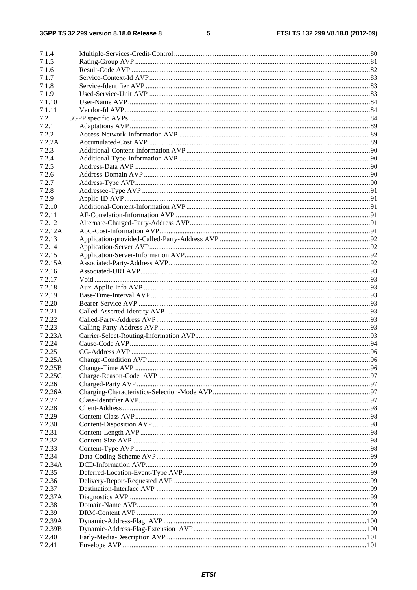### $5\phantom{a}$

| 7.1.4   |  |
|---------|--|
| 7.1.5   |  |
| 7.1.6   |  |
| 7.1.7   |  |
| 7.1.8   |  |
| 7.1.9   |  |
| 7.1.10  |  |
| 7.1.11  |  |
| 7.2     |  |
| 7.2.1   |  |
| 7.2.2   |  |
| 7.2.2A  |  |
| 7.2.3   |  |
|         |  |
| 7.2.4   |  |
| 7.2.5   |  |
| 7.2.6   |  |
| 7.2.7   |  |
| 7.2.8   |  |
| 7.2.9   |  |
| 7.2.10  |  |
| 7.2.11  |  |
| 7.2.12  |  |
| 7.2.12A |  |
| 7.2.13  |  |
| 7.2.14  |  |
| 7.2.15  |  |
| 7.2.15A |  |
| 7.2.16  |  |
| 7.2.17  |  |
| 7.2.18  |  |
| 7.2.19  |  |
| 7.2.20  |  |
| 7.2.21  |  |
| 7.2.22  |  |
| 7.2.23  |  |
| 7.2.23A |  |
| 7.2.24  |  |
| 7.2.25  |  |
| 7.2.25A |  |
| 7.2.25B |  |
| 7.2.25C |  |
| 7.2.26  |  |
| 7.2.26A |  |
| 7.2.27  |  |
| 7.2.28  |  |
| 7.2.29  |  |
| 7.2.30  |  |
| 7.2.31  |  |
| 7.2.32  |  |
| 7.2.33  |  |
| 7.2.34  |  |
| 7.2.34A |  |
| 7.2.35  |  |
| 7.2.36  |  |
| 7.2.37  |  |
|         |  |
| 7.2.37A |  |
| 7.2.38  |  |
| 7.2.39  |  |
| 7.2.39A |  |
| 7.2.39B |  |
| 7.2.40  |  |
| 7.2.41  |  |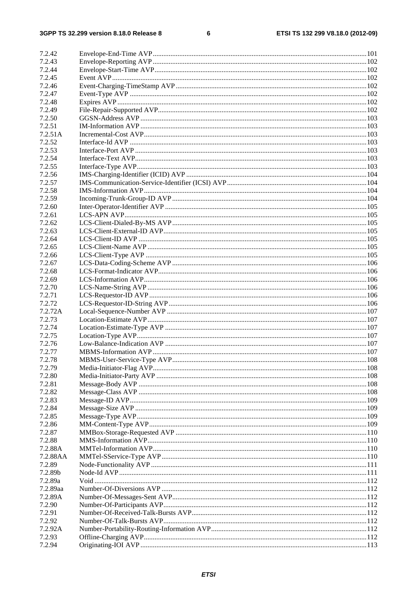#### $\bf 6$

| 7.2.42           |  |
|------------------|--|
| 7.2.43           |  |
| 7.2.44           |  |
| 7.2.45           |  |
| 7.2.46           |  |
| 7.2.47           |  |
| 7.2.48           |  |
| 7.2.49           |  |
| 7.2.50           |  |
| 7.2.51           |  |
| 7.2.51A          |  |
| 7.2.52           |  |
| 7.2.53           |  |
| 7.2.54           |  |
| 7.2.55           |  |
| 7.2.56           |  |
| 7.2.57           |  |
| 7.2.58           |  |
| 7.2.59           |  |
| 7.2.60           |  |
| 7.2.61           |  |
| 7.2.62           |  |
| 7.2.63           |  |
| 7.2.64           |  |
| 7.2.65           |  |
| 7.2.66           |  |
|                  |  |
| 7.2.67<br>7.2.68 |  |
|                  |  |
| 7.2.69           |  |
| 7.2.70           |  |
| 7.2.71           |  |
| 7.2.72           |  |
| 7.2.72A          |  |
| 7.2.73           |  |
| 7.2.74           |  |
| 7.2.75           |  |
| 7.2.76           |  |
| 7.2.77           |  |
| 7.2.78           |  |
| 7.2.79           |  |
| 7.2.80           |  |
| 7.2.81           |  |
| 7.2.82           |  |
| 7.2.83           |  |
| 7.2.84           |  |
| 7.2.85           |  |
| 7.2.86           |  |
| 7.2.87           |  |
| 7.2.88           |  |
| 7.2.88A          |  |
| 7.2.88AA         |  |
| 7.2.89           |  |
| 7.2.89b          |  |
| 7.2.89a          |  |
| 7.2.89aa         |  |
| 7.2.89A          |  |
| 7.2.90           |  |
| 7.2.91           |  |
| 7.2.92           |  |
| 7.2.92A          |  |
| 7.2.93           |  |
| 7.2.94           |  |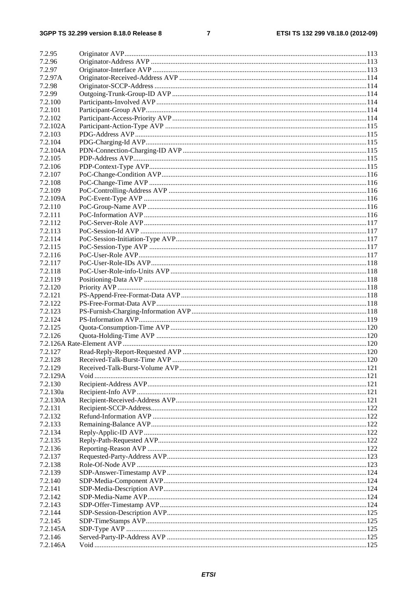### $\overline{7}$

| 7.2.95   |  |
|----------|--|
| 7.2.96   |  |
| 7.2.97   |  |
| 7.2.97A  |  |
| 7.2.98   |  |
| 7.2.99   |  |
| 7.2.100  |  |
| 7.2.101  |  |
| 7.2.102  |  |
| 7.2.102A |  |
| 7.2.103  |  |
| 7.2.104  |  |
| 7.2.104A |  |
| 7.2.105  |  |
| 7.2.106  |  |
| 7.2.107  |  |
| 7.2.108  |  |
| 7.2.109  |  |
| 7.2.109A |  |
| 7.2.110  |  |
| 7.2.111  |  |
| 7.2.112  |  |
| 7.2.113  |  |
| 7.2.114  |  |
| 7.2.115  |  |
| 7.2.116  |  |
| 7.2.117  |  |
| 7.2.118  |  |
| 7.2.119  |  |
| 7.2.120  |  |
| 7.2.121  |  |
| 7.2.122  |  |
| 7.2.123  |  |
| 7.2.124  |  |
| 7.2.125  |  |
| 7.2.126  |  |
|          |  |
| 7.2.127  |  |
| 7.2.128  |  |
| 7.2.129  |  |
| 7.2.129A |  |
| 7.2.130  |  |
| 7.2.130a |  |
| 7.2.130A |  |
| 7.2.131  |  |
| 7.2.132  |  |
| 7.2.133  |  |
| 7.2.134  |  |
| 7.2.135  |  |
| 7.2.136  |  |
| 7.2.137  |  |
| 7.2.138  |  |
| 7.2.139  |  |
| 7.2.140  |  |
| 7.2.141  |  |
| 7.2.142  |  |
| 7.2.143  |  |
| 7.2.144  |  |
| 7.2.145  |  |
| 7.2.145A |  |
| 7.2.146  |  |
| 7.2.146A |  |
|          |  |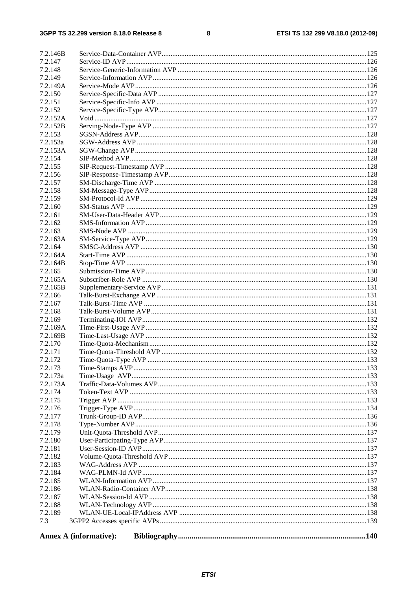#### $\overline{\mathbf{8}}$

| 7.2.146B |                               |  |
|----------|-------------------------------|--|
| 7.2.147  |                               |  |
| 7.2.148  |                               |  |
| 7.2.149  |                               |  |
| 7.2.149A |                               |  |
| 7.2.150  |                               |  |
| 7.2.151  |                               |  |
| 7.2.152  |                               |  |
| 7.2.152A |                               |  |
| 7.2.152B |                               |  |
| 7.2.153  |                               |  |
| 7.2.153a |                               |  |
| 7.2.153A |                               |  |
| 7.2.154  |                               |  |
| 7.2.155  |                               |  |
| 7.2.156  |                               |  |
| 7.2.157  |                               |  |
| 7.2.158  |                               |  |
| 7.2.159  |                               |  |
| 7.2.160  |                               |  |
| 7.2.161  |                               |  |
| 7.2.162  |                               |  |
| 7.2.163  |                               |  |
| 7.2.163A |                               |  |
| 7.2.164  |                               |  |
| 7.2.164A |                               |  |
| 7.2.164B |                               |  |
| 7.2.165  |                               |  |
| 7.2.165A |                               |  |
| 7.2.165B |                               |  |
| 7.2.166  |                               |  |
| 7.2.167  |                               |  |
| 7.2.168  |                               |  |
| 7.2.169  |                               |  |
| 7.2.169A |                               |  |
| 7.2.169B |                               |  |
| 7.2.170  |                               |  |
| 7.2.171  |                               |  |
| 7.2.172  |                               |  |
| 7.2.173  |                               |  |
| 7.2.173a |                               |  |
| 7.2.173A |                               |  |
| 7.2.174  |                               |  |
| 7.2.175  |                               |  |
| 7.2.176  |                               |  |
| 7.2.177  |                               |  |
| 7.2.178  |                               |  |
| 7.2.179  |                               |  |
| 7.2.180  |                               |  |
| 7.2.181  |                               |  |
| 7.2.182  |                               |  |
| 7.2.183  |                               |  |
| 7.2.184  |                               |  |
| 7.2.185  |                               |  |
| 7.2.186  |                               |  |
| 7.2.187  |                               |  |
|          |                               |  |
| 7.2.188  |                               |  |
| 7.2.189  |                               |  |
| 7.3      |                               |  |
|          | <b>Annex A (informative):</b> |  |
|          |                               |  |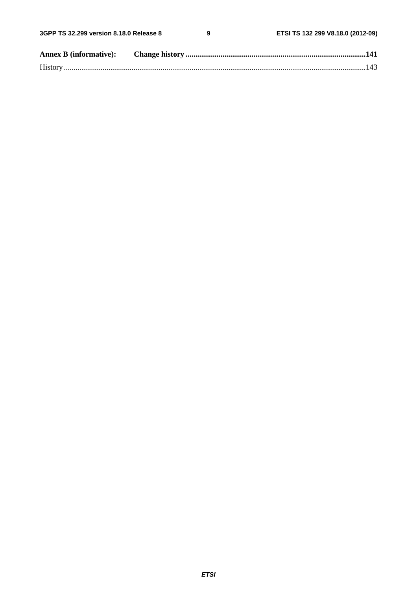$\overline{9}$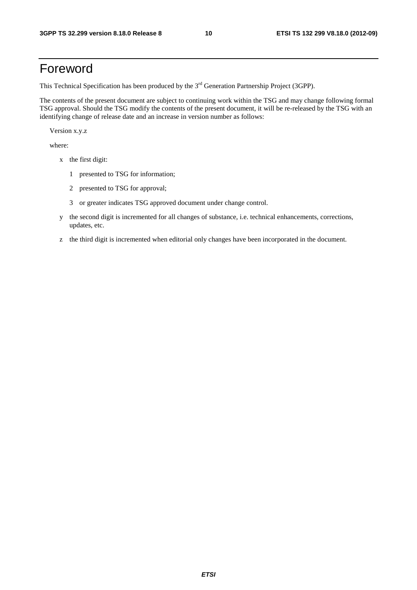# Foreword

This Technical Specification has been produced by the 3<sup>rd</sup> Generation Partnership Project (3GPP).

The contents of the present document are subject to continuing work within the TSG and may change following formal TSG approval. Should the TSG modify the contents of the present document, it will be re-released by the TSG with an identifying change of release date and an increase in version number as follows:

Version x.y.z

where:

- x the first digit:
	- 1 presented to TSG for information;
	- 2 presented to TSG for approval;
	- 3 or greater indicates TSG approved document under change control.
- y the second digit is incremented for all changes of substance, i.e. technical enhancements, corrections, updates, etc.
- z the third digit is incremented when editorial only changes have been incorporated in the document.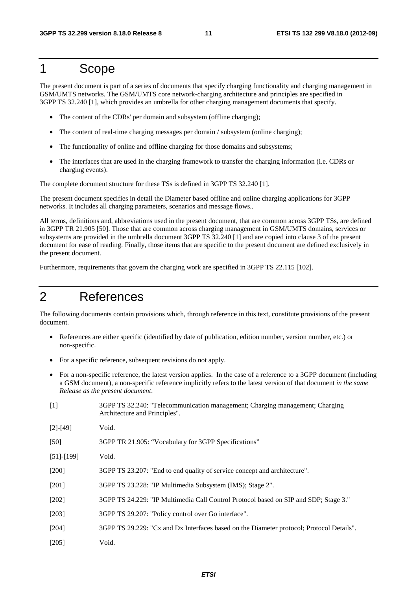# 1 Scope

The present document is part of a series of documents that specify charging functionality and charging management in GSM/UMTS networks. The GSM/UMTS core network-charging architecture and principles are specified in 3GPP TS 32.240 [1], which provides an umbrella for other charging management documents that specify.

- The content of the CDRs' per domain and subsystem (offline charging);
- The content of real-time charging messages per domain / subsystem (online charging);
- The functionality of online and offline charging for those domains and subsystems;
- The interfaces that are used in the charging framework to transfer the charging information (i.e. CDRs or charging events).

The complete document structure for these TSs is defined in 3GPP TS 32.240 [1].

The present document specifies in detail the Diameter based offline and online charging applications for 3GPP networks. It includes all charging parameters, scenarios and message flows..

All terms, definitions and, abbreviations used in the present document, that are common across 3GPP TSs, are defined in 3GPP TR 21.905 [50]. Those that are common across charging management in GSM/UMTS domains, services or subsystems are provided in the umbrella document 3GPP TS 32.240 [1] and are copied into clause 3 of the present document for ease of reading. Finally, those items that are specific to the present document are defined exclusively in the present document.

Furthermore, requirements that govern the charging work are specified in 3GPP TS 22.115 [102].

# 2 References

The following documents contain provisions which, through reference in this text, constitute provisions of the present document.

- References are either specific (identified by date of publication, edition number, version number, etc.) or non-specific.
- For a specific reference, subsequent revisions do not apply.
- For a non-specific reference, the latest version applies. In the case of a reference to a 3GPP document (including a GSM document), a non-specific reference implicitly refers to the latest version of that document *in the same Release as the present document*.
- [1] 3GPP TS 32.240: "Telecommunication management; Charging management; Charging Architecture and Principles".

| $[2]$ -[49] | Void. |
|-------------|-------|
|-------------|-------|

[50] 3GPP TR 21.905: "Vocabulary for 3GPP Specifications"

- [51]-[199] Void.
- [200] 3GPP TS 23.207: "End to end quality of service concept and architecture".
- [201] 3GPP TS 23.228: "IP Multimedia Subsystem (IMS); Stage 2".
- [202] 3GPP TS 24.229: "IP Multimedia Call Control Protocol based on SIP and SDP; Stage 3."
- [203] 3GPP TS 29.207: "Policy control over Go interface".
- [204] 3GPP TS 29.229: "Cx and Dx Interfaces based on the Diameter protocol; Protocol Details".
- [205] Void.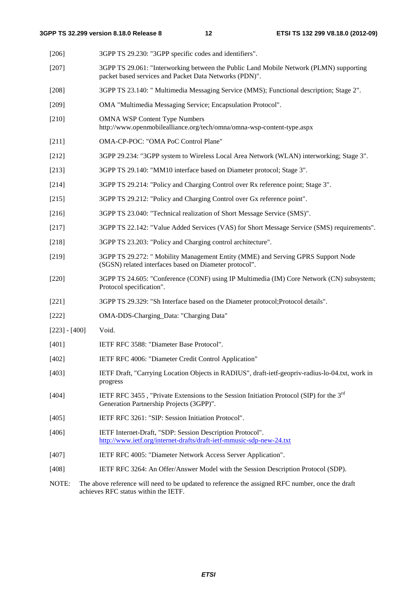| [206]           | 3GPP TS 29.230: "3GPP specific codes and identifiers".                                                                                           |  |
|-----------------|--------------------------------------------------------------------------------------------------------------------------------------------------|--|
| $[207]$         | 3GPP TS 29.061: "Interworking between the Public Land Mobile Network (PLMN) supporting<br>packet based services and Packet Data Networks (PDN)". |  |
| $[208]$         | 3GPP TS 23.140: " Multimedia Messaging Service (MMS); Functional description; Stage 2".                                                          |  |
| $[209]$         | OMA "Multimedia Messaging Service; Encapsulation Protocol".                                                                                      |  |
| $[210]$         | <b>OMNA WSP Content Type Numbers</b><br>http://www.openmobilealliance.org/tech/omna/omna-wsp-content-type.aspx                                   |  |
| $[211]$         | OMA-CP-POC: "OMA PoC Control Plane"                                                                                                              |  |
| $[212]$         | 3GPP 29.234: "3GPP system to Wireless Local Area Network (WLAN) interworking; Stage 3".                                                          |  |
| $[213]$         | 3GPP TS 29.140: "MM10 interface based on Diameter protocol; Stage 3".                                                                            |  |
| [214]           | 3GPP TS 29.214: "Policy and Charging Control over Rx reference point; Stage 3".                                                                  |  |
| [215]           | 3GPP TS 29.212: "Policy and Charging Control over Gx reference point".                                                                           |  |
| [216]           | 3GPP TS 23.040: "Technical realization of Short Message Service (SMS)".                                                                          |  |
| [217]           | 3GPP TS 22.142: "Value Added Services (VAS) for Short Message Service (SMS) requirements".                                                       |  |
| $[218]$         | 3GPP TS 23.203: "Policy and Charging control architecture".                                                                                      |  |
| [219]           | 3GPP TS 29.272: " Mobility Management Entity (MME) and Serving GPRS Support Node<br>(SGSN) related interfaces based on Diameter protocol".       |  |
| $[220]$         | 3GPP TS 24.605: "Conference (CONF) using IP Multimedia (IM) Core Network (CN) subsystem;<br>Protocol specification".                             |  |
| $[221]$         | 3GPP TS 29.329: "Sh Interface based on the Diameter protocol; Protocol details".                                                                 |  |
| $[222]$         | OMA-DDS-Charging_Data: "Charging Data"                                                                                                           |  |
| $[223] - [400]$ | Void.                                                                                                                                            |  |
| [401]           | IETF RFC 3588: "Diameter Base Protocol".                                                                                                         |  |
| [402]           | IETF RFC 4006: "Diameter Credit Control Application"                                                                                             |  |
| [403]           | IETF Draft, "Carrying Location Objects in RADIUS", draft-ietf-geopriv-radius-lo-04.txt, work in<br>progress                                      |  |
| [404]           | IETF RFC 3455, "Private Extensions to the Session Initiation Protocol (SIP) for the $3^{rd}$<br>Generation Partnership Projects (3GPP)".         |  |
| [405]           | IETF RFC 3261: "SIP: Session Initiation Protocol".                                                                                               |  |
| [406]           | IETF Internet-Draft, "SDP: Session Description Protocol".<br>http://www.ietf.org/internet-drafts/draft-ietf-mmusic-sdp-new-24.txt                |  |
| $[407]$         | IETF RFC 4005: "Diameter Network Access Server Application".                                                                                     |  |
| [408]           | IETF RFC 3264: An Offer/Answer Model with the Session Description Protocol (SDP).                                                                |  |
|                 |                                                                                                                                                  |  |

NOTE: The above reference will need to be updated to reference the assigned RFC number, once the draft achieves RFC status within the IETF.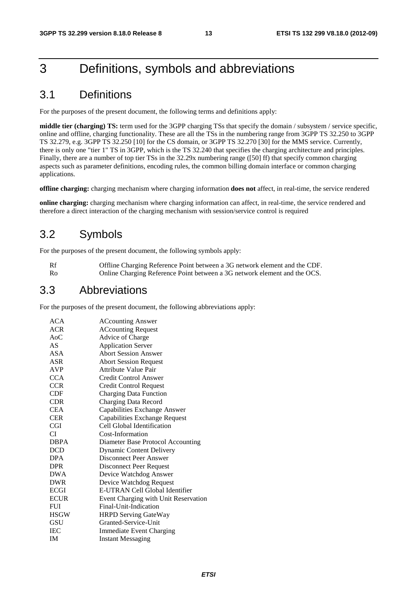# 3 Definitions, symbols and abbreviations

### 3.1 Definitions

For the purposes of the present document, the following terms and definitions apply:

**middle tier (charging) TS:** term used for the 3GPP charging TSs that specify the domain / subsystem / service specific, online and offline, charging functionality. These are all the TSs in the numbering range from 3GPP TS 32.250 to 3GPP TS 32.279, e.g. 3GPP TS 32.250 [10] for the CS domain, or 3GPP TS 32.270 [30] for the MMS service. Currently, there is only one "tier 1" TS in 3GPP, which is the TS 32.240 that specifies the charging architecture and principles. Finally, there are a number of top tier TSs in the 32.29x numbering range ([50] ff) that specify common charging aspects such as parameter definitions, encoding rules, the common billing domain interface or common charging applications.

**offline charging:** charging mechanism where charging information **does not** affect, in real-time, the service rendered

**online charging:** charging mechanism where charging information can affect, in real-time, the service rendered and therefore a direct interaction of the charging mechanism with session/service control is required

### 3.2 Symbols

For the purposes of the present document, the following symbols apply:

Rf Offline Charging Reference Point between a 3G network element and the CDF. Ro Online Charging Reference Point between a 3G network element and the OCS.

### 3.3 Abbreviations

For the purposes of the present document, the following abbreviations apply:

| ACA         | <b>ACcounting Answer</b>             |
|-------------|--------------------------------------|
| <b>ACR</b>  | <b>ACcounting Request</b>            |
| $A_0C$      | Advice of Charge                     |
| AS          | <b>Application Server</b>            |
| ASA         | <b>Abort Session Answer</b>          |
| ASR         | <b>Abort Session Request</b>         |
| <b>AVP</b>  | Attribute Value Pair                 |
| <b>CCA</b>  | Credit Control Answer                |
| <b>CCR</b>  | Credit Control Request               |
| CDF         | <b>Charging Data Function</b>        |
| <b>CDR</b>  | Charging Data Record                 |
| <b>CEA</b>  | Capabilities Exchange Answer         |
| <b>CER</b>  | Capabilities Exchange Request        |
| <b>CGI</b>  | Cell Global Identification           |
| CI          | Cost-Information                     |
| <b>DBPA</b> | Diameter Base Protocol Accounting    |
| DCD         | <b>Dynamic Content Delivery</b>      |
| <b>DPA</b>  | Disconnect Peer Answer               |
| DPR         | Disconnect Peer Request              |
| DWA         | Device Watchdog Answer               |
| <b>DWR</b>  | Device Watchdog Request              |
| <b>ECGI</b> | E-UTRAN Cell Global Identifier       |
| <b>ECUR</b> | Event Charging with Unit Reservation |
| <b>FUI</b>  | Final-Unit-Indication                |
| <b>HSGW</b> | <b>HRPD Serving GateWay</b>          |
| GSU         | Granted-Service-Unit                 |
| <b>IEC</b>  | <b>Immediate Event Charging</b>      |
| <b>IM</b>   | <b>Instant Messaging</b>             |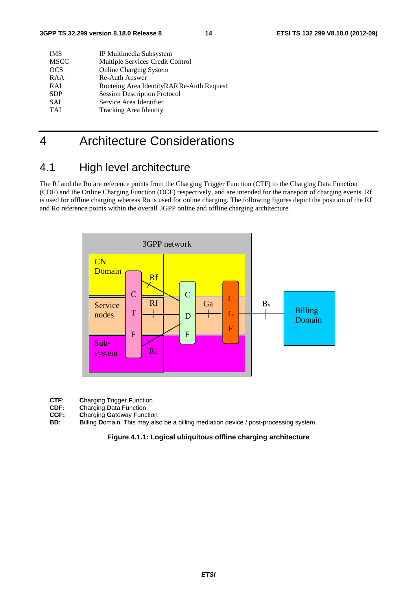| <b>IMS</b>  | IP Multimedia Subsystem                   |
|-------------|-------------------------------------------|
| <b>MSCC</b> | Multiple Services Credit Control          |
| <b>OCS</b>  | <b>Online Charging System</b>             |
| RAA         | Re-Auth Answer                            |
| <b>RAI</b>  | Routeing Area IdentityRAR Re-Auth Request |
| <b>SDP</b>  | <b>Session Description Protocol</b>       |
| <b>SAI</b>  | Service Area Identifier                   |
| <b>TAI</b>  | <b>Tracking Area Identity</b>             |
|             |                                           |

# 4 Architecture Considerations

### 4.1 High level architecture

The Rf and the Ro are reference points from the Charging Trigger Function (CTF) to the Charging Data Function (CDF) and the Online Charging Function (OCF) respectively, and are intended for the transport of charging events. Rf is used for offline charging whereas Ro is used for online charging. The following figures depict the position of the Rf and Ro reference points within the overall 3GPP online and offline charging architecture.



- **CTF:** Charging Trigger Function<br> **CDF:** Charging Data Function
- **CDF: C**harging **D**ata **F**unction
- **CGF: C**harging **G**ateway **F**unction
- **BD: B**illing **D**omain. This may also be a billing mediation device / post-processing system.

#### **Figure 4.1.1: Logical ubiquitous offline charging architecture**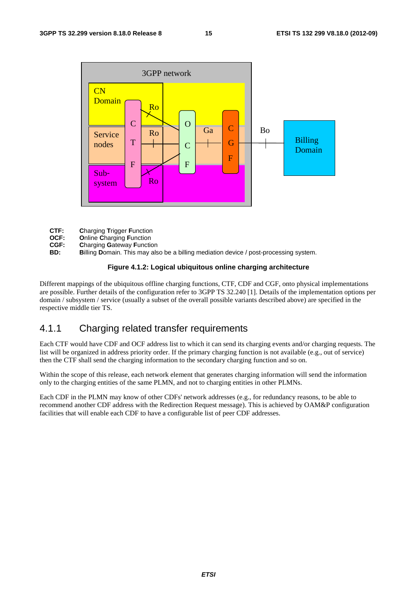

- **CTF: C**harging **T**rigger **F**unction
- **OCF: O**nline **C**harging **F**unction
- **CGF: Charging Gateway Function**<br>**BD: Billing Domain**, This may als
- Billing Domain. This may also be a billing mediation device / post-processing system.

### **Figure 4.1.2: Logical ubiquitous online charging architecture**

Different mappings of the ubiquitous offline charging functions, CTF, CDF and CGF, onto physical implementations are possible. Further details of the configuration refer to 3GPP TS 32.240 [1]. Details of the implementation options per domain / subsystem / service (usually a subset of the overall possible variants described above) are specified in the respective middle tier TS.

### 4.1.1 Charging related transfer requirements

Each CTF would have CDF and OCF address list to which it can send its charging events and/or charging requests. The list will be organized in address priority order. If the primary charging function is not available (e.g., out of service) then the CTF shall send the charging information to the secondary charging function and so on.

Within the scope of this release, each network element that generates charging information will send the information only to the charging entities of the same PLMN, and not to charging entities in other PLMNs.

Each CDF in the PLMN may know of other CDFs' network addresses (e.g., for redundancy reasons, to be able to recommend another CDF address with the Redirection Request message). This is achieved by OAM&P configuration facilities that will enable each CDF to have a configurable list of peer CDF addresses.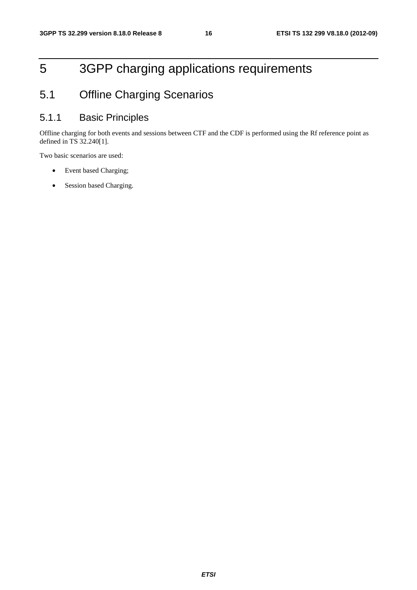# 5 3GPP charging applications requirements

# 5.1 Offline Charging Scenarios

### 5.1.1 Basic Principles

Offline charging for both events and sessions between CTF and the CDF is performed using the Rf reference point as defined in TS 32.240[1].

Two basic scenarios are used:

- Event based Charging;
- Session based Charging.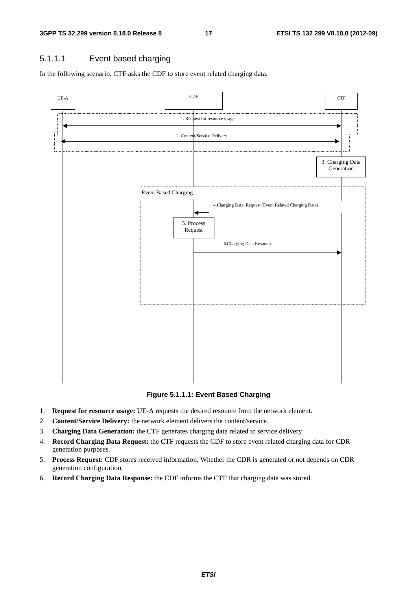### 5.1.1.1 Event based charging

In the following scenario, CTF asks the CDF to store event related charging data.



### **Figure 5.1.1.1: Event Based Charging**

- 1. **Request for resource usage:** UE-A requests the desired resource from the network element.
- 2. **Content/Service Delivery:** the network element delivers the content/service.
- 3. **Charging Data Generation:** the CTF generates charging data related to service delivery
- 4. **Record Charging Data Request:** the CTF requests the CDF to store event related charging data for CDR generation purposes.
- 5. **Process Request:** CDF stores received information. Whether the CDR is generated or not depends on CDR generation configuration.
- 6. **Record Charging Data Response:** the CDF informs the CTF that charging data was stored.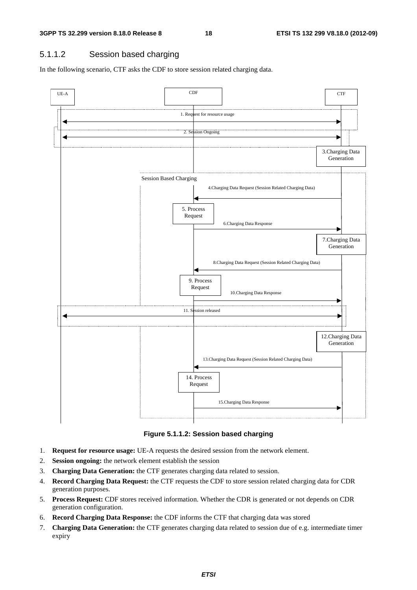### 5.1.1.2 Session based charging

In the following scenario, CTF asks the CDF to store session related charging data.



**Figure 5.1.1.2: Session based charging** 

- 1. **Request for resource usage:** UE-A requests the desired session from the network element.
- 2. **Session ongoing:** the network element establish the session
- 3. **Charging Data Generation:** the CTF generates charging data related to session.
- 4. **Record Charging Data Request:** the CTF requests the CDF to store session related charging data for CDR generation purposes.
- 5. **Process Request:** CDF stores received information. Whether the CDR is generated or not depends on CDR generation configuration.
- 6. **Record Charging Data Response:** the CDF informs the CTF that charging data was stored
- 7. **Charging Data Generation:** the CTF generates charging data related to session due of e.g. intermediate timer expiry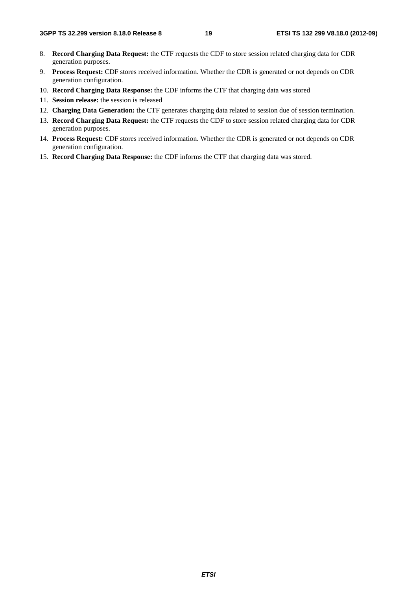- 8. **Record Charging Data Request:** the CTF requests the CDF to store session related charging data for CDR generation purposes.
- 9. **Process Request:** CDF stores received information. Whether the CDR is generated or not depends on CDR generation configuration.
- 10. **Record Charging Data Response:** the CDF informs the CTF that charging data was stored
- 11. **Session release:** the session is released
- 12. **Charging Data Generation:** the CTF generates charging data related to session due of session termination.
- 13. **Record Charging Data Request:** the CTF requests the CDF to store session related charging data for CDR generation purposes.
- 14. **Process Request:** CDF stores received information. Whether the CDR is generated or not depends on CDR generation configuration.
- 15. **Record Charging Data Response:** the CDF informs the CTF that charging data was stored.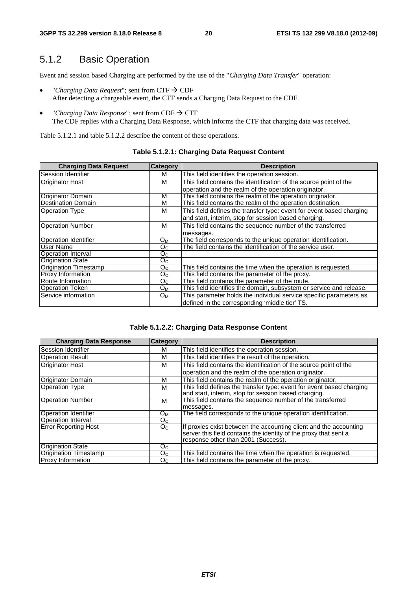### 5.1.2 Basic Operation

Event and session based Charging are performed by the use of the "*Charging Data Transfer*" operation:

- *"Charging Data Request"*; sent from  $CTF \rightarrow CDF$ After detecting a chargeable event, the CTF sends a Charging Data Request to the CDF.
- *"Charging Data Response"*; sent from  $CDF \rightarrow CTF$ The CDF replies with a Charging Data Response, which informs the CTF that charging data was received.

Table 5.1.2.1 and table 5.1.2.2 describe the content of these operations.

| <b>Charging Data Request</b> | <b>Category</b> | <b>Description</b>                                                   |
|------------------------------|-----------------|----------------------------------------------------------------------|
| Session Identifier           | м               | This field identifies the operation session.                         |
| <b>Originator Host</b>       | м               | This field contains the identification of the source point of the    |
|                              |                 | operation and the realm of the operation originator.                 |
| <b>Originator Domain</b>     | M               | This field contains the realm of the operation originator.           |
| <b>Destination Domain</b>    | M               | This field contains the realm of the operation destination.          |
| <b>Operation Type</b>        | м               | This field defines the transfer type: event for event based charging |
|                              |                 | and start, interim, stop for session based charging.                 |
| <b>Operation Number</b>      | м               | This field contains the sequence number of the transferred           |
|                              |                 | messages.                                                            |
| <b>Operation Identifier</b>  | $O_{M}$         | The field corresponds to the unique operation identification.        |
| User Name                    | Oc.             | The field contains the identification of the service user.           |
| Operation Interval           | O <sub>C</sub>  |                                                                      |
| <b>Origination State</b>     | $O_{\rm C}$     |                                                                      |
| <b>Origination Timestamp</b> | O <sub>C</sub>  | This field contains the time when the operation is requested.        |
| Proxy Information            | O <sub>C</sub>  | This field contains the parameter of the proxy.                      |
| Route Information            | O <sub>C</sub>  | This field contains the parameter of the route.                      |
| <b>Operation Token</b>       | $O_M$           | This field identifies the domain, subsystem or service and release.  |
| Service information          | $O_{M}$         | This parameter holds the individual service specific parameters as   |
|                              |                 | defined in the corresponding 'middle tier' TS.                       |

### **Table 5.1.2.1: Charging Data Request Content**

#### **Table 5.1.2.2: Charging Data Response Content**

| <b>Charging Data Response</b> | <b>Category</b> | <b>Description</b>                                                   |
|-------------------------------|-----------------|----------------------------------------------------------------------|
| Session Identifier            | м               | This field identifies the operation session.                         |
| <b>Operation Result</b>       | м               | This field identifies the result of the operation.                   |
| <b>Originator Host</b>        | м               | This field contains the identification of the source point of the    |
|                               |                 | operation and the realm of the operation originator.                 |
| Originator Domain             | M               | This field contains the realm of the operation originator.           |
| <b>Operation Type</b>         | м               | This field defines the transfer type: event for event based charging |
|                               |                 | and start, interim, stop for session based charging.                 |
| <b>Operation Number</b>       | м               | This field contains the sequence number of the transferred           |
|                               |                 | messages.                                                            |
| <b>Operation Identifier</b>   | Oм              | The field corresponds to the unique operation identification.        |
| <b>Operation Interval</b>     | O <sub>C</sub>  |                                                                      |
| <b>Error Reporting Host</b>   | O <sub>C</sub>  | If proxies exist between the accounting client and the accounting    |
|                               |                 | server this field contains the identity of the proxy that sent a     |
|                               |                 | response other than 2001 (Success).                                  |
| <b>Origination State</b>      | Oc.             |                                                                      |
| Origination Timestamp         | O <sub>C</sub>  | This field contains the time when the operation is requested.        |
| <b>Proxy Information</b>      | O <sub>C</sub>  | This field contains the parameter of the proxy.                      |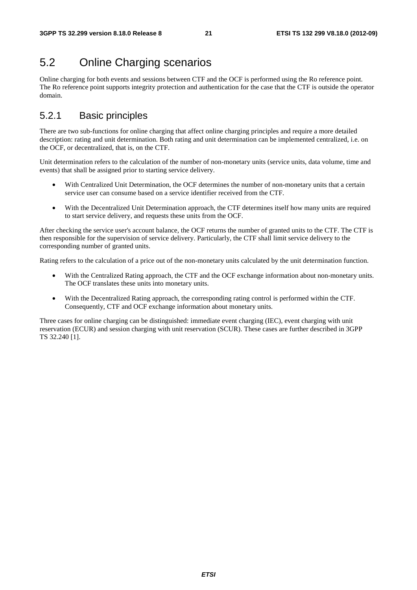### 5.2 Online Charging scenarios

Online charging for both events and sessions between CTF and the OCF is performed using the Ro reference point. The Ro reference point supports integrity protection and authentication for the case that the CTF is outside the operator domain.

### 5.2.1 Basic principles

There are two sub-functions for online charging that affect online charging principles and require a more detailed description: rating and unit determination. Both rating and unit determination can be implemented centralized, i.e. on the OCF, or decentralized, that is, on the CTF.

Unit determination refers to the calculation of the number of non-monetary units (service units, data volume, time and events) that shall be assigned prior to starting service delivery.

- With Centralized Unit Determination, the OCF determines the number of non-monetary units that a certain service user can consume based on a service identifier received from the CTF.
- With the Decentralized Unit Determination approach, the CTF determines itself how many units are required to start service delivery, and requests these units from the OCF.

After checking the service user's account balance, the OCF returns the number of granted units to the CTF. The CTF is then responsible for the supervision of service delivery. Particularly, the CTF shall limit service delivery to the corresponding number of granted units.

Rating refers to the calculation of a price out of the non-monetary units calculated by the unit determination function.

- With the Centralized Rating approach, the CTF and the OCF exchange information about non-monetary units. The OCF translates these units into monetary units.
- With the Decentralized Rating approach, the corresponding rating control is performed within the CTF. Consequently, CTF and OCF exchange information about monetary units.

Three cases for online charging can be distinguished: immediate event charging (IEC), event charging with unit reservation (ECUR) and session charging with unit reservation (SCUR). These cases are further described in 3GPP TS 32.240 [1].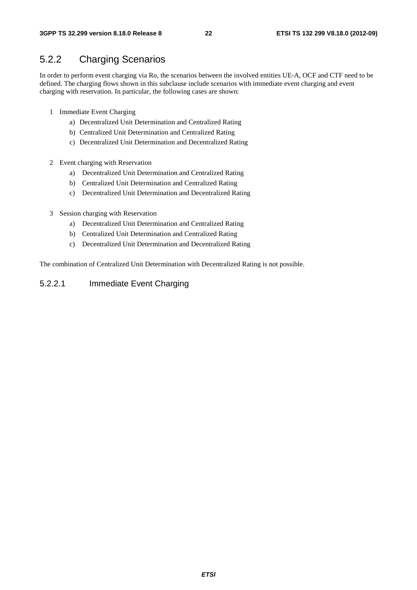### 5.2.2 Charging Scenarios

In order to perform event charging via Ro, the scenarios between the involved entities UE-A, OCF and CTF need to be defined. The charging flows shown in this subclause include scenarios with immediate event charging and event charging with reservation. In particular, the following cases are shown:

- 1 Immediate Event Charging
	- a) Decentralized Unit Determination and Centralized Rating
	- b) Centralized Unit Determination and Centralized Rating
	- c) Decentralized Unit Determination and Decentralized Rating
- 2 Event charging with Reservation
	- a) Decentralized Unit Determination and Centralized Rating
	- b) Centralized Unit Determination and Centralized Rating
	- c) Decentralized Unit Determination and Decentralized Rating
- 3 Session charging with Reservation
	- a) Decentralized Unit Determination and Centralized Rating
	- b) Centralized Unit Determination and Centralized Rating
	- c) Decentralized Unit Determination and Decentralized Rating

The combination of Centralized Unit Determination with Decentralized Rating is not possible.

### 5.2.2.1 Immediate Event Charging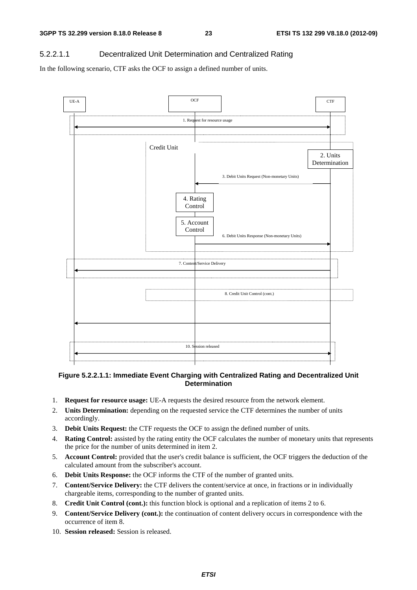### 5.2.2.1.1 Decentralized Unit Determination and Centralized Rating

In the following scenario, CTF asks the OCF to assign a defined number of units.



### **Figure 5.2.2.1.1: Immediate Event Charging with Centralized Rating and Decentralized Unit Determination**

- 1. **Request for resource usage:** UE-A requests the desired resource from the network element.
- 2. **Units Determination:** depending on the requested service the CTF determines the number of units accordingly.
- 3. **Debit Units Request:** the CTF requests the OCF to assign the defined number of units.
- 4. **Rating Control:** assisted by the rating entity the OCF calculates the number of monetary units that represents the price for the number of units determined in item 2.
- 5. **Account Control:** provided that the user's credit balance is sufficient, the OCF triggers the deduction of the calculated amount from the subscriber's account.
- 6. **Debit Units Response:** the OCF informs the CTF of the number of granted units.
- 7. **Content/Service Delivery:** the CTF delivers the content/service at once, in fractions or in individually chargeable items, corresponding to the number of granted units.
- 8. **Credit Unit Control (cont.):** this function block is optional and a replication of items 2 to 6.
- 9. **Content/Service Delivery (cont.):** the continuation of content delivery occurs in correspondence with the occurrence of item 8.
- 10. **Session released:** Session is released.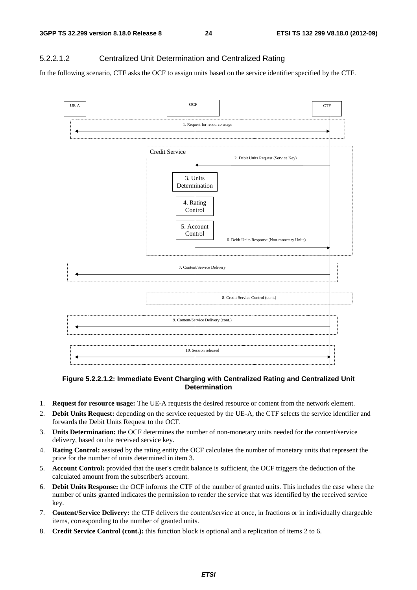### 5.2.2.1.2 Centralized Unit Determination and Centralized Rating

In the following scenario, CTF asks the OCF to assign units based on the service identifier specified by the CTF.



#### **Figure 5.2.2.1.2: Immediate Event Charging with Centralized Rating and Centralized Unit Determination**

- 1. **Request for resource usage:** The UE-A requests the desired resource or content from the network element.
- 2. **Debit Units Request:** depending on the service requested by the UE-A, the CTF selects the service identifier and forwards the Debit Units Request to the OCF.
- 3. **Units Determination:** the OCF determines the number of non-monetary units needed for the content/service delivery, based on the received service key.
- 4. **Rating Control:** assisted by the rating entity the OCF calculates the number of monetary units that represent the price for the number of units determined in item 3.
- 5. **Account Control:** provided that the user's credit balance is sufficient, the OCF triggers the deduction of the calculated amount from the subscriber's account.
- 6. **Debit Units Response:** the OCF informs the CTF of the number of granted units. This includes the case where the number of units granted indicates the permission to render the service that was identified by the received service key.
- 7. **Content/Service Delivery:** the CTF delivers the content/service at once, in fractions or in individually chargeable items, corresponding to the number of granted units.
- 8. **Credit Service Control (cont.):** this function block is optional and a replication of items 2 to 6.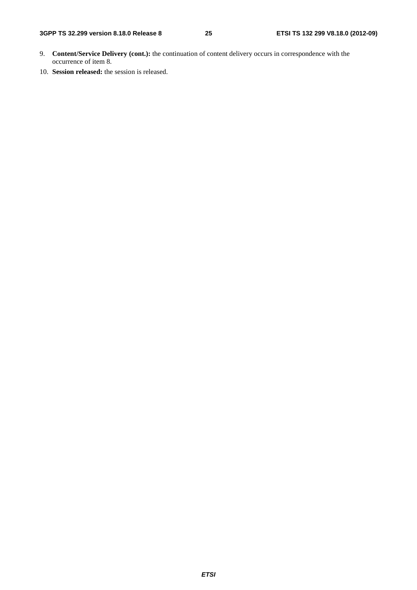- 9. **Content/Service Delivery (cont.):** the continuation of content delivery occurs in correspondence with the occurrence of item 8.
- 10. **Session released:** the session is released.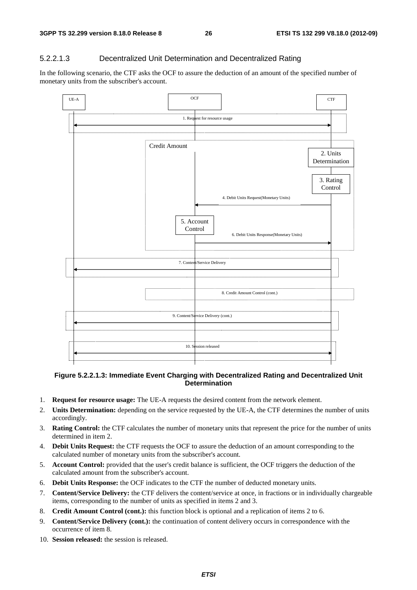### 5.2.2.1.3 Decentralized Unit Determination and Decentralized Rating

In the following scenario, the CTF asks the OCF to assure the deduction of an amount of the specified number of monetary units from the subscriber's account.



#### **Figure 5.2.2.1.3: Immediate Event Charging with Decentralized Rating and Decentralized Unit Determination**

- 1. **Request for resource usage:** The UE-A requests the desired content from the network element.
- 2. **Units Determination:** depending on the service requested by the UE-A, the CTF determines the number of units accordingly.
- 3. **Rating Control:** the CTF calculates the number of monetary units that represent the price for the number of units determined in item 2.
- 4. **Debit Units Request:** the CTF requests the OCF to assure the deduction of an amount corresponding to the calculated number of monetary units from the subscriber's account.
- 5. **Account Control:** provided that the user's credit balance is sufficient, the OCF triggers the deduction of the calculated amount from the subscriber's account.
- 6. **Debit Units Response:** the OCF indicates to the CTF the number of deducted monetary units.
- 7. **Content/Service Delivery:** the CTF delivers the content/service at once, in fractions or in individually chargeable items, corresponding to the number of units as specified in items 2 and 3.
- 8. **Credit Amount Control (cont.):** this function block is optional and a replication of items 2 to 6.
- 9. **Content/Service Delivery (cont.):** the continuation of content delivery occurs in correspondence with the occurrence of item 8.
- 10. **Session released:** the session is released.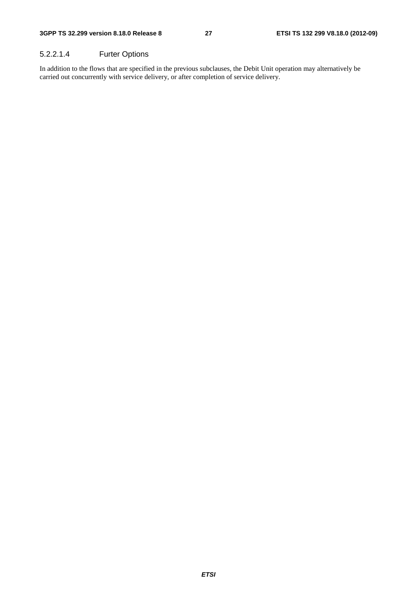### 5.2.2.1.4 Furter Options

In addition to the flows that are specified in the previous subclauses, the Debit Unit operation may alternatively be carried out concurrently with service delivery, or after completion of service delivery.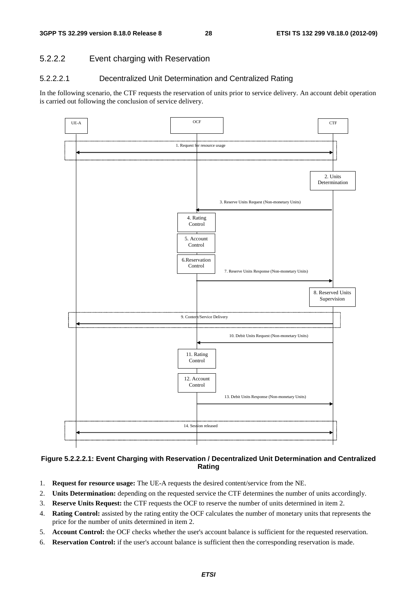### 5.2.2.2 Event charging with Reservation

### 5.2.2.2.1 Decentralized Unit Determination and Centralized Rating

In the following scenario, the CTF requests the reservation of units prior to service delivery. An account debit operation is carried out following the conclusion of service delivery.



### **Figure 5.2.2.2.1: Event Charging with Reservation / Decentralized Unit Determination and Centralized Rating**

- 1. **Request for resource usage:** The UE-A requests the desired content/service from the NE.
- 2. **Units Determination:** depending on the requested service the CTF determines the number of units accordingly.
- 3. **Reserve Units Request:** the CTF requests the OCF to reserve the number of units determined in item 2.
- 4. **Rating Control:** assisted by the rating entity the OCF calculates the number of monetary units that represents the price for the number of units determined in item 2.
- 5. **Account Control:** the OCF checks whether the user's account balance is sufficient for the requested reservation.
- 6. **Reservation Control:** if the user's account balance is sufficient then the corresponding reservation is made.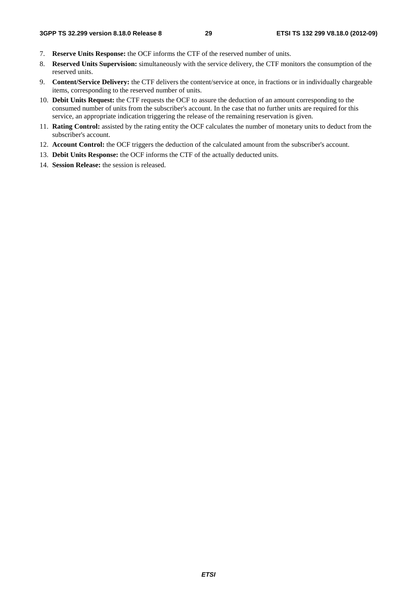- 7. **Reserve Units Response:** the OCF informs the CTF of the reserved number of units.
- 8. **Reserved Units Supervision:** simultaneously with the service delivery, the CTF monitors the consumption of the reserved units.
- 9. **Content/Service Delivery:** the CTF delivers the content/service at once, in fractions or in individually chargeable items, corresponding to the reserved number of units.
- 10. **Debit Units Request:** the CTF requests the OCF to assure the deduction of an amount corresponding to the consumed number of units from the subscriber's account. In the case that no further units are required for this service, an appropriate indication triggering the release of the remaining reservation is given.
- 11. **Rating Control:** assisted by the rating entity the OCF calculates the number of monetary units to deduct from the subscriber's account.
- 12. **Account Control:** the OCF triggers the deduction of the calculated amount from the subscriber's account.
- 13. **Debit Units Response:** the OCF informs the CTF of the actually deducted units.
- 14. **Session Release:** the session is released.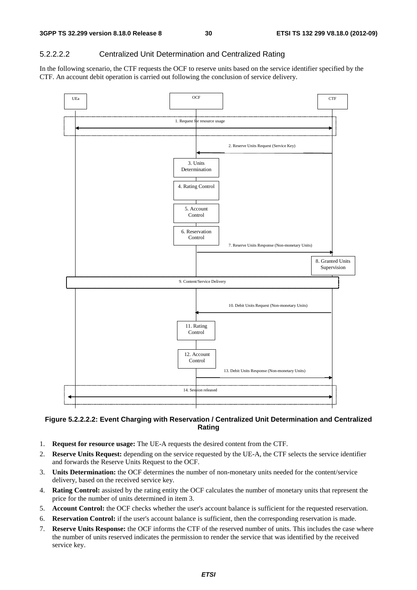### 5.2.2.2.2 Centralized Unit Determination and Centralized Rating

In the following scenario, the CTF requests the OCF to reserve units based on the service identifier specified by the CTF. An account debit operation is carried out following the conclusion of service delivery.



### **Figure 5.2.2.2.2: Event Charging with Reservation / Centralized Unit Determination and Centralized Rating**

- 1. **Request for resource usage:** The UE-A requests the desired content from the CTF.
- 2. **Reserve Units Request:** depending on the service requested by the UE-A, the CTF selects the service identifier and forwards the Reserve Units Request to the OCF.
- 3. **Units Determination:** the OCF determines the number of non-monetary units needed for the content/service delivery, based on the received service key.
- 4. **Rating Control:** assisted by the rating entity the OCF calculates the number of monetary units that represent the price for the number of units determined in item 3.
- 5. **Account Control:** the OCF checks whether the user's account balance is sufficient for the requested reservation.
- 6. **Reservation Control:** if the user's account balance is sufficient, then the corresponding reservation is made.
- 7. **Reserve Units Response:** the OCF informs the CTF of the reserved number of units. This includes the case where the number of units reserved indicates the permission to render the service that was identified by the received service key.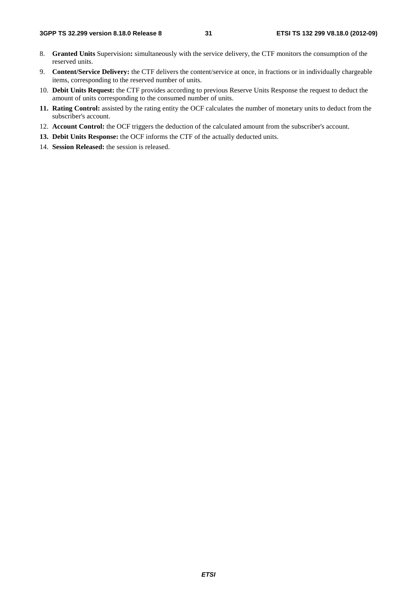- 8. **Granted Units** Supervision**:** simultaneously with the service delivery, the CTF monitors the consumption of the reserved units.
- 9. **Content/Service Delivery:** the CTF delivers the content/service at once, in fractions or in individually chargeable items, corresponding to the reserved number of units.
- 10. **Debit Units Request:** the CTF provides according to previous Reserve Units Response the request to deduct the amount of units corresponding to the consumed number of units.
- **11. Rating Control:** assisted by the rating entity the OCF calculates the number of monetary units to deduct from the subscriber's account.
- 12. **Account Control:** the OCF triggers the deduction of the calculated amount from the subscriber's account.
- **13. Debit Units Response:** the OCF informs the CTF of the actually deducted units.
- 14. **Session Released:** the session is released.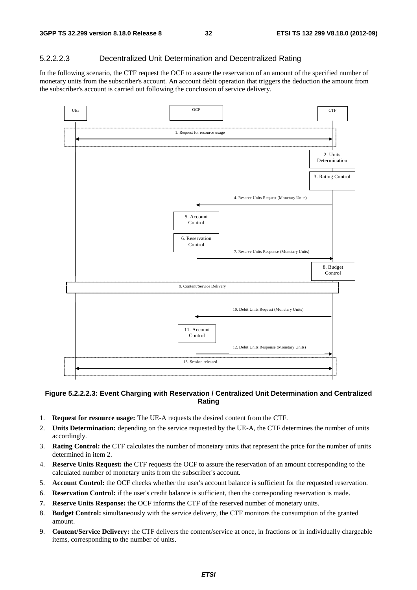### 5.2.2.2.3 Decentralized Unit Determination and Decentralized Rating

In the following scenario, the CTF request the OCF to assure the reservation of an amount of the specified number of monetary units from the subscriber's account. An account debit operation that triggers the deduction the amount from the subscriber's account is carried out following the conclusion of service delivery.



#### **Figure 5.2.2.2.3: Event Charging with Reservation / Centralized Unit Determination and Centralized Rating**

- 1. **Request for resource usage:** The UE-A requests the desired content from the CTF.
- 2. **Units Determination:** depending on the service requested by the UE-A, the CTF determines the number of units accordingly.
- 3. **Rating Control:** the CTF calculates the number of monetary units that represent the price for the number of units determined in item 2.
- 4. **Reserve Units Request:** the CTF requests the OCF to assure the reservation of an amount corresponding to the calculated number of monetary units from the subscriber's account.
- 5. **Account Control:** the OCF checks whether the user's account balance is sufficient for the requested reservation.
- 6. **Reservation Control:** if the user's credit balance is sufficient, then the corresponding reservation is made.
- **7. Reserve Units Response:** the OCF informs the CTF of the reserved number of monetary units.
- 8. **Budget Control:** simultaneously with the service delivery, the CTF monitors the consumption of the granted amount.
- 9. **Content/Service Delivery:** the CTF delivers the content/service at once, in fractions or in individually chargeable items, corresponding to the number of units.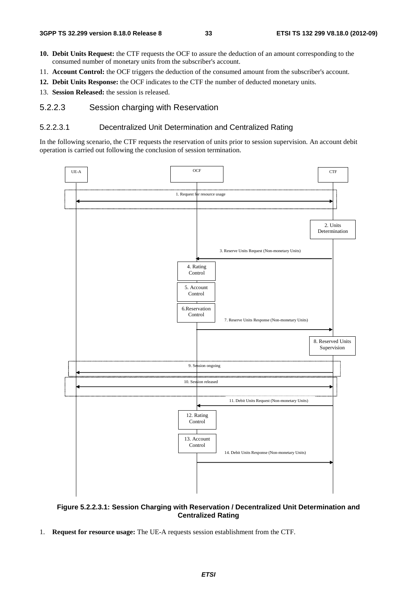- **10. Debit Units Request:** the CTF requests the OCF to assure the deduction of an amount corresponding to the consumed number of monetary units from the subscriber's account.
- 11. **Account Control:** the OCF triggers the deduction of the consumed amount from the subscriber's account.
- **12. Debit Units Response:** the OCF indicates to the CTF the number of deducted monetary units.
- 13. **Session Released:** the session is released.

### 5.2.2.3 Session charging with Reservation

#### 5.2.2.3.1 Decentralized Unit Determination and Centralized Rating

In the following scenario, the CTF requests the reservation of units prior to session supervision. An account debit operation is carried out following the conclusion of session termination.



#### **Figure 5.2.2.3.1: Session Charging with Reservation / Decentralized Unit Determination and Centralized Rating**

1. **Request for resource usage:** The UE-A requests session establishment from the CTF.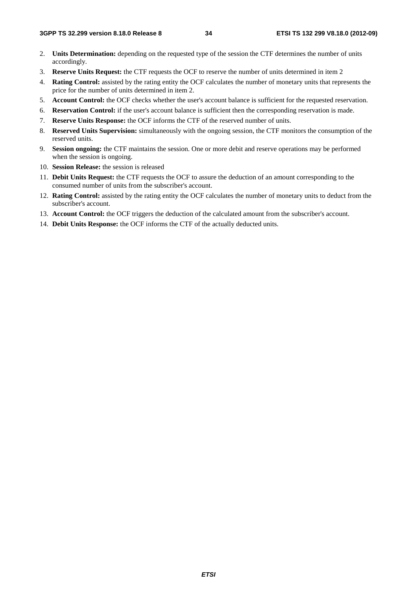- 2. **Units Determination:** depending on the requested type of the session the CTF determines the number of units accordingly.
- 3. **Reserve Units Request:** the CTF requests the OCF to reserve the number of units determined in item 2
- 4. **Rating Control:** assisted by the rating entity the OCF calculates the number of monetary units that represents the price for the number of units determined in item 2.
- 5. **Account Control:** the OCF checks whether the user's account balance is sufficient for the requested reservation.
- 6. **Reservation Control:** if the user's account balance is sufficient then the corresponding reservation is made.
- 7. **Reserve Units Response:** the OCF informs the CTF of the reserved number of units.
- 8. **Reserved Units Supervision:** simultaneously with the ongoing session, the CTF monitors the consumption of the reserved units.
- 9. **Session ongoing:** the CTF maintains the session. One or more debit and reserve operations may be performed when the session is ongoing.
- 10. **Session Release:** the session is released
- 11. **Debit Units Request:** the CTF requests the OCF to assure the deduction of an amount corresponding to the consumed number of units from the subscriber's account.
- 12. **Rating Control:** assisted by the rating entity the OCF calculates the number of monetary units to deduct from the subscriber's account.
- 13. **Account Control:** the OCF triggers the deduction of the calculated amount from the subscriber's account.
- 14. **Debit Units Response:** the OCF informs the CTF of the actually deducted units.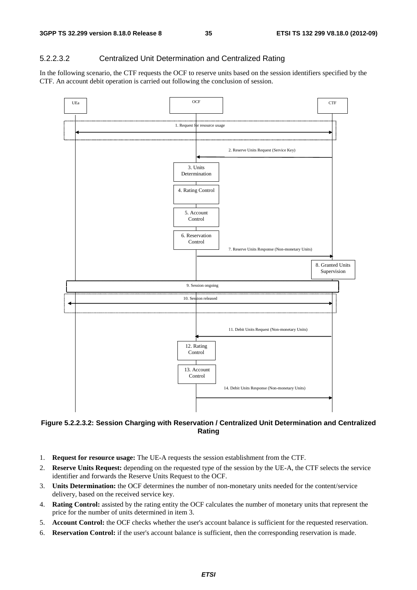### 5.2.2.3.2 Centralized Unit Determination and Centralized Rating

In the following scenario, the CTF requests the OCF to reserve units based on the session identifiers specified by the CTF. An account debit operation is carried out following the conclusion of session.



### **Figure 5.2.2.3.2: Session Charging with Reservation / Centralized Unit Determination and Centralized Rating**

- 1. **Request for resource usage:** The UE-A requests the session establishment from the CTF.
- 2. **Reserve Units Request:** depending on the requested type of the session by the UE-A, the CTF selects the service identifier and forwards the Reserve Units Request to the OCF.
- 3. **Units Determination:** the OCF determines the number of non-monetary units needed for the content/service delivery, based on the received service key.
- 4. **Rating Control:** assisted by the rating entity the OCF calculates the number of monetary units that represent the price for the number of units determined in item 3.
- 5. **Account Control:** the OCF checks whether the user's account balance is sufficient for the requested reservation.
- 6. **Reservation Control:** if the user's account balance is sufficient, then the corresponding reservation is made.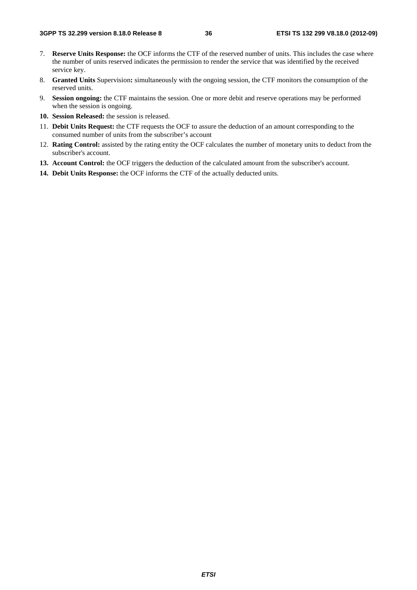- 7. **Reserve Units Response:** the OCF informs the CTF of the reserved number of units. This includes the case where the number of units reserved indicates the permission to render the service that was identified by the received service key.
- 8. **Granted Units** Supervision**:** simultaneously with the ongoing session, the CTF monitors the consumption of the reserved units.
- 9. **Session ongoing:** the CTF maintains the session. One or more debit and reserve operations may be performed when the session is ongoing.
- **10. Session Released:** the session is released.
- 11. **Debit Units Request:** the CTF requests the OCF to assure the deduction of an amount corresponding to the consumed number of units from the subscriber's account
- 12. **Rating Control:** assisted by the rating entity the OCF calculates the number of monetary units to deduct from the subscriber's account.
- **13. Account Control:** the OCF triggers the deduction of the calculated amount from the subscriber's account.
- **14. Debit Units Response:** the OCF informs the CTF of the actually deducted units.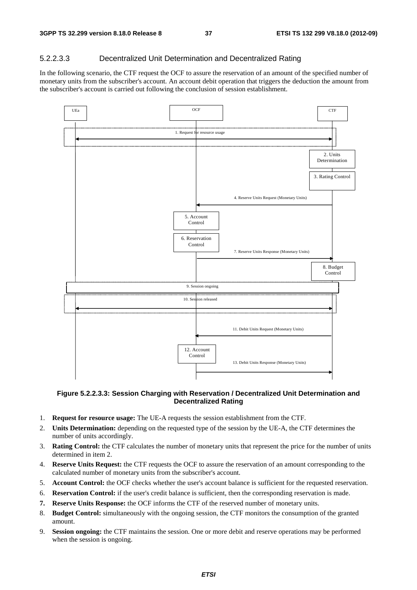### 5.2.2.3.3 Decentralized Unit Determination and Decentralized Rating

In the following scenario, the CTF request the OCF to assure the reservation of an amount of the specified number of monetary units from the subscriber's account. An account debit operation that triggers the deduction the amount from the subscriber's account is carried out following the conclusion of session establishment.



#### **Figure 5.2.2.3.3: Session Charging with Reservation / Decentralized Unit Determination and Decentralized Rating**

- 1. **Request for resource usage:** The UE-A requests the session establishment from the CTF.
- 2. **Units Determination:** depending on the requested type of the session by the UE-A, the CTF determines the number of units accordingly.
- 3. **Rating Control:** the CTF calculates the number of monetary units that represent the price for the number of units determined in item 2.
- 4. **Reserve Units Request:** the CTF requests the OCF to assure the reservation of an amount corresponding to the calculated number of monetary units from the subscriber's account.
- 5. **Account Control:** the OCF checks whether the user's account balance is sufficient for the requested reservation.
- 6. **Reservation Control:** if the user's credit balance is sufficient, then the corresponding reservation is made.
- **7. Reserve Units Response:** the OCF informs the CTF of the reserved number of monetary units.
- 8. **Budget Control:** simultaneously with the ongoing session, the CTF monitors the consumption of the granted amount.
- 9. **Session ongoing:** the CTF maintains the session. One or more debit and reserve operations may be performed when the session is ongoing.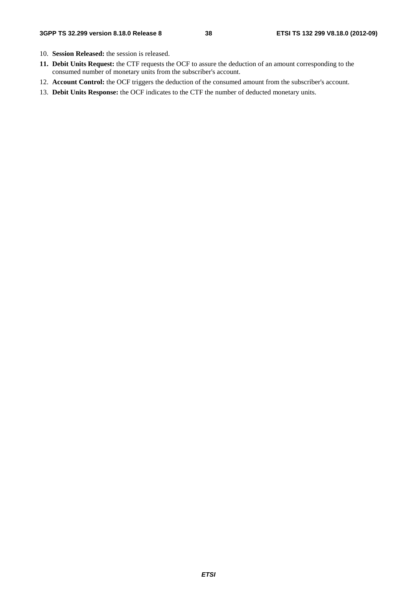- 10. **Session Released:** the session is released.
- **11. Debit Units Request:** the CTF requests the OCF to assure the deduction of an amount corresponding to the consumed number of monetary units from the subscriber's account.
- 12. **Account Control:** the OCF triggers the deduction of the consumed amount from the subscriber's account.
- 13. **Debit Units Response:** the OCF indicates to the CTF the number of deducted monetary units.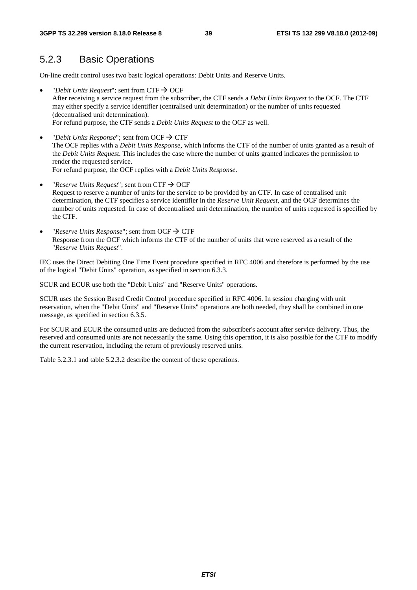## 5.2.3 Basic Operations

On-line credit control uses two basic logical operations: Debit Units and Reserve Units.

- "*Debit Units Request*"; sent from  $CTF \rightarrow OCF$ After receiving a service request from the subscriber, the CTF sends a *Debit Units Request* to the OCF. The CTF may either specify a service identifier (centralised unit determination) or the number of units requested (decentralised unit determination). For refund purpose, the CTF sends a *Debit Units Request* to the OCF as well.
- "*Debit Units Response*"; sent from OCF  $\rightarrow$  CTF The OCF replies with a *Debit Units Response*, which informs the CTF of the number of units granted as a result of the *Debit Units Request*. This includes the case where the number of units granted indicates the permission to render the requested service. For refund purpose, the OCF replies with a *Debit Units Response*.
- *"Reserve Units Request"*; sent from CTF  $\rightarrow$  OCF Request to reserve a number of units for the service to be provided by an CTF. In case of centralised unit determination, the CTF specifies a service identifier in the *Reserve Unit Request*, and the OCF determines the number of units requested. In case of decentralised unit determination, the number of units requested is specified by the CTF.
- "*Reserve Units Response*"; sent from OCF  $\rightarrow$  CTF Response from the OCF which informs the CTF of the number of units that were reserved as a result of the "*Reserve Units Request*".

IEC uses the Direct Debiting One Time Event procedure specified in RFC 4006 and therefore is performed by the use of the logical "Debit Units" operation, as specified in section 6.3.3.

SCUR and ECUR use both the "Debit Units" and "Reserve Units" operations.

SCUR uses the Session Based Credit Control procedure specified in RFC 4006. In session charging with unit reservation, when the "Debit Units" and "Reserve Units" operations are both needed, they shall be combined in one message, as specified in section 6.3.5.

For SCUR and ECUR the consumed units are deducted from the subscriber's account after service delivery. Thus, the reserved and consumed units are not necessarily the same. Using this operation, it is also possible for the CTF to modify the current reservation, including the return of previously reserved units.

Table 5.2.3.1 and table 5.2.3.2 describe the content of these operations.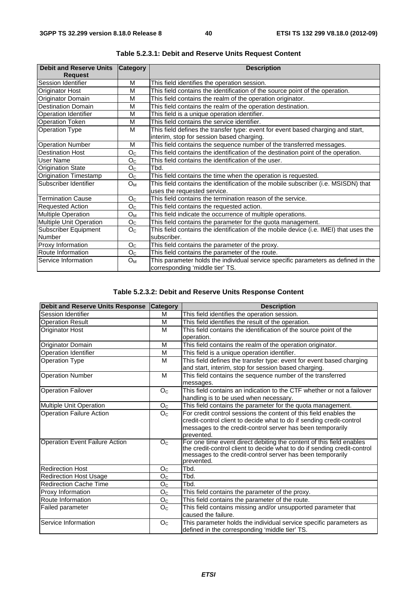| <b>Debit and Reserve Units</b> | <b>Category</b> | <b>Description</b>                                                                    |
|--------------------------------|-----------------|---------------------------------------------------------------------------------------|
| <b>Request</b>                 |                 |                                                                                       |
| Session Identifier             | M               | This field identifies the operation session.                                          |
| <b>Originator Host</b>         | M               | This field contains the identification of the source point of the operation.          |
| Originator Domain              | M               | This field contains the realm of the operation originator.                            |
| <b>Destination Domain</b>      | M               | This field contains the realm of the operation destination.                           |
| <b>Operation Identifier</b>    | M               | This field is a unique operation identifier.                                          |
| <b>Operation Token</b>         | M               | This field contains the service identifier.                                           |
| <b>Operation Type</b>          | M               | This field defines the transfer type: event for event based charging and start,       |
|                                |                 | interim, stop for session based charging.                                             |
| <b>Operation Number</b>        | M               | This field contains the sequence number of the transferred messages.                  |
| <b>Destination Host</b>        | O <sub>C</sub>  | This field contains the identification of the destination point of the operation.     |
| User Name                      | O <sub>C</sub>  | This field contains the identification of the user.                                   |
| <b>Origination State</b>       | O <sub>C</sub>  | Tbd.                                                                                  |
| <b>Origination Timestamp</b>   | O <sub>C</sub>  | This field contains the time when the operation is requested.                         |
| Subscriber Identifier          | Oм              | This field contains the identification of the mobile subscriber (i.e. MSISDN) that    |
|                                |                 | uses the requested service.                                                           |
| <b>Termination Cause</b>       | O <sub>C</sub>  | This field contains the termination reason of the service.                            |
| <b>Requested Action</b>        | O <sub>C</sub>  | This field contains the requested action.                                             |
| <b>Multiple Operation</b>      | $O_{M}$         | This field indicate the occurrence of multiple operations.                            |
| <b>Multiple Unit Operation</b> | O <sub>C</sub>  | This field contains the parameter for the quota management.                           |
| <b>Subscriber Equipment</b>    | O <sub>C</sub>  | This field contains the identification of the mobile device (i.e. IMEI) that uses the |
| Number                         |                 | subscriber.                                                                           |
| Proxy Information              | O <sub>C</sub>  | This field contains the parameter of the proxy.                                       |
| Route Information              | O <sub>C</sub>  | This field contains the parameter of the route.                                       |
| <b>Service Information</b>     | $O_{M}$         | This parameter holds the individual service specific parameters as defined in the     |
|                                |                 | corresponding 'middle tier' TS.                                                       |

**Table 5.2.3.1: Debit and Reserve Units Request Content** 

### **Table 5.2.3.2: Debit and Reserve Units Response Content**

| <b>Debit and Reserve Units Response</b> | <b>Category</b> | <b>Description</b>                                                                                                                     |
|-----------------------------------------|-----------------|----------------------------------------------------------------------------------------------------------------------------------------|
| Session Identifier                      | м               | This field identifies the operation session.                                                                                           |
| <b>Operation Result</b>                 | M               | This field identifies the result of the operation.                                                                                     |
| Originator Host                         | M               | This field contains the identification of the source point of the                                                                      |
|                                         |                 | operation.                                                                                                                             |
| Originator Domain                       | M               | This field contains the realm of the operation originator.                                                                             |
| <b>Operation Identifier</b>             | M               | This field is a unique operation identifier.                                                                                           |
| <b>Operation Type</b>                   | M               | This field defines the transfer type: event for event based charging                                                                   |
|                                         |                 | and start, interim, stop for session based charging.                                                                                   |
| <b>Operation Number</b>                 | M               | This field contains the sequence number of the transferred                                                                             |
|                                         |                 | messages.                                                                                                                              |
| <b>Operation Failover</b>               | O <sub>C</sub>  | This field contains an indication to the CTF whether or not a failover                                                                 |
|                                         |                 | handling is to be used when necessary.                                                                                                 |
| Multiple Unit Operation                 | O <sub>C</sub>  | This field contains the parameter for the quota management.                                                                            |
| <b>Operation Failure Action</b>         | O <sub>C</sub>  | For credit control sessions the content of this field enables the                                                                      |
|                                         |                 | credit-control client to decide what to do if sending credit-control                                                                   |
|                                         |                 | messages to the credit-control server has been temporarily                                                                             |
|                                         |                 | prevented.                                                                                                                             |
| <b>Operation Event Failure Action</b>   | O <sub>C</sub>  | For one time event direct debiting the content of this field enables                                                                   |
|                                         |                 | the credit-control client to decide what to do if sending credit-control<br>messages to the credit-control server has been temporarily |
|                                         |                 | prevented.                                                                                                                             |
| <b>Redirection Host</b>                 | O <sub>C</sub>  | Tbd.                                                                                                                                   |
| <b>Redirection Host Usage</b>           | O <sub>C</sub>  | Tbd.                                                                                                                                   |
| <b>Redirection Cache Time</b>           | O <sub>C</sub>  | Tbd.                                                                                                                                   |
| Proxy Information                       | O <sub>C</sub>  | This field contains the parameter of the proxy.                                                                                        |
| Route Information                       | O <sub>C</sub>  | This field contains the parameter of the route.                                                                                        |
| Failed parameter                        | O <sub>C</sub>  | This field contains missing and/or unsupported parameter that                                                                          |
|                                         |                 | caused the failure.                                                                                                                    |
| Service Information                     | O <sub>C</sub>  | This parameter holds the individual service specific parameters as                                                                     |
|                                         |                 | defined in the corresponding 'middle tier' TS.                                                                                         |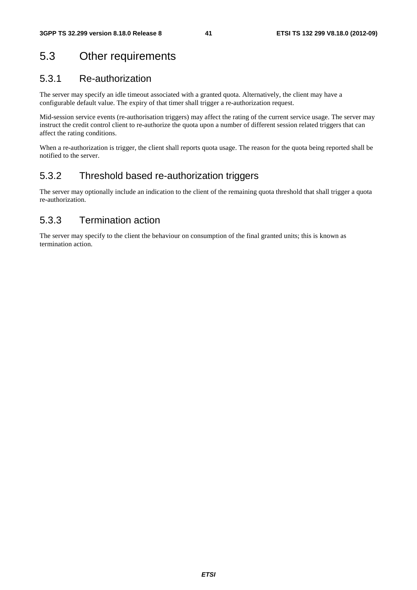# 5.3 Other requirements

## 5.3.1 Re-authorization

The server may specify an idle timeout associated with a granted quota. Alternatively, the client may have a configurable default value. The expiry of that timer shall trigger a re-authorization request.

Mid-session service events (re-authorisation triggers) may affect the rating of the current service usage. The server may instruct the credit control client to re-authorize the quota upon a number of different session related triggers that can affect the rating conditions.

When a re-authorization is trigger, the client shall reports quota usage. The reason for the quota being reported shall be notified to the server.

## 5.3.2 Threshold based re-authorization triggers

The server may optionally include an indication to the client of the remaining quota threshold that shall trigger a quota re-authorization.

## 5.3.3 Termination action

The server may specify to the client the behaviour on consumption of the final granted units; this is known as termination action.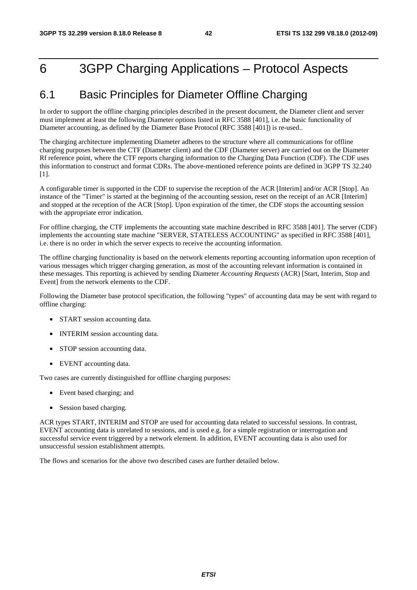# 6 3GPP Charging Applications – Protocol Aspects

# 6.1 Basic Principles for Diameter Offline Charging

In order to support the offline charging principles described in the present document, the Diameter client and server must implement at least the following Diameter options listed in RFC 3588 [401], i.e. the basic functionality of Diameter accounting, as defined by the Diameter Base Protocol (RFC 3588 [401]) is re-used..

The charging architecture implementing Diameter adheres to the structure where all communications for offline charging purposes between the CTF (Diameter client) and the CDF (Diameter server) are carried out on the Diameter Rf reference point, where the CTF reports charging information to the Charging Data Function (CDF). The CDF uses this information to construct and format CDRs. The above-mentioned reference points are defined in 3GPP TS 32.240 [1].

A configurable timer is supported in the CDF to supervise the reception of the ACR [Interim] and/or ACR [Stop]. An instance of the "Timer" is started at the beginning of the accounting session, reset on the receipt of an ACR [Interim] and stopped at the reception of the ACR [Stop]. Upon expiration of the timer, the CDF stops the accounting session with the appropriate error indication.

For offline charging, the CTF implements the accounting state machine described in RFC 3588 [401]. The server (CDF) implements the accounting state machine "SERVER, STATELESS ACCOUNTING" as specified in RFC 3588 [401], i.e. there is no order in which the server expects to receive the accounting information.

The offline charging functionality is based on the network elements reporting accounting information upon reception of various messages which trigger charging generation, as most of the accounting relevant information is contained in these messages. This reporting is achieved by sending Diameter *Accounting Requests* (ACR) [Start, Interim, Stop and Event] from the network elements to the CDF.

Following the Diameter base protocol specification, the following "types" of accounting data may be sent with regard to offline charging:

- START session accounting data.
- INTERIM session accounting data.
- STOP session accounting data.
- EVENT accounting data.

Two cases are currently distinguished for offline charging purposes:

- Event based charging; and
- Session based charging.

ACR types START, INTERIM and STOP are used for accounting data related to successful sessions. In contrast, EVENT accounting data is unrelated to sessions, and is used e.g. for a simple registration or interrogation and successful service event triggered by a network element. In addition, EVENT accounting data is also used for unsuccessful session establishment attempts.

The flows and scenarios for the above two described cases are further detailed below.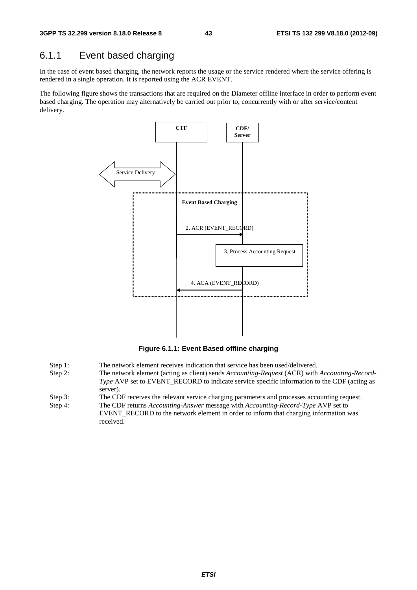## 6.1.1 Event based charging

In the case of event based charging, the network reports the usage or the service rendered where the service offering is rendered in a single operation. It is reported using the ACR EVENT.

The following figure shows the transactions that are required on the Diameter offline interface in order to perform event based charging. The operation may alternatively be carried out prior to, concurrently with or after service/content delivery.



**Figure 6.1.1: Event Based offline charging** 

- Step 1: The network element receives indication that service has been used/delivered.
- Step 2: The network element (acting as client) sends *Accounting-Request* (ACR) with *Accounting-Record-Type* AVP set to EVENT\_RECORD to indicate service specific information to the CDF (acting as server).
- Step 3: The CDF receives the relevant service charging parameters and processes accounting request.
- Step 4: The CDF returns *Accounting-Answer* message with *Accounting-Record-Type* AVP set to EVENT\_RECORD to the network element in order to inform that charging information was received.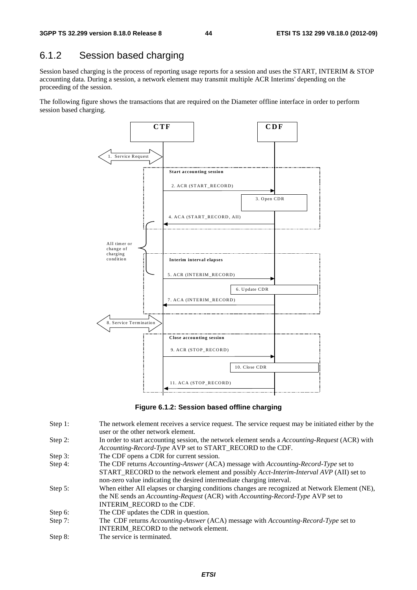# 6.1.2 Session based charging

Session based charging is the process of reporting usage reports for a session and uses the START, INTERIM & STOP accounting data. During a session, a network element may transmit multiple ACR Interims' depending on the proceeding of the session.

The following figure shows the transactions that are required on the Diameter offline interface in order to perform session based charging.



**Figure 6.1.2: Session based offline charging** 

- Step 1: The network element receives a service request. The service request may be initiated either by the user or the other network element.
- Step 2: In order to start accounting session, the network element sends a *Accounting-Request* (ACR) with *Accounting-Record-Type* AVP set to START\_RECORD to the CDF.
- Step 3: The CDF opens a CDR for current session.
- Step 4: The CDF returns *Accounting-Answer* (ACA) message with *Accounting-Record-Type* set to START\_RECORD to the network element and possibly *Acct-Interim-Interval AVP* (AII) set to non-zero value indicating the desired intermediate charging interval.
- Step 5: When either AII elapses or charging conditions changes are recognized at Network Element (NE), the NE sends an *Accounting-Request* (ACR) with *Accounting-Record-Type* AVP set to INTERIM\_RECORD to the CDF.
- Step 6: The CDF updates the CDR in question.
- Step 7: The CDF returns *Accounting-Answer* (ACA) message with *Accounting-Record-Type* set to INTERIM\_RECORD to the network element.
- Step 8: The service is terminated.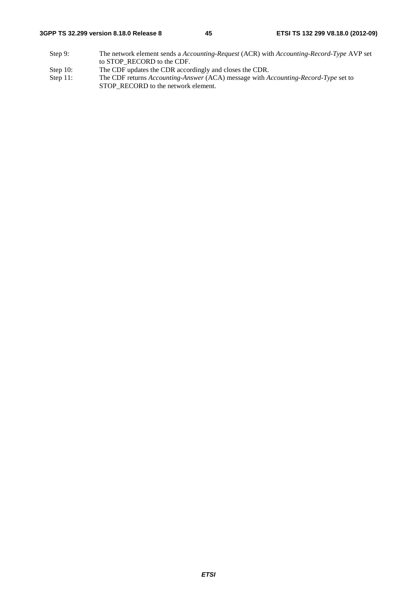#### **3GPP TS 32.299 version 8.18.0 Release 8 45 ETSI TS 132 299 V8.18.0 (2012-09)**

- Step 9: The network element sends a *Accounting-Request* (ACR) with *Accounting-Record-Type* AVP set to STOP\_RECORD to the CDF.
- 
- Step 10: The CDF updates the CDR accordingly and closes the CDR.<br>Step 11: The CDF returns Accounting-Answer (ACA) message with A The CDF returns *Accounting-Answer* (ACA) message with *Accounting-Record-Type* set to STOP\_RECORD to the network element.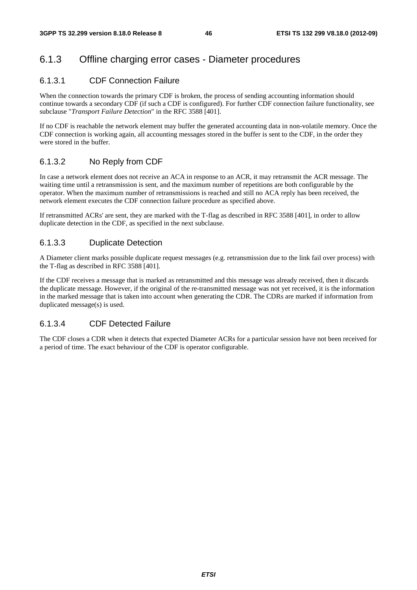### 6.1.3 Offline charging error cases - Diameter procedures

#### 6.1.3.1 CDF Connection Failure

When the connection towards the primary CDF is broken, the process of sending accounting information should continue towards a secondary CDF (if such a CDF is configured). For further CDF connection failure functionality, see subclause "*Transport Failure Detection*" in the RFC 3588 [401].

If no CDF is reachable the network element may buffer the generated accounting data in non-volatile memory. Once the CDF connection is working again, all accounting messages stored in the buffer is sent to the CDF, in the order they were stored in the buffer.

### 6.1.3.2 No Reply from CDF

In case a network element does not receive an ACA in response to an ACR, it may retransmit the ACR message. The waiting time until a retransmission is sent, and the maximum number of repetitions are both configurable by the operator. When the maximum number of retransmissions is reached and still no ACA reply has been received, the network element executes the CDF connection failure procedure as specified above.

If retransmitted ACRs' are sent, they are marked with the T-flag as described in RFC 3588 [401], in order to allow duplicate detection in the CDF, as specified in the next subclause.

#### 6.1.3.3 Duplicate Detection

A Diameter client marks possible duplicate request messages (e.g. retransmission due to the link fail over process) with the T-flag as described in RFC 3588 [401].

If the CDF receives a message that is marked as retransmitted and this message was already received, then it discards the duplicate message. However, if the original of the re-transmitted message was not yet received, it is the information in the marked message that is taken into account when generating the CDR. The CDRs are marked if information from duplicated message(s) is used.

#### 6.1.3.4 CDF Detected Failure

The CDF closes a CDR when it detects that expected Diameter ACRs for a particular session have not been received for a period of time. The exact behaviour of the CDF is operator configurable.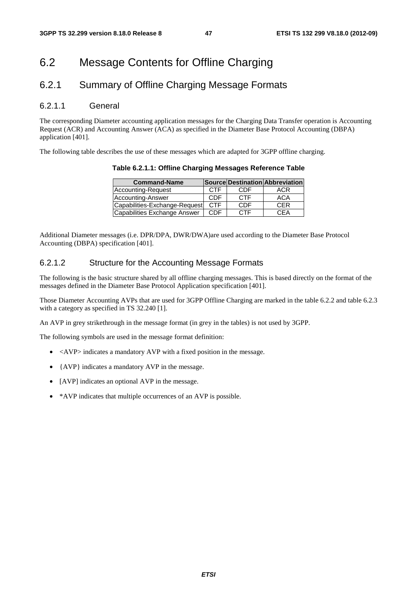# 6.2 Message Contents for Offline Charging

## 6.2.1 Summary of Offline Charging Message Formats

### 6.2.1.1 General

The corresponding Diameter accounting application messages for the Charging Data Transfer operation is Accounting Request (ACR) and Accounting Answer (ACA) as specified in the Diameter Base Protocol Accounting (DBPA) application [401].

The following table describes the use of these messages which are adapted for 3GPP offline charging.

**Table 6.2.1.1: Offline Charging Messages Reference Table** 

| <b>Command-Name</b>           |            |            | Source Destination Abbreviation |
|-------------------------------|------------|------------|---------------------------------|
| Accounting-Request            | <b>CTF</b> | CDE        | ACR                             |
| Accounting-Answer             | CDE        | <b>CTF</b> | <b>ACA</b>                      |
| Capabilities-Exchange-Request | <b>CTF</b> | CDF        | <b>CER</b>                      |
| Capabilities Exchange Answer  | CDE        | <b>CTF</b> | CFA                             |

Additional Diameter messages (i.e. DPR/DPA, DWR/DWA)are used according to the Diameter Base Protocol Accounting (DBPA) specification [401].

#### 6.2.1.2 Structure for the Accounting Message Formats

The following is the basic structure shared by all offline charging messages. This is based directly on the format of the messages defined in the Diameter Base Protocol Application specification [401].

Those Diameter Accounting AVPs that are used for 3GPP Offline Charging are marked in the table 6.2.2 and table 6.2.3 with a category as specified in TS 32.240 [1].

An AVP in grey strikethrough in the message format (in grey in the tables) is not used by 3GPP.

The following symbols are used in the message format definition:

- $\langle$  AVP $>$  indicates a mandatory AVP with a fixed position in the message.
- {AVP} indicates a mandatory AVP in the message.
- [AVP] indicates an optional AVP in the message.
- \*AVP indicates that multiple occurrences of an AVP is possible.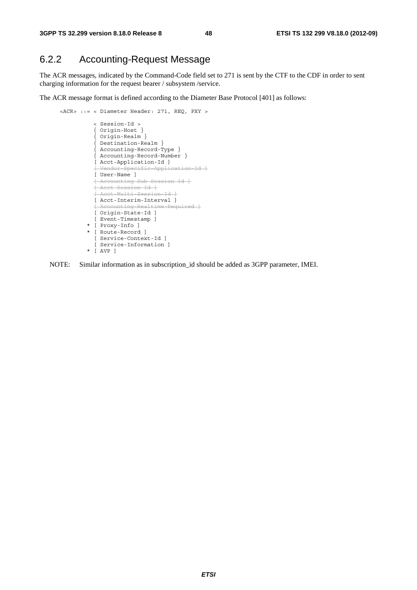## 6.2.2 Accounting-Request Message

The ACR messages, indicated by the Command-Code field set to 271 is sent by the CTF to the CDF in order to sent charging information for the request bearer / subsystem /service.

The ACR message format is defined according to the Diameter Base Protocol [401] as follows:

```
 <ACR> ::= < Diameter Header: 271, REQ, PXY > 
                < Session-Id > 
                { Origin-Host } 
                { Origin-Realm } 
                { Destination-Realm } 
{ Accounting-Record-Type } 
{ Accounting-Record-Number } 
                [ Acct-Application-Id ] 
                [ Vendor-Specific-Application-Id ]
                [ User-Name ] 
                [ Accounting-Sub-Session-Id ]
                [ Acct-Session-Id ]
               [ Acct-Multi-Session-Id ]
                [ Acct-Interim-Interval ] 
                [ Accounting-Realtime-Required ]
               [ Origin-State-Id ]
                [ Event-Timestamp ] 
              * [ Proxy-Info ] 
              * [ Route-Record ] 
                [ Service-Context-Id ] 
                [ Service-Information ] 
              * [ AVP ]
```
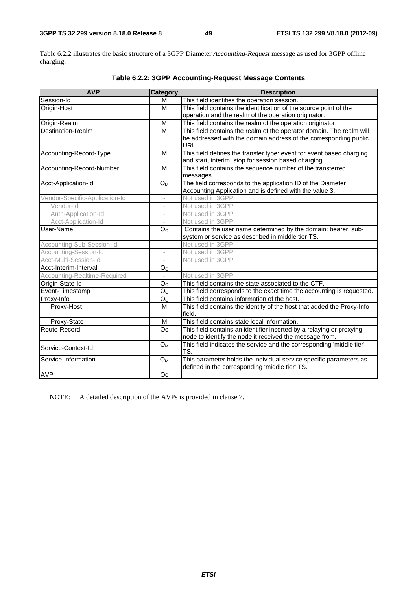Table 6.2.2 illustrates the basic structure of a 3GPP Diameter *Accounting-Request* message as used for 3GPP offline charging.

| <b>AVP</b>                     | <b>Category</b>          | <b>Description</b>                                                               |
|--------------------------------|--------------------------|----------------------------------------------------------------------------------|
| Session-Id                     | M                        | This field identifies the operation session.                                     |
| Origin-Host                    | M                        | This field contains the identification of the source point of the                |
|                                |                          | operation and the realm of the operation originator.                             |
| Origin-Realm                   | M                        | This field contains the realm of the operation originator.                       |
| Destination-Realm              | M                        | This field contains the realm of the operator domain. The realm will             |
|                                |                          | be addressed with the domain address of the corresponding public<br>URI.         |
| Accounting-Record-Type         | M                        | This field defines the transfer type: event for event based charging             |
|                                |                          | and start, interim, stop for session based charging.                             |
| Accounting-Record-Number       | M                        | This field contains the sequence number of the transferred                       |
|                                |                          | messages.                                                                        |
| Acct-Application-Id            | $O_M$                    | The field corresponds to the application ID of the Diameter                      |
|                                |                          | Accounting Application and is defined with the value 3.                          |
| Vendor-Specific-Application-Id | $\overline{\phantom{a}}$ | Not used in 3GPP.                                                                |
| Vendor-Id                      | $\overline{\phantom{m}}$ | Not used in 3GPP.                                                                |
| Auth-Application-Id            | ÷                        | Not used in 3GPP.                                                                |
| Acct-Application-Id            | $\bar{ }$                | Not used in 3GPP.                                                                |
| User-Name                      | O <sub>c</sub>           | Contains the user name determined by the domain: bearer, sub-                    |
|                                |                          | system or service as described in middle tier TS.                                |
| Accounting-Sub-Session-Id      | $\bar{ }$                | Not used in 3GPP.                                                                |
| Accounting-Session-Id          |                          | Not used in 3GPP.                                                                |
| Acct-Multi-Session-Id          | $\overline{\phantom{a}}$ | Not used in 3GPP.                                                                |
| Acct-Interim-Interval          | $\mathsf{O}_\mathbb{C}$  |                                                                                  |
| Accounting-Realtime-Required   |                          | Not used in 3GPP.                                                                |
| Origin-State-Id                | O <sub>C</sub>           | This field contains the state associated to the CTF.                             |
| Event-Timestamp                | O <sub>C</sub>           | This field corresponds to the exact time the accounting is requested.            |
| Proxy-Info                     | O <sub>C</sub>           | This field contains information of the host.                                     |
| Proxy-Host                     | M                        | This field contains the identity of the host that added the Proxy-Info<br>field. |
| Proxy-State                    | M                        | This field contains state local information.                                     |
| Route-Record                   | Oc                       | This field contains an identifier inserted by a relaying or proxying             |
|                                |                          | node to identify the node it received the message from.                          |
| Service-Context-Id             | O <sub>M</sub>           | This field indicates the service and the corresponding 'middle tier'<br>TS.      |
| Service-Information            | $O_{M}$                  | This parameter holds the individual service specific parameters as               |
|                                |                          | defined in the corresponding 'middle tier' TS.                                   |
| <b>AVP</b>                     | Oc                       |                                                                                  |

### **Table 6.2.2: 3GPP Accounting-Request Message Contents**

NOTE: A detailed description of the AVPs is provided in clause 7.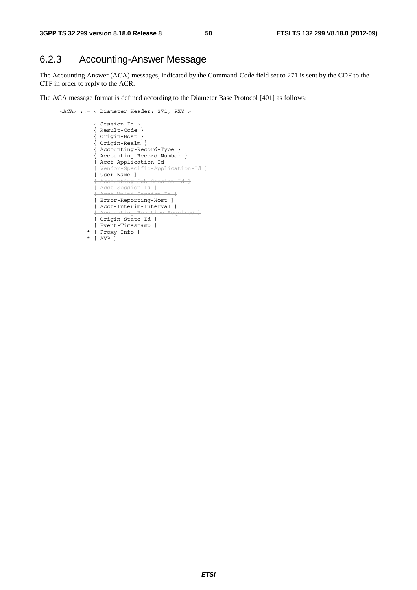## 6.2.3 Accounting-Answer Message

The Accounting Answer (ACA) messages, indicated by the Command-Code field set to 271 is sent by the CDF to the CTF in order to reply to the ACR.

The ACA message format is defined according to the Diameter Base Protocol [401] as follows:

```
 <ACA> ::= < Diameter Header: 271, PXY > 
                < Session-Id > 
                { Result-Code } 
                { Origin-Host } 
                { Origin-Realm } 
{ Accounting-Record-Type } 
{ Accounting-Record-Number } 
               [ Acct-Application-Id ] 
                [ Vendor-Specific-Application-Id ]
               [ User-Name ] 
                [ Accounting-Sub-Session-Id ]
               [ Acct-Session-Id ]
               [ Acct-Multi-Session-Id ]
                [ Error-Reporting-Host ] 
               [ Acct-Interim-Interval ] 
               [ Accounting-Realtime-Required ]
               [ Origin-State-Id ] 
               [ Event-Timestamp ] 
             * [ Proxy-Info ] 
             * [ AVP ]
```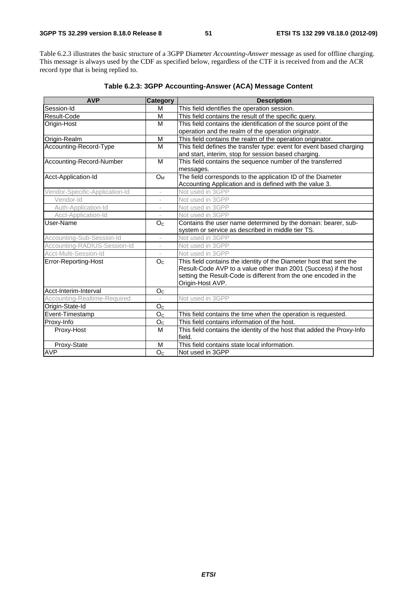Table 6.2.3 illustrates the basic structure of a 3GPP Diameter *Accounting-Answer* message as used for offline charging. This message is always used by the CDF as specified below, regardless of the CTF it is received from and the ACR record type that is being replied to.

| <b>AVP</b>                     | <b>Category</b>          | <b>Description</b>                                                               |
|--------------------------------|--------------------------|----------------------------------------------------------------------------------|
| Session-Id                     | M                        | This field identifies the operation session.                                     |
| Result-Code                    | M                        | This field contains the result of the specific query.                            |
| Origin-Host                    | M                        | This field contains the identification of the source point of the                |
|                                |                          | operation and the realm of the operation originator.                             |
| Origin-Realm                   | M                        | This field contains the realm of the operation originator.                       |
| Accounting-Record-Type         | M                        | This field defines the transfer type: event for event based charging             |
|                                |                          | and start, interim, stop for session based charging.                             |
| Accounting-Record-Number       | M                        | This field contains the sequence number of the transferred                       |
|                                |                          | messages.                                                                        |
| Acct-Application-Id            | <b>O</b> <sub>M</sub>    | The field corresponds to the application ID of the Diameter                      |
|                                |                          | Accounting Application and is defined with the value 3.                          |
| Vendor-Specific-Application-Id |                          | Not used in 3GPP                                                                 |
| Vendor-Id                      |                          | Not used in 3GPP                                                                 |
| Auth-Application-Id            | $\overline{\phantom{a}}$ | Not used in 3GPP                                                                 |
| Acct-Application-Id            | L.                       | Not used in 3GPP                                                                 |
| User-Name                      | O <sub>C</sub>           | Contains the user name determined by the domain: bearer, sub-                    |
|                                |                          | system or service as described in middle tier TS.                                |
| Accounting-Sub-Session-Id      | ÷,                       | Not used in 3GPP                                                                 |
| Accounting-RADIUS-Session-Id   | $\qquad \qquad -$        | Not used in 3GPP                                                                 |
| Acct-Multi-Session-Id          |                          | Not used in 3GPP                                                                 |
| Error-Reporting-Host           | O <sub>C</sub>           | This field contains the identity of the Diameter host that sent the              |
|                                |                          | Result-Code AVP to a value other than 2001 (Success) if the host                 |
|                                |                          | setting the Result-Code is different from the one encoded in the                 |
|                                |                          | Origin-Host AVP.                                                                 |
| Acct-Interim-Interval          | O <sub>C</sub>           |                                                                                  |
| Accounting-Realtime-Required   |                          | Not used in 3GPP                                                                 |
| Origin-State-Id                | O <sub>C</sub>           |                                                                                  |
| Event-Timestamp                | O <sub>C</sub>           | This field contains the time when the operation is requested.                    |
| Proxy-Info                     | O <sub>C</sub>           | This field contains information of the host.                                     |
| Proxy-Host                     | M                        | This field contains the identity of the host that added the Proxy-Info<br>field. |
| Proxy-State                    | M                        | This field contains state local information.                                     |
| <b>AVP</b>                     | O <sub>C</sub>           | Not used in 3GPP                                                                 |

### **Table 6.2.3: 3GPP Accounting-Answer (ACA) Message Content**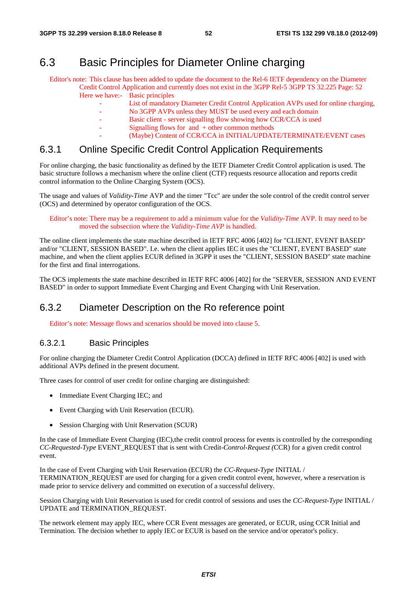## 6.3 Basic Principles for Diameter Online charging

Editor's note: This clause has been added to update the document to the Rel-6 IETF dependency on the Diameter Credit Control Application and currently does not exist in the 3GPP Rel-5 3GPP TS 32.225 Page: 52 Here we have:- Basic principles

- List of mandatory Diameter Credit Control Application AVPs used for online charging,
- No 3GPP AVPs unless they MUST be used every and each domain
- Basic client server signalling flow showing how CCR/CCA is used
- Signalling flows for and  $+$  other common methods
	- (Maybe) Content of CCR/CCA in INITIAL/UPDATE/TERMINATE/EVENT cases

### 6.3.1 Online Specific Credit Control Application Requirements

For online charging, the basic functionality as defined by the IETF Diameter Credit Control application is used. The basic structure follows a mechanism where the online client (CTF) requests resource allocation and reports credit control information to the Online Charging System (OCS).

The usage and values of *Validity-Time* AVP and the timer "Tcc" are under the sole control of the credit control server (OCS) and determined by operator configuration of the OCS.

Editor's note: There may be a requirement to add a minimum value for the *Validity-Time* AVP. It may need to be moved the subsection where the *Validity-Time AVP* is handled.

The online client implements the state machine described in IETF RFC 4006 [402] for "CLIENT, EVENT BASED" and/or "CLIENT, SESSION BASED". I.e. when the client applies IEC it uses the "CLIENT, EVENT BASED" state machine, and when the client applies ECUR defined in 3GPP it uses the "CLIENT, SESSION BASED" state machine for the first and final interrogations.

The OCS implements the state machine described in IETF RFC 4006 [402] for the "SERVER, SESSION AND EVENT BASED" in order to support Immediate Event Charging and Event Charging with Unit Reservation.

### 6.3.2 Diameter Description on the Ro reference point

Editor's note: Message flows and scenarios should be moved into clause 5.

#### 6.3.2.1 Basic Principles

For online charging the Diameter Credit Control Application (DCCA) defined in IETF RFC 4006 [402] is used with additional AVPs defined in the present document.

Three cases for control of user credit for online charging are distinguished:

- Immediate Event Charging IEC; and
- Event Charging with Unit Reservation (ECUR).
- Session Charging with Unit Reservation (SCUR)

In the case of Immediate Event Charging (IEC),the credit control process for events is controlled by the corresponding *CC-Requested-Type* EVENT\_REQUEST that is sent with Credit*-Control-Request (*CCR) for a given credit control event.

In the case of Event Charging with Unit Reservation (ECUR) the *CC-Request-Type* INITIAL / TERMINATION\_REQUEST are used for charging for a given credit control event, however, where a reservation is made prior to service delivery and committed on execution of a successful delivery.

Session Charging with Unit Reservation is used for credit control of sessions and uses the *CC-Request-Type* INITIAL / UPDATE and TERMINATION\_REQUEST.

The network element may apply IEC, where CCR Event messages are generated, or ECUR, using CCR Initial and Termination. The decision whether to apply IEC or ECUR is based on the service and/or operator's policy.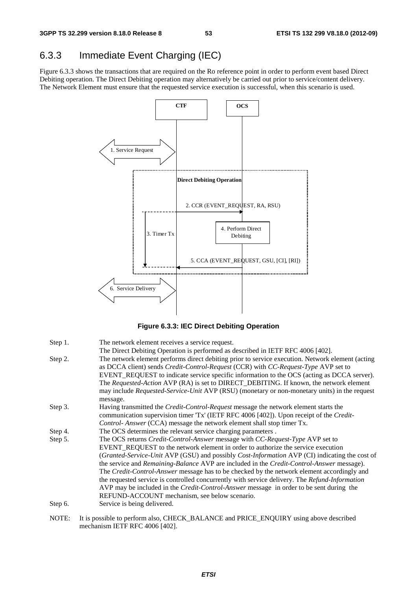# 6.3.3 Immediate Event Charging (IEC)

Figure 6.3.3 shows the transactions that are required on the Ro reference point in order to perform event based Direct Debiting operation. The Direct Debiting operation may alternatively be carried out prior to service/content delivery. The Network Element must ensure that the requested service execution is successful, when this scenario is used.



**Figure 6.3.3: IEC Direct Debiting Operation** 

| Step 1. | The network element receives a service request.                                                                                                                                                                                                                                                                                                                                                                                                                                                                                                                                                                                                                                                                                                |
|---------|------------------------------------------------------------------------------------------------------------------------------------------------------------------------------------------------------------------------------------------------------------------------------------------------------------------------------------------------------------------------------------------------------------------------------------------------------------------------------------------------------------------------------------------------------------------------------------------------------------------------------------------------------------------------------------------------------------------------------------------------|
| Step 2. | The Direct Debiting Operation is performed as described in IETF RFC 4006 [402].<br>The network element performs direct debiting prior to service execution. Network element (acting<br>as DCCA client) sends <i>Credit-Control-Request</i> (CCR) with <i>CC-Request-Type</i> AVP set to<br>EVENT_REQUEST to indicate service specific information to the OCS (acting as DCCA server).<br>The Requested-Action AVP (RA) is set to DIRECT_DEBITING. If known, the network element<br>may include Requested-Service-Unit AVP (RSU) (monetary or non-monetary units) in the request<br>message.                                                                                                                                                    |
| Step 3. | Having transmitted the <i>Credit-Control-Request</i> message the network element starts the<br>communication supervision timer 'Tx' (IETF RFC 4006 [402]). Upon receipt of the Credit-<br>Control-Answer (CCA) message the network element shall stop timer Tx.                                                                                                                                                                                                                                                                                                                                                                                                                                                                                |
| Step 4. | The OCS determines the relevant service charging parameters.                                                                                                                                                                                                                                                                                                                                                                                                                                                                                                                                                                                                                                                                                   |
| Step 5. | The OCS returns <i>Credit-Control-Answer</i> message with <i>CC-Request-Type</i> AVP set to<br>EVENT_REQUEST to the network element in order to authorize the service execution<br>(Granted-Service-Unit AVP (GSU) and possibly Cost-Information AVP (CI) indicating the cost of<br>the service and <i>Remaining-Balance</i> AVP are included in the <i>Credit-Control-Answer</i> message).<br>The Credit-Control-Answer message has to be checked by the network element accordingly and<br>the requested service is controlled concurrently with service delivery. The Refund-Information<br>AVP may be included in the <i>Credit-Control-Answer</i> message in order to be sent during the<br>REFUND-ACCOUNT mechanism, see below scenario. |
| Step 6. | Service is being delivered.                                                                                                                                                                                                                                                                                                                                                                                                                                                                                                                                                                                                                                                                                                                    |
| NOTE:   | It is possible to perform also, CHECK_BALANCE and PRICE_ENQUIRY using above described<br>mechanism IETF RFC 4006 [402].                                                                                                                                                                                                                                                                                                                                                                                                                                                                                                                                                                                                                        |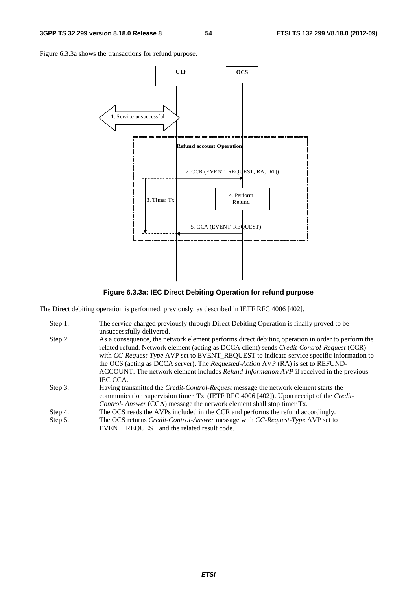Figure 6.3.3a shows the transactions for refund purpose.



**Figure 6.3.3a: IEC Direct Debiting Operation for refund purpose** 

The Direct debiting operation is performed, previously, as described in IETF RFC 4006 [402].

| Step 1. | The service charged previously through Direct Debiting Operation is finally proved to be          |
|---------|---------------------------------------------------------------------------------------------------|
|         | unsuccessfully delivered.                                                                         |
| Step 2. | As a consequence, the network element performs direct debiting operation in order to perform the  |
|         | related refund. Network element (acting as DCCA client) sends <i>Credit-Control-Request</i> (CCR) |
|         | with CC-Request-Type AVP set to EVENT_REQUEST to indicate service specific information to         |
|         | the OCS (acting as DCCA server). The <i>Requested-Action</i> AVP (RA) is set to REFUND-           |
|         | ACCOUNT. The network element includes <i>Refund-Information AVP</i> if received in the previous   |
|         | <b>IEC CCA.</b>                                                                                   |
| Step 3. | Having transmitted the <i>Credit-Control-Request</i> message the network element starts the       |
|         | communication supervision timer 'Tx' (IETF RFC 4006 [402]). Upon receipt of the <i>Credit-</i>    |
|         | Control-Answer (CCA) message the network element shall stop timer Tx.                             |
| Step 4. | The OCS reads the AVPs included in the CCR and performs the refund accordingly.                   |
| Step 5. | The OCS returns <i>Credit-Control-Answer</i> message with <i>CC-Request-Type</i> AVP set to       |
|         | EVENT REQUEST and the related result code.                                                        |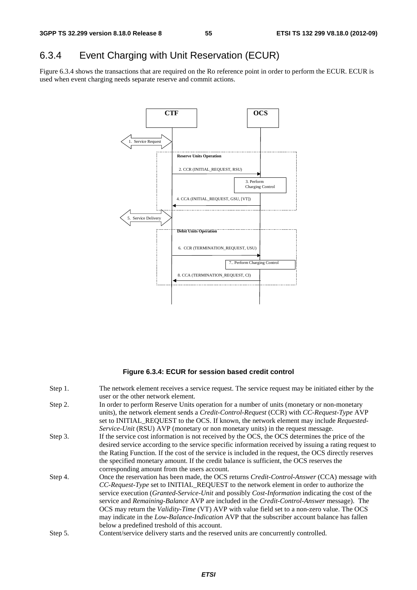# 6.3.4 Event Charging with Unit Reservation (ECUR)

Figure 6.3.4 shows the transactions that are required on the Ro reference point in order to perform the ECUR. ECUR is used when event charging needs separate reserve and commit actions.



#### **Figure 6.3.4: ECUR for session based credit control**

| Step 1. | The network element receives a service request. The service request may be initiated either by the      |
|---------|---------------------------------------------------------------------------------------------------------|
|         | user or the other network element.                                                                      |
| Step 2. | In order to perform Reserve Units operation for a number of units (monetary or non-monetary             |
|         | units), the network element sends a <i>Credit-Control-Request</i> (CCR) with <i>CC-Request-Type</i> AVP |
|         | set to INITIAL_REQUEST to the OCS. If known, the network element may include Requested-                 |
|         | Service-Unit (RSU) AVP (monetary or non monetary units) in the request message.                         |
| Step 3. | If the service cost information is not received by the OCS, the OCS determines the price of the         |
|         | desired service according to the service specific information received by issuing a rating request to   |
|         | the Rating Function. If the cost of the service is included in the request, the OCS directly reserves   |
|         | the specified monetary amount. If the credit balance is sufficient, the OCS reserves the                |
|         | corresponding amount from the users account.                                                            |
| Step 4. | Once the reservation has been made, the OCS returns <i>Credit-Control-Answer</i> (CCA) message with     |
|         | CC-Request-Type set to INITIAL_REQUEST to the network element in order to authorize the                 |
|         | service execution (Granted-Service-Unit and possibly Cost-Information indicating the cost of the        |
|         | service and Remaining-Balance AVP are included in the Credit-Control-Answer message). The               |
|         | OCS may return the <i>Validity-Time</i> (VT) AVP with value field set to a non-zero value. The OCS      |
|         | may indicate in the <i>Low-Balance-Indication</i> AVP that the subscriber account balance has fallen    |
|         | below a predefined treshold of this account.                                                            |
| Step 5. | Content/service delivery starts and the reserved units are concurrently controlled.                     |
|         |                                                                                                         |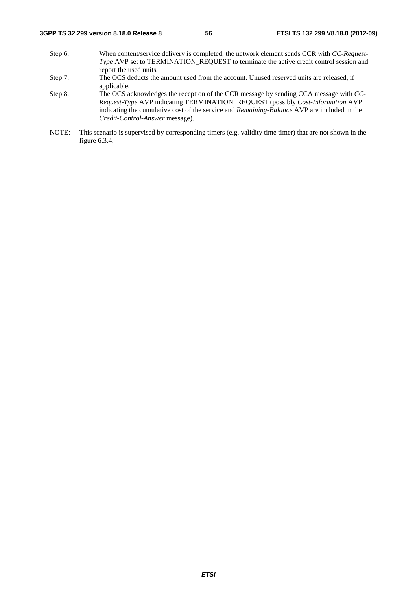- Step 6. When content/service delivery is completed, the network element sends CCR with *CC-Request-Type* AVP set to TERMINATION\_REQUEST to terminate the active credit control session and report the used units*.*
- Step 7. The OCS deducts the amount used from the account. Unused reserved units are released, if applicable.
- Step 8. The OCS acknowledges the reception of the CCR message by sending CCA message with *CC-Request-Type* AVP indicating TERMINATION\_REQUEST (possibly *Cost-Information* AVP indicating the cumulative cost of the service and *Remaining-Balance* AVP are included in the *Credit-Control-Answer* message).
- NOTE: This scenario is supervised by corresponding timers (e.g. validity time timer) that are not shown in the figure 6.3.4.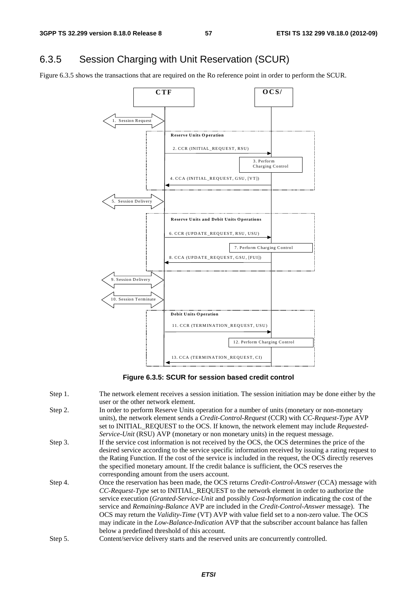## 6.3.5 Session Charging with Unit Reservation (SCUR)

Figure 6.3.5 shows the transactions that are required on the Ro reference point in order to perform the SCUR.



**Figure 6.3.5: SCUR for session based credit control** 

Step 1. The network element receives a session initiation. The session initiation may be done either by the user or the other network element. Step 2. In order to perform Reserve Units operation for a number of units (monetary or non-monetary units), the network element sends a *Credit-Control-Request* (CCR) with *CC-Request-Type* AVP set to INITIAL\_REQUEST to the OCS. If known, the network element may include *Requested-Service-Unit* (RSU) AVP (monetary or non monetary units) in the request message. Step 3. If the service cost information is not received by the OCS, the OCS determines the price of the desired service according to the service specific information received by issuing a rating request to the Rating Function. If the cost of the service is included in the request, the OCS directly reserves the specified monetary amount. If the credit balance is sufficient, the OCS reserves the corresponding amount from the users account. Step 4. Once the reservation has been made, the OCS returns *Credit-Control-Answer* (CCA) message with *CC-Request-Type* set to INITIAL\_REQUEST to the network element in order to authorize the service execution (*Granted-Service-Unit* and possibly *Cost-Information* indicating the cost of the service and *Remaining-Balance* AVP are included in the *Credit-Control-Answer* message). The OCS may return the *Validity-Time* (VT) AVP with value field set to a non-zero value. The OCS may indicate in the *Low-Balance-Indication* AVP that the subscriber account balance has fallen below a predefined threshold of this account. Step 5. Content/service delivery starts and the reserved units are concurrently controlled.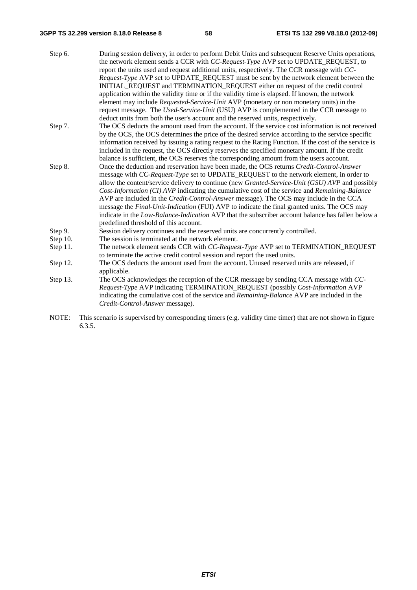#### **3GPP TS 32.299 version 8.18.0 Release 8 58 ETSI TS 132 299 V8.18.0 (2012-09)**

| Step 6.       | During session delivery, in order to perform Debit Units and subsequent Reserve Units operations,<br>the network element sends a CCR with CC-Request-Type AVP set to UPDATE_REQUEST, to |
|---------------|-----------------------------------------------------------------------------------------------------------------------------------------------------------------------------------------|
|               | report the units used and request additional units, respectively. The CCR message with CC-                                                                                              |
|               | Request-Type AVP set to UPDATE_REQUEST must be sent by the network element between the                                                                                                  |
|               | INITIAL_REQUEST and TERMINATION_REQUEST either on request of the credit control                                                                                                         |
|               | application within the validity time or if the validity time is elapsed. If known, the network                                                                                          |
|               | element may include <i>Requested-Service-Unit</i> AVP (monetary or non monetary units) in the                                                                                           |
|               | request message. The Used-Service-Unit (USU) AVP is complemented in the CCR message to                                                                                                  |
|               | deduct units from both the user's account and the reserved units, respectively.                                                                                                         |
| Step 7.       | The OCS deducts the amount used from the account. If the service cost information is not received                                                                                       |
|               | by the OCS, the OCS determines the price of the desired service according to the service specific                                                                                       |
|               | information received by issuing a rating request to the Rating Function. If the cost of the service is                                                                                  |
|               | included in the request, the OCS directly reserves the specified monetary amount. If the credit                                                                                         |
|               | balance is sufficient, the OCS reserves the corresponding amount from the users account.                                                                                                |
| Step 8.       | Once the deduction and reservation have been made, the OCS returns Credit-Control-Answer                                                                                                |
|               | message with CC-Request-Type set to UPDATE_REQUEST to the network element, in order to                                                                                                  |
|               | allow the content/service delivery to continue (new Granted-Service-Unit (GSU) AVP and possibly                                                                                         |
|               | Cost-Information (CI) AVP indicating the cumulative cost of the service and Remaining-Balance                                                                                           |
|               | AVP are included in the Credit-Control-Answer message). The OCS may include in the CCA                                                                                                  |
|               | message the <i>Final-Unit-Indication</i> (FUI) AVP to indicate the final granted units. The OCS may                                                                                     |
|               | indicate in the <i>Low-Balance-Indication</i> AVP that the subscriber account balance has fallen below a                                                                                |
|               | predefined threshold of this account.                                                                                                                                                   |
| Step 9.       | Session delivery continues and the reserved units are concurrently controlled.                                                                                                          |
| Step 10.      | The session is terminated at the network element.                                                                                                                                       |
| Step 11.      | The network element sends CCR with CC-Request-Type AVP set to TERMINATION_REQUEST                                                                                                       |
|               | to terminate the active credit control session and report the used units.                                                                                                               |
| Step 12.      | The OCS deducts the amount used from the account. Unused reserved units are released, if<br>applicable.                                                                                 |
| $\alpha$ , 10 | $\cdot$ $\sim$                                                                                                                                                                          |

Step 13. The OCS acknowledges the reception of the CCR message by sending CCA message with *CC-Request-Type* AVP indicating TERMINATION\_REQUEST (possibly *Cost-Information* AVP indicating the cumulative cost of the service and *Remaining-Balance* AVP are included in the *Credit-Control-Answer* message).

NOTE: This scenario is supervised by corresponding timers (e.g. validity time timer) that are not shown in figure 6.3.5.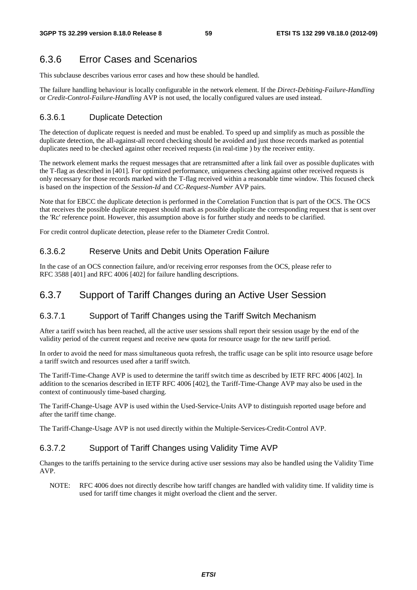## 6.3.6 Error Cases and Scenarios

This subclause describes various error cases and how these should be handled.

The failure handling behaviour is locally configurable in the network element. If the *Direct-Debiting-Failure-Handling* or *Credit-Control-Failure-Handling* AVP is not used, the locally configured values are used instead.

#### 6.3.6.1 Duplicate Detection

The detection of duplicate request is needed and must be enabled. To speed up and simplify as much as possible the duplicate detection, the all-against-all record checking should be avoided and just those records marked as potential duplicates need to be checked against other received requests (in real-time ) by the receiver entity.

The network element marks the request messages that are retransmitted after a link fail over as possible duplicates with the T-flag as described in [401]. For optimized performance, uniqueness checking against other received requests is only necessary for those records marked with the T-flag received within a reasonable time window. This focused check is based on the inspection of the *Session-Id* and *CC-Request-Number* AVP pairs.

Note that for EBCC the duplicate detection is performed in the Correlation Function that is part of the OCS. The OCS that receives the possible duplicate request should mark as possible duplicate the corresponding request that is sent over the 'Rc' reference point. However, this assumption above is for further study and needs to be clarified.

For credit control duplicate detection, please refer to the Diameter Credit Control.

#### 6.3.6.2 Reserve Units and Debit Units Operation Failure

In the case of an OCS connection failure, and/or receiving error responses from the OCS, please refer to RFC 3588 [401] and RFC 4006 [402] for failure handling descriptions.

### 6.3.7 Support of Tariff Changes during an Active User Session

#### 6.3.7.1 Support of Tariff Changes using the Tariff Switch Mechanism

After a tariff switch has been reached, all the active user sessions shall report their session usage by the end of the validity period of the current request and receive new quota for resource usage for the new tariff period.

In order to avoid the need for mass simultaneous quota refresh, the traffic usage can be split into resource usage before a tariff switch and resources used after a tariff switch.

The Tariff-Time-Change AVP is used to determine the tariff switch time as described by IETF RFC 4006 [402]. In addition to the scenarios described in IETF RFC 4006 [402], the Tariff-Time-Change AVP may also be used in the context of continuously time-based charging.

The Tariff-Change-Usage AVP is used within the Used-Service-Units AVP to distinguish reported usage before and after the tariff time change.

The Tariff-Change-Usage AVP is not used directly within the Multiple-Services-Credit-Control AVP.

#### 6.3.7.2 Support of Tariff Changes using Validity Time AVP

Changes to the tariffs pertaining to the service during active user sessions may also be handled using the Validity Time AVP.

NOTE: RFC 4006 does not directly describe how tariff changes are handled with validity time. If validity time is used for tariff time changes it might overload the client and the server.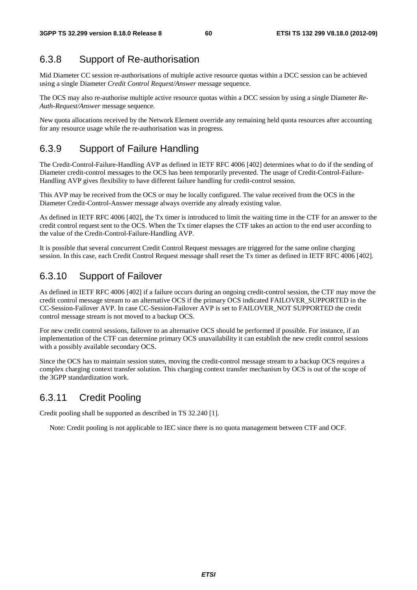### 6.3.8 Support of Re-authorisation

Mid Diameter CC session re-authorisations of multiple active resource quotas within a DCC session can be achieved using a single Diameter *Credit Control Request/Answer* message sequence.

The OCS may also re-authorise multiple active resource quotas within a DCC session by using a single Diameter *Re-Auth-Request/Answer* message sequence.

New quota allocations received by the Network Element override any remaining held quota resources after accounting for any resource usage while the re-authorisation was in progress.

### 6.3.9 Support of Failure Handling

The Credit-Control-Failure-Handling AVP as defined in IETF RFC 4006 [402] determines what to do if the sending of Diameter credit-control messages to the OCS has been temporarily prevented. The usage of Credit-Control-Failure-Handling AVP gives flexibility to have different failure handling for credit-control session.

This AVP may be received from the OCS or may be locally configured. The value received from the OCS in the Diameter Credit-Control-Answer message always override any already existing value.

As defined in IETF RFC 4006 [402], the Tx timer is introduced to limit the waiting time in the CTF for an answer to the credit control request sent to the OCS. When the Tx timer elapses the CTF takes an action to the end user according to the value of the Credit-Control-Failure-Handling AVP.

It is possible that several concurrent Credit Control Request messages are triggered for the same online charging session. In this case, each Credit Control Request message shall reset the Tx timer as defined in IETF RFC 4006 [402].

## 6.3.10 Support of Failover

As defined in IETF RFC 4006 [402] if a failure occurs during an ongoing credit-control session, the CTF may move the credit control message stream to an alternative OCS if the primary OCS indicated FAILOVER\_SUPPORTED in the CC-Session-Failover AVP. In case CC-Session-Failover AVP is set to FAILOVER\_NOT SUPPORTED the credit control message stream is not moved to a backup OCS.

For new credit control sessions, failover to an alternative OCS should be performed if possible. For instance, if an implementation of the CTF can determine primary OCS unavailability it can establish the new credit control sessions with a possibly available secondary OCS.

Since the OCS has to maintain session states, moving the credit-control message stream to a backup OCS requires a complex charging context transfer solution. This charging context transfer mechanism by OCS is out of the scope of the 3GPP standardization work.

## 6.3.11 Credit Pooling

Credit pooling shall be supported as described in TS 32.240 [1].

Note: Credit pooling is not applicable to IEC since there is no quota management between CTF and OCF.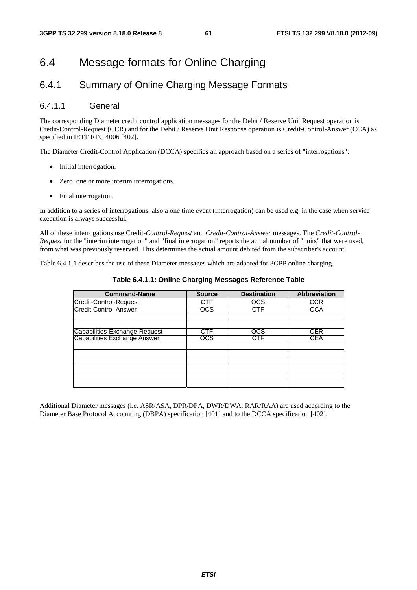# 6.4 Message formats for Online Charging

## 6.4.1 Summary of Online Charging Message Formats

### 6.4.1.1 General

The corresponding Diameter credit control application messages for the Debit / Reserve Unit Request operation is Credit-Control-Request (CCR) and for the Debit / Reserve Unit Response operation is Credit-Control-Answer (CCA) as specified in IETF RFC 4006 [402].

The Diameter Credit-Control Application (DCCA) specifies an approach based on a series of "interrogations":

- Initial interrogation.
- Zero, one or more interim interrogations.
- Final interrogation.

In addition to a series of interrogations, also a one time event (interrogation) can be used e.g. in the case when service execution is always successful.

All of these interrogations use Credit*-Control-Request* and *Credit-Control-Answer* messages. The *Credit-Control-Request* for the "interim interrogation" and "final interrogation" reports the actual number of "units" that were used, from what was previously reserved. This determines the actual amount debited from the subscriber's account.

Table 6.4.1.1 describes the use of these Diameter messages which are adapted for 3GPP online charging.

| <b>Command-Name</b>           | <b>Source</b> | <b>Destination</b> | Abbreviation |
|-------------------------------|---------------|--------------------|--------------|
| Credit-Control-Request        | <b>CTF</b>    | <b>OCS</b>         | <b>CCR</b>   |
| Credit-Control-Answer         | <b>OCS</b>    | <b>CTF</b>         | <b>CCA</b>   |
|                               |               |                    |              |
|                               |               |                    |              |
| Capabilities-Exchange-Request | CTF           | <b>OCS</b>         | <b>CER</b>   |
| Capabilities Exchange Answer  | ocs           | CTF                | CEA          |
|                               |               |                    |              |
|                               |               |                    |              |
|                               |               |                    |              |
|                               |               |                    |              |
|                               |               |                    |              |
|                               |               |                    |              |

**Table 6.4.1.1: Online Charging Messages Reference Table** 

Additional Diameter messages (i.e. ASR/ASA, DPR/DPA, DWR/DWA, RAR/RAA) are used according to the Diameter Base Protocol Accounting (DBPA) specification [401] and to the DCCA specification [402].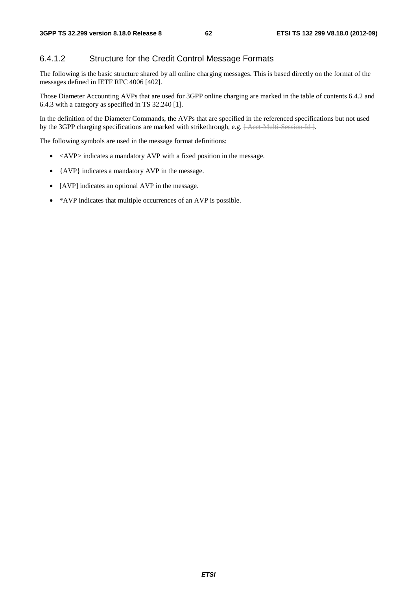### 6.4.1.2 Structure for the Credit Control Message Formats

The following is the basic structure shared by all online charging messages. This is based directly on the format of the messages defined in IETF RFC 4006 [402].

Those Diameter Accounting AVPs that are used for 3GPP online charging are marked in the table of contents 6.4.2 and 6.4.3 with a category as specified in TS 32.240 [1].

In the definition of the Diameter Commands, the AVPs that are specified in the referenced specifications but not used by the 3GPP charging specifications are marked with strikethrough, e.g. [Acct Multi-Session-Id ].

The following symbols are used in the message format definitions:

- <AVP> indicates a mandatory AVP with a fixed position in the message.
- {AVP} indicates a mandatory AVP in the message.
- [AVP] indicates an optional AVP in the message.
- \*AVP indicates that multiple occurrences of an AVP is possible.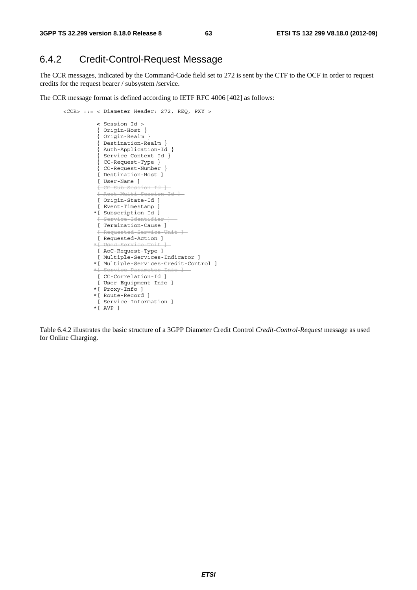### 6.4.2 Credit-Control-Request Message

The CCR messages, indicated by the Command-Code field set to 272 is sent by the CTF to the OCF in order to request credits for the request bearer / subsystem /service.

The CCR message format is defined according to IETF RFC 4006 [402] as follows:

```
 <CCR> ::= < Diameter Header: 272, REQ, PXY > 
                 < Session-Id > 
                 { Origin-Host } 
                 { Origin-Realm } 
                 { Destination-Realm } 
                 { Auth-Application-Id } 
                 { Service-Context-Id } 
{ CC-Request-Type } 
{ CC-Request-Number } 
                 [ Destination-Host ] 
                 [ User-Name ] 
                 [ CC-Sub-Session-Id ] 
                 [ Acct-Multi-Session-Id ] 
                 [ Origin-State-Id ] 
                 [ Event-Timestamp ] 
                *[ Subscription-Id ] 
                f Service-Identifier
                 [ Termination-Cause ] 
                  Requested-Service-Unit ]
                [ Requested-Action ]
                *[ Used-Service-Unit ] 
                [ AoC-Request-Type ] 
                [ Multiple-Services-Indicator ] 
                *[ Multiple-Services-Credit-Control ] 
               *[ Service Parameter Info
                 [ CC-Correlation-Id ] 
                 [ User-Equipment-Info ] 
                *[ Proxy-Info ] 
                *[ Route-Record ] 
                [ Service-Information ] 
                *[ AVP ]
```
Table 6.4.2 illustrates the basic structure of a 3GPP Diameter Credit Control *Credit-Control-Request* message as used for Online Charging.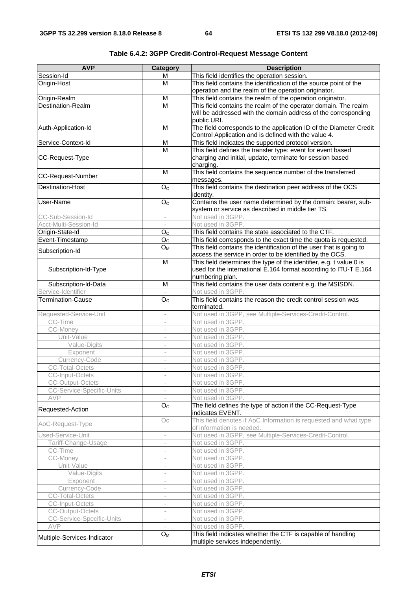| <b>AVP</b>                              | <b>Category</b>                                      | <b>Description</b>                                                               |
|-----------------------------------------|------------------------------------------------------|----------------------------------------------------------------------------------|
| Session-Id                              | M                                                    | This field identifies the operation session.                                     |
| Origin-Host                             | м                                                    | This field contains the identification of the source point of the                |
|                                         |                                                      | operation and the realm of the operation originator.                             |
| Origin-Realm                            | M                                                    | This field contains the realm of the operation originator.                       |
| Destination-Realm                       | $\overline{M}$                                       | This field contains the realm of the operator domain. The realm                  |
|                                         |                                                      | will be addressed with the domain address of the corresponding                   |
|                                         |                                                      | public URI.                                                                      |
| Auth-Application-Id                     | M                                                    | The field corresponds to the application ID of the Diameter Credit               |
|                                         |                                                      | Control Application and is defined with the value 4.                             |
| Service-Context-Id                      | M                                                    | This field indicates the supported protocol version.                             |
|                                         | M                                                    | This field defines the transfer type: event for event based                      |
| CC-Request-Type                         |                                                      | charging and initial, update, terminate for session based                        |
|                                         |                                                      | charging.                                                                        |
| <b>CC-Request-Number</b>                | M                                                    | This field contains the sequence number of the transferred                       |
| <b>Destination-Host</b>                 | O <sub>C</sub>                                       | messages.<br>This field contains the destination peer address of the OCS         |
|                                         |                                                      | identity.                                                                        |
| User-Name                               | O <sub>C</sub>                                       | Contains the user name determined by the domain: bearer, sub-                    |
|                                         |                                                      | system or service as described in middle tier TS.                                |
| CC-Sub-Session-Id                       | $\overline{\phantom{a}}$                             | Not used in 3GPP.                                                                |
| Acct-Multi-Session-Id                   |                                                      | Not used in 3GPP.                                                                |
| Origin-State-Id                         | O <sub>c</sub>                                       | This field contains the state associated to the CTF.                             |
| Event-Timestamp                         | O <sub>C</sub>                                       | This field corresponds to the exact time the quota is requested.                 |
|                                         | $O_M$                                                | This field contains the identification of the user that is going to              |
| Subscription-Id                         |                                                      | access the service in order to be identified by the OCS.                         |
|                                         | M                                                    | This field determines the type of the identifier, e.g. t value 0 is              |
| Subscription-Id-Type                    |                                                      | used for the international E.164 format according to ITU-T E.164                 |
|                                         |                                                      | numbering plan.                                                                  |
| Subscription-Id-Data                    | M                                                    | This field contains the user data content e.g. the MSISDN.                       |
| Service-Identifier                      |                                                      | Not used in 3GPP.                                                                |
| <b>Termination-Cause</b>                | O <sub>c</sub>                                       | This field contains the reason the credit control session was                    |
|                                         |                                                      | terminated.                                                                      |
| Requested-Service-Unit                  | $\overline{\phantom{a}}$                             | Not used in 3GPP, see Multiple-Services-Credit-Control.                          |
| CC-Time                                 | $\sim$                                               | Not used in 3GPP.                                                                |
| CC-Money                                |                                                      | Not used in 3GPP.<br>Not used in 3GPP.                                           |
| Unit-Value                              | $\bar{a}$                                            | Not used in 3GPP.                                                                |
| Value-Digits<br>Exponent                | $\overline{\phantom{a}}$                             | Not used in 3GPP.                                                                |
| Currency-Code                           | $\overline{\phantom{a}}$<br>$\overline{\phantom{a}}$ | Not used in 3GPP.                                                                |
| <b>CC-Total-Octets</b>                  | $\overline{\phantom{a}}$                             | Not used in 3GPP.                                                                |
| CC-Input-Octets                         |                                                      | Not used in 3GPP.                                                                |
| <b>CC-Output-Octets</b>                 | $\overline{\phantom{a}}$                             | Not used in 3GPP.                                                                |
| CC-Service-Specific-Units               |                                                      | Not used in 3GPP.                                                                |
| AVP                                     |                                                      | Not used in 3GPP.                                                                |
|                                         | O <sub>C</sub>                                       | The field defines the type of action if the CC-Request-Type                      |
| Requested-Action                        |                                                      | indicates EVENT.                                                                 |
|                                         | OC                                                   | This field denotes if AoC Information is requested and what type                 |
| AoC-Request-Type                        |                                                      | of information is needed.                                                        |
| Used-Service-Unit                       | $\overline{\phantom{a}}$                             | Not used in 3GPP, see Multiple-Services-Credit-Control.                          |
| Tariff-Change-Usage                     |                                                      | Not used in 3GPP.                                                                |
| CC-Time                                 | $\overline{\phantom{a}}$                             | Not used in 3GPP.                                                                |
| CC-Money                                | $\overline{\phantom{a}}$                             | Not used in 3GPP.                                                                |
| Unit-Value                              |                                                      | Not used in 3GPP.                                                                |
| Value-Digits                            |                                                      | Not used in 3GPP.                                                                |
| Exponent                                |                                                      | Not used in 3GPP.                                                                |
| Currency-Code                           | $\overline{\phantom{a}}$                             | Not used in 3GPP.                                                                |
| <b>CC-Total-Octets</b>                  | $\overline{\phantom{a}}$                             | Not used in 3GPP.                                                                |
| CC-Input-Octets                         | $\overline{\phantom{a}}$                             | Not used in 3GPP.                                                                |
| <b>CC-Output-Octets</b>                 | $\overline{\phantom{a}}$                             | Not used in 3GPP.                                                                |
| CC-Service-Specific-Units<br><b>AVP</b> | $\overline{\phantom{a}}$                             | Not used in 3GPP.                                                                |
|                                         | $\mathsf{O}_{\mathsf{M}}$                            | Not used in 3GPP.<br>This field indicates whether the CTF is capable of handling |
| Multiple-Services-Indicator             |                                                      | multiple services independently.                                                 |

|--|--|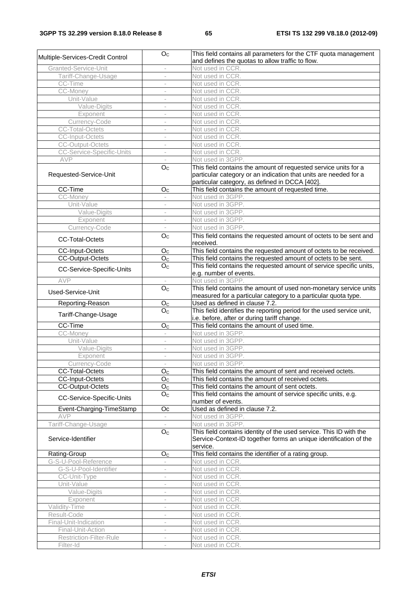| Multiple-Services-Credit Control | O <sub>C</sub>           | This field contains all parameters for the CTF quota management<br>and defines the quotas to allow traffic to flow.                                                                   |
|----------------------------------|--------------------------|---------------------------------------------------------------------------------------------------------------------------------------------------------------------------------------|
| Granted-Service-Unit             | $\overline{\phantom{a}}$ | Not used in CCR.                                                                                                                                                                      |
| Tariff-Change-Usage              | $\overline{\phantom{a}}$ | Not used in CCR.                                                                                                                                                                      |
| CC-Time                          |                          | Not used in CCR.                                                                                                                                                                      |
| CC-Money                         | $\overline{\phantom{a}}$ | Not used in CCR.                                                                                                                                                                      |
| Unit-Value                       |                          | Not used in CCR.                                                                                                                                                                      |
| Value-Digits                     | $\sim$                   | Not used in CCR.                                                                                                                                                                      |
| Exponent                         |                          | Not used in CCR.                                                                                                                                                                      |
| Currency-Code                    |                          | Not used in CCR.                                                                                                                                                                      |
| <b>CC-Total-Octets</b>           | ÷,                       | Not used in CCR.                                                                                                                                                                      |
| <b>CC-Input-Octets</b>           |                          | Not used in CCR.                                                                                                                                                                      |
| <b>CC-Output-Octets</b>          | $\overline{\phantom{a}}$ | Not used in CCR.                                                                                                                                                                      |
| CC-Service-Specific-Units        | $\overline{\phantom{a}}$ | Not used in CCR.                                                                                                                                                                      |
| AVP                              |                          | Not used in 3GPP.                                                                                                                                                                     |
| Requested-Service-Unit           | O <sub>C</sub>           | This field contains the amount of requested service units for a<br>particular category or an indication that units are needed for a<br>particular category, as defined in DCCA [402]. |
| CC-Time                          | O <sub>C</sub>           | This field contains the amount of requested time.                                                                                                                                     |
| CC-Money                         | $\sim$                   | Not used in 3GPP.                                                                                                                                                                     |
| Unit-Value                       |                          | Not used in 3GPP.                                                                                                                                                                     |
| Value-Digits                     | $\bar{a}$                | Not used in 3GPP.                                                                                                                                                                     |
| Exponent                         | $\overline{\phantom{a}}$ | Not used in 3GPP.                                                                                                                                                                     |
| Currency-Code                    | $\overline{\phantom{a}}$ | Not used in 3GPP.                                                                                                                                                                     |
| <b>CC-Total-Octets</b>           | O <sub>C</sub>           | This field contains the requested amount of octets to be sent and<br>received.                                                                                                        |
| <b>CC-Input-Octets</b>           | O <sub>c</sub>           | This field contains the requested amount of octets to be received.                                                                                                                    |
| <b>CC-Output-Octets</b>          | $\overline{O}_C$         | This field contains the requested amount of octets to be sent.                                                                                                                        |
| CC-Service-Specific-Units        | O <sub>C</sub>           | This field contains the requested amount of service specific units,<br>e.g. number of events.                                                                                         |
| AVP                              |                          | Not used in 3GPP.                                                                                                                                                                     |
| Used-Service-Unit                | O <sub>C</sub>           | This field contains the amount of used non-monetary service units                                                                                                                     |
|                                  |                          | measured for a particular category to a particular quota type.                                                                                                                        |
|                                  |                          |                                                                                                                                                                                       |
| Reporting-Reason                 | O <sub>C</sub>           | Used as defined in clause 7.2.                                                                                                                                                        |
| Tariff-Change-Usage              | O <sub>C</sub>           | This field identifies the reporting period for the used service unit,<br>i.e. before, after or during tariff change.                                                                  |
| CC-Time                          | $O_C$                    | This field contains the amount of used time.                                                                                                                                          |
| CC-Money                         | $\overline{\phantom{a}}$ | Not used in 3GPP.                                                                                                                                                                     |
| Unit-Value                       | $\overline{\phantom{a}}$ | Not used in 3GPP.                                                                                                                                                                     |
| Value-Digits                     | $\overline{\phantom{a}}$ | Not used in 3GPP.                                                                                                                                                                     |
| Exponent                         | $\overline{\phantom{a}}$ | Not used in 3GPP.                                                                                                                                                                     |
| Currency-Code                    |                          | Not used in 3GPP.                                                                                                                                                                     |
| <b>CC-Total-Octets</b>           | O <sub>C</sub>           | This field contains the amount of sent and received octets.                                                                                                                           |
| <b>CC-Input-Octets</b>           | $O_{C}$                  | This field contains the amount of received octets.                                                                                                                                    |
| <b>CC-Output-Octets</b>          | O <sub>C</sub>           | This field contains the amount of sent octets.                                                                                                                                        |
| CC-Service-Specific-Units        | O <sub>C</sub>           | This field contains the amount of service specific units, e.g.<br>number of events.                                                                                                   |
| Event-Charging-TimeStamp         | Oc                       | Used as defined in clause 7.2.                                                                                                                                                        |
| <b>AVP</b>                       |                          | Not used in 3GPP.                                                                                                                                                                     |
| Tariff-Change-Usage              | $\overline{\phantom{a}}$ | Not used in 3GPP.                                                                                                                                                                     |
| Service-Identifier               | O <sub>C</sub>           | This field contains identity of the used service. This ID with the<br>Service-Context-ID together forms an unique identification of the                                               |
|                                  |                          | service.                                                                                                                                                                              |
| Rating-Group                     | $O_{C}$                  | This field contains the identifier of a rating group.                                                                                                                                 |
| G-S-U-Pool-Reference             |                          | Not used in CCR.                                                                                                                                                                      |
| G-S-U-Pool-Identifier            | $\overline{\phantom{a}}$ | Not used in CCR.                                                                                                                                                                      |
| CC-Unit-Type<br>Unit-Value       | $\overline{\phantom{a}}$ | Not used in CCR.<br>Not used in CCR.                                                                                                                                                  |
| Value-Digits                     |                          | Not used in CCR.                                                                                                                                                                      |
| Exponent                         |                          | Not used in CCR.                                                                                                                                                                      |
| Validity-Time                    |                          | Not used in CCR.                                                                                                                                                                      |
| Result-Code                      | $\overline{\phantom{a}}$ | Not used in CCR.                                                                                                                                                                      |
| Final-Unit-Indication            | $\overline{\phantom{a}}$ | Not used in CCR.                                                                                                                                                                      |
| Final-Unit-Action                |                          | Not used in CCR.                                                                                                                                                                      |
| Restriction-Filter-Rule          | $\overline{\phantom{a}}$ | Not used in CCR.                                                                                                                                                                      |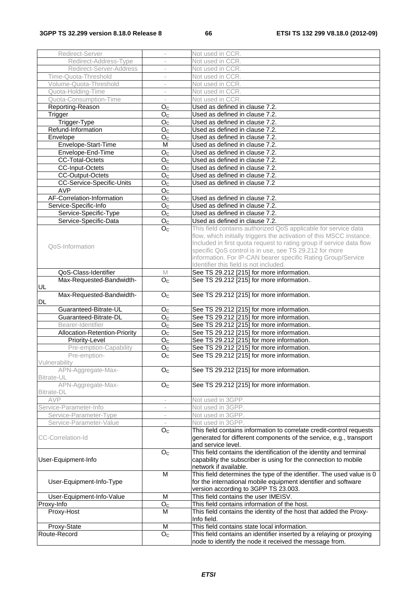| Redirect-Server               | $\overline{\phantom{a}}$  | Not used in CCR.                                                                                                                       |
|-------------------------------|---------------------------|----------------------------------------------------------------------------------------------------------------------------------------|
| Redirect-Address-Type         |                           | Not used in CCR.                                                                                                                       |
| Redirect-Server-Address       |                           | Not used in CCR.                                                                                                                       |
| Time-Quota-Threshold          |                           | Not used in CCR.                                                                                                                       |
| Volume-Quota-Threshold        | $\overline{\phantom{a}}$  | Not used in CCR.                                                                                                                       |
| Quota-Holding-Time            | $\overline{\phantom{a}}$  | Not used in CCR.                                                                                                                       |
| Quota-Consumption-Time        | $\overline{\phantom{a}}$  | Not used in CCR.                                                                                                                       |
| Reporting-Reason              | O <sub>C</sub>            | Used as defined in clause 7.2.                                                                                                         |
| Trigger                       | O <sub>C</sub>            | Used as defined in clause 7.2.                                                                                                         |
| Trigger-Type                  | O <sub>C</sub>            | Used as defined in clause 7.2.                                                                                                         |
| Refund-Information            | O <sub>C</sub>            | Used as defined in clause 7.2.                                                                                                         |
| Envelope                      | O <sub>C</sub>            | Used as defined in clause 7.2.                                                                                                         |
| Envelope-Start-Time           | M                         | Used as defined in clause 7.2.                                                                                                         |
| Envelope-End-Time             | O <sub>C</sub>            | Used as defined in clause 7.2.                                                                                                         |
| <b>CC-Total-Octets</b>        | O <sub>C</sub>            | Used as defined in clause 7.2.                                                                                                         |
| <b>CC-Input-Octets</b>        | O <sub>c</sub>            | Used as defined in clause 7.2.                                                                                                         |
| CC-Output-Octets              | O <sub>C</sub>            | Used as defined in clause 7.2.                                                                                                         |
| CC-Service-Specific-Units     | O <sub>C</sub>            | Used as defined in clause 7.2                                                                                                          |
| <b>AVP</b>                    | O <sub>C</sub>            |                                                                                                                                        |
| AF-Correlation-Information    | O <sub>C</sub>            | Used as defined in clause 7.2.                                                                                                         |
| Service-Specific-Info         | $\overline{O}_C$          | Used as defined in clause 7.2.                                                                                                         |
| Service-Specific-Type         | O <sub>C</sub>            | Used as defined in clause 7.2.                                                                                                         |
| Service-Specific-Data         | O <sub>C</sub>            | Used as defined in clause 7.2.                                                                                                         |
|                               | O <sub>C</sub>            | This field contains authorized QoS applicable for service data                                                                         |
|                               |                           | flow, which initially triggers the activation of this MSCC instance.                                                                   |
|                               |                           | Included in first quota request to rating group if service data flow                                                                   |
| QoS-Information               |                           | specific QoS control is in use, see TS 29.212 for more                                                                                 |
|                               |                           | information. For IP-CAN bearer specific Rating Group/Service                                                                           |
|                               |                           | Identifier this field is not included.                                                                                                 |
| QoS-Class-Identifier          | M                         | See TS 29.212 [215] for more information.                                                                                              |
| Max-Requested-Bandwidth-      | O <sub>C</sub>            | See TS 29.212 [215] for more information                                                                                               |
| UL                            |                           |                                                                                                                                        |
| Max-Requested-Bandwidth-      | O <sub>c</sub>            | See TS 29.212 [215] for more information.                                                                                              |
| DL                            |                           |                                                                                                                                        |
| Guaranteed-Bitrate-UL         | O <sub>C</sub>            | See TS 29.212 [215] for more information.                                                                                              |
| Guaranteed-Bitrate-DL         | O <sub>C</sub>            | See TS 29.212 [215] for more information.                                                                                              |
| Bearer-Identifier             | O <sub>C</sub>            | See TS 29.212 [215] for more information                                                                                               |
| Allocation-Retention-Priority | O <sub>C</sub>            | See TS 29.212 [215] for more information.                                                                                              |
| Priority-Level                | O <sub>C</sub>            | See TS 29.212 [215] for more information.                                                                                              |
| Pre-emption-Capability        | $O_{\rm C}$               | See TS 29.212 [215] for more information.                                                                                              |
| Pre-emption-                  | O <sub>C</sub>            | See TS 29.212 [215] for more information.                                                                                              |
| Vulnerability                 |                           |                                                                                                                                        |
| APN-Aggregate-Max-            | O <sub>C</sub>            | See TS 29.212 [215] for more information.                                                                                              |
| Bitrate-UL                    |                           |                                                                                                                                        |
| APN-Aggregate-Max-            | $\mathsf{O}_{\mathbb{C}}$ | See TS 29.212 [215] for more information.                                                                                              |
| Bitrate-DL                    |                           |                                                                                                                                        |
| AVP                           |                           | Not used in 3GPP.                                                                                                                      |
| Service-Parameter-Info        | $\overline{\phantom{a}}$  | Not used in 3GPP.                                                                                                                      |
| Service-Parameter-Type        | $\overline{\phantom{a}}$  | Not used in 3GPP.                                                                                                                      |
| Service-Parameter-Value       |                           | Not used in 3GPP.                                                                                                                      |
|                               | O <sub>C</sub>            | This field contains information to correlate credit-control requests                                                                   |
| CC-Correlation-Id             |                           | generated for different components of the service, e.g., transport                                                                     |
|                               |                           | and service level.                                                                                                                     |
|                               | O <sub>C</sub>            | This field contains the identification of the identity and terminal<br>capability the subscriber is using for the connection to mobile |
| User-Equipment-Info           |                           | network if available.                                                                                                                  |
|                               | M                         | This field determines the type of the identifier. The used value is 0                                                                  |
| User-Equipment-Info-Type      |                           | for the international mobile equipment identifier and software                                                                         |
|                               |                           | version according to 3GPP TS 23.003.                                                                                                   |
| User-Equipment-Info-Value     | M                         | This field contains the user IMEISV.                                                                                                   |
| Proxy-Info                    | O <sub>C</sub>            | This field contains information of the host.                                                                                           |
| Proxy-Host                    | M                         | This field contains the identity of the host that added the Proxy-                                                                     |
|                               |                           | Info field.                                                                                                                            |
| Proxy-State                   | M                         | This field contains state local information.                                                                                           |
| Route-Record                  | $\overline{O}_C$          | This field contains an identifier inserted by a relaying or proxying                                                                   |
|                               |                           | node to identify the node it received the message from.                                                                                |
|                               |                           |                                                                                                                                        |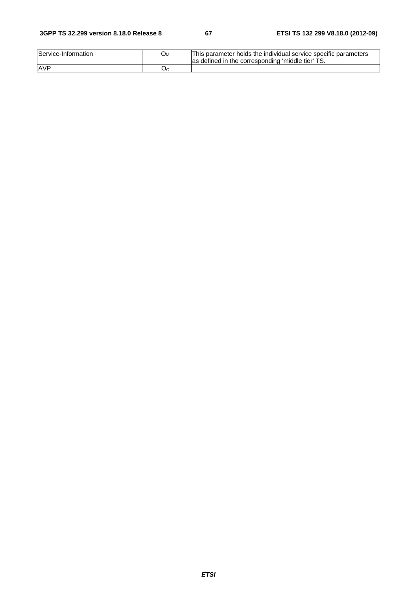#### **3GPP TS 32.299 version 8.18.0 Release 8 67 ETSI TS 132 299 V8.18.0 (2012-09)**

| Service-Information | ∪м | IThis parameter holds the individual service specific parameters<br>las defined in the corresponding 'middle tier' |
|---------------------|----|--------------------------------------------------------------------------------------------------------------------|
| AVF                 | بر |                                                                                                                    |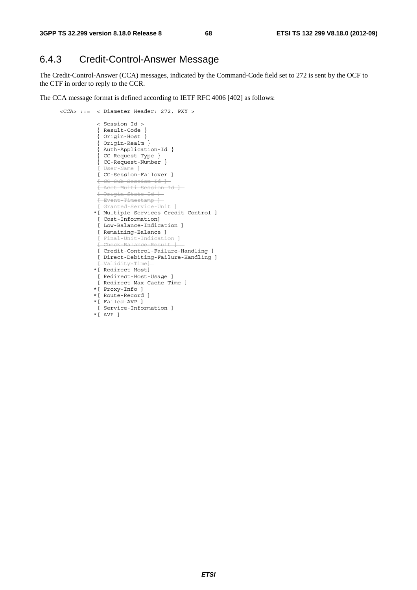## 6.4.3 Credit-Control-Answer Message

The Credit-Control-Answer (CCA) messages, indicated by the Command-Code field set to 272 is sent by the OCF to the CTF in order to reply to the CCR.

The CCA message format is defined according to IETF RFC 4006 [402] as follows:

```
 <CCA> ::= < Diameter Header: 272, PXY > 
                < Session-Id > 
                { Result-Code } 
                { Origin-Host } 
{ Origin-Realm } 
{ Auth-Application-Id } 
{ CC-Request-Type } 
{ CC-Request-Number } 
               [ User-Name
                [ CC-Session-Failover ] 
                [ CC-Sub-Session-Id ] 
                [ Acct-Multi-Session-Id ] 
                [ Origin-State-Id ] 
                [ Event-Timestamp ] 
                [ Granted-Service-Unit ] 
               *[ Multiple-Services-Credit-Control ] 
                [ Cost-Information] 
               [ Low-Balance-Indication ] 
               [ Remaining-Balance ] 
                [ Final-Unit-Indication ] 
               [Chack-RA]ance-Result
                [ Credit-Control-Failure-Handling ] 
                [ Direct-Debiting-Failure-Handling ] 
                    idity-Tim
               *[ Redirect-Host] 
                [ Redirect-Host-Usage ] 
                [ Redirect-Max-Cache-Time ] 
               *[ Proxy-Info ] 
               *[ Route-Record ] 
               *[ Failed-AVP ] 
                [ Service-Information ] 
               *[ AVP ]
```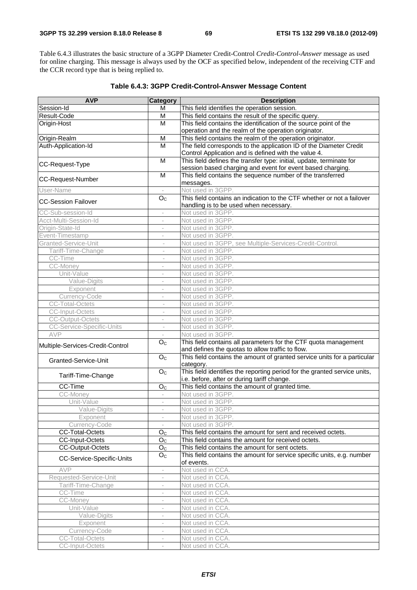Table 6.4.3 illustrates the basic structure of a 3GPP Diameter Credit-Control *Credit-Control-Answer* message as used for online charging. This message is always used by the OCF as specified below, independent of the receiving CTF and the CCR record type that is being replied to.

| <b>AVP</b>                       | <b>Category</b>          | <b>Description</b>                                                                                                       |
|----------------------------------|--------------------------|--------------------------------------------------------------------------------------------------------------------------|
| Session-Id                       | м                        | This field identifies the operation session.                                                                             |
| Result-Code                      | M                        | This field contains the result of the specific query.                                                                    |
| Origin-Host                      | M                        | This field contains the identification of the source point of the                                                        |
|                                  |                          | operation and the realm of the operation originator.                                                                     |
| Origin-Realm                     | M                        | This field contains the realm of the operation originator.                                                               |
| Auth-Application-Id              | M                        | The field corresponds to the application ID of the Diameter Credit                                                       |
|                                  |                          | Control Application and is defined with the value 4.                                                                     |
|                                  | M                        | This field defines the transfer type: initial, update, terminate for                                                     |
| CC-Request-Type                  |                          | session based charging and event for event based charging.                                                               |
| <b>CC-Request-Number</b>         | M                        | This field contains the sequence number of the transferred<br>messages.                                                  |
| User-Name                        |                          | Not used in 3GPP.                                                                                                        |
|                                  | O <sub>C</sub>           | This field contains an indication to the CTF whether or not a failover                                                   |
| <b>CC-Session Failover</b>       |                          | handling is to be used when necessary.                                                                                   |
| CC-Sub-session-Id                | $\overline{\phantom{a}}$ | Not used in 3GPP.                                                                                                        |
| Acct-Multi-Session-Id            | i.                       | Not used in 3GPP.                                                                                                        |
| Origin-State-Id                  |                          | Not used in 3GPP.                                                                                                        |
| Event-Timestamp                  | $\overline{\phantom{a}}$ | Not used in 3GPP.                                                                                                        |
| Granted-Service-Unit             | $\overline{\phantom{a}}$ | Not used in 3GPP, see Multiple-Services-Credit-Control.                                                                  |
| Tariff-Time-Change               | $\overline{\phantom{a}}$ | Not used in 3GPP.                                                                                                        |
| CC-Time                          |                          | Not used in 3GPP.                                                                                                        |
| CC-Money                         |                          | Not used in 3GPP.                                                                                                        |
| Unit-Value                       | $\overline{\phantom{a}}$ | Not used in 3GPP.                                                                                                        |
| Value-Digits                     | $\overline{\phantom{a}}$ | Not used in 3GPP.                                                                                                        |
| Exponent                         | $\overline{\phantom{a}}$ | Not used in 3GPP.                                                                                                        |
| Currency-Code                    | $\overline{\phantom{a}}$ | Not used in 3GPP.                                                                                                        |
| <b>CC-Total-Octets</b>           | $\bar{a}$                | Not used in 3GPP.                                                                                                        |
| <b>CC-Input-Octets</b>           | $\overline{\phantom{a}}$ | Not used in 3GPP.                                                                                                        |
| <b>CC-Output-Octets</b>          | $\bar{ }$                | Not used in 3GPP.                                                                                                        |
| <b>CC-Service-Specific-Units</b> | $\overline{\phantom{a}}$ | Not used in 3GPP.                                                                                                        |
| AVP                              | $\overline{\phantom{a}}$ | Not used in 3GPP.                                                                                                        |
| Multiple-Services-Credit-Control | O <sub>c</sub>           | This field contains all parameters for the CTF quota management<br>and defines the quotas to allow traffic to flow.      |
| Granted-Service-Unit             | O <sub>C</sub>           | This field contains the amount of granted service units for a particular<br>category.                                    |
| Tariff-Time-Change               | $\overline{O}_C$         | This field identifies the reporting period for the granted service units,<br>i.e. before, after or during tariff change. |
| CC-Time                          | O <sub>C</sub>           | This field contains the amount of granted time.                                                                          |
| CC-Money                         | $\overline{\phantom{a}}$ | Not used in 3GPP.                                                                                                        |
| Unit-Value                       | $\overline{\phantom{a}}$ | Not used in 3GPP.                                                                                                        |
| Value-Digits                     |                          | Not used in 3GPP.                                                                                                        |
| Exponent                         |                          | Not used in 3GPP.                                                                                                        |
| Currency-Code                    | $\overline{\phantom{a}}$ | Not used in 3GPP.                                                                                                        |
| <b>CC-Total-Octets</b>           | O <sub>C</sub>           | This field contains the amount for sent and received octets.                                                             |
| CC-Input-Octets                  | O <sub>C</sub>           | This field contains the amount for received octets.                                                                      |
| <b>CC-Output-Octets</b>          | O <sub>C</sub>           | This field contains the amount for sent octets.                                                                          |
|                                  | O <sub>C</sub>           | This field contains the amount for service specific units, e.g. number                                                   |
| CC-Service-Specific-Units        |                          | of events.                                                                                                               |
| AVP                              | $\overline{\phantom{a}}$ | Not used in CCA.                                                                                                         |
| Requested-Service-Unit           | $\bar{ }$                | Not used in CCA.                                                                                                         |
| Tariff-Time-Change               |                          | Not used in CCA.                                                                                                         |
| CC-Time                          |                          | Not used in CCA.                                                                                                         |
| CC-Money                         | $\bar{ }$                | Not used in CCA.                                                                                                         |
| Unit-Value                       | $\overline{\phantom{a}}$ | Not used in CCA.                                                                                                         |
| Value-Digits                     | $\overline{\phantom{a}}$ | Not used in CCA.                                                                                                         |
| Exponent                         |                          | Not used in CCA.                                                                                                         |
| Currency-Code                    |                          | Not used in CCA.                                                                                                         |
| <b>CC-Total-Octets</b>           | $\overline{\phantom{a}}$ | Not used in CCA.                                                                                                         |
| CC-Input-Octets                  | $\overline{\phantom{a}}$ | Not used in CCA.                                                                                                         |

#### **Table 6.4.3: 3GPP Credit-Control-Answer Message Content**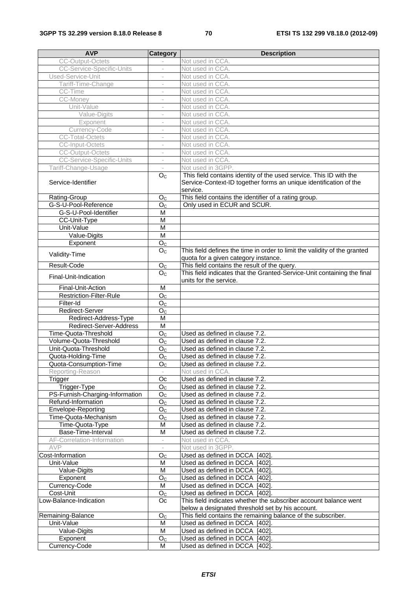| <b>AVP</b>                               | Category                         | <b>Description</b>                                                                                                                                  |
|------------------------------------------|----------------------------------|-----------------------------------------------------------------------------------------------------------------------------------------------------|
| <b>CC-Output-Octets</b>                  |                                  | Not used in CCA.                                                                                                                                    |
| <b>CC-Service-Specific-Units</b>         |                                  | Not used in CCA.                                                                                                                                    |
| Used-Service-Unit                        | $\overline{\phantom{a}}$         | Not used in CCA.                                                                                                                                    |
| Tariff-Time-Change                       | $\overline{\phantom{a}}$         | Not used in CCA.                                                                                                                                    |
| CC-Time                                  |                                  | Not used in CCA.                                                                                                                                    |
| CC-Money                                 |                                  | Not used in CCA.                                                                                                                                    |
| Unit-Value                               |                                  | Not used in CCA.                                                                                                                                    |
| Value-Digits                             | $\overline{\phantom{a}}$         | Not used in CCA.                                                                                                                                    |
| Exponent                                 | $\overline{\phantom{a}}$         | Not used in CCA.                                                                                                                                    |
| Currency-Code                            |                                  | Not used in CCA.                                                                                                                                    |
| <b>CC-Total-Octets</b>                   | $\overline{\phantom{a}}$         | Not used in CCA.                                                                                                                                    |
| <b>CC-Input-Octets</b>                   |                                  | Not used in CCA.                                                                                                                                    |
| <b>CC-Output-Octets</b>                  | $\overline{\phantom{a}}$         | Not used in CCA.                                                                                                                                    |
| <b>CC-Service-Specific-Units</b>         | $\overline{\phantom{a}}$         | Not used in CCA.                                                                                                                                    |
| Tariff-Change-Usage                      |                                  | Not used in 3GPP.                                                                                                                                   |
| Service-Identifier                       | O <sub>C</sub>                   | This field contains identity of the used service. This ID with the<br>Service-Context-ID together forms an unique identification of the<br>service. |
| Rating-Group                             | O <sub>C</sub>                   | This field contains the identifier of a rating group.                                                                                               |
| G-S-U-Pool-Reference                     | O <sub>C</sub>                   | Only used in ECUR and SCUR.                                                                                                                         |
| G-S-U-Pool-Identifier                    | $\overline{M}$                   |                                                                                                                                                     |
| CC-Unit-Type                             | M                                |                                                                                                                                                     |
| Unit-Value                               | $\overline{M}$                   |                                                                                                                                                     |
| Value-Digits                             | M                                |                                                                                                                                                     |
| Exponent                                 | O <sub>C</sub>                   |                                                                                                                                                     |
| Validity-Time                            | O <sub>C</sub>                   | This field defines the time in order to limit the validity of the granted<br>quota for a given category instance.                                   |
| Result-Code                              | O <sub>C</sub>                   | This field contains the result of the query.                                                                                                        |
| Final-Unit-Indication                    | O <sub>C</sub>                   | This field indicates that the Granted-Service-Unit containing the final<br>units for the service.                                                   |
| Final-Unit-Action                        | M                                |                                                                                                                                                     |
| Restriction-Filter-Rule                  | O <sub>C</sub>                   |                                                                                                                                                     |
| Filter-Id                                | O <sub>C</sub>                   |                                                                                                                                                     |
| Redirect-Server                          | O <sub>C</sub>                   |                                                                                                                                                     |
| Redirect-Address-Type                    | $\overline{\mathsf{M}}$          |                                                                                                                                                     |
| Redirect-Server-Address                  | M                                |                                                                                                                                                     |
| Time-Quota-Threshold                     | O <sub>C</sub>                   | Used as defined in clause 7.2.                                                                                                                      |
| Volume-Quota-Threshold                   | O <sub>C</sub>                   | Used as defined in clause 7.2.                                                                                                                      |
| Unit-Quota-Threshold                     | O <sub>C</sub>                   | Used as defined in clause 7.2.                                                                                                                      |
| Quota-Holding-Time                       | O <sub>C</sub>                   | Used as defined in clause 7.2.                                                                                                                      |
| Quota-Consumption-Time                   | $\overline{O_{C}}$               | Used as defined in clause 7.2.                                                                                                                      |
| Reporting-Reason                         |                                  | Not used in CCA.                                                                                                                                    |
| Trigger                                  | Oc                               | Used as defined in clause 7.2.                                                                                                                      |
| Trigger-Type                             | O <sub>C</sub>                   | Used as defined in clause 7.2.                                                                                                                      |
| PS-Furnish-Charging-Information          | O <sub>C</sub>                   | Used as defined in clause 7.2.                                                                                                                      |
| Refund-Information<br>Envelope-Reporting | O <sub>C</sub><br>O <sub>C</sub> | Used as defined in clause 7.2.                                                                                                                      |
| Time-Quota-Mechanism                     | O <sub>C</sub>                   | Used as defined in clause 7.2.<br>Used as defined in clause 7.2.                                                                                    |
| Time-Quota-Type                          | М                                | Used as defined in clause 7.2.                                                                                                                      |
| Base-Time-Interval                       | M                                | Used as defined in clause 7.2.                                                                                                                      |
| AF-Correlation-Information               |                                  | Not used in CCA.                                                                                                                                    |
| AVP                                      |                                  | Not used in 3GPP.                                                                                                                                   |
| Cost-Information                         | O <sub>C</sub>                   | Used as defined in DCCA [402].                                                                                                                      |
| Unit-Value                               | M                                | Used as defined in DCCA [402].                                                                                                                      |
| Value-Digits                             | M                                | Used as defined in DCCA [402].                                                                                                                      |
| Exponent                                 | O <sub>C</sub>                   | Used as defined in DCCA [402]                                                                                                                       |
| Currency-Code                            | M                                | Used as defined in DCCA [402].                                                                                                                      |
| Cost-Unit                                | O <sub>C</sub>                   | Used as defined in DCCA [402].                                                                                                                      |
| Low-Balance-Indication                   | Oc                               | This field indicates whether the subscriber account balance went<br>below a designated threshold set by his account.                                |
| Remaining-Balance                        | O <sub>C</sub>                   | This field contains the remaining balance of the subscriber.                                                                                        |
| Unit-Value                               | M                                | Used as defined in DCCA [402].                                                                                                                      |
| Value-Digits                             | M                                | Used as defined in DCCA [402].                                                                                                                      |
| Exponent                                 | O <sub>C</sub>                   | Used as defined in DCCA [402].                                                                                                                      |
| Currency-Code                            | м                                | Used as defined in DCCA [402].                                                                                                                      |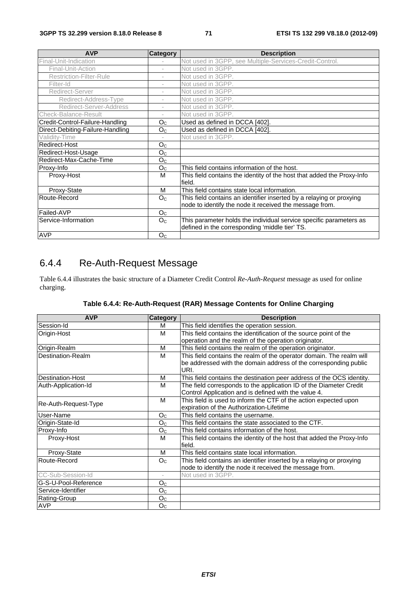| <b>AVP</b>                       | <b>Category</b>          | <b>Description</b>                                                               |
|----------------------------------|--------------------------|----------------------------------------------------------------------------------|
| Final-Unit-Indication            |                          | Not used in 3GPP, see Multiple-Services-Credit-Control.                          |
| Final-Unit-Action                | $\overline{\phantom{a}}$ | Not used in 3GPP.                                                                |
| <b>Restriction-Filter-Rule</b>   | $\overline{\phantom{a}}$ | Not used in 3GPP.                                                                |
| Filter-Id                        | i.                       | Not used in 3GPP.                                                                |
| Redirect-Server                  | $\overline{\phantom{a}}$ | Not used in 3GPP.                                                                |
| Redirect-Address-Type            | $\overline{\phantom{a}}$ | Not used in 3GPP.                                                                |
| Redirect-Server-Address          | $\overline{\phantom{a}}$ | Not used in 3GPP.                                                                |
| <b>Check-Balance-Result</b>      | $\overline{\phantom{a}}$ | Not used in 3GPP.                                                                |
| Credit-Control-Failure-Handling  | O <sub>C</sub>           | Used as defined in DCCA [402].                                                   |
| Direct-Debiting-Failure-Handling | O <sub>C</sub>           | Used as defined in DCCA [402].                                                   |
| Validity-Time                    |                          | Not used in 3GPP.                                                                |
| Redirect-Host                    | O <sub>C</sub>           |                                                                                  |
| Redirect-Host-Usage              | O <sub>C</sub>           |                                                                                  |
| Redirect-Max-Cache-Time          | O <sub>C</sub>           |                                                                                  |
| Proxy-Info                       | O <sub>C</sub>           | This field contains information of the host.                                     |
| Proxy-Host                       | м                        | This field contains the identity of the host that added the Proxy-Info<br>field. |
| Proxy-State                      | м                        | This field contains state local information.                                     |
| Route-Record                     | O <sub>C</sub>           | This field contains an identifier inserted by a relaying or proxying             |
|                                  |                          | node to identify the node it received the message from.                          |
| Failed-AVP                       | O <sub>C</sub>           |                                                                                  |
| Service-Information              | O <sub>C</sub>           | This parameter holds the individual service specific parameters as               |
|                                  |                          | defined in the corresponding 'middle tier' TS.                                   |
| <b>AVP</b>                       | O <sub>C</sub>           |                                                                                  |

# 6.4.4 Re-Auth-Request Message

Table 6.4.4 illustrates the basic structure of a Diameter Credit Control *Re-Auth-Request* message as used for online charging.

| <b>AVP</b>               | Category                 | <b>Description</b>                                                     |
|--------------------------|--------------------------|------------------------------------------------------------------------|
| Session-Id               | м                        | This field identifies the operation session.                           |
| Origin-Host              | м                        | This field contains the identification of the source point of the      |
|                          |                          | operation and the realm of the operation originator.                   |
| Origin-Realm             | м                        | This field contains the realm of the operation originator.             |
| <b>Destination-Realm</b> | M                        | This field contains the realm of the operator domain. The realm will   |
|                          |                          | be addressed with the domain address of the corresponding public       |
|                          |                          | URI.                                                                   |
| <b>Destination-Host</b>  | М                        | This field contains the destination peer address of the OCS identity.  |
| Auth-Application-Id      | м                        | The field corresponds to the application ID of the Diameter Credit     |
|                          |                          | Control Application and is defined with the value 4.                   |
| Re-Auth-Request-Type     | M                        | This field is used to inform the CTF of the action expected upon       |
|                          |                          | expiration of the Authorization-Lifetime                               |
| User-Name                | O <sub>C</sub>           | This field contains the username.                                      |
| Origin-State-Id          | O <sub>C</sub>           | This field contains the state associated to the CTF.                   |
| Proxy-Info               | O <sub>C</sub>           | This field contains information of the host.                           |
| Proxy-Host               | м                        | This field contains the identity of the host that added the Proxy-Info |
|                          |                          | field.                                                                 |
| Proxy-State              | M                        | This field contains state local information.                           |
| Route-Record             | O <sub>C</sub>           | This field contains an identifier inserted by a relaying or proxying   |
|                          |                          | node to identify the node it received the message from.                |
| CC-Sub-Session-Id        | $\overline{\phantom{a}}$ | Not used in 3GPP.                                                      |
| G-S-U-Pool-Reference     | O <sub>C</sub>           |                                                                        |
| Service-Identifier       | $O_{\rm C}$              |                                                                        |
| Rating-Group             | O <sub>C</sub>           |                                                                        |
| <b>AVP</b>               | O <sub>C</sub>           |                                                                        |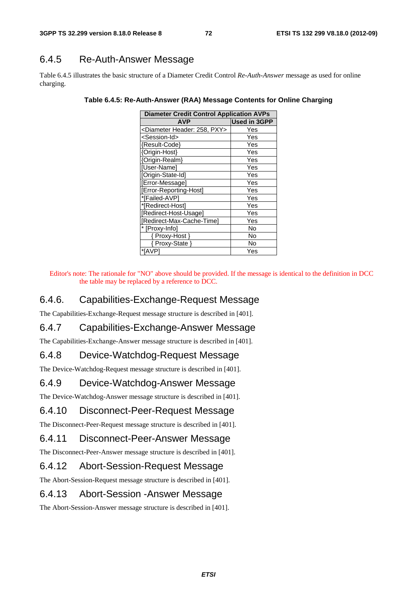### 6.4.5 Re-Auth-Answer Message

Table 6.4.5 illustrates the basic structure of a Diameter Credit Control *Re-Auth-Answer* message as used for online charging.

| <b>Diameter Credit Control Application AVPs</b> |                     |
|-------------------------------------------------|---------------------|
| <b>AVP</b>                                      | <b>Used in 3GPP</b> |
| <diameter 258,="" header:="" pxy=""></diameter> | Yes                 |
| <session-id></session-id>                       | Yes                 |
| {Result-Code}                                   | Yes                 |
| {Origin-Host}                                   | Yes                 |
| {Origin-Realm}                                  | Yes                 |
| [User-Name]                                     | Yes                 |
| [Origin-State-Id]                               | Yes                 |
| [Error-Message]                                 | Yes                 |
| [Error-Reporting-Host]                          | Yes                 |
| *[Failed-AVP]                                   | Yes                 |
| *[Redirect-Host]                                | Yes                 |
| [Redirect-Host-Usage]                           | Yes                 |
| [Redirect-Max-Cache-Time]                       | Yes                 |
| * [Proxy-Info]                                  | No                  |
| { Proxy-Host }                                  | No                  |
| { Proxy-State }                                 | No                  |
| *[AVP]                                          | Yes                 |

**Table 6.4.5: Re-Auth-Answer (RAA) Message Contents for Online Charging** 

Editor's note: The rationale for "NO" above should be provided. If the message is identical to the definition in DCC the table may be replaced by a reference to DCC.

### 6.4.6. Capabilities-Exchange-Request Message

The Capabilities-Exchange-Request message structure is described in [401].

### 6.4.7 Capabilities-Exchange-Answer Message

The Capabilities-Exchange-Answer message structure is described in [401].

### 6.4.8 Device-Watchdog-Request Message

The Device-Watchdog-Request message structure is described in [401].

### 6.4.9 Device-Watchdog-Answer Message

The Device-Watchdog-Answer message structure is described in [401].

#### 6.4.10 Disconnect-Peer-Request Message

The Disconnect-Peer-Request message structure is described in [401].

#### 6.4.11 Disconnect-Peer-Answer Message

The Disconnect-Peer-Answer message structure is described in [401].

### 6.4.12 Abort-Session-Request Message

The Abort-Session-Request message structure is described in [401].

### 6.4.13 Abort-Session -Answer Message

The Abort-Session-Answer message structure is described in [401].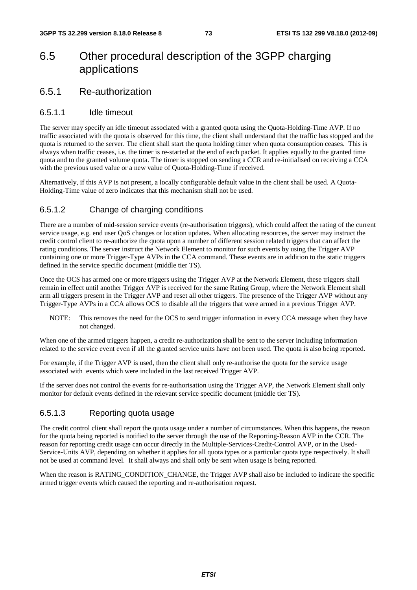# 6.5 Other procedural description of the 3GPP charging applications

### 6.5.1 Re-authorization

#### 6.5.1.1 Idle timeout

The server may specify an idle timeout associated with a granted quota using the Quota-Holding-Time AVP. If no traffic associated with the quota is observed for this time, the client shall understand that the traffic has stopped and the quota is returned to the server. The client shall start the quota holding timer when quota consumption ceases. This is always when traffic ceases, i.e. the timer is re-started at the end of each packet. It applies equally to the granted time quota and to the granted volume quota. The timer is stopped on sending a CCR and re-initialised on receiving a CCA with the previous used value or a new value of Quota-Holding-Time if received.

Alternatively, if this AVP is not present, a locally configurable default value in the client shall be used. A Quota-Holding-Time value of zero indicates that this mechanism shall not be used.

#### 6.5.1.2 Change of charging conditions

There are a number of mid-session service events (re-authorisation triggers), which could affect the rating of the current service usage, e.g. end user QoS changes or location updates. When allocating resources, the server may instruct the credit control client to re-authorize the quota upon a number of different session related triggers that can affect the rating conditions. The server instruct the Network Element to monitor for such events by using the Trigger AVP containing one or more Trigger-Type AVPs in the CCA command. These events are in addition to the static triggers defined in the service specific document (middle tier TS).

Once the OCS has armed one or more triggers using the Trigger AVP at the Network Element, these triggers shall remain in effect until another Trigger AVP is received for the same Rating Group, where the Network Element shall arm all triggers present in the Trigger AVP and reset all other triggers. The presence of the Trigger AVP without any Trigger-Type AVPs in a CCA allows OCS to disable all the triggers that were armed in a previous Trigger AVP.

NOTE: This removes the need for the OCS to send trigger information in every CCA message when they have not changed.

When one of the armed triggers happen, a credit re-authorization shall be sent to the server including information related to the service event even if all the granted service units have not been used. The quota is also being reported.

For example, if the Trigger AVP is used, then the client shall only re-authorise the quota for the service usage associated with events which were included in the last received Trigger AVP.

If the server does not control the events for re-authorisation using the Trigger AVP, the Network Element shall only monitor for default events defined in the relevant service specific document (middle tier TS).

### 6.5.1.3 Reporting quota usage

The credit control client shall report the quota usage under a number of circumstances. When this happens, the reason for the quota being reported is notified to the server through the use of the Reporting-Reason AVP in the CCR. The reason for reporting credit usage can occur directly in the Multiple-Services-Credit-Control AVP, or in the Used-Service-Units AVP, depending on whether it applies for all quota types or a particular quota type respectively. It shall not be used at command level. It shall always and shall only be sent when usage is being reported.

When the reason is RATING\_CONDITION\_CHANGE, the Trigger AVP shall also be included to indicate the specific armed trigger events which caused the reporting and re-authorisation request.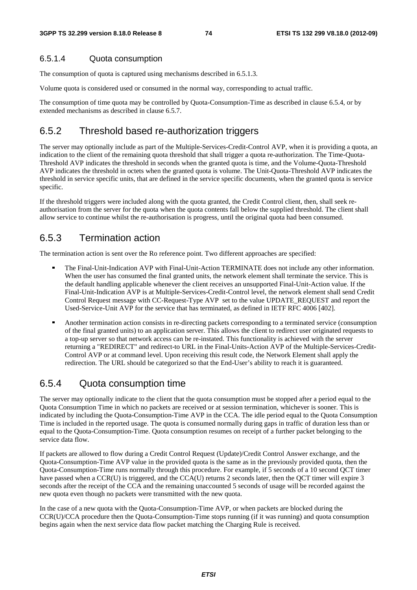#### 6.5.1.4 Quota consumption

The consumption of quota is captured using mechanisms described in 6.5.1.3.

Volume quota is considered used or consumed in the normal way, corresponding to actual traffic.

The consumption of time quota may be controlled by Quota-Consumption-Time as described in clause 6.5.4, or by extended mechanisms as described in clause 6.5.7.

### 6.5.2 Threshold based re-authorization triggers

The server may optionally include as part of the Multiple-Services-Credit-Control AVP, when it is providing a quota, an indication to the client of the remaining quota threshold that shall trigger a quota re-authorization. The Time-Quota-Threshold AVP indicates the threshold in seconds when the granted quota is time, and the Volume-Quota-Threshold AVP indicates the threshold in octets when the granted quota is volume. The Unit-Quota-Threshold AVP indicates the threshold in service specific units, that are defined in the service specific documents, when the granted quota is service specific.

If the threshold triggers were included along with the quota granted, the Credit Control client, then, shall seek reauthorisation from the server for the quota when the quota contents fall below the supplied threshold. The client shall allow service to continue whilst the re-authorisation is progress, until the original quota had been consumed.

### 6.5.3 Termination action

The termination action is sent over the Ro reference point. Two different approaches are specified:

- The Final-Unit-Indication AVP with Final-Unit-Action TERMINATE does not include any other information. When the user has consumed the final granted units, the network element shall terminate the service. This is the default handling applicable whenever the client receives an unsupported Final-Unit-Action value. If the Final-Unit-Indication AVP is at Multiple-Services-Credit-Control level, the network element shall send Credit Control Request message with CC-Request-Type AVP set to the value UPDATE\_REQUEST and report the Used-Service-Unit AVP for the service that has terminated, as defined in IETF RFC 4006 [402].
- Another termination action consists in re-directing packets corresponding to a terminated service (consumption of the final granted units) to an application server. This allows the client to redirect user originated requ a top-up server so that network access can be re-instated. This functionality is achieved with the server returning a "REDIRECT" and redirect-to URL in the Final-Units-Action AVP of the Multiple-Services-Credit-Control AVP or at command level. Upon receiving this result code, the Network Element shall apply the redirection. The URL should be categorized so that the End-User's ability to reach it is guaranteed.

### 6.5.4 Quota consumption time

The server may optionally indicate to the client that the quota consumption must be stopped after a period equal to the Quota Consumption Time in which no packets are received or at session termination, whichever is sooner. This is indicated by including the Quota-Consumption-Time AVP in the CCA. The idle period equal to the Quota Consumption Time is included in the reported usage. The quota is consumed normally during gaps in traffic of duration less than or equal to the Quota-Consumption-Time. Quota consumption resumes on receipt of a further packet belonging to the service data flow.

If packets are allowed to flow during a Credit Control Request (Update)/Credit Control Answer exchange, and the Quota-Consumption-Time AVP value in the provided quota is the same as in the previously provided quota, then the Quota-Consumption-Time runs normally through this procedure. For example, if 5 seconds of a 10 second QCT timer have passed when a CCR(U) is triggered, and the CCA(U) returns 2 seconds later, then the QCT timer will expire 3 seconds after the receipt of the CCA and the remaining unaccounted 5 seconds of usage will be recorded against the new quota even though no packets were transmitted with the new quota.

In the case of a new quota with the Quota-Consumption-Time AVP, or when packets are blocked during the CCR(U)/CCA procedure then the Quota-Consumption-Time stops running (if it was running) and quota consumption begins again when the next service data flow packet matching the Charging Rule is received.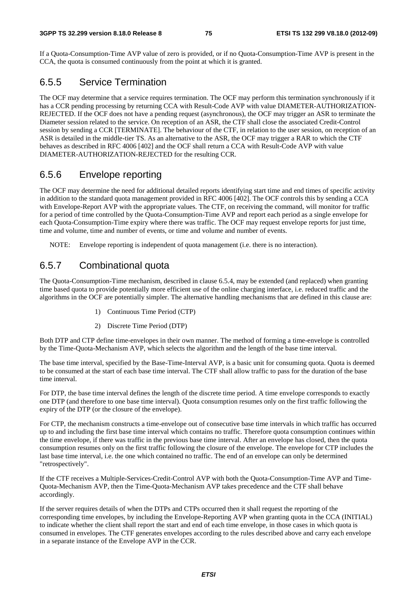If a Quota-Consumption-Time AVP value of zero is provided, or if no Quota-Consumption-Time AVP is present in the CCA, the quota is consumed continuously from the point at which it is granted.

### 6.5.5 Service Termination

The OCF may determine that a service requires termination. The OCF may perform this termination synchronously if it has a CCR pending processing by returning CCA with Result-Code AVP with value DIAMETER-AUTHORIZATION-REJECTED. If the OCF does not have a pending request (asynchronous), the OCF may trigger an ASR to terminate the Diameter session related to the service. On reception of an ASR, the CTF shall close the associated Credit-Control session by sending a CCR [TERMINATE]. The behaviour of the CTF, in relation to the user session, on reception of an ASR is detailed in the middle-tier TS. As an alternative to the ASR, the OCF may trigger a RAR to which the CTF behaves as described in RFC 4006 [402] and the OCF shall return a CCA with Result-Code AVP with value DIAMETER-AUTHORIZATION-REJECTED for the resulting CCR.

### 6.5.6 Envelope reporting

The OCF may determine the need for additional detailed reports identifying start time and end times of specific activity in addition to the standard quota management provided in RFC 4006 [402]. The OCF controls this by sending a CCA with Envelope-Report AVP with the appropriate values. The CTF, on receiving the command, will monitor for traffic for a period of time controlled by the Quota-Consumption-Time AVP and report each period as a single envelope for each Quota-Consumption-Time expiry where there was traffic. The OCF may request envelope reports for just time, time and volume, time and number of events, or time and volume and number of events.

NOTE: Envelope reporting is independent of quota management (i.e. there is no interaction).

### 6.5.7 Combinational quota

The Quota-Consumption-Time mechanism, described in clause 6.5.4, may be extended (and replaced) when granting time based quota to provide potentially more efficient use of the online charging interface, i.e. reduced traffic and the algorithms in the OCF are potentially simpler. The alternative handling mechanisms that are defined in this clause are:

- 1) Continuous Time Period (CTP)
- 2) Discrete Time Period (DTP)

Both DTP and CTP define time-envelopes in their own manner. The method of forming a time-envelope is controlled by the Time-Quota-Mechanism AVP, which selects the algorithm and the length of the base time interval.

The base time interval, specified by the Base-Time-Interval AVP, is a basic unit for consuming quota. Quota is deemed to be consumed at the start of each base time interval. The CTF shall allow traffic to pass for the duration of the base time interval.

For DTP, the base time interval defines the length of the discrete time period. A time envelope corresponds to exactly one DTP (and therefore to one base time interval). Quota consumption resumes only on the first traffic following the expiry of the DTP (or the closure of the envelope).

For CTP, the mechanism constructs a time-envelope out of consecutive base time intervals in which traffic has occurred up to and including the first base time interval which contains no traffic. Therefore quota consumption continues within the time envelope, if there was traffic in the previous base time interval. After an envelope has closed, then the quota consumption resumes only on the first traffic following the closure of the envelope. The envelope for CTP includes the last base time interval, i.e. the one which contained no traffic. The end of an envelope can only be determined "retrospectively".

If the CTF receives a Multiple-Services-Credit-Control AVP with both the Quota-Consumption-Time AVP and Time-Quota-Mechanism AVP, then the Time-Quota-Mechanism AVP takes precedence and the CTF shall behave accordingly.

If the server requires details of when the DTPs and CTPs occurred then it shall request the reporting of the corresponding time envelopes, by including the Envelope-Reporting AVP when granting quota in the CCA (INITIAL) to indicate whether the client shall report the start and end of each time envelope, in those cases in which quota is consumed in envelopes. The CTF generates envelopes according to the rules described above and carry each envelope in a separate instance of the Envelope AVP in the CCR.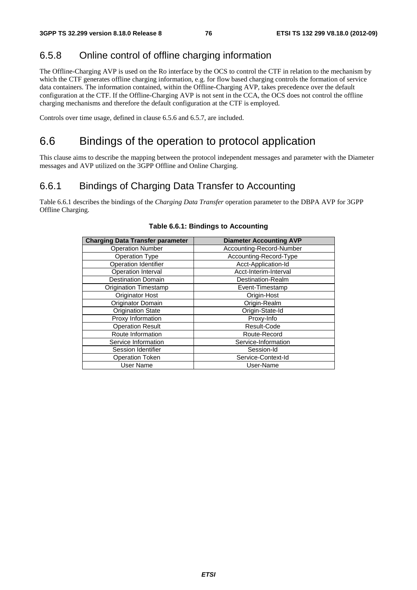# 6.5.8 Online control of offline charging information

The Offline-Charging AVP is used on the Ro interface by the OCS to control the CTF in relation to the mechanism by which the CTF generates offline charging information, e.g. for flow based charging controls the formation of service data containers. The information contained, within the Offline-Charging AVP, takes precedence over the default configuration at the CTF. If the Offline-Charging AVP is not sent in the CCA, the OCS does not control the offline charging mechanisms and therefore the default configuration at the CTF is employed.

Controls over time usage, defined in clause 6.5.6 and 6.5.7, are included.

# 6.6 Bindings of the operation to protocol application

This clause aims to describe the mapping between the protocol independent messages and parameter with the Diameter messages and AVP utilized on the 3GPP Offline and Online Charging.

# 6.6.1 Bindings of Charging Data Transfer to Accounting

Table 6.6.1 describes the bindings of the *Charging Data Transfer* operation parameter to the DBPA AVP for 3GPP Offline Charging.

| <b>Charging Data Transfer parameter</b> | <b>Diameter Accounting AVP</b> |
|-----------------------------------------|--------------------------------|
| <b>Operation Number</b>                 | Accounting-Record-Number       |
| Operation Type                          | Accounting-Record-Type         |
| <b>Operation Identifier</b>             | Acct-Application-Id            |
| Operation Interval                      | Acct-Interim-Interval          |
| <b>Destination Domain</b>               | Destination-Realm              |
| Origination Timestamp                   | Event-Timestamp                |
| <b>Originator Host</b>                  | Origin-Host                    |
| Originator Domain                       | Origin-Realm                   |
| <b>Origination State</b>                | Origin-State-Id                |
| Proxy Information                       | Proxy-Info                     |
| <b>Operation Result</b>                 | Result-Code                    |
| Route Information                       | Route-Record                   |
| Service Information                     | Service-Information            |
| Session Identifier                      | Session-Id                     |
| <b>Operation Token</b>                  | Service-Context-Id             |
| User Name                               | User-Name                      |

#### **Table 6.6.1: Bindings to Accounting**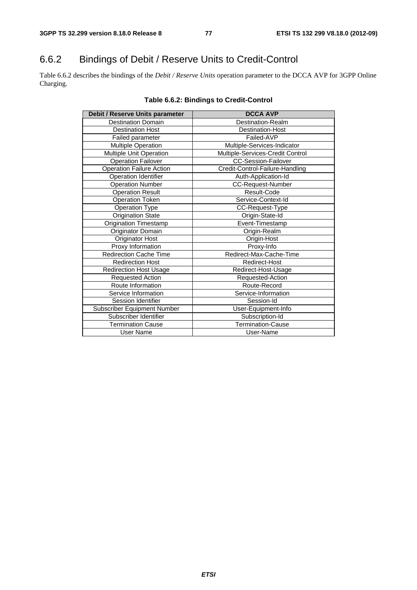# 6.6.2 Bindings of Debit / Reserve Units to Credit-Control

Table 6.6.2 describes the bindings of the *Debit / Reserve Units* operation parameter to the DCCA AVP for 3GPP Online Charging.

| Debit / Reserve Units parameter | <b>DCCA AVP</b>                  |
|---------------------------------|----------------------------------|
| <b>Destination Domain</b>       | Destination-Realm                |
| <b>Destination Host</b>         | <b>Destination-Host</b>          |
| Failed parameter                | Failed-AVP                       |
| Multiple Operation              | Multiple-Services-Indicator      |
| Multiple Unit Operation         | Multiple-Services-Credit Control |
| Operation Failover              | <b>CC-Session-Failover</b>       |
| <b>Operation Failure Action</b> | Credit-Control-Failure-Handling  |
| Operation Identifier            | Auth-Application-Id              |
| <b>Operation Number</b>         | CC-Request-Number                |
| <b>Operation Result</b>         | Result-Code                      |
| <b>Operation Token</b>          | Service-Context-Id               |
| Operation Type                  | CC-Request-Type                  |
| <b>Origination State</b>        | Origin-State-Id                  |
| <b>Origination Timestamp</b>    | Event-Timestamp                  |
| Originator Domain               | Origin-Realm                     |
| Originator Host                 | Origin-Host                      |
| Proxy Information               | Proxy-Info                       |
| <b>Redirection Cache Time</b>   | Redirect-Max-Cache-Time          |
| <b>Redirection Host</b>         | Redirect-Host                    |
| <b>Redirection Host Usage</b>   | Redirect-Host-Usage              |
| Requested Action                | Requested-Action                 |
| Route Information               | Route-Record                     |
| Service Information             | Service-Information              |
| Session Identifier              | Session-Id                       |
| Subscriber Equipment Number     | User-Equipment-Info              |
| Subscriber Identifier           | Subscription-Id                  |
| <b>Termination Cause</b>        | Termination-Cause                |
| User Name                       | User-Name                        |

#### **Table 6.6.2: Bindings to Credit-Control**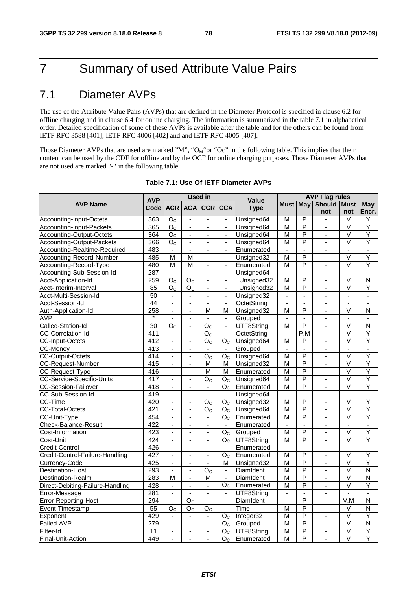# 7 Summary of used Attribute Value Pairs

# 7.1 Diameter AVPs

The use of the Attribute Value Pairs (AVPs) that are defined in the Diameter Protocol is specified in clause 6.2 for offline charging and in clause 6.4 for online charging. The information is summarized in the table 7.1 in alphabetical order. Detailed specification of some of these AVPs is available after the table and for the others can be found from IETF RFC 3588 [401], IETF RFC 4006 [402] and and IETF RFC 4005 [407].

Those Diameter AVPs that are used are marked "M", "O<sub>M</sub>"or "Oc" in the following table. This implies that their content can be used by the CDF for offline and by the OCF for online charging purposes. Those Diameter AVPs that are not used are marked "-" in the following table.

|                                  | <b>AVP</b>      |                          |                          | <b>Used in</b>           |                          | <b>Value</b>       | <b>AVP Flag rules</b>        |                          |                          |                          |                          |  |
|----------------------------------|-----------------|--------------------------|--------------------------|--------------------------|--------------------------|--------------------|------------------------------|--------------------------|--------------------------|--------------------------|--------------------------|--|
| <b>AVP Name</b>                  | Code            |                          | <b>ACR ACA</b>           | <b>CCR</b>               | <b>CCA</b>               | <b>Type</b>        | Must May                     |                          | Should                   | <b>Must</b>              | May                      |  |
|                                  |                 |                          |                          |                          |                          |                    |                              |                          | not                      | not                      | Encr.                    |  |
| Accounting-Input-Octets          | 363             | O <sub>C</sub>           | $\blacksquare$           | $\blacksquare$           | $\blacksquare$           | Unsigned64         | $\overline{M}$               | $\overline{P}$           | $\omega$ .               | $\overline{\vee}$        | Y                        |  |
| Accounting-Input-Packets         | 365             | O <sub>C</sub>           | $\blacksquare$           | $\blacksquare$           | $\blacksquare$           | Unsigned64         | $\overline{M}$               | P                        | $\blacksquare$           | V                        | Ÿ                        |  |
| Accounting-Output-Octets         | 364             | $\overline{O_{C}}$       | $\blacksquare$           | $\blacksquare$           | $\blacksquare$           | Unsigned64         | $\overline{M}$               | P                        | $\overline{a}$           | $\overline{\mathsf{v}}$  | Ÿ                        |  |
| Accounting-Output-Packets        | 366             | O <sub>C</sub>           | ÷,                       | $\blacksquare$           | $\blacksquare$           | Unsigned64         | $\overline{\mathsf{M}}$      | $\overline{P}$           | $\blacksquare$           | $\overline{\mathsf{v}}$  | Ÿ                        |  |
| Accounting-Realtime-Required     | 483             | $\blacksquare$           | $\blacksquare$           | $\blacksquare$           | $\blacksquare$           | Enumerated         | ÷,                           | $\overline{a}$           | ÷.                       | $\blacksquare$           | ÷,                       |  |
| Accounting-Record-Number         | 485             | M                        | M                        | $\omega$                 | $\blacksquare$           | Unsigned32         | M                            | P                        | ÷.                       | $\overline{\vee}$        | Y                        |  |
| Accounting-Record-Type           | 480             | M                        | M                        | $\overline{\phantom{a}}$ | $\blacksquare$           | Enumerated         | M                            | P                        | $\blacksquare$           | V                        | Y                        |  |
| Accounting-Sub-Session-Id        | 287             | $\blacksquare$           | ä,                       | $\overline{a}$           | $\blacksquare$           | Unsigned64         | $\overline{\phantom{a}}$     | ä,                       | $\blacksquare$           | $\overline{\phantom{a}}$ | $\overline{\phantom{a}}$ |  |
| Acct-Application-Id              | 259             | O <sub>C</sub>           | O <sub>C</sub>           | $\mathbf{r}$             | $\mathbf{r}$             | Unsigned32         | $\overline{M}$               | P                        | ä,                       | $\overline{\mathsf{v}}$  | $\overline{\mathsf{N}}$  |  |
| Acct-Interim-Interval            | 85              | O <sub>C</sub>           | O <sub>C</sub>           | $\blacksquare$           | $\blacksquare$           | Unsigned32         | $\overline{M}$               | P                        | ä,                       | $\overline{\mathsf{v}}$  | Ÿ                        |  |
| Acct-Multi-Session-Id            | $\overline{50}$ | $\blacksquare$           | ä,                       | $\blacksquare$           | $\blacksquare$           | Unsigned32         | $\overline{a}$               | ÷,                       | ä,                       | $\overline{\phantom{a}}$ | $\blacksquare$           |  |
| Acct-Session-Id                  | $\overline{44}$ | $\blacksquare$           | $\blacksquare$           | $\blacksquare$           | $\blacksquare$           | <b>OctetString</b> | $\blacksquare$               | $\blacksquare$           | $\overline{\phantom{a}}$ | $\blacksquare$           | $\overline{\phantom{a}}$ |  |
| Auth-Application-Id              | 258             | $\blacksquare$           | ä,                       | M                        | м                        | Unsigned32         | M                            | P                        | $\overline{a}$           | V                        | N                        |  |
| <b>AVP</b>                       | $\star$         | $\blacksquare$           | $\blacksquare$           | $\mathbf{r}$             | $\Box$                   | Grouped            | $\overline{\phantom{a}}$     | ÷,                       | ÷,                       | $\frac{1}{2}$            | $\blacksquare$           |  |
| Called-Station-Id                | 30              | $O_{C}$                  | $\overline{\phantom{a}}$ | O <sub>C</sub>           | $\blacksquare$           | UTF8String         | M                            | P                        | $\blacksquare$           | V                        | N                        |  |
| CC-Correlation-Id                | 411             |                          | $\blacksquare$           | O <sub>c</sub>           | $\overline{\phantom{a}}$ | OctetString        | $\qquad \qquad \blacksquare$ | P,M                      | $\blacksquare$           | V                        | Y                        |  |
| <b>CC-Input-Octets</b>           | 412             | $\omega$                 | $\omega$                 | O <sub>C</sub>           | O <sub>c</sub>           | Unsigned64         | M                            | P                        | $\mathbf{r}$             | $\overline{\mathsf{v}}$  | Ÿ                        |  |
| <b>CC-Money</b>                  | 413             | $\blacksquare$           | $\blacksquare$           | $\blacksquare$           | $\blacksquare$           | Grouped            | $\blacksquare$               | $\blacksquare$           | $\blacksquare$           | $\blacksquare$           | $\blacksquare$           |  |
| <b>CC-Output-Octets</b>          | 414             |                          | $\blacksquare$           | O <sub>C</sub>           | O <sub>C</sub>           | Unsigned64         | $\overline{M}$               | P                        |                          | $\overline{\mathsf{v}}$  | Ÿ                        |  |
| <b>CC-Request-Number</b>         | 415             | ä,                       | $\overline{\phantom{a}}$ | M                        | м                        | Unsigned32         | $\overline{M}$               | $\overline{P}$           | $\blacksquare$           | $\overline{\mathsf{v}}$  | Y                        |  |
| CC-Request-Type                  | 416             | $\blacksquare$           | $\blacksquare$           | M                        | M                        | Enumerated         | $\overline{M}$               | P                        | $\blacksquare$           | $\overline{\vee}$        | Ÿ                        |  |
| <b>CC-Service-Specific-Units</b> | 417             | $\mathbf{r}$             | $\blacksquare$           | $\overline{O}_C$         | O <sub>C</sub>           | Unsigned64         | $\overline{M}$               | $\overline{\mathsf{P}}$  | L,                       | $\overline{\mathsf{v}}$  | Ÿ                        |  |
| CC-Session-Failover              | 418             | ä,                       | ä,                       | $\blacksquare$           | O <sub>C</sub>           | Enumerated         | M                            | P                        | ä,                       | V                        | Y                        |  |
| CC-Sub-Session-Id                | 419             | $\overline{\phantom{a}}$ | $\overline{a}$           | $\blacksquare$           | $\blacksquare$           | Unsigned64         | $\blacksquare$               | $\blacksquare$           | $\overline{\phantom{a}}$ | $\blacksquare$           | $\blacksquare$           |  |
| CC-Time                          | 420             | $\mathbf{r}$             | ÷.                       | O <sub>C</sub>           | O <sub>C</sub>           | Unsigned32         | $\overline{\mathsf{M}}$      | P                        | ä,                       | V                        | Ÿ                        |  |
| <b>CC-Total-Octets</b>           | 421             | $\blacksquare$           | $\blacksquare$           | O <sub>c</sub>           | O <sub>C</sub>           | Unsigned64         | $\overline{M}$               | $\overline{\mathsf{P}}$  | $\blacksquare$           | $\overline{\mathsf{v}}$  | Y                        |  |
| CC-Unit-Type                     | 454             |                          |                          | $\overline{\phantom{a}}$ | O <sub>C</sub>           | Enumerated         | $\overline{\mathsf{M}}$      | $\overline{\mathsf{P}}$  | $\blacksquare$           | $\overline{\mathsf{v}}$  | Ÿ                        |  |
| Check-Balance-Result             | 422             | $\overline{\phantom{a}}$ | $\blacksquare$           | $\overline{\phantom{a}}$ | $\blacksquare$           | Enumerated         | $\blacksquare$               | $\blacksquare$           | $\overline{\phantom{a}}$ | $\blacksquare$           | $\blacksquare$           |  |
| Cost-Information                 | 423             | ä,                       | $\blacksquare$           | $\blacksquare$           | O <sub>C</sub>           | Grouped            | $\overline{M}$               | P                        | $\blacksquare$           | $\overline{\vee}$        | Ÿ                        |  |
| Cost-Unit                        | 424             | ä,                       | $\blacksquare$           | ä,                       | O <sub>C</sub>           | UTF8String         | $\overline{M}$               | $\overline{\mathsf{P}}$  | $\overline{a}$           | $\overline{\mathsf{v}}$  | Y                        |  |
| Credit-Control                   | 426             | $\overline{\phantom{a}}$ | $\blacksquare$           | $\blacksquare$           | $\blacksquare$           | Enumerated         | $\blacksquare$               | $\overline{\phantom{a}}$ | $\blacksquare$           | $\blacksquare$           | $\blacksquare$           |  |
| Credit-Control-Failure-Handling  | 427             | $\overline{\phantom{a}}$ | $\overline{a}$           | $\sim$                   | O <sub>C</sub>           | Enumerated         | $\overline{M}$               | $\overline{\mathsf{P}}$  | $\blacksquare$           | $\overline{\mathsf{v}}$  | Ÿ                        |  |
| Currency-Code                    | 425             | $\blacksquare$           | $\mathbf{r}$             | $\blacksquare$           | м                        | Unsigned32         | M                            | P                        | ä,                       | $\overline{\mathsf{v}}$  | Ÿ                        |  |
| <b>Destination-Host</b>          | 293             | $\blacksquare$           | $\mathbf{r}$             | O <sub>c</sub>           | $\blacksquare$           | DiamIdent          | $\overline{M}$               | P                        | $\mathbf{r}$             | $\overline{\mathsf{v}}$  | $\overline{N}$           |  |
| Destination-Realm                | 283             | M                        | ä,                       | M                        | $\blacksquare$           | DiamIdent          | M                            | $\overline{\mathsf{P}}$  | ä,                       | $\overline{\mathsf{v}}$  | $\overline{\mathsf{N}}$  |  |
| Direct-Debiting-Failure-Handling | 428             | $\omega$                 | $\blacksquare$           | $\mathbf{r}$             | O <sub>C</sub>           | Enumerated         | $\overline{M}$               | $\overline{\mathsf{P}}$  | $\omega$                 | $\overline{\mathsf{v}}$  | Ÿ                        |  |
| Error-Message                    | 281             | $\blacksquare$           | $\overline{a}$           | $\sim$                   | $\blacksquare$           | UTF8String         | $\blacksquare$               | $\blacksquare$           | $\blacksquare$           | $\overline{\phantom{a}}$ | $\blacksquare$           |  |
| Error-Reporting-Host             | 294             | $\overline{\phantom{a}}$ | O <sub>C</sub>           | $\blacksquare$           | $\blacksquare$           | <b>DiamIdent</b>   | ä,                           | P                        | $\blacksquare$           | V.M                      | N                        |  |
| Event-Timestamp                  | $\overline{55}$ | O <sub>C</sub>           | O <sub>C</sub>           | O <sub>C</sub>           | $\blacksquare$           | Time               | $\overline{\mathsf{M}}$      | $\overline{\mathsf{P}}$  | $\overline{\phantom{a}}$ | V                        | $\overline{N}$           |  |
| Exponent                         | 429             | $\overline{\phantom{a}}$ | $\sim$                   | $\blacksquare$           | O <sub>C</sub>           | Integer32          | M                            | $\overline{P}$           | $\blacksquare$           | V                        | Ÿ                        |  |
| Failed-AVP                       | 279             | $\blacksquare$           | $\blacksquare$           | $\blacksquare$           | O <sub>C</sub>           | Grouped            | $\overline{M}$               | P                        | $\blacksquare$           | V                        | $\overline{N}$           |  |
| Filter-Id                        | 11              | $\blacksquare$           | $\overline{a}$           | $\blacksquare$           | O <sub>C</sub>           | UTF8String         | $\overline{\mathsf{M}}$      | P                        | ÷,                       | $\overline{\mathsf{v}}$  | Υ                        |  |
| Final-Unit-Action                | 449             | ä,                       | $\blacksquare$           | $\sim$                   | O <sub>C</sub>           | Enumerated         | $\overline{\mathsf{M}}$      | P                        | $\overline{\phantom{a}}$ | $\overline{\mathsf{v}}$  | $\overline{Y}$           |  |

#### **Table 7.1: Use Of IETF Diameter AVPs**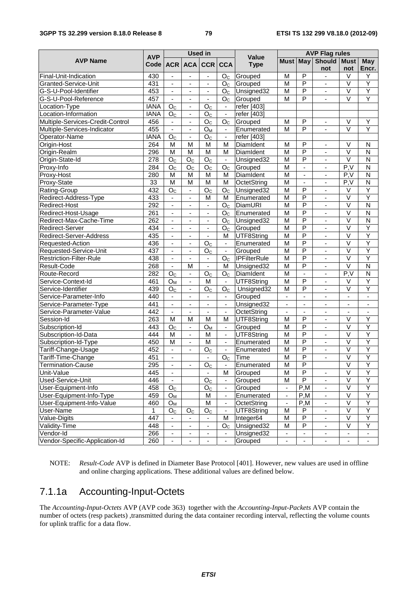#### **3GPP TS 32.299 version 8.18.0 Release 8 79 ETSI TS 132 299 V8.18.0 (2012-09)**

|                                  |                  |                          |                              | <b>Used in</b>           |                          |                     | <b>AVP Flag rules</b>        |                          |                              |                              |                              |  |
|----------------------------------|------------------|--------------------------|------------------------------|--------------------------|--------------------------|---------------------|------------------------------|--------------------------|------------------------------|------------------------------|------------------------------|--|
| <b>AVP Name</b>                  | <b>AVP</b>       |                          |                              |                          |                          | <b>Value</b>        | <b>Must May</b>              |                          | <b>Should Must</b>           |                              | May                          |  |
|                                  | Code l           |                          | ACR ACA                      | <b>CCR</b>               | <b>CCA</b>               | <b>Type</b>         |                              |                          | not                          | not                          | Encr.                        |  |
| Final-Unit-Indication            | 430              | $\blacksquare$           | $\overline{\phantom{a}}$     | $\blacksquare$           | O <sub>C</sub>           | Grouped             | M                            | P                        | $\blacksquare$               | V                            | Υ                            |  |
| Granted-Service-Unit             | 431              | -                        | $\overline{\phantom{a}}$     | $\overline{\phantom{a}}$ | O <sub>c</sub>           | Grouped             | М                            | $\overline{P}$           | $\overline{\phantom{0}}$     | $\vee$                       | Ÿ                            |  |
| G-S-U-Pool-Identifier            | 453              | $\blacksquare$           | $\blacksquare$               | $\blacksquare$           | O <sub>C</sub>           | Unsigned32          | M                            | P                        | $\blacksquare$               | $\vee$                       | Ÿ                            |  |
| G-S-U-Pool-Reference             | 457              | $\blacksquare$           | $\blacksquare$               | $\blacksquare$           | O <sub>C</sub>           | Grouped             | M                            | P                        |                              | $\overline{\vee}$            | Ÿ                            |  |
| Location-Type                    | <b>IANA</b>      | O <sub>C</sub>           | $\overline{\phantom{a}}$     | O <sub>C</sub>           | $\overline{\phantom{a}}$ | refer [403]         |                              |                          |                              |                              |                              |  |
| Location-Information             | <b>IANA</b>      | $\overline{O}_C$         | $\blacksquare$               | O <sub>c</sub>           | $\blacksquare$           | refer [403]         |                              |                          |                              |                              |                              |  |
| Multiple-Services-Credit-Control | 456              | $\overline{\phantom{a}}$ | $\blacksquare$               | O <sub>C</sub>           | O <sub>C</sub>           | Grouped             | M                            | P                        | $\blacksquare$               | V                            | Υ                            |  |
| Multiple-Services-Indicator      | 455              | ÷,                       | $\overline{\phantom{a}}$     | $O_M$                    |                          | Enumerated          | M                            | P                        |                              | $\vee$                       | Ÿ                            |  |
| Operator-Name                    | <b>IANA</b>      | O <sub>C</sub>           | $\overline{\phantom{a}}$     | O <sub>C</sub>           | $\blacksquare$           | refer [403]         |                              |                          |                              |                              |                              |  |
| Origin-Host                      | 264              | M                        | M                            | M                        | M                        | DiamIdent           | M                            | $\overline{P}$           | $\overline{\phantom{a}}$     | V                            | N                            |  |
| Origin-Realm                     | 296              | M                        | M                            | M                        | M                        | DiamIdent           | M                            | $\overline{P}$           | $\overline{a}$               | $\overline{\vee}$            | $\overline{\mathsf{N}}$      |  |
| Origin-State-Id                  | $\overline{278}$ | O <sub>C</sub>           | O <sub>C</sub>               | O <sub>C</sub>           | $\blacksquare$           | Unsigned32          | M                            | P                        | $\overline{\phantom{a}}$     | $\overline{\vee}$            | N                            |  |
| Proxy-Info                       | 284              | O <sub>C</sub>           | $\mathsf{O}_\mathbb{C}$      | O <sub>C</sub>           | O <sub>C</sub>           | Grouped             | M                            | $\overline{a}$           | $\overline{\phantom{0}}$     | P.V                          | N                            |  |
| Proxy-Host                       | 280              | M                        | M                            | M                        | М                        | DiamIdent           | M                            | $\frac{1}{2}$            | $\overline{\phantom{a}}$     | P.V                          | N                            |  |
| Proxy-State                      | 33               | $\overline{M}$           | M                            | M                        | M                        | OctetString         | $\overline{M}$               | $\blacksquare$           | $\blacksquare$               | P, V                         | $\overline{\mathsf{N}}$      |  |
| Rating-Group                     | 432              | $\overline{O}_C$         | $\blacksquare$               | O <sub>c</sub>           | O <sub>C</sub>           | Unsigned32          | M                            | $\overline{P}$           | ÷.                           | $\vee$                       | Ÿ                            |  |
| Redirect-Address-Type            | 433              | $\blacksquare$           | $\blacksquare$               | M                        | M                        | Enumerated          | M                            | P                        | $\blacksquare$               | V                            | Ÿ                            |  |
| Redirect-Host                    | 292              |                          | $\overline{\phantom{a}}$     | $\overline{\phantom{a}}$ | O <sub>C</sub>           | DiamURI             | M                            | P                        | $\overline{\phantom{0}}$     | $\vee$                       | N                            |  |
| Redirect-Host-Usage              | 261              | $\blacksquare$           | $\blacksquare$               | $\blacksquare$           | O <sub>c</sub>           | Enumerated          | $\overline{\mathsf{M}}$      | $\overline{\mathsf{P}}$  | ÷,                           | $\overline{\mathsf{V}}$      | $\overline{\mathsf{N}}$      |  |
| Redirect-Max-Cache-Time          | 262              | $\blacksquare$           | $\overline{\phantom{a}}$     | $\blacksquare$           | O <sub>C</sub>           | Unsigned32          | M                            | $\overline{\mathsf{P}}$  | ÷,                           | $\overline{\mathsf{V}}$      | $\overline{\mathsf{N}}$      |  |
| Redirect-Server                  | 434              | ä,                       | ä,                           | $\blacksquare$           | O <sub>C</sub>           | Grouped             | M                            | $\overline{\mathsf{P}}$  | $\overline{a}$               | $\overline{\mathsf{v}}$      | Ÿ                            |  |
| Redirect-Server-Address          | 435              | $\blacksquare$           | $\overline{\phantom{a}}$     | $\blacksquare$           | M                        | UTF8String          | M                            | $\overline{P}$           | $\blacksquare$               | $\overline{\mathsf{V}}$      | Ÿ                            |  |
| Requested-Action                 | 436              | $\overline{\phantom{0}}$ | $\overline{\phantom{a}}$     | O <sub>C</sub>           | $\blacksquare$           | Enumerated          | M                            | $\overline{\mathsf{P}}$  | $\overline{\phantom{a}}$     | $\overline{\vee}$            | Ÿ                            |  |
| Requested-Service-Unit           | 437              | $\blacksquare$           | $\blacksquare$               | O <sub>c</sub>           | $\blacksquare$           | Grouped             | M                            | $\overline{P}$           | $\blacksquare$               | $\overline{\mathsf{V}}$      | Ÿ                            |  |
| <b>Restriction-Filter-Rule</b>   | 438              | ä,                       | $\blacksquare$               | ä,                       | O <sub>C</sub>           | <b>IPFilterRule</b> | M                            | $\overline{\mathsf{P}}$  | $\blacksquare$               | $\overline{\vee}$            | Ÿ                            |  |
| Result-Code                      | 268              | ä,                       | M                            | $\overline{a}$           | м                        | Unsigned32          | M                            | $\overline{P}$           | $\blacksquare$               | $\vee$                       | $\overline{\mathsf{N}}$      |  |
| Route-Record                     | 282              | O <sub>c</sub>           | $\blacksquare$               | O <sub>C</sub>           | O <sub>c</sub>           | DiamIdent           | $\overline{M}$               | $\overline{\phantom{a}}$ | $\blacksquare$               | P.V                          | $\overline{\mathsf{N}}$      |  |
| Service-Context-Id               | 461              | O <sub>M</sub>           | $\overline{\phantom{a}}$     | M                        | $\blacksquare$           | UTF8String          | M                            | P                        | $\overline{\phantom{a}}$     | V                            | Υ                            |  |
| Service-Identifier               | 439              | O <sub>c</sub>           | $\blacksquare$               | O <sub>C</sub>           | O <sub>C</sub>           | Unsigned32          | M                            | P                        |                              | $\overline{\vee}$            | Ÿ                            |  |
| Service-Parameter-Info           | 440              | $\blacksquare$           | $\blacksquare$               | $\blacksquare$           | $\blacksquare$           | Grouped             | $\blacksquare$               | $\blacksquare$           | $\blacksquare$               | $\blacksquare$               | $\blacksquare$               |  |
| Service-Parameter-Type           | 441              | $\blacksquare$           | $\overline{\phantom{a}}$     | $\blacksquare$           | $\overline{\phantom{a}}$ | Unsigned32          | $\qquad \qquad \blacksquare$ | $\blacksquare$           | $\qquad \qquad \blacksquare$ | $\qquad \qquad \blacksquare$ | $\qquad \qquad \blacksquare$ |  |
| Service-Parameter-Value          | 442              | $\Box$                   | $\blacksquare$               | $\blacksquare$           | $\blacksquare$           | OctetString         | $\blacksquare$               | $\blacksquare$           | ÷,                           | $\blacksquare$               | $\overline{\phantom{a}}$     |  |
| Session-Id                       | 263              | M                        | M                            | M                        | М                        | UTF8String          | M                            | P                        | $\blacksquare$               | $\vee$                       | Υ                            |  |
| Subscription-Id                  | 443              | O <sub>C</sub>           | $\blacksquare$               | $O_{M}$                  | $\blacksquare$           | Grouped             | M                            | $\overline{P}$           |                              | $\overline{\vee}$            | Ÿ                            |  |
| Subscription-Id-Data             | 444              | M                        | $\blacksquare$               | M                        | $\overline{\phantom{a}}$ | UTF8String          | $\overline{M}$               | $\overline{P}$           | $\blacksquare$               | $\overline{\mathsf{V}}$      | Ÿ                            |  |
| Subscription-Id-Type             | 450              | $\overline{M}$           | $\overline{\phantom{a}}$     | M                        | $\overline{\phantom{a}}$ | Enumerated          | $\overline{M}$               | $\overline{\mathsf{P}}$  | $\overline{\phantom{a}}$     | $\overline{\mathsf{V}}$      | Ÿ                            |  |
| Tariff-Change-Usage              | 452              | ÷.                       | $\blacksquare$               | O <sub>C</sub>           | $\mathbf{r}$             | Enumerated          | M                            | $\overline{P}$           | $\overline{a}$               | $\overline{\vee}$            | Ϋ                            |  |
| Tariff-Time-Change               | 451              | ÷,                       |                              | ä,                       | O <sub>c</sub>           | Time                | M                            | P                        | $\blacksquare$               | $\overline{\vee}$            | Ÿ                            |  |
| Termination-Cause                | 295              | -                        | $\overline{\phantom{a}}$     | $O_{C}$                  | $\overline{\phantom{a}}$ | Enumerated          | M                            | P                        |                              | V                            | Y                            |  |
| Unit-Value                       | 445              | $\overline{\phantom{a}}$ |                              | $\blacksquare$           | M                        | Grouped             | M                            | $\overline{\mathsf{P}}$  | $\blacksquare$               | $\overline{\vee}$            | Y                            |  |
| Used-Service-Unit                | 446              |                          |                              | O <sub>C</sub>           | $\overline{\phantom{a}}$ | Grouped             | M                            | $\overline{P}$           |                              | $\overline{\mathsf{V}}$      | Ϋ                            |  |
| User-Equipment-Info              | 458              | $\mathsf{O}_\mathbb{C}$  |                              | $\mathsf{O}_\mathbb{C}$  | $\blacksquare$           | Grouped             |                              | P,M                      |                              | $\overline{\vee}$            | Ÿ                            |  |
| User-Equipment-Info-Type         | 459              | O <sub>M</sub>           |                              | M                        | $\overline{\phantom{a}}$ | Enumerated          | $\overline{\phantom{a}}$     | P,M                      | $\blacksquare$               | $\overline{\vee}$            | Y                            |  |
| User-Equipment-Info-Value        | 460              | $O_{M}$                  |                              | M                        | $\blacksquare$           | OctetString         | $\blacksquare$               | P,M                      | $\overline{\phantom{0}}$     | $\overline{\vee}$            | Y                            |  |
| User-Name                        | $\mathbf{1}$     | O <sub>C</sub>           | O <sub>C</sub>               | O <sub>C</sub>           | $\overline{\phantom{a}}$ | UTF8String          | M                            | P                        |                              | $\sf V$                      | Y                            |  |
| Value-Digits                     | 447              | ۰                        |                              |                          | M                        | Integer64           | M                            | $\overline{\mathsf{P}}$  | $\qquad \qquad \blacksquare$ | $\overline{\mathsf{V}}$      | Ÿ                            |  |
| Validity-Time                    | 448              |                          |                              | $\blacksquare$           | O <sub>C</sub>           | Unsigned32          | M                            | $\overline{\mathsf{P}}$  |                              | $\overline{\vee}$            | Ÿ                            |  |
| Vendor-Id                        | 266              | $\overline{\phantom{0}}$ | $\overline{\phantom{a}}$     | $\overline{\phantom{a}}$ | $\overline{\phantom{a}}$ | Unsigned32          | $\overline{\phantom{a}}$     | -                        | $\overline{\phantom{0}}$     | $\blacksquare$               | $\overline{\phantom{0}}$     |  |
| Vendor-Specific-Application-Id   | 260              | $\overline{\phantom{0}}$ | $\qquad \qquad \blacksquare$ | $\overline{\phantom{a}}$ | $\overline{\phantom{a}}$ | Grouped             | $\overline{\phantom{a}}$     | ÷,                       | $\overline{\phantom{a}}$     | $\overline{\phantom{a}}$     | $\blacksquare$               |  |

#### NOTE: *Result-Code* AVP is defined in Diameter Base Protocol [401]. However, new values are used in offline and online charging applications. These additional values are defined below.

# 7.1.1a Accounting-Input-Octets

The *Accounting-Input-Octets* AVP (AVP code 363) together with the *Accounting-Input-Packets* AVP contain the number of octets (resp packets) ,transmitted during the data container recording interval, reflecting the volume counts for uplink traffic for a data flow.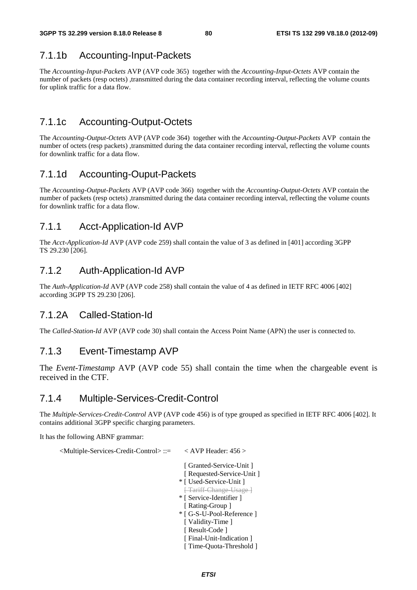# 7.1.1b Accounting-Input-Packets

The *Accounting-Input-Packets* AVP (AVP code 365) together with the *Accounting-Input-Octets* AVP contain the number of packets (resp octets) ,transmitted during the data container recording interval, reflecting the volume counts for uplink traffic for a data flow.

# 7.1.1c Accounting-Output-Octets

The *Accounting-Output-Octets* AVP (AVP code 364) together with the *Accounting-Output-Packets* AVP contain the number of octets (resp packets) ,transmitted during the data container recording interval, reflecting the volume counts for downlink traffic for a data flow.

# 7.1.1d Accounting-Ouput-Packets

The *Accounting-Output-Packets* AVP (AVP code 366) together with the *Accounting-Output-Octets* AVP contain the number of packets (resp octets) ,transmitted during the data container recording interval, reflecting the volume counts for downlink traffic for a data flow.

### 7.1.1 Acct-Application-Id AVP

The *Acct-Application-Id* AVP (AVP code 259) shall contain the value of 3 as defined in [401] according 3GPP TS 29.230 [206].

### 7.1.2 Auth-Application-Id AVP

The *Auth-Application-Id* AVP (AVP code 258) shall contain the value of 4 as defined in IETF RFC 4006 [402] according 3GPP TS 29.230 [206].

### 7.1.2A Called-Station-Id

The *Called-Station-Id* AVP (AVP code 30) shall contain the Access Point Name (APN) the user is connected to.

### 7.1.3 Event-Timestamp AVP

The *Event-Timestamp* AVP (AVP code 55) shall contain the time when the chargeable event is received in the CTF.

### 7.1.4 Multiple-Services-Credit-Control

The *Multiple-Services-Credit-Control* AVP (AVP code 456) is of type grouped as specified in IETF RFC 4006 [402]. It contains additional 3GPP specific charging parameters.

It has the following ABNF grammar:

<Multiple-Services-Credit-Control> ::= < AVP Header: 456 >

 [ Granted-Service-Unit ] [ Requested-Service-Unit ] \* [ Used-Service-Unit ] [ Tariff-Change-Usage ] \* [ Service-Identifier ] [ Rating-Group ] \* [ G-S-U-Pool-Reference ] [ Validity-Time ] [ Result-Code ] [ Final-Unit-Indication ] [ Time-Quota-Threshold ]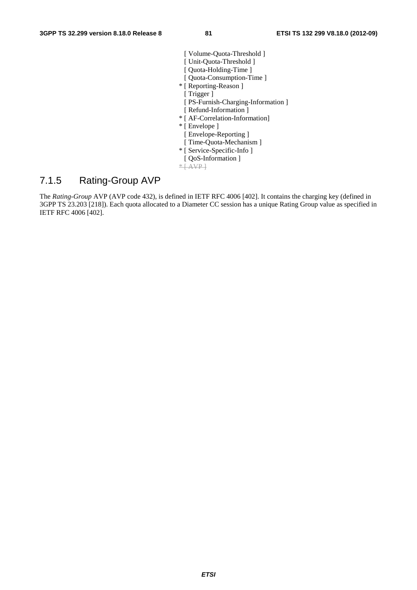- [ Volume-Quota-Threshold ] [ Unit-Quota-Threshold ]
- [ Quota-Holding-Time ]
- [ Quota-Consumption-Time ]
- \* [ Reporting-Reason ]
	- [ Trigger ]
	- [ PS-Furnish-Charging-Information ]
- [ Refund-Information ]
- \* [ AF-Correlation-Information]
- \* [ Envelope ]
	- [ Envelope-Reporting ]
	- [ Time-Quota-Mechanism ]
- \* [ Service-Specific-Info ]
- [ QoS-Information ]
- $*$   $\overline{AVP}$

### 7.1.5 Rating-Group AVP

The *Rating-Group* AVP (AVP code 432), is defined in IETF RFC 4006 [402]. It contains the charging key (defined in 3GPP TS 23.203 [218]). Each quota allocated to a Diameter CC session has a unique Rating Group value as specified in IETF RFC 4006 [402].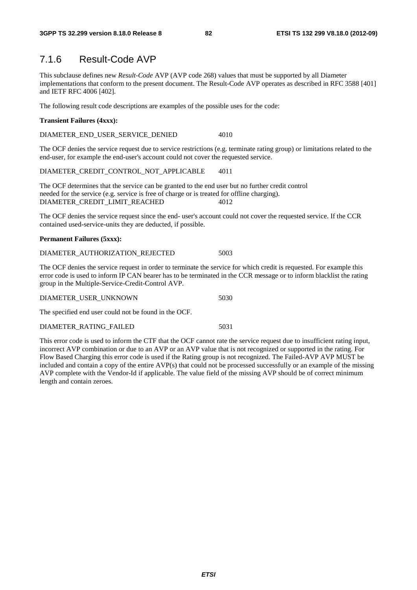### 7.1.6 Result-Code AVP

This subclause defines new *Result-Code* AVP (AVP code 268) values that must be supported by all Diameter implementations that conform to the present document. The Result-Code AVP operates as described in RFC 3588 [401] and IETF RFC 4006 [402].

The following result code descriptions are examples of the possible uses for the code:

#### **Transient Failures (4xxx):**

DIAMETER\_END\_USER\_SERVICE\_DENIED 4010

The OCF denies the service request due to service restrictions (e.g. terminate rating group) or limitations related to the end-user, for example the end-user's account could not cover the requested service.

DIAMETER\_CREDIT\_CONTROL\_NOT\_APPLICABLE 4011

The OCF determines that the service can be granted to the end user but no further credit control needed for the service (e.g. service is free of charge or is treated for offline charging). DIAMETER\_CREDIT\_LIMIT\_REACHED 4012

The OCF denies the service request since the end- user's account could not cover the requested service. If the CCR contained used-service-units they are deducted, if possible.

#### **Permanent Failures (5xxx):**

| DIAMETER AUTHORIZATION REJECTED | 5003 |
|---------------------------------|------|
|---------------------------------|------|

The OCF denies the service request in order to terminate the service for which credit is requested. For example this error code is used to inform IP CAN bearer has to be terminated in the CCR message or to inform blacklist the rating group in the Multiple-Service-Credit-Control AVP.

| DIAMETER USER UNKNOWN |  |
|-----------------------|--|
|                       |  |

The specified end user could not be found in the OCF.

#### DIAMETER\_RATING\_FAILED 5031

This error code is used to inform the CTF that the OCF cannot rate the service request due to insufficient rating input, incorrect AVP combination or due to an AVP or an AVP value that is not recognized or supported in the rating. For Flow Based Charging this error code is used if the Rating group is not recognized. The Failed-AVP AVP MUST be included and contain a copy of the entire AVP(s) that could not be processed successfully or an example of the missing AVP complete with the Vendor-Id if applicable. The value field of the missing AVP should be of correct minimum length and contain zeroes.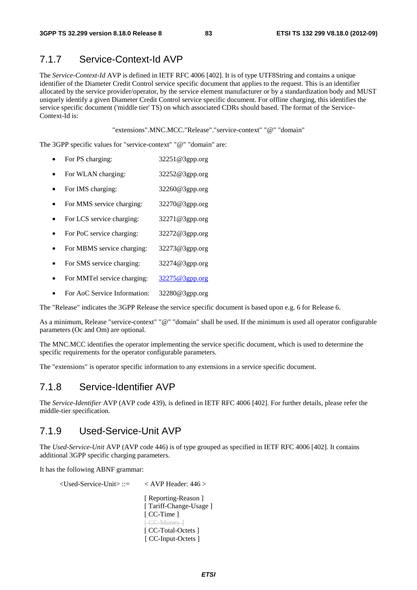### 7.1.7 Service-Context-Id AVP

The *Service-Context-Id* AVP is defined in IETF RFC 4006 [402]. It is of type UTF8String and contains a unique identifier of the Diameter Credit Control service specific document that applies to the request. This is an identifier allocated by the service provider/operator, by the service element manufacturer or by a standardization body and MUST uniquely identify a given Diameter Credit Control service specific document. For offline charging, this identifies the service specific document ('middle tier' TS) on which associated CDRs should based. The format of the Service-Context-Id is:

"extensions".MNC.MCC."Release"."service-context" "@" "domain"

The 3GPP specific values for "service-context" "@" "domain" are:

- For PS charging: 32251@3gpp.org
- For WLAN charging: 32252@3gpp.org
- For IMS charging: 32260@3gpp.org
- For MMS service charging: 32270@3gpp.org
- For LCS service charging: 32271@3gpp.org
- For PoC service charging: 32272@3gpp.org
- For MBMS service charging: 32273@3gpp.org
- For SMS service charging: 32274@3gpp.org
- For MMTel service charging: [32275@3gpp.org](mailto:32275@3gpp.org)
- For AoC Service Information: 32280@3gpp.org

The "Release" indicates the 3GPP Release the service specific document is based upon e.g. 6 for Release 6.

As a minimum, Release "service-context" "@" "domain" shall be used. If the minimum is used all operator configurable parameters (Oc and Om) are optional.

The MNC.MCC identifies the operator implementing the service specific document, which is used to determine the specific requirements for the operator configurable parameters.

The "extensions" is operator specific information to any extensions in a service specific document.

### 7.1.8 Service-Identifier AVP

The *Service-Identifier* AVP (AVP code 439), is defined in IETF RFC 4006 [402]. For further details, please refer the middle-tier specification.

### 7.1.9 Used-Service-Unit AVP

The *Used-Service-Unit* AVP (AVP code 446) is of type grouped as specified in IETF RFC 4006 [402]. It contains additional 3GPP specific charging parameters.

It has the following ABNF grammar:

<Used-Service-Unit> ::= < AVP Header: 446 >

 [ Reporting-Reason ] [ Tariff-Change-Usage ] [ CC-Time ] [ CC-Money ] [ CC-Total-Octets ] [ CC-Input-Octets ]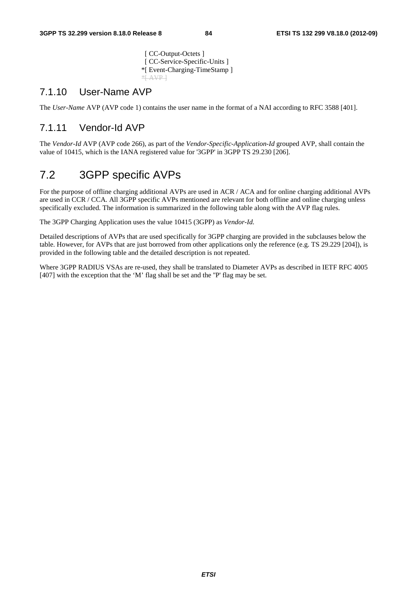[ CC-Output-Octets ] [ CC-Service-Specific-Units ] \*[ Event-Charging-TimeStamp ]  $*$  $AVP$ 

### 7.1.10 User-Name AVP

The *User-Name* AVP (AVP code 1) contains the user name in the format of a NAI according to RFC 3588 [401].

### 7.1.11 Vendor-Id AVP

The *Vendor-Id* AVP (AVP code 266), as part of the *Vendor-Specific-Application-Id* grouped AVP, shall contain the value of 10415, which is the IANA registered value for '3GPP' in 3GPP TS 29.230 [206].

# 7.2 3GPP specific AVPs

For the purpose of offline charging additional AVPs are used in ACR / ACA and for online charging additional AVPs are used in CCR / CCA. All 3GPP specific AVPs mentioned are relevant for both offline and online charging unless specifically excluded. The information is summarized in the following table along with the AVP flag rules.

The 3GPP Charging Application uses the value 10415 (3GPP) as *Vendor-Id.*

Detailed descriptions of AVPs that are used specifically for 3GPP charging are provided in the subclauses below the table. However, for AVPs that are just borrowed from other applications only the reference (e.g. TS 29.229 [204]), is provided in the following table and the detailed description is not repeated.

Where 3GPP RADIUS VSAs are re-used, they shall be translated to Diameter AVPs as described in IETF RFC 4005 [407] with the exception that the 'M' flag shall be set and the ''P' flag may be set.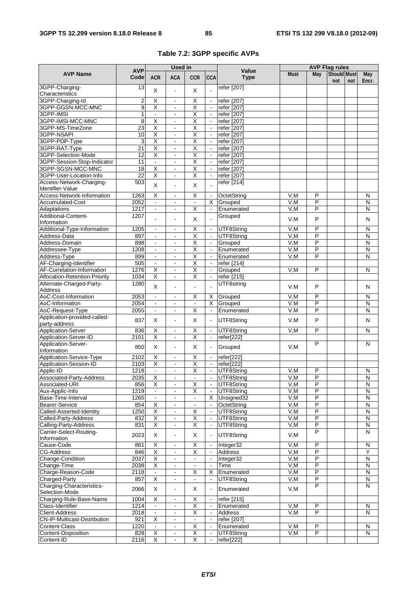# **Table 7.2: 3GPP specific AVPs**

|                                                  | <b>AVP</b>            | <b>Used in</b>               |                                  |                                                    |                                  | Value                      | <b>AVP Flag rules</b> |                |                    |     |                         |  |
|--------------------------------------------------|-----------------------|------------------------------|----------------------------------|----------------------------------------------------|----------------------------------|----------------------------|-----------------------|----------------|--------------------|-----|-------------------------|--|
| <b>AVP Name</b>                                  | Code                  | <b>ACR</b>                   | <b>ACA</b>                       | <b>CCR</b>                                         | <b>CCA</b>                       | <b>Type</b>                | <b>Must</b>           | May            | Should Must<br>not | not | <b>May</b><br>Encr.     |  |
| 3GPP-Charging-                                   | 13                    | X                            | $\overline{a}$                   | X                                                  |                                  | refer [207]                |                       |                |                    |     |                         |  |
| Characteristics                                  |                       |                              |                                  |                                                    |                                  |                            |                       |                |                    |     |                         |  |
| 3GPP-Charging-Id                                 | $\mathbf 2$           | X                            | $\blacksquare$                   | $\overline{\mathsf{X}}$                            | $\omega$                         | refer [207]                |                       |                |                    |     |                         |  |
| 3GPP-GGSN-MCC-MNC                                | 9                     | $\overline{\mathsf{X}}$      | $\blacksquare$                   | $\overline{\mathsf{X}}$                            | $\Box$                           | refer [207]                |                       |                |                    |     |                         |  |
| 3GPP-IMSI                                        | $\mathbf{1}$          | $\sim$                       | $\blacksquare$                   | $\overline{\mathsf{x}}$                            | $\omega$                         | refer [207]                |                       |                |                    |     |                         |  |
| 3GPP-IMSI-MCC-MNC                                | 8                     | $\overline{\mathsf{X}}$      | $\blacksquare$                   | $\overline{\mathsf{x}}$                            | $\omega$                         | refer [207]                |                       |                |                    |     |                         |  |
| 3GPP-MS-TimeZone                                 | 23                    | $\overline{\mathsf{x}}$      | $\blacksquare$                   | $\overline{\mathsf{x}}$                            | $\omega$                         | refer [207]                |                       |                |                    |     |                         |  |
| 3GPP-NSAPI                                       | 10                    | $\overline{\mathsf{x}}$      | ÷,                               | $\overline{\mathsf{x}}$                            | $\blacksquare$                   | refer [207]                |                       |                |                    |     |                         |  |
| 3GPP-PDP-Type                                    | 3                     | $\overline{\mathsf{X}}$      | $\blacksquare$                   | $\overline{\mathsf{x}}$                            | $\omega$                         | refer [207]                |                       |                |                    |     |                         |  |
| 3GPP-RAT-Type                                    | 21                    | $\overline{\mathsf{X}}$<br>Χ | $\blacksquare$                   | $\overline{\mathsf{x}}$<br>Χ                       | $\blacksquare$                   | refer [207]                |                       |                |                    |     |                         |  |
| 3GPP-Selection-Mode                              | $\overline{12}$<br>11 |                              | $\blacksquare$                   | Χ                                                  | $\blacksquare$                   | refer [207]                |                       |                |                    |     |                         |  |
| 3GPP-Session-Stop-Indicator<br>3GPP-SGSN-MCC-MNC | $\overline{18}$       | $\blacksquare$<br>Χ          | $\blacksquare$<br>$\blacksquare$ | Χ                                                  | $\blacksquare$<br>$\blacksquare$ | refer [207]<br>refer [207] |                       |                |                    |     |                         |  |
| 3GPP-User-Location-Info                          | $\overline{22}$       | χ                            | $\blacksquare$                   | χ                                                  | $\blacksquare$                   | refer [207]                |                       |                |                    |     |                         |  |
| Access-Network-Charging-                         | 503                   |                              |                                  |                                                    |                                  | refer [214]                |                       |                |                    |     |                         |  |
| Identifier-Value                                 |                       | X                            | $\overline{\phantom{a}}$         | X                                                  |                                  |                            |                       |                |                    |     |                         |  |
| Access-Network-Information                       | 1263                  | $\overline{\mathsf{X}}$      | $\blacksquare$                   | $\overline{\mathsf{X}}$                            | $\blacksquare$                   | OctetString                | V,M                   | P              |                    |     | N                       |  |
| <b>Accumulated-Cost</b>                          | 2052                  | $\blacksquare$               | $\blacksquare$                   | $\blacksquare$                                     | X                                | Grouped                    | V, M                  | P              |                    |     | N                       |  |
| Adaptations                                      | 1217                  | $\blacksquare$               | $\blacksquare$                   | Χ                                                  | $\omega$                         | Enumerated                 | V,M                   | $\overline{P}$ |                    |     | $\overline{\mathsf{N}}$ |  |
| Additional-Content-                              | 1207                  |                              |                                  |                                                    |                                  | Grouped                    |                       |                |                    |     |                         |  |
| Information                                      |                       |                              | $\blacksquare$                   | X                                                  |                                  |                            | V,M                   | P              |                    |     | N                       |  |
| Additional-Type-Information                      | 1205                  | $\frac{1}{2}$                | $\blacksquare$                   | $\overline{\mathsf{x}}$                            | $\blacksquare$                   | UTF8String                 | V,M                   | P              |                    |     | N                       |  |
| Address-Data                                     | 897                   | $\sim$                       | $\blacksquare$                   | $\overline{\mathsf{x}}$                            | $\blacksquare$                   | UTF8String                 | V,M                   | $\overline{P}$ |                    |     | N                       |  |
| Address-Domain                                   | 898                   | $\blacksquare$               | $\blacksquare$                   | Χ                                                  | $\blacksquare$                   | Grouped                    | V, M                  | $\overline{P}$ |                    |     | $\overline{\mathsf{N}}$ |  |
| Addressee-Type                                   | 1208                  | $\mathbf{r}$                 | $\blacksquare$                   | Χ                                                  | $\omega$                         | Enumerated                 | V,M                   | P              |                    |     | $\overline{\mathsf{N}}$ |  |
| Address-Type                                     | 899                   | $\overline{\phantom{a}}$     |                                  | $\overline{\mathsf{x}}$                            | $\blacksquare$                   | Enumerated                 | V,M                   | P              |                    |     | N                       |  |
| AF-Charging-Identifier                           | 505                   | $\blacksquare$               | $\blacksquare$                   | $\overline{\mathsf{X}}$                            | $\blacksquare$                   | refer [214]                |                       |                |                    |     |                         |  |
| AF-Correlation-Information                       | 1276                  | X                            | $\blacksquare$                   | $\overline{\mathsf{X}}$                            | $\mathbb{Z}^2$                   | Grouped                    | V.M                   | P              |                    |     | N                       |  |
| Allocation-Retention-Priority                    | 1034                  | $\overline{\mathsf{x}}$      | $\blacksquare$                   | $\overline{\mathsf{x}}$                            | $\omega$                         | refer [215]                |                       |                |                    |     |                         |  |
| Alternate-Charged-Party-                         | 1280                  | X                            | $\blacksquare$                   | $\overline{a}$                                     |                                  | UTF8string                 | V.M                   | P              |                    |     | N                       |  |
| Address                                          |                       |                              |                                  |                                                    |                                  |                            |                       |                |                    |     |                         |  |
| AoC-Cost-Information                             | 2053                  | $\blacksquare$               | $\blacksquare$                   | $\overline{\mathsf{x}}$                            | X                                | Grouped                    | V,M                   | P              |                    |     | N                       |  |
| AoC-Information                                  | 2054                  | $\mathbf{r}$                 | $\mathbf{r}$                     | $\blacksquare$                                     | X                                | Grouped                    | V.M                   | P              |                    |     | N                       |  |
| AoC-Request-Type                                 | 2055                  | $\blacksquare$               | $\blacksquare$                   | $\overline{\mathsf{x}}$                            | $\omega$                         | Enumerated                 | V.M                   | $\overline{P}$ |                    |     | N                       |  |
| Application-provided-called-                     | 837                   | X                            | $\blacksquare$                   | X                                                  | $\blacksquare$                   | UTF8String                 | V,M                   | P              |                    |     | N                       |  |
| party-address                                    |                       |                              |                                  |                                                    |                                  |                            |                       | $\overline{P}$ |                    |     |                         |  |
| Application-Server<br>Application-Server-ID      | 836<br>2101           | X<br>$\overline{\mathsf{x}}$ | $\blacksquare$<br>$\blacksquare$ | $\overline{\mathsf{x}}$<br>$\overline{\mathsf{x}}$ | $\blacksquare$<br>$\blacksquare$ | UTF8String<br>refer[222]   | V,M                   |                |                    |     | N                       |  |
| Application-Server-                              |                       |                              |                                  |                                                    |                                  |                            |                       | P              |                    |     | N                       |  |
| Information                                      | 850                   | X                            | ÷,                               | X                                                  | $\blacksquare$                   | Grouped                    | V, M                  |                |                    |     |                         |  |
| Application-Service-Type                         | 2102                  | X                            |                                  | Χ                                                  | $\blacksquare$                   | refer[222]                 |                       |                |                    |     |                         |  |
| Application-Session-ID                           | 2103                  | $\overline{\mathsf{X}}$      | $\blacksquare$                   | $\overline{\mathsf{X}}$                            | $\blacksquare$                   | refer[222]                 |                       |                |                    |     |                         |  |
| Applic-ID                                        | 1218                  | $\omega$                     | $\blacksquare$                   | X                                                  | $\omega$                         | UTF8String                 | V, M                  | P              |                    |     | N                       |  |
| Associated-Party-Address                         | 2035                  | $\overline{\mathsf{X}}$      |                                  |                                                    | $\sim$                           | UTF8String                 | V, M                  | P              |                    |     | N                       |  |
| Associated-URI                                   | 856                   | X                            |                                  | $\overline{X}$                                     |                                  | UTF8String                 | V,M                   | P              |                    |     | N                       |  |
| Aux-Applic-Info                                  | 1219                  |                              |                                  | $\overline{\mathsf{x}}$                            |                                  | UTF8String                 | V,M                   | P              |                    |     | N                       |  |
| Base-Time-Interval                               | 1265                  | $\blacksquare$               | $\blacksquare$                   | $\blacksquare$                                     | X                                | Unsigned32                 | V,M                   | P              |                    |     | ${\sf N}$               |  |
| <b>Bearer-Service</b>                            | 854                   | X                            | $\blacksquare$                   | $\blacksquare$                                     | $\blacksquare$                   | OctetString                | V,M                   | $\overline{P}$ |                    |     | ${\sf N}$               |  |
| Called-Asserted-Identity                         | 1250                  | $\overline{\mathsf{x}}$      | $\blacksquare$                   | $\overline{X}$                                     | $\Box$                           | UTF8String                 | V,M                   | $\overline{P}$ |                    |     | N                       |  |
| Called-Party-Address                             | 832                   | $\overline{X}$               | $\blacksquare$                   | $\overline{\mathsf{X}}$                            | $\Box$                           | UTF8String                 | V,M                   | P              |                    |     | N                       |  |
| Calling-Party-Address                            | 831                   | Χ                            | $\blacksquare$                   | $\overline{X}$                                     | $\blacksquare$                   | UTF8String                 | V,M                   | P              |                    |     | ${\sf N}$               |  |
| Carrier-Select-Routing-                          |                       |                              |                                  |                                                    |                                  |                            |                       | $\overline{P}$ |                    |     | N                       |  |
| Information                                      | 2023                  | X                            | $\blacksquare$                   | $\pmb{\times}$                                     | $\blacksquare$                   | UTF8String                 | V,M                   |                |                    |     |                         |  |
| Cause-Code                                       | 861                   | X                            | $\blacksquare$                   | X                                                  | $\blacksquare$                   | Integer32                  | V, M                  | P              |                    |     | N                       |  |
| <b>CG-Address</b>                                | 846                   | $\overline{X}$               | $\blacksquare$                   | $\overline{\mathsf{X}}$                            | $\blacksquare$                   | Address                    | V,M                   | $\overline{P}$ |                    |     | Y                       |  |
| Change-Condition                                 | 2037                  | $\overline{\mathsf{x}}$      | $\blacksquare$                   | $\blacksquare$                                     | $\blacksquare$                   | Integer32                  | V,M                   | $\overline{P}$ |                    |     | ${\sf N}$               |  |
| Change-Time                                      | 2038                  | $\overline{\mathsf{x}}$      | $\blacksquare$                   | $\blacksquare$                                     | $\blacksquare$                   | Time                       | V,M                   | $\overline{P}$ |                    |     | N                       |  |
| Charge-Reason-Code                               | 2118                  |                              | $\blacksquare$                   | X                                                  | Χ                                | Enumerated                 | V,M                   | P              |                    |     | N                       |  |
| Charged-Party                                    | 857                   | X                            | $\blacksquare$                   |                                                    | ÷,                               | UTF8String                 | V,M                   | P              |                    |     | N                       |  |
| Charging-Characteristics-                        | 2066                  | X                            | $\blacksquare$                   | X                                                  |                                  | Enumerated                 | V,M                   | P              |                    |     | N                       |  |
| Selection-Mode                                   |                       |                              |                                  |                                                    |                                  |                            |                       |                |                    |     |                         |  |
| Charging-Rule-Base-Name                          | 1004                  | $\overline{\mathsf{X}}$      | $\blacksquare$                   | $\overline{X}$                                     | $\blacksquare$                   | refer [215]                |                       |                |                    |     |                         |  |
| Class-Identifier                                 | 1214                  | $\blacksquare$               | $\blacksquare$                   | $\overline{\mathsf{X}}$                            |                                  | Enumerated                 | V,M                   | P              |                    |     | N                       |  |
| <b>Client-Address</b>                            | 2018                  |                              | $\blacksquare$                   | $\overline{\mathsf{X}}$                            | $\blacksquare$                   | Address                    | V,M                   | $\overline{P}$ |                    |     | N                       |  |
| CN-IP-Multicast-Distribution                     | 921                   | X                            | $\blacksquare$                   | $\blacksquare$                                     | $\Box$                           | refer [207]                |                       |                |                    |     |                         |  |
| Content-Class                                    | 1220                  | $\blacksquare$               | $\blacksquare$                   | $\overline{X}$                                     | $\omega$                         | Enumerated                 | V,M                   | P              |                    |     | N                       |  |
| Content-Disposition                              | 828                   | X                            | $\blacksquare$                   | $\overline{X}$                                     | $\omega$                         | UTF8String                 | V,M                   | $\overline{P}$ |                    |     | ${\sf N}$               |  |
| Content-ID                                       | 2116                  | X                            | $\Box$                           | $\overline{\mathsf{X}}$                            | $\blacksquare$                   | refer[222]                 |                       |                |                    |     |                         |  |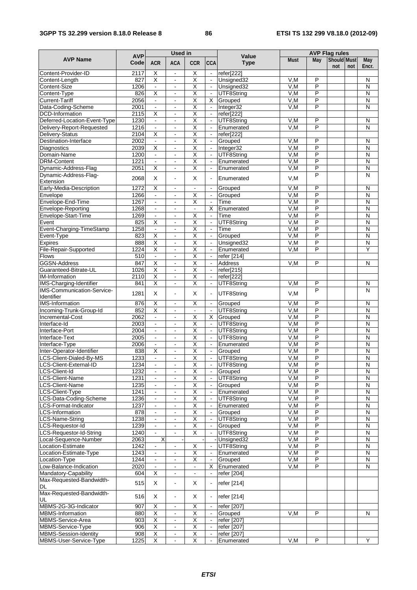#### **3GPP TS 32.299 version 8.18.0 Release 8 86 ETSI TS 132 299 V8.18.0 (2012-09)**

|                                                           |                    |                                  | <b>Used in</b>                             |                                                    |                                  |                          | <b>AVP Flag rules</b> |                              |                    |     |                              |  |  |
|-----------------------------------------------------------|--------------------|----------------------------------|--------------------------------------------|----------------------------------------------------|----------------------------------|--------------------------|-----------------------|------------------------------|--------------------|-----|------------------------------|--|--|
| <b>AVP Name</b>                                           | <b>AVP</b><br>Code | <b>ACR</b>                       | <b>ACA</b>                                 | <b>CCR</b>                                         | <b>CCA</b>                       | Value<br><b>Type</b>     | <b>Must</b>           | May                          | Should Must<br>not | not | May<br>Encr.                 |  |  |
| Content-Provider-ID                                       | 2117               | Х                                | $\blacksquare$                             | Χ                                                  | $\blacksquare$                   | refer[222]               |                       |                              |                    |     |                              |  |  |
| Content-Length                                            | 827                | χ                                | $\overline{a}$                             | $\overline{\mathsf{x}}$                            |                                  | Unsigned32               | V,M                   | P                            |                    |     | N                            |  |  |
| Content-Size                                              | 1206               | $\blacksquare$                   | $\blacksquare$                             | $\overline{\mathsf{x}}$                            | $\blacksquare$                   | Unsigned32               | V, M                  | P                            |                    |     | $\mathsf{N}$                 |  |  |
| Content-Type                                              | 826                | $\overline{\mathsf{x}}$          | $\blacksquare$                             | $\overline{\mathsf{x}}$                            | $\omega$                         | UTF8String               | V,M                   | P                            |                    |     | N                            |  |  |
| <b>Current-Tariff</b>                                     | 2056               | $\omega$                         | ä,                                         | $\overline{\mathsf{x}}$                            | X                                | Grouped                  | V, M                  | P                            |                    |     | $\mathsf{N}$                 |  |  |
| Data-Coding-Scheme                                        | 2001               | $\omega$                         | $\overline{a}$                             | $\overline{\mathsf{x}}$                            | $\omega$                         | Integer32                | V, M                  | P                            |                    |     | $\mathsf{N}$                 |  |  |
| <b>DCD-Information</b>                                    | 2115<br>1230       | X                                | $\blacksquare$                             | $\overline{\mathsf{x}}$<br>$\overline{\mathsf{x}}$ | $\sim$<br>$\blacksquare$         | refer[222]<br>UTF8String | V, M                  | P                            |                    |     | $\mathsf{N}$                 |  |  |
| Deferred-Location-Event-Type<br>Delivery-Report-Requested | 1216               | $\blacksquare$<br>$\blacksquare$ | $\blacksquare$                             | Χ                                                  | $\omega$                         | Enumerated               | V,M                   | P                            |                    |     | N                            |  |  |
| Delivery-Status                                           | 2104               | $\overline{\mathsf{x}}$          | $\overline{\phantom{a}}$                   | Χ                                                  | $\Box$                           | refer[222]               |                       |                              |                    |     |                              |  |  |
| Destination-Interface                                     | 2002               | $\blacksquare$                   | $\overline{a}$                             | Χ                                                  | $\blacksquare$                   | Grouped                  | V,M                   | P                            |                    |     | N                            |  |  |
| <b>Diagnostics</b>                                        | 2039               | $\overline{X}$                   | $\blacksquare$                             | $\overline{\mathsf{x}}$                            | $\blacksquare$                   | Integer32                | V, M                  | P                            |                    |     | $\overline{N}$               |  |  |
| Domain-Name                                               | 1200               | $\omega$                         | $\blacksquare$                             | Χ                                                  | $\omega$                         | UTF8String               | V.M                   | P                            |                    |     | $\overline{\mathsf{N}}$      |  |  |
| <b>DRM-Content</b>                                        | 1221               | $\blacksquare$                   | $\blacksquare$                             | $\overline{\mathsf{x}}$                            | $\blacksquare$                   | Enumerated               | V,M                   | P                            |                    |     | N                            |  |  |
| Dynamic-Address-Flag                                      | 2051               | χ                                | ä,                                         | $\overline{\mathsf{x}}$                            | $\blacksquare$                   | Enumerated               | V, M                  | $\overline{\mathsf{P}}$      |                    |     | $\overline{\mathsf{N}}$      |  |  |
| Dynamic-Address-Flag-                                     | 2068               | X                                | $\blacksquare$                             | X                                                  |                                  | Enumerated               | V,M                   | P                            |                    |     | $\overline{\mathsf{N}}$      |  |  |
| Extension                                                 |                    |                                  |                                            |                                                    |                                  |                          |                       |                              |                    |     |                              |  |  |
| Early-Media-Description                                   | 1272               | $\overline{\mathsf{x}}$          | $\blacksquare$                             | $\blacksquare$                                     | $\Box$                           | Grouped                  | V, M                  | P                            |                    |     | N                            |  |  |
| Envelope                                                  | 1266<br>1267       | $\blacksquare$                   | $\overline{\phantom{a}}$                   | $\overline{\mathsf{x}}$<br>Χ                       | $\blacksquare$                   | Grouped<br>Time          | V,M                   | P<br>$\overline{\mathsf{P}}$ |                    |     | N<br>$\overline{\mathsf{N}}$ |  |  |
| Envelope-End-Time<br>Envelope-Reporting                   | 1268               | $\blacksquare$                   | $\blacksquare$<br>$\blacksquare$           | $\blacksquare$                                     | $\blacksquare$<br>X              | Enumerated               | V, M<br>V, M          | P                            |                    |     | $\overline{N}$               |  |  |
| Envelope-Start-Time                                       | 1269               | $\blacksquare$<br>$\blacksquare$ | $\blacksquare$                             | Χ                                                  | $\omega$                         | Time                     | V,M                   | P                            |                    |     | $\overline{\mathsf{N}}$      |  |  |
| Event                                                     | 825                | $\overline{\mathsf{x}}$          | $\blacksquare$                             | $\overline{\mathsf{x}}$                            | $\blacksquare$                   | UTF8String               | V,M                   | P                            |                    |     | $\overline{\mathsf{N}}$      |  |  |
| Event-Charging-TimeStamp                                  | 1258               | $\blacksquare$                   | ÷,                                         | Χ                                                  | $\blacksquare$                   | Time                     | V, M                  | P                            |                    |     | $\overline{\mathsf{N}}$      |  |  |
| Event-Type                                                | 823                | $\overline{\mathsf{x}}$          |                                            | $\overline{\mathsf{x}}$                            | $\blacksquare$                   | Grouped                  | V, M                  | $\overline{P}$               |                    |     | $\mathsf{N}$                 |  |  |
| <b>Expires</b>                                            | 888                | $\overline{\mathsf{X}}$          | $\blacksquare$                             | $\overline{\mathsf{x}}$                            | $\omega$                         | Unsigned32               | V, M                  | P                            |                    |     | $\overline{N}$               |  |  |
| File-Repair-Supported                                     | 1224               | Χ                                | $\blacksquare$                             | X                                                  | $\blacksquare$                   | Enumerated               | V,M                   | P                            |                    |     | Υ                            |  |  |
| <b>Flows</b>                                              | 510                | $\omega$                         | ä,                                         | Χ                                                  | $\blacksquare$                   | refer [214]              |                       |                              |                    |     |                              |  |  |
| <b>GGSN-Address</b>                                       | 847                | $\overline{X}$                   | $\blacksquare$                             | Χ                                                  | $\blacksquare$                   | Address                  | V,M                   | P                            |                    |     | N                            |  |  |
| Guaranteed-Bitrate-UL                                     | 1026               | $\overline{X}$                   | $\blacksquare$                             | Χ                                                  | $\blacksquare$                   | refer[215]               |                       |                              |                    |     |                              |  |  |
| <b>IM-Information</b>                                     | 2110               | χ                                | $\blacksquare$                             | $\overline{\mathsf{X}}$                            | $\blacksquare$                   | refer[222]               |                       |                              |                    |     |                              |  |  |
| IMS-Charging-Identifier                                   | 841                | $\overline{\mathsf{x}}$          | $\ddot{\phantom{a}}$                       | Χ                                                  | $\blacksquare$                   | UTF8String               | V,M                   | P                            |                    |     | N                            |  |  |
| <b>IMS-Communication-Service-</b><br>Identifier           | 1281               | X                                | $\overline{\phantom{a}}$                   | X                                                  | $\blacksquare$                   | UTF8String               | V,M                   | $\overline{P}$               |                    |     | N                            |  |  |
| <b>IMS-Information</b>                                    | 876                | $\overline{\mathsf{X}}$          | $\blacksquare$                             | $\overline{\mathsf{x}}$                            | $\blacksquare$                   | Grouped                  | V, M                  | P                            |                    |     | $\mathsf{N}$                 |  |  |
| Incoming-Trunk-Group-Id                                   | 852                | Χ                                | $\blacksquare$                             | ä,                                                 | $\omega$                         | UTF8String               | V, M                  | P                            |                    |     | $\overline{\mathsf{N}}$      |  |  |
| Incremental-Cost                                          | 2062               | $\blacksquare$                   | ä,                                         | $\overline{\mathsf{x}}$                            | X                                | Grouped                  | V,M                   | P                            |                    |     | N                            |  |  |
| Interface-Id                                              | 2003               | $\blacksquare$                   |                                            | Χ                                                  | $\omega$                         | UTF8String               | V, M                  | $\overline{\mathsf{P}}$      |                    |     | $\overline{\mathsf{N}}$      |  |  |
| Interface-Port<br>Interface-Text                          | 2004<br>2005       | $\blacksquare$<br>$\mathbf{r}$   | $\blacksquare$<br>$\overline{\phantom{a}}$ | $\overline{\mathsf{x}}$<br>$\overline{\mathsf{x}}$ | $\omega$<br>$\blacksquare$       | UTF8String<br>UTF8String | V, M<br>V, M          | P<br>P                       |                    |     | $\mathsf{N}$<br>$\mathsf{N}$ |  |  |
| Interface-Type                                            | 2006               | $\omega$                         | ä,                                         | $\overline{\mathsf{x}}$                            | $\mathbb{Z}^2$                   | Enumerated               | V,M                   | P                            |                    |     | N                            |  |  |
| Inter-Operator-Identifier                                 | 838                | Χ                                | $\blacksquare$                             | $\overline{\mathsf{x}}$                            | $\blacksquare$                   | Grouped                  | V,M                   | P                            |                    |     | N                            |  |  |
| LCS-Client-Dialed-By-MS                                   | 1233               | $\blacksquare$                   |                                            | $\overline{\mathsf{x}}$                            | $\blacksquare$                   | UTF8String               | V, M                  | P                            |                    |     | $\overline{\mathsf{N}}$      |  |  |
| LCS-Client-External-ID                                    | 1234               | $\blacksquare$                   | $\blacksquare$                             | <u>X</u>                                           | $\blacksquare$                   | UTF8String               | V, M                  | P                            |                    |     | N                            |  |  |
| LCS-Client-Id                                             | 1232               | $\mathbf{r}$                     | ä,                                         | $\overline{\mathsf{x}}$                            |                                  | Grouped                  | V,M                   | P                            |                    |     | $\mathsf{N}$                 |  |  |
| <b>LCS-Client-Name</b>                                    | 1231               |                                  | $\blacksquare$                             | $\overline{\mathsf{x}}$                            |                                  | UTF8String               | V,M                   | $\overline{P}$               |                    |     | N                            |  |  |
| <b>LCS-Client-Name</b>                                    | 1235               | $\blacksquare$                   | $\blacksquare$                             | $\overline{\mathsf{X}}$                            | $\blacksquare$                   | Grouped                  | V, M                  | Ρ                            |                    |     | $\mathsf{N}$                 |  |  |
| <b>LCS-Client-Type</b>                                    | 1241               | $\blacksquare$                   | $\blacksquare$                             | $\overline{\mathsf{x}}$                            | $\blacksquare$                   | Enumerated               | V, M                  | P                            |                    |     | $\mathsf{N}$                 |  |  |
| LCS-Data-Coding-Scheme                                    | 1236               | $\blacksquare$                   | ÷.                                         | Χ                                                  | $\omega$                         | UTF8String               | V,M                   | $\overline{P}$               |                    |     | $\mathsf{N}$                 |  |  |
| LCS-Format-Indicator                                      | 1237               | $\blacksquare$                   | $\blacksquare$                             | $\overline{\mathsf{x}}$                            | $\blacksquare$                   | Enumerated               | V,M                   | P                            |                    |     | $\mathsf{N}$                 |  |  |
| <b>LCS-Information</b>                                    | 878                |                                  |                                            | Χ                                                  | $\blacksquare$                   | Grouped                  | V, M                  | $\overline{\mathsf{P}}$      |                    |     | N                            |  |  |
| <b>LCS-Name-String</b>                                    | 1238               | $\blacksquare$                   | $\blacksquare$                             | $\overline{\mathsf{x}}$                            | $\blacksquare$                   | UTF8String               | V, M                  | P<br>$\overline{P}$          |                    |     | $\mathsf{N}$                 |  |  |
| LCS-Requestor-Id<br>LCS-Requestor-Id-String               | 1239<br>1240       | $\blacksquare$<br>$\omega$       | $\blacksquare$<br>ä,                       | $\overline{\mathsf{X}}$<br>Χ                       | $\blacksquare$<br>$\blacksquare$ | Grouped<br>UTF8String    | V, M<br>V,M           | $\overline{P}$               |                    |     | ${\sf N}$<br>$\mathsf{N}$    |  |  |
| Local-Sequence-Number                                     | 2063               | $\overline{\mathsf{x}}$          |                                            |                                                    |                                  | Unsigned32               | V,M                   | P                            |                    |     | N                            |  |  |
| Location-Estimate                                         | 1242               |                                  |                                            | $\overline{\mathsf{x}}$                            |                                  | UTF8String               | V, M                  | P                            |                    |     | $\mathsf{N}$                 |  |  |
| Location-Estimate-Type                                    | 1243               | $\mathcal{L}_{\mathcal{A}}$      | $\blacksquare$                             | Χ                                                  | $\blacksquare$                   | Enumerated               | V,M                   | P                            |                    |     | ${\sf N}$                    |  |  |
| Location-Type                                             | 1244               | $\blacksquare$                   | $\blacksquare$                             | $\overline{\mathsf{x}}$                            |                                  | Grouped                  | V, M                  | P                            |                    |     | $\mathsf{N}$                 |  |  |
| Low-Balance-Indication                                    | 2020               |                                  | $\blacksquare$                             | ä,                                                 | X.                               | Enumerated               | V,M                   | P                            |                    |     | N                            |  |  |
| Mandatory-Capability                                      | 604                | X                                | $\frac{1}{2}$                              | $\blacksquare$                                     | $\blacksquare$                   | refer [204]              |                       |                              |                    |     |                              |  |  |
| Max-Requested-Bandwidth-<br><b>DL</b>                     | 515                | X                                | $\frac{1}{2}$                              | X                                                  |                                  | refer [214]              |                       |                              |                    |     |                              |  |  |
| Max-Requested-Bandwidth-                                  | 516                | X                                | $\blacksquare$                             | X                                                  |                                  | refer [214]              |                       |                              |                    |     |                              |  |  |
| UL<br>MBMS-2G-3G-Indicator                                | 907                | X                                | ÷                                          | X                                                  | $\blacksquare$                   | refer [207]              |                       |                              |                    |     |                              |  |  |
| <b>MBMS-Information</b>                                   | 880                | $\overline{\mathsf{X}}$          | $\blacksquare$                             | $\overline{\mathsf{x}}$                            |                                  | Grouped                  | V,M                   | $\overline{P}$               |                    |     | $\mathsf{N}$                 |  |  |
| <b>MBMS-Service-Area</b>                                  | 903                | $\overline{X}$                   | $\blacksquare$                             | Χ                                                  | $\blacksquare$                   | refer [207]              |                       |                              |                    |     |                              |  |  |
| MBMS-Service-Type                                         | 906                | $\mathsf X$                      | $\blacksquare$                             | $\overline{\mathsf{x}}$                            | $\blacksquare$                   | refer [207]              |                       |                              |                    |     |                              |  |  |
| <b>MBMS-Session-Identity</b>                              | 908                | $\overline{X}$                   | $\blacksquare$                             | Χ                                                  | $\blacksquare$                   | refer [207]              |                       |                              |                    |     |                              |  |  |
| MBMS-User-Service-Type                                    | 1225               | X                                | $\frac{1}{2}$                              | $\overline{\mathsf{X}}$                            | $\blacksquare$                   | Enumerated               | V,M                   | $\overline{P}$               |                    |     | Y                            |  |  |
|                                                           |                    |                                  |                                            |                                                    |                                  |                          |                       |                              |                    |     |                              |  |  |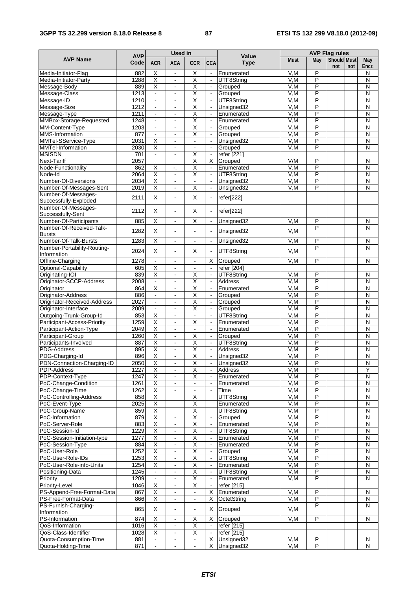#### **3GPP TS 32.299 version 8.18.0 Release 8 87 ETSI TS 132 299 V8.18.0 (2012-09)**

|                                                |                    | <b>Used in</b>                                     |                                 |                                                    |                                            |                          | <b>AVP Flag rules</b> |                                  |                    |     |                                                    |  |
|------------------------------------------------|--------------------|----------------------------------------------------|---------------------------------|----------------------------------------------------|--------------------------------------------|--------------------------|-----------------------|----------------------------------|--------------------|-----|----------------------------------------------------|--|
| <b>AVP Name</b>                                | <b>AVP</b><br>Code | <b>ACR</b>                                         | <b>ACA</b>                      | <b>CCR</b>                                         | <b>CCA</b>                                 | Value<br><b>Type</b>     | <b>Must</b>           | May                              | Should Must<br>not | not | May<br>Encr.                                       |  |
| Media-Initiator-Flag                           | 882                | Χ                                                  | $\blacksquare$                  | $\overline{\mathsf{x}}$                            | $\mathbf{r}$                               | Enumerated               | V,M                   | P                                |                    |     | N                                                  |  |
| Media-Initiator-Party                          | 1288               | Χ                                                  | $\overline{a}$                  | $\overline{\mathsf{x}}$                            | $\overline{\phantom{a}}$                   | UTF8String               | V, M                  | $\overline{P}$                   |                    |     | N                                                  |  |
| Message-Body                                   | 889                | $\overline{\mathsf{X}}$                            | $\blacksquare$                  | $\overline{\mathsf{x}}$                            | $\blacksquare$                             | Grouped                  | V, M                  | P                                |                    |     | N                                                  |  |
| Message-Class                                  | 1213               | $\blacksquare$                                     | $\overline{\phantom{a}}$        | $\overline{\mathsf{x}}$                            | $\blacksquare$                             | Grouped                  | V, M                  | $\overline{P}$                   |                    |     | $\overline{N}$                                     |  |
| Message-ID                                     | 1210               | $\omega$                                           | ä,                              | $\overline{\mathsf{x}}$                            | $\mathcal{L}^{\mathcal{A}}$                | UTF8String               | V, M                  | P                                |                    |     | $\mathsf{N}$                                       |  |
| Message-Size                                   | 1212<br>1211       | $\blacksquare$<br>$\blacksquare$                   | $\blacksquare$                  | $\overline{\mathsf{x}}$<br>$\overline{\mathsf{x}}$ | $\blacksquare$<br>$\blacksquare$           | Unsigned32               | V,M<br>V, M           | P<br>$\overline{P}$              |                    |     | N<br>N                                             |  |
| Message-Type<br>MMBox-Storage-Requested        | 1248               | $\blacksquare$                                     | $\blacksquare$                  | Χ                                                  | $\blacksquare$                             | Enumerated<br>Enumerated | V, M                  | P                                |                    |     | $\overline{N}$                                     |  |
| MM-Content-Type                                | 1203               | $\mathbf{r}$                                       | ä,                              | $\overline{\mathsf{x}}$                            | $\omega$                                   | Grouped                  | V,M                   | P                                |                    |     | $\mathsf{N}$                                       |  |
| <b>MMS-Information</b>                         | 877                | $\blacksquare$                                     | ä,                              | X                                                  | $\omega$                                   | Grouped                  | V, M                  | $\overline{P}$                   |                    |     | $\overline{N}$                                     |  |
| MMTel-SService-Type                            | 2031               | $\overline{\mathsf{X}}$                            | $\blacksquare$                  | ä,                                                 | $\omega$                                   | Unsigned32               | V, M                  | $\overline{P}$                   |                    |     | N                                                  |  |
| MMTel-Information                              | 2030               | Χ                                                  | ÷,                              | $\blacksquare$                                     | $\blacksquare$                             | Grouped                  | V, M                  | $\overline{\mathsf{P}}$          |                    |     | $\overline{\mathsf{N}}$                            |  |
| <b>MSISDN</b>                                  | 701                | $\blacksquare$                                     | $\blacksquare$                  | Χ                                                  | $\Box$                                     | refer [221]              |                       |                                  |                    |     |                                                    |  |
| <b>Next-Tariff</b>                             | 2057               |                                                    |                                 | $\overline{\mathsf{x}}$                            | $\overline{\mathsf{x}}$                    | Grouped                  | V/M                   | P                                |                    |     | $\overline{\mathsf{N}}$                            |  |
| Node-Functionality                             | 862                | $\overline{\mathsf{X}}$                            | $\mathcal{L}_\bullet$           | Χ                                                  | $\omega$                                   | Enumerated               | V, M                  | $\overline{P}$                   |                    |     | $\overline{N}$                                     |  |
| Node-Id                                        | 2064               | $\overline{\mathsf{x}}$                            | $\blacksquare$                  | $\overline{\mathsf{x}}$                            | $\omega$                                   | UTF8String               | V,M                   | P                                |                    |     | N                                                  |  |
| Number-Of-Diversions                           | 2034<br>2019       | Χ<br>$\overline{\mathsf{X}}$                       | ä,<br>÷,                        | $\overline{\phantom{a}}$<br>Χ                      | $\omega$<br>$\blacksquare$                 | Unsigned32<br>Unsigned32 | V, M<br>V, M          | $\overline{\mathsf{P}}$<br>P     |                    |     | $\overline{\mathsf{N}}$<br>$\overline{N}$          |  |
| Number-Of-Messages-Sent<br>Number-Of-Messages- |                    |                                                    |                                 |                                                    |                                            |                          |                       |                                  |                    |     |                                                    |  |
| Successfully-Exploded                          | 2111               | X                                                  | $\overline{a}$                  | X                                                  | $\blacksquare$                             | refer[222]               |                       |                                  |                    |     |                                                    |  |
| Number-Of-Messages-                            |                    |                                                    |                                 |                                                    |                                            |                          |                       |                                  |                    |     |                                                    |  |
| Successfully-Sent                              | 2112               | X                                                  | ä,                              | $\times$                                           | $\blacksquare$                             | refer[222]               |                       |                                  |                    |     |                                                    |  |
| Number-Of-Participants                         | 885                | $\overline{\mathsf{x}}$                            | $\blacksquare$                  | Χ                                                  | $\blacksquare$                             | Unsigned32               | V.M                   | P                                |                    |     | N                                                  |  |
| Number-Of-Received-Talk-                       | 1282               | X                                                  | $\ddot{\phantom{a}}$            | $\overline{a}$                                     |                                            | Unsigned32               | V,M                   | P                                |                    |     | N                                                  |  |
| <b>Bursts</b>                                  |                    |                                                    |                                 |                                                    |                                            |                          |                       |                                  |                    |     |                                                    |  |
| Number-Of-Talk-Bursts                          | 1283               | $\overline{\mathsf{x}}$                            | $\blacksquare$                  | $\mathbf{r}$                                       | $\blacksquare$                             | Unsigned32               | V, M                  | P<br>$\overline{P}$              |                    |     | $\mathsf{N}$<br>N                                  |  |
| Number-Portability-Routing-<br>Information     | 2024               | X                                                  | $\ddot{\phantom{a}}$            | X                                                  |                                            | UTF8String               | V, M                  |                                  |                    |     |                                                    |  |
| Offline-Charging                               | 1278               | $\Box$                                             | $\blacksquare$                  | $\blacksquare$                                     | X                                          | Grouped                  | V.M                   | P                                |                    |     | N                                                  |  |
| Optional-Capability                            | 605                | $\overline{\mathsf{X}}$                            | $\frac{1}{2}$                   | $\overline{\phantom{a}}$                           | $\blacksquare$                             | refer [204]              |                       |                                  |                    |     |                                                    |  |
| Originating-IOI                                | 839                | Χ                                                  | $\blacksquare$                  | $\overline{\mathsf{x}}$                            | $\omega$                                   | UTF8String               | V.M                   | P                                |                    |     | N                                                  |  |
| Originator-SCCP-Address                        | 2008               | $\omega$                                           | $\overline{\phantom{a}}$        | $\overline{\mathsf{x}}$                            | $\overline{\phantom{a}}$                   | Address                  | V.M                   | $\overline{P}$                   |                    |     | $\overline{\mathsf{N}}$                            |  |
| Originator                                     | 864                | $\overline{\mathsf{x}}$                            | $\blacksquare$                  | Χ                                                  | $\blacksquare$                             | Enumerated               | V, M                  | P                                |                    |     | N                                                  |  |
| Originator-Address                             | 886                | $\blacksquare$                                     | $\overline{a}$                  | X                                                  | $\blacksquare$                             | Grouped                  | V, M                  | $\overline{\mathsf{P}}$          |                    |     | $\overline{\mathsf{N}}$                            |  |
| Originator-Received-Address                    | 2027               | $\blacksquare$                                     | $\blacksquare$                  | $\overline{\mathsf{x}}$                            | $\omega$                                   | Grouped                  | V.M                   | P                                |                    |     | $\overline{N}$                                     |  |
| Originator-Interface                           | 2009               | $\blacksquare$                                     | $\blacksquare$                  | $\overline{\mathsf{x}}$                            | $\blacksquare$                             | Grouped                  | V,M                   | P                                |                    |     | N                                                  |  |
| Outgoing-Trunk-Group-Id                        | 853                | Χ                                                  | $\blacksquare$                  | $\blacksquare$                                     | $\Box$                                     | UTF8String               | V, M                  | $\overline{P}$                   |                    |     | $\overline{\mathsf{N}}$                            |  |
| Participant-Access-Priority                    | 1259               | $\overline{\mathsf{X}}$                            | $\blacksquare$                  | Χ                                                  | $\blacksquare$                             | Enumerated               | V, M                  | $\overline{P}$                   |                    |     | $\overline{\mathsf{N}}$                            |  |
| Participant-Action-Type                        | 2049               | Χ                                                  | $\overline{\phantom{a}}$        | $\blacksquare$                                     | $\blacksquare$                             | Enumerated               | V, M                  | $\overline{P}$                   |                    |     | $\overline{\mathsf{N}}$                            |  |
| Participant-Group<br>Participants-Involved     | 1260               | Χ                                                  | $\blacksquare$                  | $\overline{\mathsf{x}}$<br>$\overline{\mathsf{x}}$ | $\blacksquare$                             | Grouped                  | V, M                  | $\overline{P}$<br>$\overline{P}$ |                    |     | $\overline{\mathsf{N}}$<br>$\overline{\mathsf{N}}$ |  |
| PDG-Address                                    | 887<br>895         | $\overline{\mathsf{X}}$<br>$\overline{\mathsf{x}}$ | $\ddot{\phantom{a}}$            | $\overline{\mathsf{x}}$                            | $\overline{\phantom{a}}$<br>$\blacksquare$ | UTF8String<br>Address    | V, M<br>V, M          | $\overline{\mathsf{P}}$          |                    |     | $\overline{\mathsf{N}}$                            |  |
| PDG-Charging-Id                                | 896                | Χ                                                  | $\blacksquare$                  | $\overline{\mathsf{x}}$                            | $\blacksquare$                             | Unsigned32               | V, M                  | P                                |                    |     | $\overline{N}$                                     |  |
| PDN-Connection-Charging-ID                     | 2050               | х                                                  |                                 | х                                                  |                                            | Unsigned32               | v,M                   | ۲                                |                    |     | ${\sf N}$                                          |  |
| PDP-Address                                    | 1227               | X                                                  | $\blacksquare$                  | $\overline{\mathsf{x}}$                            |                                            | <b>Address</b>           | V,M                   | P                                |                    |     | Y                                                  |  |
| PDP-Context-Type                               | 1247               | Χ                                                  | $\blacksquare$                  | $\overline{\mathsf{X}}$                            | $\blacksquare$                             | Enumerated               | V,M                   | P                                |                    |     | N                                                  |  |
| PoC-Change-Condition                           | 1261               | Χ                                                  |                                 | $\blacksquare$                                     |                                            | Enumerated               | V, M                  | $\overline{\mathsf{P}}$          |                    |     | $\mathsf{N}$                                       |  |
| PoC-Change-Time                                | 1262               | $\overline{\mathsf{X}}$                            | $\blacksquare$                  | $\Box$                                             | $\omega$                                   | Time                     | V, M                  | P                                |                    |     | $\overline{N}$                                     |  |
| PoC-Controlling-Address                        | 858                | $\overline{\mathsf{X}}$                            |                                 | $\overline{\mathsf{x}}$                            |                                            | UTF8String               | V,M                   | P                                |                    |     | $\mathsf{N}$                                       |  |
| PoC-Event-Type                                 | 2025               | Χ                                                  |                                 | Χ                                                  |                                            | Enumerated               | V, M                  | $\overline{\mathsf{P}}$          |                    |     | $\overline{N}$                                     |  |
| PoC-Group-Name                                 | 859                | $\overline{X}$                                     |                                 | $\overline{\mathsf{x}}$                            |                                            | UTF8String               | V, M                  | P                                |                    |     | $\mathsf{N}$                                       |  |
| PoC-Information                                | 879                | $\overline{\mathsf{X}}$                            | $\blacksquare$                  | $\overline{\mathsf{X}}$                            |                                            | Grouped                  | V, M                  | P                                |                    |     | $\mathsf{N}$                                       |  |
| PoC-Server-Role                                | 883                | χ                                                  | $\blacksquare$                  | $\overline{\mathsf{X}}$                            | $\blacksquare$                             | Enumerated               | V, M                  | $\overline{P}$                   |                    |     | $\overline{N}$                                     |  |
| PoC-Session-Id                                 | 1229               | $\overline{\mathsf{X}}$                            | $\blacksquare$                  | Χ                                                  |                                            | UTF8String               | V,M                   | P                                |                    |     | $\mathsf{N}$                                       |  |
| PoC-Session-Initiation-type                    | 1277               | $\overline{\mathsf{X}}$                            | ÷                               | $\overline{\mathsf{X}}$                            |                                            | Enumerated               | V, M                  | $\overline{P}$                   |                    |     | N                                                  |  |
| PoC-Session-Type<br>PoC-User-Role              | 884<br>1252        | $\overline{\mathsf{X}}$<br>$\overline{\mathsf{X}}$ | ÷,                              | χ<br>$\overline{\mathsf{X}}$                       | $\blacksquare$                             | Enumerated               | V, M                  | P<br>P                           |                    |     | $\overline{N}$<br>${\sf N}$                        |  |
| PoC-User-Role-IDs                              | 1253               | $\overline{\mathsf{X}}$                            | $\blacksquare$<br>$\frac{1}{2}$ | $\overline{\mathsf{x}}$                            | $\blacksquare$<br>$\blacksquare$           | Grouped<br>UTF8String    | V,M<br>V,M            | P                                |                    |     | $\mathsf{N}$                                       |  |
| PoC-User-Role-info-Units                       | 1254               | $\overline{X}$                                     | $\blacksquare$                  | $\overline{\mathsf{x}}$                            | $\blacksquare$                             | Enumerated               | V, M                  | P                                |                    |     | N                                                  |  |
| Positioning-Data                               | 1245               | $\blacksquare$                                     | ۰                               | $\overline{X}$                                     | $\blacksquare$                             | UTF8String               | V, M                  | P                                |                    |     | ${\sf N}$                                          |  |
| Priority                                       | 1209               | $\blacksquare$                                     | ÷.                              | χ                                                  | $\omega$                                   | Enumerated               | V,M                   | $\overline{P}$                   |                    |     | $\overline{\mathsf{N}}$                            |  |
| Priority-Level                                 | 1046               | Χ                                                  | $\blacksquare$                  | $\overline{\mathsf{x}}$                            |                                            | refer [215]              |                       |                                  |                    |     |                                                    |  |
| PS-Append-Free-Format-Data                     | 867                | Χ                                                  | $\blacksquare$                  | $\blacksquare$                                     | X                                          | Enumerated               | V,M                   | P                                |                    |     | N                                                  |  |
| PS-Free-Format-Data                            | 866                | $\overline{\mathsf{X}}$                            | $\blacksquare$                  | $\blacksquare$                                     | X                                          | OctetString              | V, M                  | P                                |                    |     | ${\sf N}$                                          |  |
| PS-Furnish-Charging-                           | 865                | X                                                  | $\blacksquare$                  | $\blacksquare$                                     | X                                          | Grouped                  | V,M                   | P                                |                    |     | N                                                  |  |
| Information                                    |                    |                                                    |                                 |                                                    |                                            |                          |                       |                                  |                    |     |                                                    |  |
| PS-Information                                 | 874                | X                                                  | $\blacksquare$                  | $\overline{\mathsf{x}}$                            | X                                          | Grouped                  | V, M                  | P                                |                    |     | $\mathsf{N}$                                       |  |
| QoS-Information                                | 1016               | Χ                                                  | $\blacksquare$                  | Χ                                                  | $\blacksquare$                             | refer [215]              |                       |                                  |                    |     |                                                    |  |
| QoS-Class-Identifier                           | 1028               | $\overline{\mathsf{X}}$                            | ÷                               | $\overline{\mathsf{X}}$                            | $\blacksquare$                             | refer [215]              |                       |                                  |                    |     |                                                    |  |
| Quota-Consumption-Time                         | 881                | $\blacksquare$                                     | $\blacksquare$                  | $\blacksquare$                                     | Χ                                          | Unsigned32               | V,M                   | P                                |                    |     | N                                                  |  |
| Quota-Holding-Time                             | 871                | $\blacksquare$                                     | $\blacksquare$                  | $\blacksquare$                                     | X                                          | Unsigned32               | V, M                  | $\overline{\mathsf{P}}$          |                    |     | $\overline{N}$                                     |  |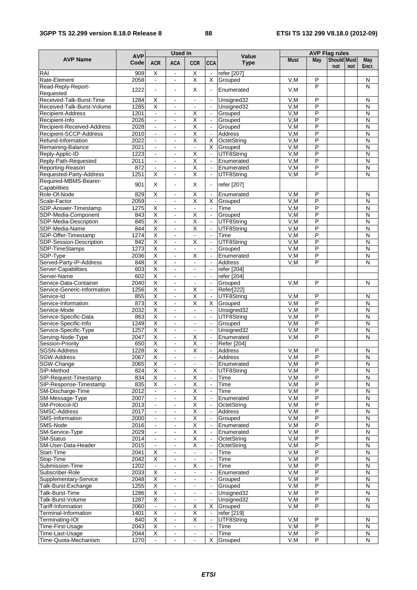#### **3GPP TS 32.299 version 8.18.0 Release 8 88 ETSI TS 132 299 V8.18.0 (2012-09)**

|                                                  |                    | <b>Used in</b>                                     |                                               |                                           |                                            |                          | <b>AVP Flag rules</b> |                              |                    |     |                                           |  |
|--------------------------------------------------|--------------------|----------------------------------------------------|-----------------------------------------------|-------------------------------------------|--------------------------------------------|--------------------------|-----------------------|------------------------------|--------------------|-----|-------------------------------------------|--|
| <b>AVP Name</b>                                  | <b>AVP</b><br>Code | <b>ACR</b>                                         | <b>ACA</b>                                    | <b>CCR</b>                                | <b>CCA</b>                                 | Value<br><b>Type</b>     | <b>Must</b>           | May                          | Should Must<br>not | not | <b>May</b><br>Encr.                       |  |
| RAI                                              | 909                | X                                                  | $\blacksquare$                                | X                                         | $\blacksquare$                             | refer [207]              |                       |                              |                    |     |                                           |  |
| Rate-Element                                     | 2058               | $\mathbf{u}$                                       | $\blacksquare$                                | $\overline{\mathsf{x}}$                   | $\overline{\mathsf{x}}$                    | Grouped                  | V.M                   | P                            |                    |     | $\mathsf{N}$                              |  |
| Read-Reply-Report-<br>Requested                  | 1222               | L.                                                 | $\overline{a}$                                | X                                         | $\overline{\phantom{a}}$                   | Enumerated               | V,M                   | $\overline{P}$               |                    |     | N                                         |  |
| Received-Talk-Burst-Time                         | 1284               | X                                                  | $\blacksquare$                                | $\blacksquare$                            | $\blacksquare$                             | Unsigned32               | V, M                  | P                            |                    |     | N                                         |  |
| Received-Talk-Burst-Volume                       | 1285               | $\overline{\mathsf{x}}$                            | ä,                                            | $\mathbf{r}$                              | $\mathbb{Z}^2$                             | Unsigned32               | V,M                   | P                            |                    |     | N                                         |  |
| Recipient-Address                                | 1201               | $\blacksquare$                                     | $\blacksquare$                                | $\overline{\mathsf{x}}$                   | $\omega$                                   | Grouped                  | V,M                   | $\overline{P}$               |                    |     | $\overline{\mathsf{N}}$                   |  |
| Recipient-Info                                   | 2026               | $\blacksquare$                                     | $\blacksquare$                                | Χ                                         | $\blacksquare$                             | Grouped                  | V, M                  | $\overline{P}$               |                    |     | $\overline{\mathsf{N}}$                   |  |
| Recipient-Received-Address                       | 2028               | $\blacksquare$                                     | $\blacksquare$                                | Χ                                         | $\blacksquare$                             | Grouped                  | V, M                  | $\overline{\mathsf{P}}$      |                    |     | $\overline{\mathsf{N}}$                   |  |
| Recipient-SCCP-Address                           | 2010               | $\blacksquare$                                     | $\blacksquare$                                | $\overline{X}$                            | $\Box$                                     | Address                  | V, M                  | P                            |                    |     | $\mathsf{N}$                              |  |
| Refund-Information                               | 2022               | $\blacksquare$                                     | ä,                                            | $\overline{\mathsf{x}}$                   | X                                          | OctetString              | V,M                   | P                            |                    |     | N                                         |  |
| Remaining-Balance                                | 2021               | $\blacksquare$                                     | $\blacksquare$                                | $\blacksquare$                            | X                                          | Grouped                  | V,M                   | $\overline{P}$               |                    |     | $\overline{\mathsf{N}}$                   |  |
| Reply-Applic-ID                                  | 1223               | $\blacksquare$                                     | $\blacksquare$                                | $\overline{\mathsf{x}}$                   | $\omega$                                   | UTF8String               | V, M                  | P                            |                    |     | $\overline{\mathsf{N}}$                   |  |
| Reply-Path-Requested                             | 2011               | $\blacksquare$                                     | $\overline{\phantom{a}}$                      | Χ                                         | $\overline{\phantom{a}}$                   | Enumerated               | V, M                  | $\overline{\mathsf{P}}$      |                    |     | $\overline{\mathsf{N}}$                   |  |
| Reporting-Reason                                 | 872                | $\blacksquare$                                     | $\blacksquare$                                | Χ<br>$\overline{\mathsf{x}}$              | $\omega$<br>$\omega$                       | Enumerated               | V, M                  | P<br>P                       |                    |     | $\overline{N}$                            |  |
| Requested-Party-Address<br>Required-MBMS-Bearer- | 1251               | Χ                                                  | $\blacksquare$                                |                                           |                                            | UTF8String               | V,M                   |                              |                    |     | N                                         |  |
| Capabilities                                     | 901                | X                                                  | ä,                                            | X                                         | $\blacksquare$                             | refer [207]              |                       |                              |                    |     |                                           |  |
| Role-Of-Node                                     | 829                | $\overline{\mathsf{x}}$                            | $\blacksquare$                                | $\overline{\mathsf{x}}$                   | $\blacksquare$                             | Enumerated               | V, M                  | P                            |                    |     | N                                         |  |
| Scale-Factor                                     | 2059               | $\omega$                                           | ä,                                            | $\overline{\mathsf{x}}$                   | X                                          | Grouped                  | V.M                   | P<br>P                       |                    |     | $\overline{\mathsf{N}}$                   |  |
| SDP-Answer-Timestamp                             | 1275<br>843        | $\overline{\mathsf{X}}$<br>$\overline{\mathsf{x}}$ | $\blacksquare$<br>L.                          | $\blacksquare$<br>$\overline{\mathsf{x}}$ | $\omega$<br>$\overline{\phantom{a}}$       | Time                     | V,M<br>V, M           | $\overline{P}$               |                    |     | N<br>N                                    |  |
| SDP-Media-Component<br>SDP-Media-Description     | 845                | $\overline{\mathsf{x}}$                            | $\blacksquare$                                | X                                         | $\omega$                                   | Grouped<br>UTF8String    | V, M                  | P                            |                    |     | N                                         |  |
| SDP-Media-Name                                   | 844                | Χ                                                  | $\blacksquare$                                | $\overline{\mathsf{x}}$                   | $\blacksquare$                             | UTF8String               | V, M                  | $\overline{P}$               |                    |     | $\overline{N}$                            |  |
| SDP-Offer-Timestamp                              | 1274               | Χ                                                  | $\blacksquare$                                | $\Box$                                    | $\mathbb{Z}^2$                             | Time                     | V, M                  | $\overline{P}$               |                    |     | $\overline{\mathsf{N}}$                   |  |
| SDP-Session-Description                          | 842                | $\overline{\mathsf{x}}$                            | $\blacksquare$                                | Χ                                         | $\blacksquare$                             | UTF8String               | V, M                  | $\overline{P}$               |                    |     | $\overline{N}$                            |  |
| SDP-TimeStamps                                   | 1273               | $\overline{\mathsf{x}}$                            | ÷,                                            | $\blacksquare$                            | $\blacksquare$                             | Grouped                  | V, M                  | $\overline{\mathsf{P}}$      |                    |     | $\overline{\mathsf{N}}$                   |  |
| SDP-Type                                         | 2036               | $\overline{\mathsf{x}}$                            | $\blacksquare$                                | Χ                                         | $\blacksquare$                             | Enumerated               | V, M                  | $\overline{P}$               |                    |     | $\overline{\mathsf{N}}$                   |  |
| Served-Party-IP-Address                          | 848                | Χ                                                  | $\blacksquare$                                | $\blacksquare$                            | $\blacksquare$                             | <b>Address</b>           | V,M                   | P                            |                    |     | N                                         |  |
| Server-Capabilities                              | 603                | Χ                                                  | ä,                                            | $\mathbf{r}$                              | $\sim$                                     | refer [204]              |                       |                              |                    |     |                                           |  |
| Server-Name                                      | 602                | $\overline{\mathsf{x}}$                            | $\blacksquare$                                | $\blacksquare$                            | $\blacksquare$                             | refer [204]              |                       |                              |                    |     |                                           |  |
| Service-Data-Container                           | 2040               | $\overline{\mathsf{x}}$                            | $\overline{\phantom{a}}$                      | $\blacksquare$                            | $\sim$                                     | Grouped                  | V,M                   | P                            |                    |     | N                                         |  |
| Service-Generic-Information                      | 1256               | Χ                                                  | ä,                                            | Χ                                         | $\omega$                                   | Refer[222]               |                       |                              |                    |     |                                           |  |
| Service-Id                                       | 855                | $\overline{\mathsf{x}}$                            | ä,                                            | $\overline{\mathsf{x}}$                   | $\blacksquare$                             | UTF8String               | V,M                   | P<br>$\overline{\mathsf{P}}$ |                    |     | N                                         |  |
| Service-Information<br>Service-Mode              | 873<br>2032        | Χ<br>$\overline{\mathsf{X}}$                       | ä,                                            | $\overline{\mathsf{x}}$<br>$\blacksquare$ | X<br>$\blacksquare$                        | Grouped                  | V, M<br>V, M          | P                            |                    |     | $\overline{\mathsf{N}}$<br>$\overline{N}$ |  |
| Service-Specific-Data                            | 863                | $\overline{\mathsf{x}}$                            | $\overline{\phantom{a}}$<br>$\blacksquare$    | $\blacksquare$                            | $\omega$                                   | Unsigned32<br>UTF8String | V, M                  | $\overline{P}$               |                    |     | $\overline{\mathsf{N}}$                   |  |
| Service-Specific-Info                            | 1249               | Χ                                                  | ä,                                            | $\blacksquare$                            | $\mathbb{Z}^2$                             | Grouped                  | V, M                  | $\overline{P}$               |                    |     | $\overline{\mathsf{N}}$                   |  |
| Service-Specific-Type                            | 1257               | $\overline{\mathsf{X}}$                            | $\blacksquare$                                | $\blacksquare$                            | $\blacksquare$                             | Unsigned32               | V,M                   | P                            |                    |     | $\overline{N}$                            |  |
| Serving-Node-Type                                | 2047               | $\overline{\mathsf{x}}$                            | $\blacksquare$                                | Χ                                         | $\blacksquare$                             | Enumerated               | V, M                  | P                            |                    |     | N                                         |  |
| Session-Priority                                 | 650                | $\overline{\mathsf{X}}$                            | $\blacksquare$                                | X                                         | $\omega$                                   | Refer [204]              |                       |                              |                    |     |                                           |  |
| <b>SGSN-Address</b>                              | 1228               | $\overline{\mathsf{x}}$                            | $\blacksquare$                                | $\overline{\mathsf{x}}$                   | $\omega$                                   | <b>Address</b>           | V,M                   | P                            |                    |     | $\mathsf{N}$                              |  |
| <b>SGW-Address</b>                               | 2067               | $\overline{\mathsf{x}}$                            | ä,                                            | $\blacksquare$                            | $\blacksquare$                             | Address                  | V, M                  | $\overline{P}$               |                    |     | $\mathsf{N}$                              |  |
| SGW-Change                                       | 2065               | х                                                  | ۳                                             | $\blacksquare$                            |                                            | Enumerated               | V,M                   | P                            |                    |     | N                                         |  |
| SIP-Method                                       | 824                | χ                                                  |                                               | $\overline{\mathsf{x}}$                   |                                            | UTF8String               | V, M                  | $\overline{P}$               |                    |     | $\overline{N}$                            |  |
| SIP-Request-Timestamp                            | 834                | $\overline{\mathsf{X}}$                            | ÷,                                            | $\overline{\mathsf{X}}$                   | $\blacksquare$                             | Time                     | V, M                  | P                            |                    |     | $\mathsf{N}$                              |  |
| SIP-Response-Timestamp                           | 835<br>2012        | $\overline{\mathsf{X}}$                            | $\blacksquare$                                | $\overline{\mathsf{X}}$                   | $\blacksquare$                             | Time                     | V,M                   | P<br>$\overline{P}$          |                    |     | ${\sf N}$                                 |  |
| SM-Discharge-Time<br>SM-Message-Type             | 2007               | ä,<br>÷                                            | $\frac{1}{2}$<br>$\qquad \qquad \blacksquare$ | Χ<br>$\overline{\mathsf{x}}$              | $\overline{\phantom{a}}$<br>$\blacksquare$ | Time<br>Enumerated       | V,M<br>V,M            | P                            |                    |     | $\mathsf{N}$<br>N                         |  |
| SM-Protocol-ID                                   | 2013               | $\blacksquare$                                     | $\overline{\phantom{a}}$                      | $\overline{\mathsf{x}}$                   |                                            | OctetString              | V, M                  | $\overline{P}$               |                    |     | $\mathsf{N}$                              |  |
| <b>SMSC-Address</b>                              | 2017               | $\blacksquare$                                     | $\blacksquare$                                | χ                                         | $\omega$                                   | Address                  | V, M                  | P                            |                    |     | $\mathsf{N}$                              |  |
| SMS-Information                                  | 2000               | $\blacksquare$                                     | $\blacksquare$                                | $\overline{\mathsf{x}}$                   | $\blacksquare$                             | Grouped                  | V,M                   | P                            |                    |     | $\mathsf{N}$                              |  |
| SMS-Node                                         | 2016               | $\blacksquare$                                     | $\blacksquare$                                | Χ                                         | $\blacksquare$                             | Enumerated               | V, M                  | $\overline{\mathsf{P}}$      |                    |     | N                                         |  |
| SM-Service-Type                                  | 2029               | $\blacksquare$                                     | $\blacksquare$                                | $\overline{\mathsf{X}}$                   | $\blacksquare$                             | Enumerated               | V, M                  | P                            |                    |     | $\mathsf{N}$                              |  |
| <b>SM-Status</b>                                 | 2014               | $\blacksquare$                                     | $\blacksquare$                                | $\overline{X}$                            | $\blacksquare$                             | OctetString              | V,M                   | P                            |                    |     | ${\sf N}$                                 |  |
| SM-User-Data-Header                              | 2015               | $\blacksquare$                                     | $\blacksquare$                                | $\overline{\mathsf{x}}$                   | $\overline{\phantom{a}}$                   | OctetString              | V, M                  | $\overline{P}$               |                    |     | ${\sf N}$                                 |  |
| Start-Time                                       | 2041               | X                                                  | $\blacksquare$                                | $\blacksquare$                            | $\blacksquare$                             | Time                     | V, M                  | P                            |                    |     | N                                         |  |
| Stop-Time                                        | 2042               | $\overline{\mathsf{X}}$                            | ÷                                             |                                           | ÷,                                         | Time                     | V, M                  | $\overline{P}$               |                    |     | $\mathsf{N}$                              |  |
| Submission-Time                                  | 1202               | $\blacksquare$                                     | $\blacksquare$                                | $\overline{\mathsf{x}}$                   | $\blacksquare$                             | Time                     | V, M                  | P                            |                    |     | $\overline{N}$                            |  |
| Subscriber-Role                                  | 2033               | X                                                  | $\blacksquare$                                | $\blacksquare$                            | $\blacksquare$                             | Enumerated               | V,M                   | P                            |                    |     | ${\sf N}$                                 |  |
| Supplementary-Service                            | 2048               | $\overline{\mathsf{x}}$                            | $\blacksquare$                                | $\blacksquare$                            | $\blacksquare$                             | Grouped                  | V,M                   | $\overline{P}$<br>P          |                    |     | N                                         |  |
| Talk-Burst-Exchange<br>Talk-Burst-Time           | 1255<br>1286       | Χ<br>$\overline{\mathsf{X}}$                       | $\blacksquare$<br>$\blacksquare$              | $\blacksquare$                            | $\blacksquare$                             | Grouped<br>Unsigned32    | V,M<br>V, M           | $\overline{\mathsf{P}}$      |                    |     | N<br>$\mathsf{N}$                         |  |
| Talk-Burst-Volume                                | 1287               | $\overline{\mathsf{x}}$                            | ÷.                                            | $\blacksquare$                            | $\omega$                                   | Unsigned32               | V, M                  | $\overline{P}$               |                    |     | ${\sf N}$                                 |  |
| Tariff-Information                               | 2060               | $\blacksquare$                                     | $\overline{\phantom{a}}$                      | $\overline{\mathsf{x}}$                   | X                                          | Grouped                  | V, M                  | P                            |                    |     | N                                         |  |
| Terminal-Information                             | 1401               | $\overline{\mathsf{X}}$                            | $\blacksquare$                                | $\overline{X}$                            | $\overline{\phantom{a}}$                   | refer [219]              |                       |                              |                    |     |                                           |  |
| Terminating-IOI                                  | 840                | $\overline{\mathsf{X}}$                            | $\blacksquare$                                | $\overline{\mathsf{X}}$                   | $\blacksquare$                             | UTF8String               | V,M                   | P                            |                    |     | N                                         |  |
| Time-First-Usage                                 | 2043               | $\overline{\mathsf{x}}$                            | $\blacksquare$                                | $\blacksquare$                            | $\blacksquare$                             | Time                     | V, M                  | $\overline{\mathsf{P}}$      |                    |     | N                                         |  |
| Time-Last-Usage                                  | 2044               | X                                                  | $\blacksquare$                                | $\blacksquare$                            | $\omega$                                   | Time                     | V, M                  | $\overline{P}$               |                    |     | ${\sf N}$                                 |  |
| Time-Quota-Mechanism                             | 1270               | $\blacksquare$                                     | $\qquad \qquad \blacksquare$                  | $\blacksquare$                            | X                                          | Grouped                  | V,M                   | P                            |                    |     | $\mathsf{N}$                              |  |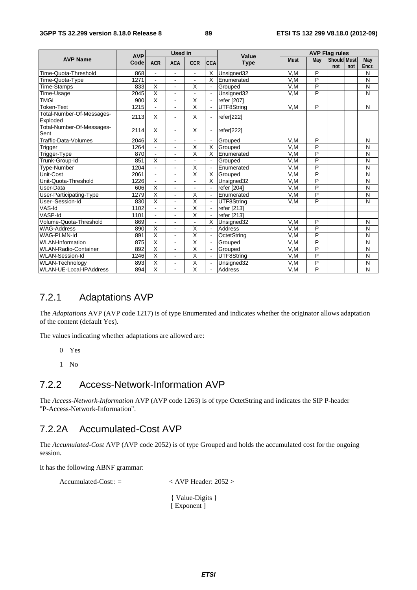#### **3GPP TS 32.299 version 8.18.0 Release 8 89 ETSI TS 132 299 V8.18.0 (2012-09)**

|                                       | <b>AVP</b> | <b>Used in</b>          |                          |                         |                          | Value                  | <b>AVP Flag rules</b> |                         |                    |     |                         |  |  |
|---------------------------------------|------------|-------------------------|--------------------------|-------------------------|--------------------------|------------------------|-----------------------|-------------------------|--------------------|-----|-------------------------|--|--|
| <b>AVP Name</b>                       | Code       | <b>ACR</b>              | <b>ACA</b>               | <b>CCR</b>              | <b>CCA</b>               | <b>Type</b>            | <b>Must</b>           | May                     | <b>Should Must</b> |     | May                     |  |  |
|                                       |            |                         |                          |                         |                          |                        |                       |                         | not                | not | Encr.                   |  |  |
| Time-Quota-Threshold                  | 868        |                         | ÷                        | $\blacksquare$          | Х                        | Unsigned <sub>32</sub> | V,M                   | P                       |                    |     | N                       |  |  |
| Time-Quota-Type                       | 1271       |                         |                          |                         | X                        | Enumerated             | V,M                   | P                       |                    |     | N                       |  |  |
| Time-Stamps                           | 833        | X                       | $\blacksquare$           | X                       | $\blacksquare$           | Grouped                | V,M                   | $\overline{P}$          |                    |     | N                       |  |  |
| Time-Usage                            | 2045       | $\overline{\mathsf{x}}$ | $\blacksquare$           | $\mathbf{r}$            | $\blacksquare$           | Unsigned32             | V.M                   | P                       |                    |     | $\overline{\mathsf{N}}$ |  |  |
| <b>TMGI</b>                           | 900        | $\overline{\mathsf{x}}$ | L,                       | X                       |                          | refer [207]            |                       |                         |                    |     |                         |  |  |
| <b>Token-Text</b>                     | 1215       | ÷.                      | $\blacksquare$           | $\overline{\mathsf{x}}$ | $\blacksquare$           | UTF8String             | V,M                   | P                       |                    |     | N                       |  |  |
| Total-Number-Of-Messages-<br>Exploded | 2113       | X                       | L,                       | X                       | ۰                        | refer[222]             |                       |                         |                    |     |                         |  |  |
| Total-Number-Of-Messages-<br>Sent     | 2114       | X                       | ä,                       | X                       |                          | refer[222]             |                       |                         |                    |     |                         |  |  |
| Traffic-Data-Volumes                  | 2046       | X                       | $\blacksquare$           | $\blacksquare$          |                          | Grouped                | V.M                   | P                       |                    |     | N                       |  |  |
| Trigger                               | 1264       | ÷                       | ä,                       | $\overline{\mathsf{x}}$ | $\overline{\mathsf{x}}$  | Grouped                | V.M                   | $\overline{P}$          |                    |     | N                       |  |  |
| <b>Trigger-Type</b>                   | 870        |                         |                          | $\overline{\mathsf{x}}$ | $\overline{\mathsf{x}}$  | Enumerated             | V,M                   | $\overline{\mathsf{P}}$ |                    |     | N                       |  |  |
| Trunk-Group-Id                        | 851        | $\overline{\mathsf{x}}$ | $\overline{a}$           | $\blacksquare$          | $\blacksquare$           | Grouped                | V,M                   | P                       |                    |     | N                       |  |  |
| Type-Number                           | 1204       |                         | L,                       | Χ                       |                          | Enumerated             | V,M                   | $\overline{P}$          |                    |     | N                       |  |  |
| Unit-Cost                             | 2061       | ÷.                      | $\blacksquare$           | $\overline{\mathsf{x}}$ | Χ                        | Grouped                | V,M                   | P                       |                    |     | N                       |  |  |
| Unit-Quota-Threshold                  | 1226       |                         |                          |                         | X                        | Unsigned32             | V,M                   | P                       |                    |     | N                       |  |  |
| User-Data                             | 606        | $\overline{\mathsf{x}}$ | $\blacksquare$           | $\overline{a}$          | $\blacksquare$           | refer [204]            | V,M                   | $\overline{P}$          |                    |     | N                       |  |  |
| User-Participating-Type               | 1279       | $\overline{\mathsf{x}}$ | $\blacksquare$           | $\overline{\mathsf{x}}$ |                          | Enumerated             | V,M                   | $\overline{P}$          |                    |     | $\overline{N}$          |  |  |
| User-Session-Id                       | 830        | $\overline{\mathsf{x}}$ | ä,                       | $\overline{\mathsf{x}}$ |                          | UTF8String             | V,M                   | P                       |                    |     | N                       |  |  |
| VAS-Id                                | 1102       |                         | ÷,                       | $\overline{\mathsf{x}}$ | $\blacksquare$           | refer [213]            |                       |                         |                    |     |                         |  |  |
| VASP-Id                               | 1101       | ÷.                      | $\blacksquare$           | $\overline{\mathsf{x}}$ | $\blacksquare$           | refer [213]            |                       |                         |                    |     |                         |  |  |
| Volume-Quota-Threshold                | 869        | $\blacksquare$          | L,                       | $\blacksquare$          | X                        | Unsigned32             | V.M                   | P                       |                    |     | N                       |  |  |
| <b>WAG-Address</b>                    | 890        | Χ                       | L,                       | $\overline{\mathsf{x}}$ |                          | Address                | V,M                   | $\overline{P}$          |                    |     | N                       |  |  |
| <b>WAG-PLMN-Id</b>                    | 891        | $\overline{\mathsf{x}}$ | $\overline{\phantom{a}}$ | $\overline{\mathsf{x}}$ | $\blacksquare$           | OctetString            | V.M                   | P                       |                    |     | N                       |  |  |
| <b>WLAN-Information</b>               | 875        | $\overline{\mathsf{x}}$ | $\overline{\phantom{a}}$ | $\overline{\mathsf{x}}$ | $\overline{\phantom{a}}$ | Grouped                | V,M                   | P                       |                    |     | N                       |  |  |
| <b>WLAN-Radio-Container</b>           | 892        | $\overline{\mathsf{x}}$ | L,                       | $\overline{\mathsf{x}}$ | $\blacksquare$           | Grouped                | V,M                   | P                       |                    |     | N                       |  |  |
| <b>WLAN-Session-Id</b>                | 1246       | $\overline{\mathsf{x}}$ |                          | $\overline{\mathsf{x}}$ |                          | UTF8String             | V,M                   | $\overline{P}$          |                    |     | N                       |  |  |
| <b>WLAN-Technology</b>                | 893        | Χ                       | $\blacksquare$           | Χ                       | $\blacksquare$           | Unsigned32             | V,M                   | $\overline{P}$          |                    |     | N                       |  |  |
| <b>WLAN-UE-Local-IPAddress</b>        | 894        | $\overline{\mathsf{x}}$ | ä,                       | $\overline{\mathsf{x}}$ | ÷.                       | <b>Address</b>         | V.M                   | $\overline{\mathsf{P}}$ |                    |     | N                       |  |  |

# 7.2.1 Adaptations AVP

The *Adaptations* AVP (AVP code 1217) is of type Enumerated and indicates whether the originator allows adaptation of the content (default Yes).

The values indicating whether adaptations are allowed are:

- 0 Yes
- 1 No

### 7.2.2 Access-Network-Information AVP

The *Access-Network-Information* AVP (AVP code 1263) is of type OctetString and indicates the SIP P-header "P-Access-Network-Information".

### 7.2.2A Accumulated-Cost AVP

The *Accumulated-Cost* AVP (AVP code 2052) is of type Grouped and holds the accumulated cost for the ongoing session.

It has the following ABNF grammar:

Accumulated-Cost:: =  $\langle$  AVP Header: 2052 > { Value-Digits } [ Exponent ]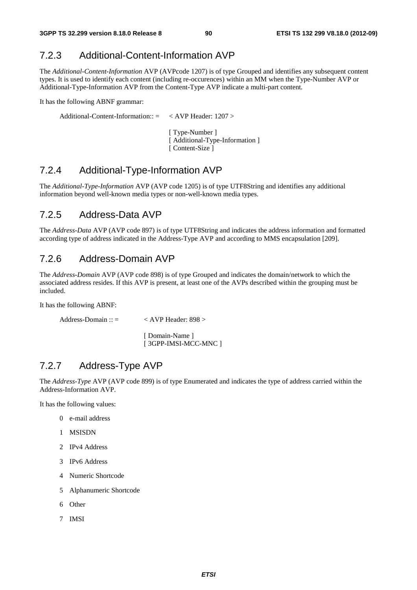### 7.2.3 Additional-Content-Information AVP

The *Additional-Content-Information* AVP (AVPcode 1207) is of type Grouped and identifies any subsequent content types. It is used to identify each content (including re-occurences) within an MM when the Type-Number AVP or Additional-Type-Information AVP from the Content-Type AVP indicate a multi-part content.

It has the following ABNF grammar:

Additional-Content-Information::  $=$  < AVP Header: 1207 >

 [ Type-Number ] [ Additional-Type-Information ] [ Content-Size ]

### 7.2.4 Additional-Type-Information AVP

The *Additional-Type-Information* AVP (AVP code 1205) is of type UTF8String and identifies any additional information beyond well-known media types or non-well-known media types.

### 7.2.5 Address-Data AVP

The *Address-Data* AVP (AVP code 897) is of type UTF8String and indicates the address information and formatted according type of address indicated in the Address-Type AVP and according to MMS encapsulation [209].

### 7.2.6 Address-Domain AVP

The *Address-Domain* AVP (AVP code 898) is of type Grouped and indicates the domain/network to which the associated address resides. If this AVP is present, at least one of the AVPs described within the grouping must be included.

It has the following ABNF:

```
Address-Domain :: = < AVP Header: 898 >
```
[ Domain-Name ] [ 3GPP-IMSI-MCC-MNC ]

### 7.2.7 Address-Type AVP

The *Address-Type* AVP (AVP code 899) is of type Enumerated and indicates the type of address carried within the Address-Information AVP.

It has the following values:

- 0 e-mail address
- 1 MSISDN
- 2 IPv4 Address
- 3 IPv6 Address
- 4 Numeric Shortcode
- 5 Alphanumeric Shortcode
- 6 Other
- 7 IMSI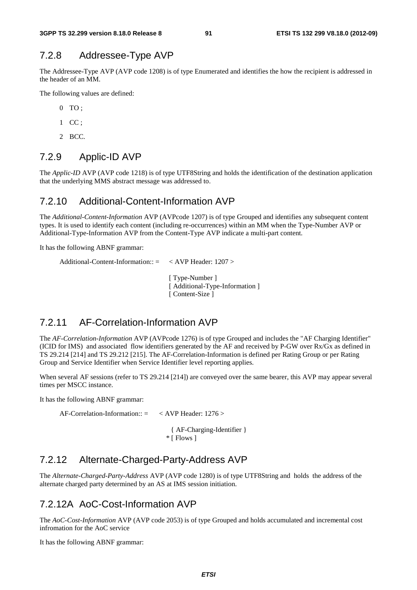### 7.2.8 Addressee-Type AVP

The Addressee-Type AVP (AVP code 1208) is of type Enumerated and identifies the how the recipient is addressed in the header of an MM.

The following values are defined:

- 0 TO ;
- $1$  CC :
- 2 BCC.

### 7.2.9 Applic-ID AVP

The *Applic-ID* AVP (AVP code 1218) is of type UTF8String and holds the identification of the destination application that the underlying MMS abstract message was addressed to.

### 7.2.10 Additional-Content-Information AVP

The *Additional-Content-Information* AVP (AVPcode 1207) is of type Grouped and identifies any subsequent content types. It is used to identify each content (including re-occurrences) within an MM when the Type-Number AVP or Additional-Type-Information AVP from the Content-Type AVP indicate a multi-part content.

It has the following ABNF grammar:

```
Additional-Content-Information:: = < AVP Header: 1207 >
                                    [ Type-Number ]
```
 [ Additional-Type-Information ] [ Content-Size ]

### 7.2.11 AF-Correlation-Information AVP

The *AF-Correlation-Information* AVP (AVPcode 1276) is of type Grouped and includes the "AF Charging Identifier" (ICID for IMS) and associated flow identifiers generated by the AF and received by P-GW over Rx/Gx as defined in TS 29.214 [214] and TS 29.212 [215]. The AF-Correlation-Information is defined per Rating Group or per Rating Group and Service Identifier when Service Identifier level reporting applies.

When several AF sessions (refer to TS 29.214 [214]) are conveyed over the same bearer, this AVP may appear several times per MSCC instance.

It has the following ABNF grammar:

AF-Correlation-Information::  $=$  < AVP Header: 1276 >

 { AF-Charging-Identifier } \* [ Flows ]

### 7.2.12 Alternate-Charged-Party-Address AVP

The *Alternate-Charged-Party-Address* AVP (AVP code 1280) is of type UTF8String and holds the address of the alternate charged party determined by an AS at IMS session initiation.

### 7.2.12A AoC-Cost-Information AVP

The *AoC-Cost-Information* AVP (AVP code 2053) is of type Grouped and holds accumulated and incremental cost infromation for the AoC service

It has the following ABNF grammar: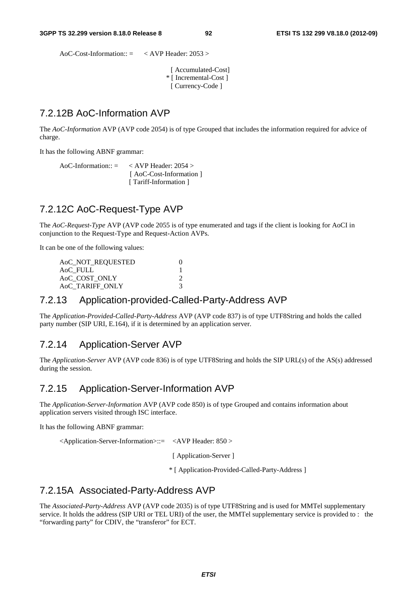AoC-Cost-Information::  $=$  < AVP Header: 2053 >

 [ Accumulated-Cost] \* [ Incremental-Cost ] [ Currency-Code ]

### 7.2.12B AoC-Information AVP

The *AoC-Information* AVP (AVP code 2054) is of type Grouped that includes the information required for advice of charge.

It has the following ABNF grammar:

AoC-Information:: = < AVP Header: 2054 > [ AoC-Cost-Information ] [ Tariff-Information ]

### 7.2.12C AoC-Request-Type AVP

The *AoC-Request-Type* AVP (AVP code 2055 is of type enumerated and tags if the client is looking for AoCI in conjunction to the Request-Type and Request-Action AVPs.

It can be one of the following values:

| AoC_NOT_REQUESTED          |  |
|----------------------------|--|
| AoC FULL                   |  |
| A <sub>o</sub> C COST ONLY |  |
| AoC TARIFF ONLY            |  |

#### 7.2.13 Application-provided-Called-Party-Address AVP

The *Application-Provided-Called-Party-Address* AVP (AVP code 837) is of type UTF8String and holds the called party number (SIP URI, E.164), if it is determined by an application server.

# 7.2.14 Application-Server AVP

The *Application-Server* AVP (AVP code 836) is of type UTF8String and holds the SIP URL(s) of the AS(s) addressed during the session.

### 7.2.15 Application-Server-Information AVP

The *Application-Server-Information* AVP (AVP code 850) is of type Grouped and contains information about application servers visited through ISC interface.

It has the following ABNF grammar:

<Application-Server-Information>::= <AVP Header: 850 >

[ Application-Server ]

\* [ Application-Provided-Called-Party-Address ]

### 7.2.15A Associated-Party-Address AVP

The *Associated-Party-Address* AVP (AVP code 2035) is of type UTF8String and is used for MMTel supplementary service. It holds the address (SIP URI or TEL URI) of the user, the MMTel supplementary service is provided to : the "forwarding party" for CDIV, the "transferor" for ECT.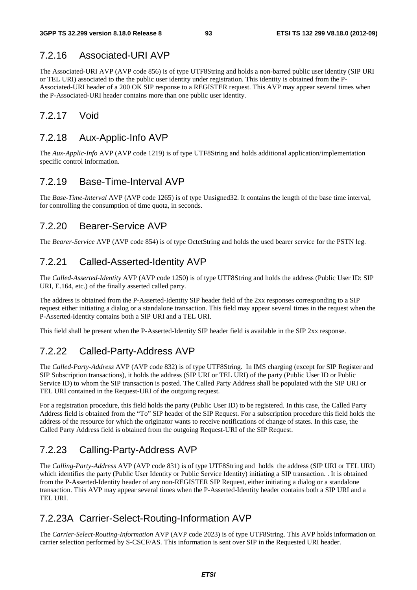## 7.2.16 Associated-URI AVP

The Associated-URI AVP (AVP code 856) is of type UTF8String and holds a non-barred public user identity (SIP URI or TEL URI) associated to the the public user identity under registration. This identity is obtained from the P-Associated-URI header of a 200 OK SIP response to a REGISTER request. This AVP may appear several times when the P-Associated-URI header contains more than one public user identity.

### 7.2.17 Void

### 7.2.18 Aux-Applic-Info AVP

The *Aux-Applic-Info* AVP (AVP code 1219) is of type UTF8String and holds additional application/implementation specific control information.

### 7.2.19 Base-Time-Interval AVP

The *Base-Time-Interval* AVP (AVP code 1265) is of type Unsigned32. It contains the length of the base time interval, for controlling the consumption of time quota, in seconds.

### 7.2.20 Bearer-Service AVP

The *Bearer-Service* AVP (AVP code 854) is of type OctetString and holds the used bearer service for the PSTN leg.

### 7.2.21 Called-Asserted-Identity AVP

The *Called-Asserted-Identity* AVP (AVP code 1250) is of type UTF8String and holds the address (Public User ID: SIP URI, E.164, etc.) of the finally asserted called party.

The address is obtained from the P-Asserted-Identity SIP header field of the 2xx responses corresponding to a SIP request either initiating a dialog or a standalone transaction. This field may appear several times in the request when the P-Asserted-Identity contains both a SIP URI and a TEL URI.

This field shall be present when the P-Asserted-Identity SIP header field is available in the SIP 2xx response.

### 7.2.22 Called-Party-Address AVP

The *Called-Party-Address* AVP (AVP code 832) is of type UTF8String. In IMS charging (except for SIP Register and SIP Subscription transactions), it holds the address (SIP URI or TEL URI) of the party (Public User ID or Public Service ID) to whom the SIP transaction is posted. The Called Party Address shall be populated with the SIP URI or TEL URI contained in the Request-URI of the outgoing request.

For a registration procedure, this field holds the party (Public User ID) to be registered. In this case, the Called Party Address field is obtained from the "To" SIP header of the SIP Request. For a subscription procedure this field holds the address of the resource for which the originator wants to receive notifications of change of states. In this case, the Called Party Address field is obtained from the outgoing Request-URI of the SIP Request.

# 7.2.23 Calling-Party-Address AVP

The *Calling-Party-Address* AVP (AVP code 831) is of type UTF8String and holds the address (SIP URI or TEL URI) which identifies the party (Public User Identity or Public Service Identity) initiating a SIP transaction. . It is obtained from the P-Asserted-Identity header of any non-REGISTER SIP Request, either initiating a dialog or a standalone transaction. This AVP may appear several times when the P-Asserted-Identity header contains both a SIP URI and a TEL URI.

### 7.2.23A Carrier-Select-Routing-Information AVP

The *Carrier-Select-Routing-Information* AVP (AVP code 2023) is of type UTF8String. This AVP holds information on carrier selection performed by S-CSCF/AS. This information is sent over SIP in the Requested URI header.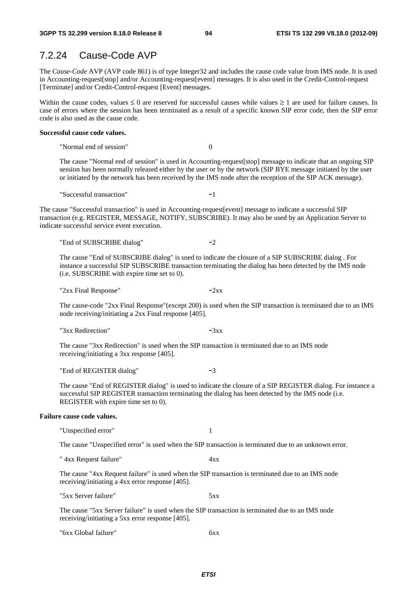### 7.2.24 Cause-Code AVP

The *Cause-Code* AVP (AVP code 861) is of type Integer32 and includes the cause code value from IMS node. It is used in Accounting-request[stop] and/or Accounting-request[event] messages. It is also used in the Credit-Control-request [Terminate] and/or Credit-Control-request [Event] messages.

Within the cause codes, values  $\leq 0$  are reserved for successful causes while values  $\geq 1$  are used for failure causes. In case of errors where the session has been terminated as a result of a specific known SIP error code, then the SIP error code is also used as the cause code.

#### **Successful cause code values.**

"Normal end of session" 0

The cause "Normal end of session" is used in Accounting-request[stop] message to indicate that an ongoing SIP session has been normally released either by the user or by the network (SIP BYE message initiated by the user or initiated by the network has been received by the IMS node after the reception of the SIP ACK message).

"Successful transaction" -1

The cause "Successful transaction" is used in Accounting-request[event] message to indicate a successful SIP transaction (e.g. REGISTER, MESSAGE, NOTIFY, SUBSCRIBE). It may also be used by an Application Server to indicate successful service event execution.

"End of SUBSCRIBE dialog" -2

The cause "End of SUBSCRIBE dialog" is used to indicate the closure of a SIP SUBSCRIBE dialog . For instance a successful SIP SUBSCRIBE transaction terminating the dialog has been detected by the IMS node (i.e. SUBSCRIBE with expire time set to 0).

" $2xx$  Final Response"  $-2xx$ 

The cause-code "2xx Final Response"(except 200) is used when the SIP transaction is terminated due to an IMS node receiving/initiating a 2xx Final response [405].

" $3xx$  Redirection"  $-3xx$ 

The cause "3xx Redirection" is used when the SIP transaction is terminated due to an IMS node receiving/initiating a 3xx response [405].

"End of REGISTER dialog" -3

The cause "End of REGISTER dialog" is used to indicate the closure of a SIP REGISTER dialog. For instance a successful SIP REGISTER transaction terminating the dialog has been detected by the IMS node (i.e. REGISTER with expire time set to 0).

#### **Failure cause code values.**

"Unspecified error" 1

The cause "Unspecified error" is used when the SIP transaction is terminated due to an unknown error.

" 4xx Request failure" 4xx

The cause "4xx Request failure" is used when the SIP transaction is terminated due to an IMS node receiving/initiating a 4xx error response [405].

"5xx Server failure" 5xx

The cause "5xx Server failure" is used when the SIP transaction is terminated due to an IMS node receiving/initiating a 5xx error response [405].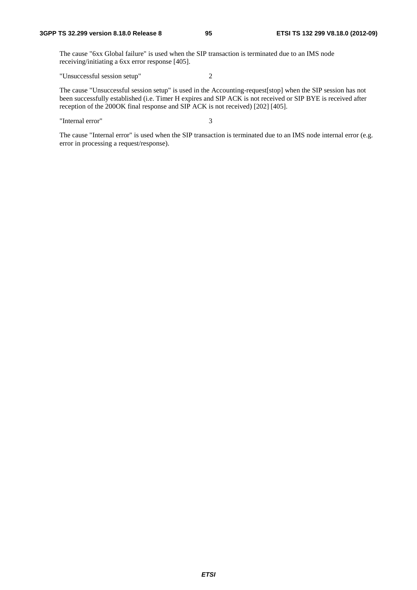The cause "6xx Global failure" is used when the SIP transaction is terminated due to an IMS node receiving/initiating a 6xx error response [405].

"Unsuccessful session setup" 2

The cause "Unsuccessful session setup" is used in the Accounting-request[stop] when the SIP session has not been successfully established (i.e. Timer H expires and SIP ACK is not received or SIP BYE is received after reception of the 200OK final response and SIP ACK is not received) [202] [405].

"Internal error" 3

The cause "Internal error" is used when the SIP transaction is terminated due to an IMS node internal error (e.g. error in processing a request/response).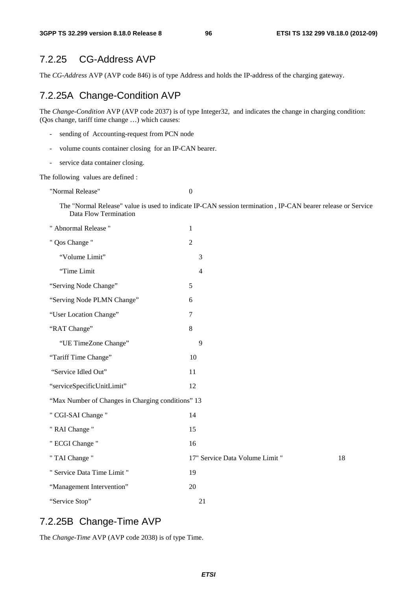### 7.2.25 CG-Address AVP

The *CG-Address* AVP (AVP code 846) is of type Address and holds the IP-address of the charging gateway.

# 7.2.25A Change-Condition AVP

The *Change-Condition* AVP (AVP code 2037) is of type Integer32, and indicates the change in charging condition: (Qos change, tariff time change …) which causes:

- sending of Accounting-request from PCN node
- volume counts container closing for an IP-CAN bearer.
- service data container closing.

The following values are defined :

"Normal Release" 0

The "Normal Release" value is used to indicate IP-CAN session termination , IP-CAN bearer release or Service Data Flow Termination

| " Abnormal Release "                              | 1                               |    |
|---------------------------------------------------|---------------------------------|----|
| " Qos Change "                                    | $\overline{2}$                  |    |
| "Volume Limit"                                    | 3                               |    |
| "Time Limit                                       | $\overline{4}$                  |    |
| "Serving Node Change"                             | 5                               |    |
| "Serving Node PLMN Change"                        | 6                               |    |
| "User Location Change"                            | 7                               |    |
| "RAT Change"                                      | 8                               |    |
| "UE TimeZone Change"                              | 9                               |    |
| "Tariff Time Change"                              | 10                              |    |
| "Service Idled Out"                               | 11                              |    |
| "serviceSpecificUnitLimit"                        | 12                              |    |
| "Max Number of Changes in Charging conditions" 13 |                                 |    |
| " CGI-SAI Change "                                | 14                              |    |
| " RAI Change "                                    | 15                              |    |
| " ECGI Change "                                   | 16                              |    |
| " TAI Change "                                    | 17" Service Data Volume Limit " | 18 |
| " Service Data Time Limit "                       | 19                              |    |
| "Management Intervention"                         | 20                              |    |
| "Service Stop"                                    | 21                              |    |

### 7.2.25B Change-Time AVP

The *Change-Time* AVP (AVP code 2038) is of type Time.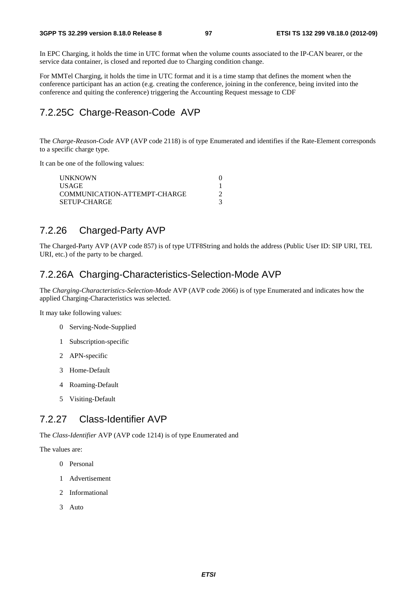In EPC Charging, it holds the time in UTC format when the volume counts associated to the IP-CAN bearer, or the service data container, is closed and reported due to Charging condition change.

For MMTel Charging, it holds the time in UTC format and it is a time stamp that defines the moment when the conference participant has an action (e.g. creating the conference, joining in the conference, being invited into the conference and quiting the conference) triggering the Accounting Request message to CDF

# 7.2.25C Charge-Reason-Code AVP

The *Charge-Reason-Code* AVP (AVP code 2118) is of type Enumerated and identifies if the Rate-Element corresponds to a specific charge type.

It can be one of the following values:

| <b>UNKNOWN</b>               |  |
|------------------------------|--|
| <b>USAGE</b>                 |  |
| COMMUNICATION-ATTEMPT-CHARGE |  |
| <b>SETUP-CHARGE</b>          |  |

### 7.2.26 Charged-Party AVP

The Charged-Party AVP (AVP code 857) is of type UTF8String and holds the address (Public User ID: SIP URI, TEL URI, etc.) of the party to be charged.

### 7.2.26A Charging-Characteristics-Selection-Mode AVP

The *Charging-Characteristics-Selection-Mode* AVP (AVP code 2066) is of type Enumerated and indicates how the applied Charging-Characteristics was selected.

It may take following values:

- 0 Serving-Node-Supplied
- 1 Subscription-specific
- 2 APN-specific
- 3 Home-Default
- 4 Roaming-Default
- 5 Visiting-Default

### 7.2.27 Class-Identifier AVP

The *Class-Identifier* AVP (AVP code 1214) is of type Enumerated and

The values are:

- 0 Personal
- 1 Advertisement
- 2 Informational
- 3 Auto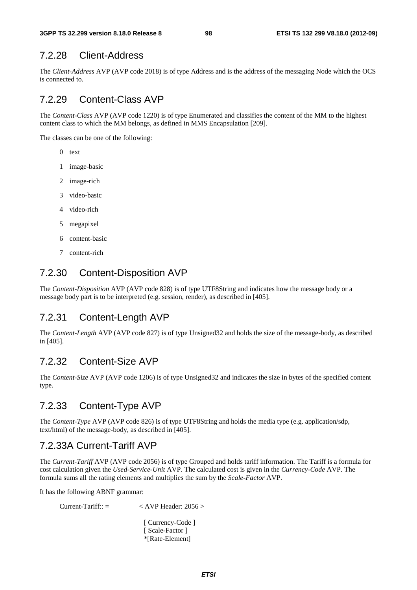### 7.2.28 Client-Address

The *Client-Address* AVP (AVP code 2018) is of type Address and is the address of the messaging Node which the OCS is connected to.

### 7.2.29 Content-Class AVP

The *Content-Class* AVP (AVP code 1220) is of type Enumerated and classifies the content of the MM to the highest content class to which the MM belongs, as defined in MMS Encapsulation [209].

The classes can be one of the following:

- 0 text
- 1 image-basic
- 2 image-rich
- 3 video-basic
- 4 video-rich
- 5 megapixel
- 6 content-basic
- 7 content-rich

### 7.2.30 Content-Disposition AVP

The *Content-Disposition* AVP (AVP code 828) is of type UTF8String and indicates how the message body or a message body part is to be interpreted (e.g. session, render), as described in [405].

#### 7.2.31 Content-Length AVP

The *Content-Length* AVP (AVP code 827) is of type Unsigned32 and holds the size of the message-body, as described in [405].

### 7.2.32 Content-Size AVP

The *Content-Size* AVP (AVP code 1206) is of type Unsigned32 and indicates the size in bytes of the specified content type.

### 7.2.33 Content-Type AVP

The *Content-Type* AVP (AVP code 826) is of type UTF8String and holds the media type (e.g. application/sdp, text/html) of the message-body, as described in [405].

### 7.2.33A Current-Tariff AVP

The *Current-Tariff* AVP (AVP code 2056) is of type Grouped and holds tariff information. The Tariff is a formula for cost calculation given the *Used-Service-Unit* AVP. The calculated cost is given in the *Currency-Code* AVP. The formula sums all the rating elements and multiplies the sum by the *Scale-Factor* AVP.

It has the following ABNF grammar:

 $Current-Tariff:: = \langle AVP \text{Header}: 2056 \rangle$ 

[ Currency-Code ] [ Scale-Factor ] \*[Rate-Element]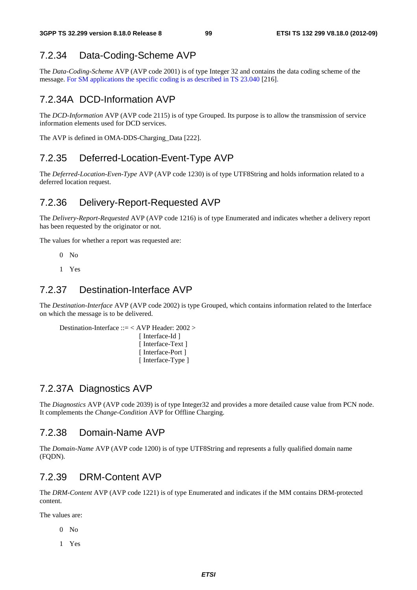# 7.2.34 Data-Coding-Scheme AVP

The *Data-Coding-Scheme* AVP (AVP code 2001) is of type Integer 32 and contains the data coding scheme of the message. For SM applications the specific coding is as described in TS 23.040 [216].

# 7.2.34A DCD-Information AVP

The *DCD-Information* AVP (AVP code 2115) is of type Grouped. Its purpose is to allow the transmission of service information elements used for DCD services.

The AVP is defined in OMA-DDS-Charging\_Data [222].

### 7.2.35 Deferred-Location-Event-Type AVP

The *Deferred-Location-Even-Type* AVP (AVP code 1230) is of type UTF8String and holds information related to a deferred location request.

### 7.2.36 Delivery-Report-Requested AVP

The *Delivery-Report-Requested* AVP (AVP code 1216) is of type Enumerated and indicates whether a delivery report has been requested by the originator or not.

The values for whether a report was requested are:

- $0$  No
- 1 Yes

### 7.2.37 Destination-Interface AVP

The *Destination-Interface* AVP (AVP code 2002) is type Grouped, which contains information related to the Interface on which the message is to be delivered.

```
Destination-Interface ::= < AVP Header: 2002 > 
                             [ Interface-Id ]
                             [ Interface-Text ]
                             [ Interface-Port ]
                             [ Interface-Type ]
```
### 7.2.37A Diagnostics AVP

The *Diagnostics* AVP (AVP code 2039) is of type Integer32 and provides a more detailed cause value from PCN node. It complements the *Change-Condition* AVP for Offline Charging.

### 7.2.38 Domain-Name AVP

The *Domain-Name* AVP (AVP code 1200) is of type UTF8String and represents a fully qualified domain name (FQDN).

### 7.2.39 DRM-Content AVP

The *DRM-Content* AVP (AVP code 1221) is of type Enumerated and indicates if the MM contains DRM-protected content.

The values are:

- $0$  No
- 1 Yes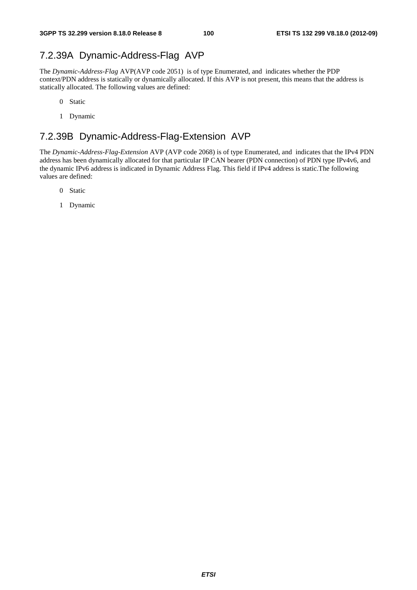# 7.2.39A Dynamic-Address-Flag AVP

The *Dynamic-Address-Flag* AVP(AVP code 2051) is of type Enumerated, and indicates whether the PDP context/PDN address is statically or dynamically allocated. If this AVP is not present, this means that the address is statically allocated. The following values are defined:

- 0 Static
- 1 Dynamic

## 7.2.39B Dynamic-Address-Flag-Extension AVP

The *Dynamic-Address-Flag*-*Extension* AVP (AVP code 2068) is of type Enumerated, and indicates that the IPv4 PDN address has been dynamically allocated for that particular IP CAN bearer (PDN connection) of PDN type IPv4v6, and the dynamic IPv6 address is indicated in Dynamic Address Flag. This field if IPv4 address is static.The following values are defined:

- 0 Static
- 1 Dynamic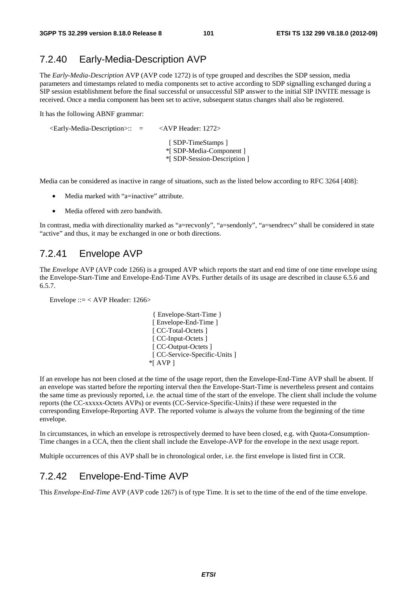### 7.2.40 Early-Media-Description AVP

The *Early-Media-Description* AVP (AVP code 1272) is of type grouped and describes the SDP session, media parameters and timestamps related to media components set to active according to SDP signalling exchanged during a SIP session establishment before the final successful or unsuccessful SIP answer to the initial SIP INVITE message is received. Once a media component has been set to active, subsequent status changes shall also be registered.

It has the following ABNF grammar:

| $\le$ Early-Media-Description $\ge$ :: $=$ | $\langle$ AVP Header: 1272 $>$                                               |
|--------------------------------------------|------------------------------------------------------------------------------|
|                                            | [SDP-TimeStamps]<br>*[ SDP-Media-Component ]<br>*[ SDP-Session-Description ] |

Media can be considered as inactive in range of situations, such as the listed below according to RFC 3264 [408]:

- Media marked with "a=inactive" attribute.
- Media offered with zero bandwith.

In contrast, media with directionality marked as "a=recvonly", "a=sendonly", "a=sendrecv" shall be considered in state "active" and thus, it may be exchanged in one or both directions.

### 7.2.41 Envelope AVP

The *Envelope* AVP (AVP code 1266) is a grouped AVP which reports the start and end time of one time envelope using the Envelope-Start-Time and Envelope-End-Time AVPs. Further details of its usage are described in clause 6.5.6 and 6.5.7.

Envelope ::= < AVP Header: 1266>

 { Envelope-Start-Time } [ Envelope-End-Time ] [ CC-Total-Octets ] [ CC-Input-Octets ] [ CC-Output-Octets ] [ CC-Service-Specific-Units ] \*[ AVP ]

If an envelope has not been closed at the time of the usage report, then the Envelope-End-Time AVP shall be absent. If an envelope was started before the reporting interval then the Envelope-Start-Time is nevertheless present and contains the same time as previously reported, i.e. the actual time of the start of the envelope. The client shall include the volume reports (the CC-xxxxx-Octets AVPs) or events (CC-Service-Specific-Units) if these were requested in the corresponding Envelope-Reporting AVP. The reported volume is always the volume from the beginning of the time envelope.

In circumstances, in which an envelope is retrospectively deemed to have been closed, e.g. with Quota-Consumption-Time changes in a CCA, then the client shall include the Envelope-AVP for the envelope in the next usage report.

Multiple occurrences of this AVP shall be in chronological order, i.e. the first envelope is listed first in CCR.

### 7.2.42 Envelope-End-Time AVP

This *Envelope-End-Time* AVP (AVP code 1267) is of type Time. It is set to the time of the end of the time envelope.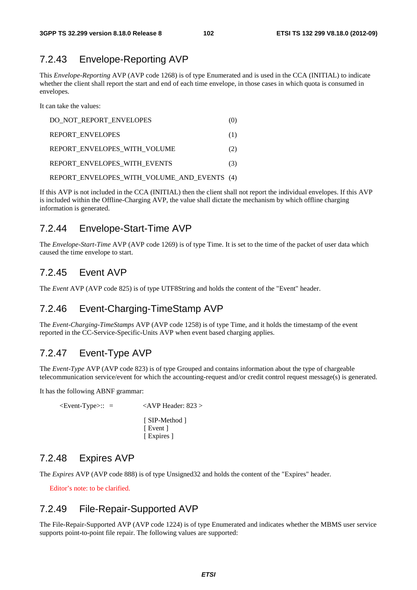## 7.2.43 Envelope-Reporting AVP

This *Envelope-Reporting* AVP (AVP code 1268) is of type Enumerated and is used in the CCA (INITIAL) to indicate whether the client shall report the start and end of each time envelope, in those cases in which quota is consumed in envelopes.

It can take the values:

| DO NOT REPORT ENVELOPES                     | (O) |
|---------------------------------------------|-----|
| <b>REPORT ENVELOPES</b>                     | (1) |
| REPORT ENVELOPES WITH VOLUME                | (2) |
| REPORT ENVELOPES WITH EVENTS                | (3) |
| REPORT ENVELOPES WITH VOLUME AND EVENTS (4) |     |

If this AVP is not included in the CCA (INITIAL) then the client shall not report the individual envelopes. If this AVP is included within the Offline-Charging AVP, the value shall dictate the mechanism by which offline charging information is generated.

### 7.2.44 Envelope-Start-Time AVP

The *Envelope-Start-Time* AVP (AVP code 1269) is of type Time. It is set to the time of the packet of user data which caused the time envelope to start.

### 7.2.45 Event AVP

The *Event* AVP (AVP code 825) is of type UTF8String and holds the content of the "Event" header.

### 7.2.46 Event-Charging-TimeStamp AVP

The *Event-Charging-TimeStamps* AVP (AVP code 1258) is of type Time, and it holds the timestamp of the event reported in the CC-Service-Specific-Units AVP when event based charging applies.

### 7.2.47 Event-Type AVP

The *Event-Type* AVP (AVP code 823) is of type Grouped and contains information about the type of chargeable telecommunication service/event for which the accounting-request and/or credit control request message(s) is generated.

It has the following ABNF grammar:

 $\leq$ Event-Type $\geq$ :: =  $\leq$ AVP Header: 823 > [ SIP-Method ] [ Event ] [ Expires ]

### 7.2.48 Expires AVP

The *Expires* AVP (AVP code 888) is of type Unsigned32 and holds the content of the "Expires" header.

Editor's note: to be clarified.

## 7.2.49 File-Repair-Supported AVP

The File-Repair-Supported AVP (AVP code 1224) is of type Enumerated and indicates whether the MBMS user service supports point-to-point file repair. The following values are supported: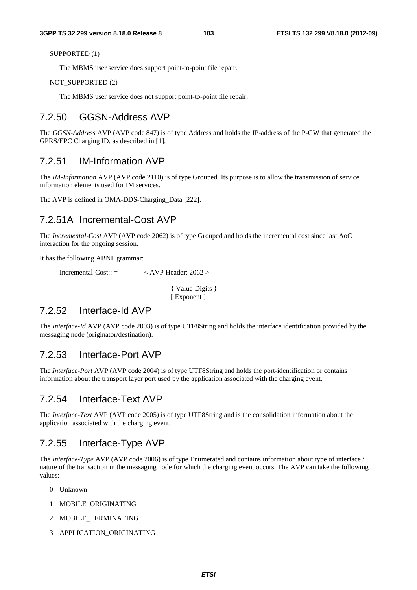SUPPORTED (1)

The MBMS user service does support point-to-point file repair.

#### NOT\_SUPPORTED (2)

The MBMS user service does not support point-to-point file repair.

### 7.2.50 GGSN-Address AVP

The *GGSN-Address* AVP (AVP code 847) is of type Address and holds the IP-address of the P-GW that generated the GPRS/EPC Charging ID, as described in [1].

### 7.2.51 IM-Information AVP

The *IM-Information* AVP (AVP code 2110) is of type Grouped. Its purpose is to allow the transmission of service information elements used for IM services.

The AVP is defined in OMA-DDS-Charging\_Data [222].

### 7.2.51A Incremental-Cost AVP

The *Incremental-Cost* AVP (AVP code 2062) is of type Grouped and holds the incremental cost since last AoC interaction for the ongoing session.

It has the following ABNF grammar:

Incremental-Cost:: =  $\langle$  AVP Header: 2062 >

 { Value-Digits } [ Exponent ]

### 7.2.52 Interface-Id AVP

The *Interface-Id* AVP (AVP code 2003) is of type UTF8String and holds the interface identification provided by the messaging node (originator/destination).

### 7.2.53 Interface-Port AVP

The *Interface-Port* AVP (AVP code 2004) is of type UTF8String and holds the port-identification or contains information about the transport layer port used by the application associated with the charging event.

### 7.2.54 Interface-Text AVP

The *Interface-Text* AVP (AVP code 2005) is of type UTF8String and is the consolidation information about the application associated with the charging event.

### 7.2.55 Interface-Type AVP

The *Interface-Type* AVP (AVP code 2006) is of type Enumerated and contains information about type of interface / nature of the transaction in the messaging node for which the charging event occurs. The AVP can take the following values:

- 0 Unknown
- 1 MOBILE\_ORIGINATING
- 2 MOBILE\_TERMINATING
- 3 APPLICATION\_ORIGINATING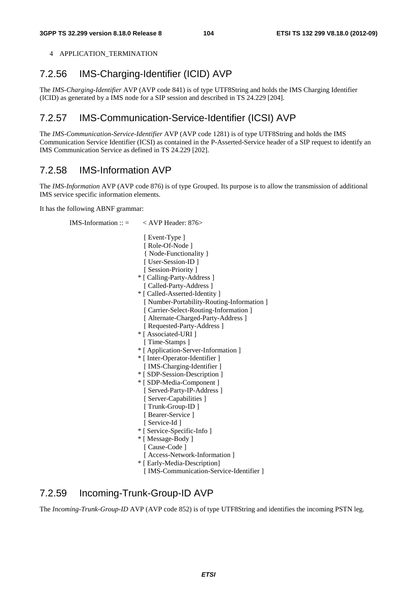#### 4 APPLICATION TERMINATION

# 7.2.56 IMS-Charging-Identifier (ICID) AVP

The *IMS-Charging-Identifier* AVP (AVP code 841) is of type UTF8String and holds the IMS Charging Identifier (ICID) as generated by a IMS node for a SIP session and described in TS 24.229 [204].

# 7.2.57 IMS-Communication-Service-Identifier (ICSI) AVP

The *IMS-Communication-Service-Identifier* AVP (AVP code 1281) is of type UTF8String and holds the IMS Communication Service Identifier (ICSI) as contained in the P-Asserted-Service header of a SIP request to identify an IMS Communication Service as defined in TS 24.229 [202].

# 7.2.58 IMS-Information AVP

The *IMS-Information* AVP (AVP code 876) is of type Grouped. Its purpose is to allow the transmission of additional IMS service specific information elements.

It has the following ABNF grammar:

IMS-Information ::  $=$  < AVP Header: 876> [ Event-Type ] [ Role-Of-Node ] { Node-Functionality } [ User-Session-ID ] [ Session-Priority ] \* [ Calling-Party-Address ] [ Called-Party-Address ] \* [ Called-Asserted-Identity ] [ Number-Portability-Routing-Information ] [ Carrier-Select-Routing-Information ] [ Alternate-Charged-Party-Address ] [ Requested-Party-Address ] \* [ Associated-URI ] [ Time-Stamps ] \* [ Application-Server-Information ] \* [ Inter-Operator-Identifier ] [ IMS-Charging-Identifier ] \* [ SDP-Session-Description ] \* [ SDP-Media-Component ] [ Served-Party-IP-Address ] [ Server-Capabilities ] [ Trunk-Group-ID ] [ Bearer-Service ] [ Service-Id ] \* [ Service-Specific-Info ] \* [ Message-Body ] [ Cause-Code ] [ Access-Network-Information ] \* [ Early-Media-Description] [ IMS-Communication-Service-Identifier ]

### 7.2.59 Incoming-Trunk-Group-ID AVP

The *Incoming-Trunk-Group-ID* AVP (AVP code 852) is of type UTF8String and identifies the incoming PSTN leg.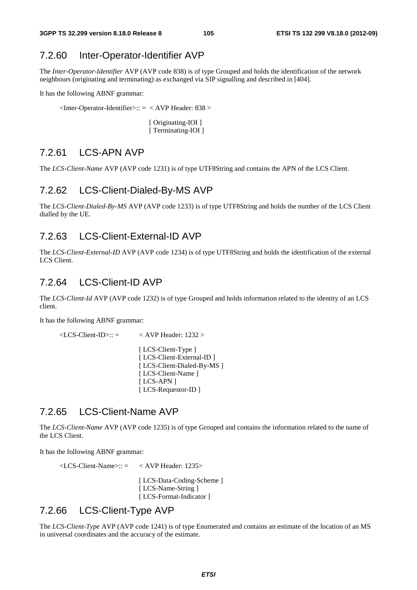### 7.2.60 Inter-Operator-Identifier AVP

The *Inter-Operator-Identifier* AVP (AVP code 838) is of type Grouped and holds the identification of the network neighbours (originating and terminating) as exchanged via SIP signalling and described in [404].

It has the following ABNF grammar:

 $\langle$ Inter-Operator-Identifier>:: =  $\langle$  AVP Header: 838 >

[ Originating-IOI ] [ Terminating-IOI ]

### 7.2.61 LCS-APN AVP

The *LCS-Client-Name* AVP (AVP code 1231) is of type UTF8String and contains the APN of the LCS Client.

#### 7.2.62 LCS-Client-Dialed-By-MS AVP

The *LCS-Client-Dialed-By-MS* AVP (AVP code 1233) is of type UTF8String and holds the number of the LCS Client dialled by the UE.

### 7.2.63 LCS-Client-External-ID AVP

The *LCS-Client-External-ID* AVP (AVP code 1234) is of type UTF8String and holds the identification of the external LCS Client.

### 7.2.64 LCS-Client-ID AVP

The *LCS-Client-Id* AVP (AVP code 1232) is of type Grouped and holds information related to the identity of an LCS client.

It has the following ABNF grammar:

 $\langle$ LCS-Client-ID $\rangle$ :: =  $\langle$  AVP Header: 1232  $\rangle$ 

[ LCS-Client-Type ] [ LCS-Client-External-ID ] [ LCS-Client-Dialed-By-MS ] [ LCS-Client-Name ] [ LCS-APN ] [ LCS-Requestor-ID ]

### 7.2.65 LCS-Client-Name AVP

The *LCS-Client-Name* AVP (AVP code 1235) is of type Grouped and contains the information related to the name of the LCS Client.

It has the following ABNF grammar:

 $\langle$ LCS-Client-Name> $\therefore$  =  $\langle$  AVP Header: 1235> [ LCS-Data-Coding-Scheme ] [ LCS-Name-String ] [ LCS-Format-Indicator ]

### 7.2.66 LCS-Client-Type AVP

The *LCS-Client-Type* AVP (AVP code 1241) is of type Enumerated and contains an estimate of the location of an MS in universal coordinates and the accuracy of the estimate.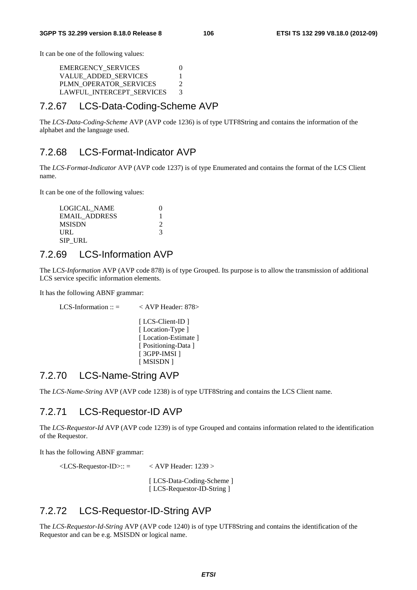It can be one of the following values:

EMERGENCY\_SERVICES 0 VALUE\_ADDED\_SERVICES 1 PLMN\_OPERATOR\_SERVICES 2 LAWFUL\_INTERCEPT\_SERVICES 3

### 7.2.67 LCS-Data-Coding-Scheme AVP

The *LCS-Data-Coding-Scheme* AVP (AVP code 1236) is of type UTF8String and contains the information of the alphabet and the language used.

### 7.2.68 LCS-Format-Indicator AVP

The *LCS-Format-Indicator* AVP (AVP code 1237) is of type Enumerated and contains the format of the LCS Client name.

It can be one of the following values:

```
LOGICAL_NAME 0
EMAIL_ADDRESS 1
 MSISDN 2 
URL 3
 SIP_URL
```
### 7.2.69 LCS-Information AVP

The LC*S-Information* AVP (AVP code 878) is of type Grouped. Its purpose is to allow the transmission of additional LCS service specific information elements.

It has the following ABNF grammar:

LCS-Information ::  $=$   $\langle$  AVP Header: 878> [ LCS-Client-ID ]

> [Location-Type ] [ Location-Estimate ] [ Positioning-Data ] [ 3GPP-IMSI ] [ MSISDN ]

### 7.2.70 LCS-Name-String AVP

The *LCS-Name-String* AVP (AVP code 1238) is of type UTF8String and contains the LCS Client name.

### 7.2.71 LCS-Requestor-ID AVP

The *LCS-Requestor-Id* AVP (AVP code 1239) is of type Grouped and contains information related to the identification of the Requestor.

It has the following ABNF grammar:

 $\langle$ LCS-Requestor-ID>:: =  $\langle$  AVP Header: 1239 > [ LCS-Data-Coding-Scheme ] [ LCS-Requestor-ID-String ]

### 7.2.72 LCS-Requestor-ID-String AVP

The *LCS-Requestor-Id-String* AVP (AVP code 1240) is of type UTF8String and contains the identification of the Requestor and can be e.g. MSISDN or logical name.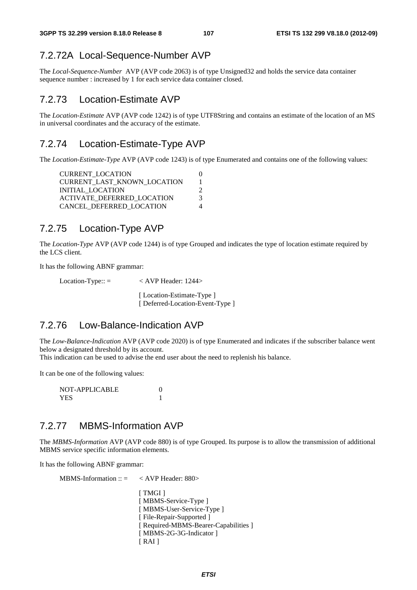### 7.2.72A Local-Sequence-Number AVP

The *Local-Sequence-Number* AVP (AVP code 2063) is of type Unsigned32 and holds the service data container sequence number : increased by 1 for each service data container closed.

### 7.2.73 Location-Estimate AVP

The *Location-Estimate* AVP (AVP code 1242) is of type UTF8String and contains an estimate of the location of an MS in universal coordinates and the accuracy of the estimate.

### 7.2.74 Location-Estimate-Type AVP

The *Location-Estimate-Type* AVP (AVP code 1243) is of type Enumerated and contains one of the following values:

| <b>CURRENT LOCATION</b>            |  |
|------------------------------------|--|
| <b>CURRENT LAST KNOWN LOCATION</b> |  |
| INITIAL LOCATION                   |  |
| <b>ACTIVATE DEFERRED LOCATION</b>  |  |
| CANCEL DEFERRED LOCATION           |  |
|                                    |  |

### 7.2.75 Location-Type AVP

The *Location-Type* AVP (AVP code 1244) is of type Grouped and indicates the type of location estimate required by the LCS client.

It has the following ABNF grammar:

Location-Type::  $=$   $\langle$  AVP Header: 1244> [Location-Estimate-Type ] [ Deferred-Location-Event-Type ]

### 7.2.76 Low-Balance-Indication AVP

The *Low-Balance-Indication* AVP (AVP code 2020) is of type Enumerated and indicates if the subscriber balance went below a designated threshold by its account.

This indication can be used to advise the end user about the need to replenish his balance.

It can be one of the following values:

 NOT-APPLICABLE 0 YES 1

### 7.2.77 MBMS-Information AVP

The *MBMS-Information* AVP (AVP code 880) is of type Grouped. Its purpose is to allow the transmission of additional MBMS service specific information elements.

It has the following ABNF grammar:

MBMS-Information  $\therefore$  = < AVP Header: 880> [ TMGI ] [ MBMS-Service-Type ] [ MBMS-User-Service-Type ] [ File-Repair-Supported ] [ Required-MBMS-Bearer-Capabilities ] [ MBMS-2G-3G-Indicator ]  $[RAI]$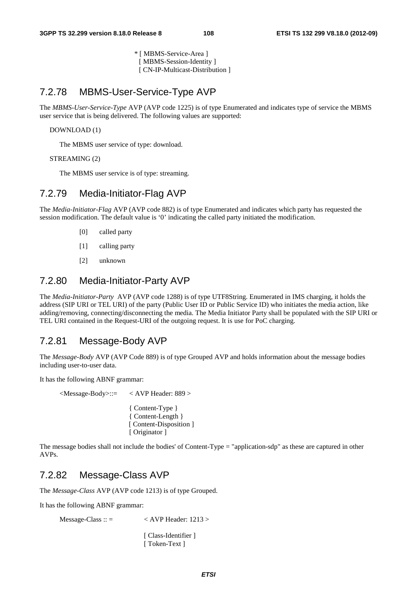\* [ MBMS-Service-Area ] [ MBMS-Session-Identity ] [ CN-IP-Multicast-Distribution ]

### 7.2.78 MBMS-User-Service-Type AVP

The *MBMS-User-Service-Type* AVP (AVP code 1225) is of type Enumerated and indicates type of service the MBMS user service that is being delivered. The following values are supported:

#### DOWNLOAD (1)

The MBMS user service of type: download.

#### STREAMING (2)

The MBMS user service is of type: streaming.

#### 7.2.79 Media-Initiator-Flag AVP

The *Media-Initiator-Flag* AVP (AVP code 882) is of type Enumerated and indicates which party has requested the session modification. The default value is '0' indicating the called party initiated the modification.

- [0] called party
- [1] calling party
- [2] unknown

#### 7.2.80 Media-Initiator-Party AVP

The *Media-Initiator-Party* AVP (AVP code 1288) is of type UTF8String. Enumerated in IMS charging, it holds the address (SIP URI or TEL URI) of the party (Public User ID or Public Service ID) who initiates the media action, like adding/removing, connecting/disconnecting the media. The Media Initiator Party shall be populated with the SIP URI or TEL URI contained in the Request-URI of the outgoing request. It is use for PoC charging.

#### 7.2.81 Message-Body AVP

The *Message-Body* AVP (AVP Code 889) is of type Grouped AVP and holds information about the message bodies including user-to-user data.

It has the following ABNF grammar:

 <Message-Body>::= < AVP Header: 889 > { Content-Type } { Content-Length } [ Content-Disposition ] [ Originator ]

The message bodies shall not include the bodies' of Content-Type = "application-sdp" as these are captured in other AVPs.

#### 7.2.82 Message-Class AVP

The *Message-Class* AVP (AVP code 1213) is of type Grouped.

It has the following ABNF grammar:

 $Message-Class :: = \langle AVP \text{Header}: 1213 \rangle$ 

[ Class-Identifier ] [ Token-Text ]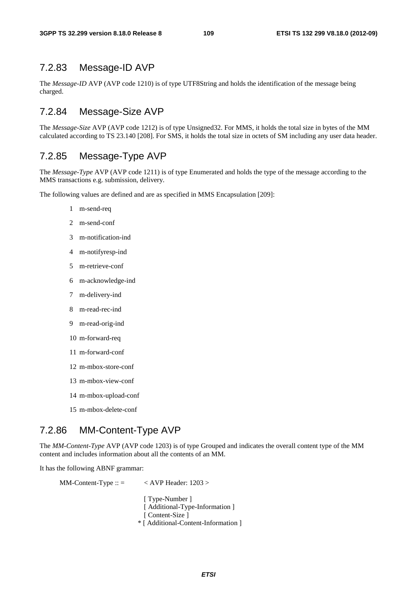### 7.2.83 Message-ID AVP

The *Message-ID* AVP (AVP code 1210) is of type UTF8String and holds the identification of the message being charged.

### 7.2.84 Message-Size AVP

The *Message-Size* AVP (AVP code 1212) is of type Unsigned32. For MMS, it holds the total size in bytes of the MM calculated according to TS 23.140 [208]. For SMS, it holds the total size in octets of SM including any user data header.

### 7.2.85 Message-Type AVP

The *Message-Type* AVP (AVP code 1211) is of type Enumerated and holds the type of the message according to the MMS transactions e.g. submission, delivery.

The following values are defined and are as specified in MMS Encapsulation [209]:

- 1 m-send-req
- 2 m-send-conf
- 3 m-notification-ind
- 4 m-notifyresp-ind
- 5 m-retrieve-conf
- 6 m-acknowledge-ind
- 7 m-delivery-ind
- 8 m-read-rec-ind
- 9 m-read-orig-ind
- 10 m-forward-req
- 11 m-forward-conf
- 12 m-mbox-store-conf
- 13 m-mbox-view-conf
- 14 m-mbox-upload-conf
- 15 m-mbox-delete-conf

### 7.2.86 MM-Content-Type AVP

The *MM-Content-Type* AVP (AVP code 1203) is of type Grouped and indicates the overall content type of the MM content and includes information about all the contents of an MM.

It has the following ABNF grammar:

MM-Content-Type ::  $=$  < AVP Header: 1203 >

[ Type-Number ] [ Additional-Type-Information ] [ Content-Size ] \* [ Additional-Content-Information ]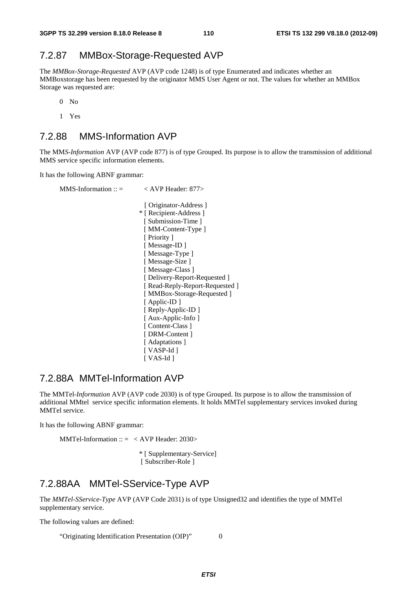#### 7.2.87 MMBox-Storage-Requested AVP

The *MMBox-Storage-Requested* AVP (AVP code 1248) is of type Enumerated and indicates whether an MMBoxstorage has been requested by the originator MMS User Agent or not. The values for whether an MMBox Storage was requested are:

0 No

1 Yes

#### 7.2.88 MMS-Information AVP

The MM*S-Information* AVP (AVP code 877) is of type Grouped. Its purpose is to allow the transmission of additional MMS service specific information elements.

It has the following ABNF grammar:

| $MMS\text{-}Information :: =$ | $<$ AVP Header: 877>            |
|-------------------------------|---------------------------------|
|                               | [ Originator-Address ]          |
|                               | * [ Recipient-Address ]         |
|                               | [Submission-Time]               |
|                               | [MM-Content-Type]               |
|                               | [ Priority ]                    |
|                               | [Message-ID]                    |
|                               | [Message-Type]                  |
|                               | [Message-Size]                  |
|                               | [Message-Class]                 |
|                               | [Delivery-Report-Requested]     |
|                               | [ Read-Reply-Report-Requested ] |
|                               | [MMBox-Storage-Requested]       |
|                               | [Applic-ID]                     |
|                               | [ Reply-Applic-ID ]             |
|                               | [ Aux-Applic-Info ]             |
|                               | [Content-Class]                 |
|                               | [DRM-Content]                   |
|                               | [Adaptations]                   |
|                               | [ VASP-Id ]                     |
|                               | [ VAS-Id ]                      |
|                               |                                 |

#### 7.2.88A MMTel-Information AVP

The MMTel*-Information* AVP (AVP code 2030) is of type Grouped. Its purpose is to allow the transmission of additional MMtel service specific information elements. It holds MMTel supplementary services invoked during MMTel service.

It has the following ABNF grammar:

MMTel-Information ::  $=$  < AVP Header: 2030>

\* [ Supplementary-Service] [ Subscriber-Role ]

### 7.2.88AA MMTel-SService-Type AVP

The *MMTel-SService-Type* AVP (AVP Code 2031) is of type Unsigned32 and identifies the type of MMTel supplementary service.

The following values are defined:

"Originating Identification Presentation (OIP)" 0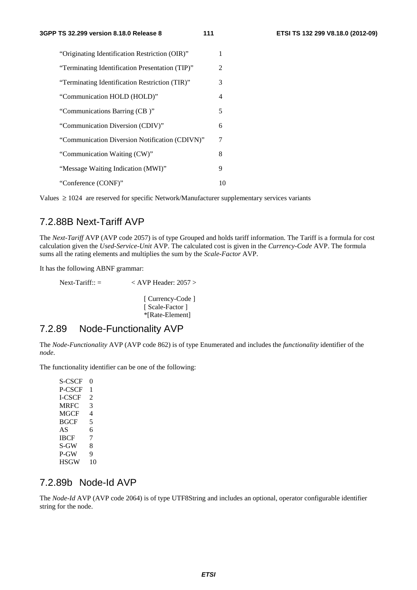| "Originating Identification Restriction (OIR)"  |               |
|-------------------------------------------------|---------------|
| "Terminating Identification Presentation (TIP)" | $\mathcal{L}$ |
| "Terminating Identification Restriction (TIR)"  | 3             |
| "Communication HOLD (HOLD)"                     | 4             |
| "Communications Barring (CB)"                   | 5             |
| "Communication Diversion (CDIV)"                | 6             |
| "Communication Diversion Notification (CDIVN)"  | 7             |
| "Communication Waiting (CW)"                    | 8             |
| "Message Waiting Indication (MWI)"              | 9             |
| "Conference (CONF)"                             | 10            |

Values  $\geq 1024$  are reserved for specific Network/Manufacturer supplementary services variants

#### 7.2.88B Next-Tariff AVP

The *Next-Tariff* AVP (AVP code 2057) is of type Grouped and holds tariff information. The Tariff is a formula for cost calculation given the *Used-Service-Unit* AVP. The calculated cost is given in the *Currency-Code* AVP. The formula sums all the rating elements and multiplies the sum by the *Scale-Factor* AVP.

It has the following ABNF grammar:

Next-Tariff::  $=$   $\langle$  AVP Header: 2057  $>$ [ Currency-Code ] [ Scale-Factor ] \*[Rate-Element]

#### 7.2.89 Node-Functionality AVP

The *Node-Functionality* AVP (AVP code 862) is of type Enumerated and includes the *functionality* identifier of the *node*.

The functionality identifier can be one of the following:

S-CSCF 0 P-CSCF 1 I-CSCF 2 MRFC 3 MGCF 4<br>BGCF 5  $BGCF$ AS 6 IBCF 7 S-GW 8 P-GW 9 HSGW 10

#### 7.2.89b Node-Id AVP

The *Node-Id* AVP (AVP code 2064) is of type UTF8String and includes an optional, operator configurable identifier string for the node.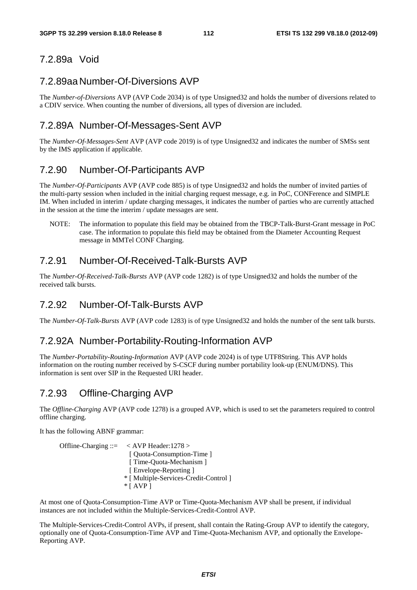#### 7.2.89a Void

#### 7.2.89aa Number-Of-Diversions AVP

The *Number-of-Diversions* AVP (AVP Code 2034) is of type Unsigned32 and holds the number of diversions related to a CDIV service. When counting the number of diversions, all types of diversion are included.

#### 7.2.89A Number-Of-Messages-Sent AVP

The *Number-Of-Messages-Sent* AVP (AVP code 2019) is of type Unsigned32 and indicates the number of SMSs sent by the IMS application if applicable.

#### 7.2.90 Number-Of-Participants AVP

The *Number-Of-Participants* AVP (AVP code 885) is of type Unsigned32 and holds the number of invited parties of the multi-party session when included in the initial charging request message, e.g. in PoC, CONFerence and SIMPLE IM. When included in interim / update charging messages, it indicates the number of parties who are currently attached in the session at the time the interim / update messages are sent.

NOTE: The information to populate this field may be obtained from the TBCP-Talk-Burst-Grant message in PoC case. The information to populate this field may be obtained from the Diameter Accounting Request message in MMTel CONF Charging.

#### 7.2.91 Number-Of-Received-Talk-Bursts AVP

The *Number-Of-Received-Talk-Bursts* AVP (AVP code 1282) is of type Unsigned32 and holds the number of the received talk bursts.

#### 7.2.92 Number-Of-Talk-Bursts AVP

The *Number-Of-Talk-Bursts* AVP (AVP code 1283) is of type Unsigned32 and holds the number of the sent talk bursts.

#### 7.2.92A Number-Portability-Routing-Information AVP

The *Number-Portability-Routing-Information* AVP (AVP code 2024) is of type UTF8String. This AVP holds information on the routing number received by S-CSCF during number portability look-up (ENUM/DNS). This information is sent over SIP in the Requested URI header.

#### 7.2.93 Offline-Charging AVP

The *Offline-Charging* AVP (AVP code 1278) is a grouped AVP, which is used to set the parameters required to control offline charging.

It has the following ABNF grammar:

Offline-Charging ::= < AVP Header:1278 > [ Quota-Consumption-Time ] [ Time-Ouota-Mechanism ] [ Envelope-Reporting ] \* [ Multiple-Services-Credit-Control ]  $*$  [ AVP ]

At most one of Quota-Consumption-Time AVP or Time-Quota-Mechanism AVP shall be present, if individual instances are not included within the Multiple-Services-Credit-Control AVP.

The Multiple-Services-Credit-Control AVPs, if present, shall contain the Rating-Group AVP to identify the category, optionally one of Quota-Consumption-Time AVP and Time-Quota-Mechanism AVP, and optionally the Envelope-Reporting AVP.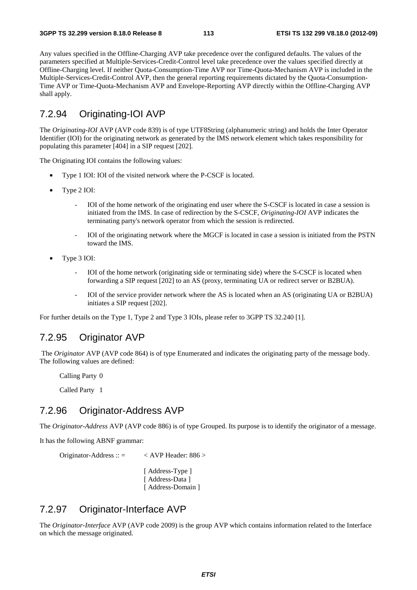Any values specified in the Offline-Charging AVP take precedence over the configured defaults. The values of the parameters specified at Multiple-Services-Credit-Control level take precedence over the values specified directly at Offline-Charging level. If neither Quota-Consumption-Time AVP nor Time-Quota-Mechanism AVP is included in the Multiple-Services-Credit-Control AVP, then the general reporting requirements dictated by the Quota-Consumption-Time AVP or Time-Quota-Mechanism AVP and Envelope-Reporting AVP directly within the Offline-Charging AVP shall apply.

### 7.2.94 Originating-IOI AVP

The *Originating-IOI* AVP (AVP code 839) is of type UTF8String (alphanumeric string) and holds the Inter Operator Identifier (IOI) for the originating network as generated by the IMS network element which takes responsibility for populating this parameter [404] in a SIP request [202].

The Originating IOI contains the following values:

- Type 1 IOI: IOI of the visited network where the P-CSCF is located.
- Type 2 IOI:
	- IOI of the home network of the originating end user where the S-CSCF is located in case a session is initiated from the IMS. In case of redirection by the S-CSCF, *Originating-IOI* AVP indicates the terminating party's network operator from which the session is redirected.
	- IOI of the originating network where the MGCF is located in case a session is initiated from the PSTN toward the IMS.
- Type 3 IOI:
	- IOI of the home network (originating side or terminating side) where the S-CSCF is located when forwarding a SIP request [202] to an AS (proxy, terminating UA or redirect server or B2BUA).
	- IOI of the service provider network where the AS is located when an AS (originating UA or B2BUA) initiates a SIP request [202].

For further details on the Type 1, Type 2 and Type 3 IOIs, please refer to 3GPP TS 32.240 [1].

#### 7.2.95 Originator AVP

 The *Originator* AVP (AVP code 864) is of type Enumerated and indicates the originating party of the message body. The following values are defined:

Calling Party 0

Called Party 1

#### 7.2.96 Originator-Address AVP

The *Originator-Address* AVP (AVP code 886) is of type Grouped. Its purpose is to identify the originator of a message.

It has the following ABNF grammar:

```
Originator-Address :: = < AVP Header: 886 >
               [Address-Type ]
               [ Address-Data ]
               [ Address-Domain ]
```
### 7.2.97 Originator-Interface AVP

The *Originator-Interface* AVP (AVP code 2009) is the group AVP which contains information related to the Interface on which the message originated.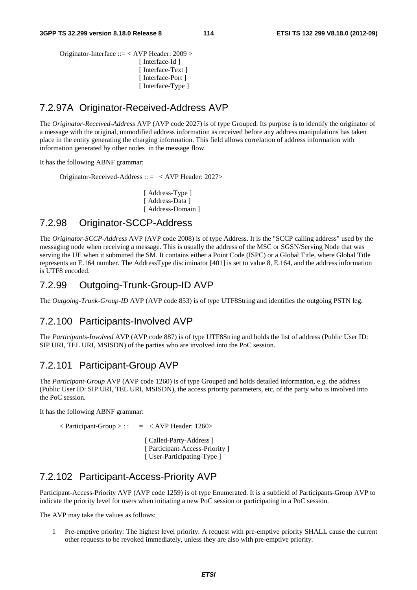Originator-Interface ::= < AVP Header: 2009 > [ Interface-Id ] [ Interface-Text ] [ Interface-Port ] [ Interface-Type ]

#### 7.2.97A Originator-Received-Address AVP

The *Originator-Received-Address* AVP (AVP code 2027) is of type Grouped. Its purpose is to identify the originator of a message with the original, unmodified address information as received before any address manipulations has taken place in the entity generating the charging information. This field allows correlation of address information with information generated by other nodes in the message flow.

It has the following ABNF grammar:

Originator-Received-Address :: = < AVP Header: 2027>

[ Address-Type ] [ Address-Data ] [ Address-Domain ]

#### 7.2.98 Originator-SCCP-Address

The *Originator-SCCP-Address* AVP (AVP code 2008) is of type Address. It is the "SCCP calling address" used by the messaging node when receiving a message. This is usually the address of the MSC or SGSN/Serving Node that was serving the UE when it submitted the SM. It contains either a Point Code (ISPC) or a Global Title, where Global Title represents an E.164 number. The AddressType disciminator [401] is set to value 8, E.164, and the address information is UTF8 encoded.

#### 7.2.99 Outgoing-Trunk-Group-ID AVP

The *Outgoing-Trunk-Group-ID* AVP (AVP code 853) is of type UTF8String and identifies the outgoing PSTN leg.

#### 7.2.100 Participants-Involved AVP

The *Participants-Involved* AVP (AVP code 887) is of type UTF8String and holds the list of address (Public User ID: SIP URI, TEL URI, MSISDN) of the parties who are involved into the PoC session.

#### 7.2.101 Participant-Group AVP

The *Participant-Group* AVP (AVP code 1260) is of type Grouped and holds detailed information, e.g. the address (Public User ID: SIP URI, TEL URI, MSISDN), the access priority parameters, etc, of the party who is involved into the PoC session.

It has the following ABNF grammar:

 $\langle$  Participant-Group  $>$ ::  $= \langle$  AVP Header: 1260 $>$ 

[ Called-Party-Address ] [ Participant-Access-Priority ] [ User-Participating-Type ]

#### 7.2.102 Participant-Access-Priority AVP

Participant-Access-Priority AVP (AVP code 1259) is of type Enumerated. It is a subfield of Participants-Group AVP to indicate the priority level for users when initiating a new PoC session or participating in a PoC session.

The AVP may take the values as follows:

1 Pre-emptive priority: The highest level priority. A request with pre-emptive priority SHALL cause the current other requests to be revoked immediately, unless they are also with pre-emptive priority.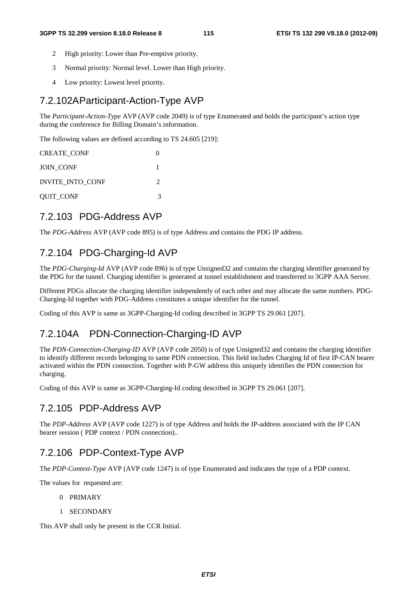- 2 High priority: Lower than Pre-emptive priority.
- 3 Normal priority: Normal level. Lower than High priority.
- 4 Low priority: Lowest level priority.

#### 7.2.102A Participant-Action-Type AVP

The *Participant-Action-Type* AVP (AVP code 2049) is of type Enumerated and holds the participant's action type during the conference for Billing Domain's information.

The following values are defined according to TS 24.605 [219]:

| <b>CREATE CONF</b>      |                             |
|-------------------------|-----------------------------|
| <b>JOIN CONF</b>        |                             |
| <b>INVITE INTO CONF</b> | $\mathcal{D}_{\mathcal{A}}$ |
| QUIT_CONF               | 3                           |

#### 7.2.103 PDG-Address AVP

The *PDG-Address* AVP (AVP code 895) is of type Address and contains the PDG IP address.

#### 7.2.104 PDG-Charging-Id AVP

The *PDG-Charging-Id* AVP (AVP code 896) is of type Unsigned32 and contains the charging identifier generated by the PDG for the tunnel. Charging identifier is generated at tunnel establishment and transferred to 3GPP AAA Server.

Different PDGs allocate the charging identifier independently of each other and may allocate the same numbers. PDG-Charging-Id together with PDG-Address constitutes a unique identifier for the tunnel.

Coding of this AVP is same as 3GPP-Charging-Id coding described in 3GPP TS 29.061 [207].

#### 7.2.104A PDN-Connection-Charging-ID AVP

The *PDN-Connection-Charging-ID* AVP (AVP code 2050) is of type Unsigned32 and contains the charging identifier to identify different records belonging to same PDN connection. This field includes Charging Id of first IP-CAN bearer activated within the PDN connection. Together with P-GW address this uniquely identifies the PDN connection for charging.

Coding of this AVP is same as 3GPP-Charging-Id coding described in 3GPP TS 29.061 [207].

#### 7.2.105 PDP-Address AVP

The *PDP-Address* AVP (AVP code 1227) is of type Address and holds the IP-address associated with the IP CAN bearer session ( PDP context / PDN connection)..

#### 7.2.106 PDP-Context-Type AVP

The *PDP-Context-Type* AVP (AVP code 1247) is of type Enumerated and indicates the type of a PDP context.

The values for requested are:

- 0 PRIMARY
- 1 SECONDARY

This AVP shall only be present in the CCR Initial.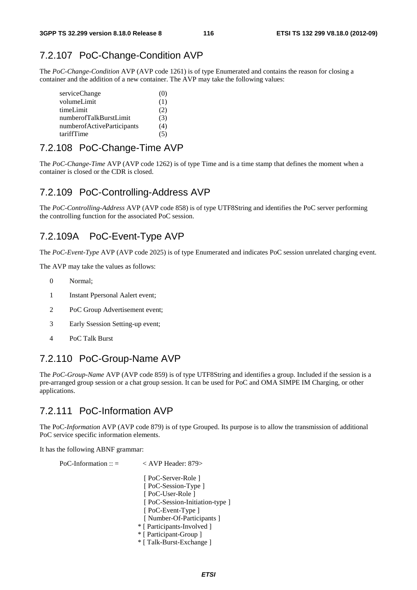### 7.2.107 PoC-Change-Condition AVP

The *PoC-Change-Condition* AVP (AVP code 1261) is of type Enumerated and contains the reason for closing a container and the addition of a new container. The AVP may take the following values:

| serviceChange              | (U) |
|----------------------------|-----|
| volumeLimit                | (1) |
| timeLimit                  | (2) |
| numberofTalkBurstLimit     | (3) |
| numberofActiveParticipants | (4) |
| tariffTime                 | ເລາ |

### 7.2.108 PoC-Change-Time AVP

The *PoC-Change-Time* AVP (AVP code 1262) is of type Time and is a time stamp that defines the moment when a container is closed or the CDR is closed.

#### 7.2.109 PoC-Controlling-Address AVP

The *PoC-Controlling-Address* AVP (AVP code 858) is of type UTF8String and identifies the PoC server performing the controlling function for the associated PoC session.

### 7.2.109A PoC-Event-Type AVP

The *PoC-Event-Type* AVP (AVP code 2025) is of type Enumerated and indicates PoC session unrelated charging event.

The AVP may take the values as follows:

- 0 Normal;
- 1 Instant Ppersonal Aalert event;
- 2 PoC Group Advertisement event;
- 3 Early Ssession Setting-up event;
- 4 PoC Talk Burst

### 7.2.110 PoC-Group-Name AVP

The *PoC-Group-Name* AVP (AVP code 859) is of type UTF8String and identifies a group. Included if the session is a pre-arranged group session or a chat group session. It can be used for PoC and OMA SIMPE IM Charging, or other applications.

### 7.2.111 PoC-Information AVP

The PoC*-Information* AVP (AVP code 879) is of type Grouped. Its purpose is to allow the transmission of additional PoC service specific information elements.

It has the following ABNF grammar:

PoC-Information ::  $=$   $\langle$  AVP Header: 879> [ PoC-Server-Role ] [ PoC-Session-Type ] [ PoC-User-Role ] [ PoC-Session-Initiation-type ] [ PoC-Event-Type ] [ Number-Of-Participants ] \* [ Participants-Involved ] \* [ Participant-Group ]

- \* [ Talk-Burst-Exchange ]
	- *ETSI*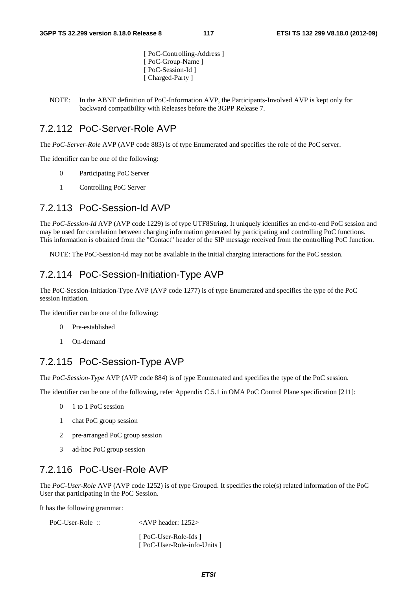[ PoC-Controlling-Address ] [ PoC-Group-Name ] [ PoC-Session-Id ] [ Charged-Party ]

NOTE: In the ABNF definition of PoC-Information AVP, the Participants-Involved AVP is kept only for backward compatibility with Releases before the 3GPP Release 7.

#### 7.2.112 PoC-Server-Role AVP

The *PoC-Server-Role* AVP (AVP code 883) is of type Enumerated and specifies the role of the PoC server.

The identifier can be one of the following:

- 0 Participating PoC Server
- 1 Controlling PoC Server

#### 7.2.113 PoC-Session-Id AVP

The *PoC-Session-Id* AVP (AVP code 1229) is of type UTF8String. It uniquely identifies an end-to-end PoC session and may be used for correlation between charging information generated by participating and controlling PoC functions. This information is obtained from the "Contact" header of the SIP message received from the controlling PoC function.

NOTE: The PoC-Session-Id may not be available in the initial charging interactions for the PoC session.

#### 7.2.114 PoC-Session-Initiation-Type AVP

The PoC-Session-Initiation-Type AVP (AVP code 1277) is of type Enumerated and specifies the type of the PoC session initiation.

The identifier can be one of the following:

- 0 Pre-established
- 1 On-demand

#### 7.2.115 PoC-Session-Type AVP

The *PoC-Session-Type* AVP (AVP code 884) is of type Enumerated and specifies the type of the PoC session.

The identifier can be one of the following, refer Appendix C.5.1 in OMA PoC Control Plane specification [211]:

- 0 1 to 1 PoC session
- 1 chat PoC group session
- 2 pre-arranged PoC group session
- 3 ad-hoc PoC group session

#### 7.2.116 PoC-User-Role AVP

The *PoC-User-Role* AVP (AVP code 1252) is of type Grouped. It specifies the role(s) related information of the PoC User that participating in the PoC Session.

It has the following grammar:

PoC-User-Role ::  $\langle AVP \text{ header}: 1252 \rangle$ 

 [ PoC-User-Role-Ids ] [ PoC-User-Role-info-Units ]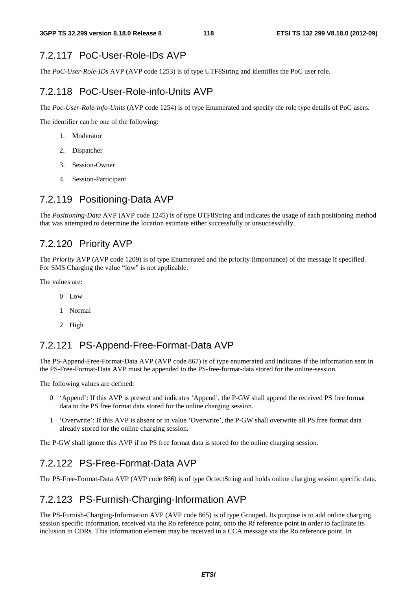### 7.2.117 PoC-User-Role-IDs AVP

The *PoC-User-Role-IDs* AVP (AVP code 1253) is of type UTF8String and identifies the PoC user role.

### 7.2.118 PoC-User-Role-info-Units AVP

The *Poc-User-Role-info-Units* (AVP code 1254) is of type Enumerated and specify the role type details of PoC users.

The identifier can be one of the following:

- 1. Moderator
- 2. Dispatcher
- 3. Session-Owner
- 4. Session-Participant

### 7.2.119 Positioning-Data AVP

The *Positioning-Data* AVP (AVP code 1245) is of type UTF8String and indicates the usage of each positioning method that was attempted to determine the location estimate either successfully or unsuccessfully.

### 7.2.120 Priority AVP

The *Priority* AVP (AVP code 1209) is of type Enumerated and the priority (importance) of the message if specified. For SMS Charging the value "low" is not applicable.

The values are:

- 0 Low
- 1 Normal
- 2 High

#### 7.2.121 PS-Append-Free-Format-Data AVP

The PS-Append-Free-Format-Data AVP (AVP code 867) is of type enumerated and indicates if the information sent in the PS-Free-Format-Data AVP must be appended to the PS-free-format-data stored for the online-session.

The following values are defined:

- 0 'Append': If this AVP is present and indicates 'Append', the P-GW shall append the received PS free format data to the PS free format data stored for the online charging session.
- 1 'Overwrite': If this AVP is absent or in value 'Overwrite', the P-GW shall overwrite all PS free format data already stored for the online charging session.

The P-GW shall ignore this AVP if no PS free format data is stored for the online charging session.

### 7.2.122 PS-Free-Format-Data AVP

The PS-Free-Format-Data AVP (AVP code 866) is of type OctectString and holds online charging session specific data.

#### 7.2.123 PS-Furnish-Charging-Information AVP

The PS-Furnish-Charging-Information AVP (AVP code 865) is of type Grouped. Its purpose is to add online charging session specific information, received via the Ro reference point, onto the Rf reference point in order to facilitate its inclusion in CDRs. This information element may be received in a CCA message via the Ro reference point. In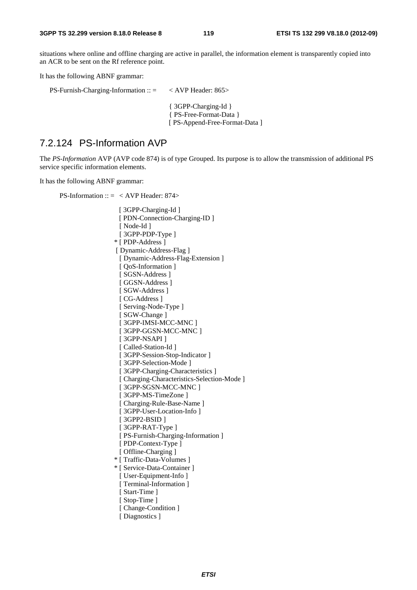situations where online and offline charging are active in parallel, the information element is transparently copied into an ACR to be sent on the Rf reference point.

It has the following ABNF grammar:

| $PS$ -Furnish-Charging-Information :: = | $\langle$ AVP Header: 865 $>$ |
|-----------------------------------------|-------------------------------|
|-----------------------------------------|-------------------------------|

{ 3GPP-Charging-Id } { PS-Free-Format-Data } [ PS-Append-Free-Format-Data ]

### 7.2.124 PS-Information AVP

The *PS-Information* AVP (AVP code 874) is of type Grouped. Its purpose is to allow the transmission of additional PS service specific information elements.

It has the following ABNF grammar:

PS-Information ::  $=$  < AVP Header: 874>

[ 3GPP-Charging-Id ] [ PDN-Connection-Charging-ID ] [ Node-Id ] [ 3GPP-PDP-Type ] \* [ PDP-Address ] [ Dynamic-Address-Flag ] [ Dynamic-Address-Flag-Extension ] [  $Q$ oS-Information ] [ SGSN-Address ] [ GGSN-Address ] [ SGW-Address ] [ CG-Address ] [ Serving-Node-Type ] [ SGW-Change ] [ 3GPP-IMSI-MCC-MNC ] [ 3GPP-GGSN-MCC-MNC ] [ 3GPP-NSAPI ] [ Called-Station-Id ] [ 3GPP-Session-Stop-Indicator ] [ 3GPP-Selection-Mode ] [ 3GPP-Charging-Characteristics ] [ Charging-Characteristics-Selection-Mode ] [ 3GPP-SGSN-MCC-MNC ] [ 3GPP-MS-TimeZone ] [ Charging-Rule-Base-Name ] [ 3GPP-User-Location-Info ] [ 3GPP2-BSID ] [ 3GPP-RAT-Type ] [ PS-Furnish-Charging-Information ] [ PDP-Context-Type ] [ Offline-Charging ] \* [ Traffic-Data-Volumes ] \* [ Service-Data-Container ] [ User-Equipment-Info ] [ Terminal-Information ] [ Start-Time ] [ Stop-Time ] [ Change-Condition ] [ Diagnostics ]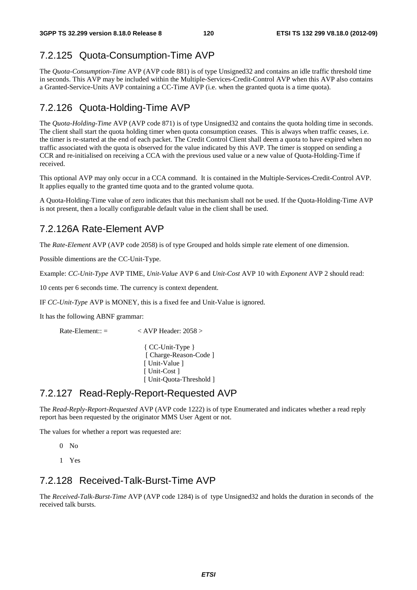## 7.2.125 Quota-Consumption-Time AVP

The *Quota-Consumption-Time* AVP (AVP code 881) is of type Unsigned32 and contains an idle traffic threshold time in seconds. This AVP may be included within the Multiple-Services-Credit-Control AVP when this AVP also contains a Granted-Service-Units AVP containing a CC-Time AVP (i.e. when the granted quota is a time quota).

## 7.2.126 Quota-Holding-Time AVP

The *Quota-Holding-Time* AVP (AVP code 871) is of type Unsigned32 and contains the quota holding time in seconds. The client shall start the quota holding timer when quota consumption ceases. This is always when traffic ceases, i.e. the timer is re-started at the end of each packet. The Credit Control Client shall deem a quota to have expired when no traffic associated with the quota is observed for the value indicated by this AVP. The timer is stopped on sending a CCR and re-initialised on receiving a CCA with the previous used value or a new value of Quota-Holding-Time if received.

This optional AVP may only occur in a CCA command. It is contained in the Multiple-Services-Credit-Control AVP. It applies equally to the granted time quota and to the granted volume quota.

A Quota-Holding-Time value of zero indicates that this mechanism shall not be used. If the Quota-Holding-Time AVP is not present, then a locally configurable default value in the client shall be used.

### 7.2.126A Rate-Element AVP

The *Rate-Element* AVP (AVP code 2058) is of type Grouped and holds simple rate element of one dimension.

Possible dimentions are the CC-Unit-Type.

Example: *CC-Unit-Type* AVP TIME, *Unit-Value* AVP 6 and *Unit-Cost* AVP 10 with *Exponent* AVP 2 should read:

10 cents per 6 seconds time. The currency is context dependent.

IF *CC-Unit-Type* AVP is MONEY, this is a fixed fee and Unit-Value is ignored.

It has the following ABNF grammar:

 $Rate$ -Element::  $=$   $\leq$  AVP Header: 2058  $>$ 

{ CC-Unit-Type } [ Charge-Reason-Code ] [ Unit-Value ] [ Unit-Cost ] [ Unit-Quota-Threshold ]

#### 7.2.127 Read-Reply-Report-Requested AVP

The *Read-Reply-Report-Requested* AVP (AVP code 1222) is of type Enumerated and indicates whether a read reply report has been requested by the originator MMS User Agent or not.

The values for whether a report was requested are:

- $0 N<sub>0</sub>$
- 1 Yes

#### 7.2.128 Received-Talk-Burst-Time AVP

The *Received-Talk-Burst-Time* AVP (AVP code 1284) is of type Unsigned32 and holds the duration in seconds of the received talk bursts.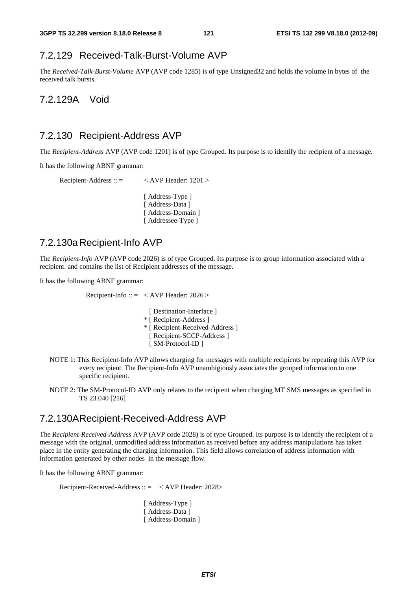### 7.2.129 Received-Talk-Burst-Volume AVP

The *Received-Talk-Burst-Volume* AVP (AVP code 1285) is of type Unsigned32 and holds the volume in bytes of the received talk bursts.

7.2.129A Void

#### 7.2.130 Recipient-Address AVP

The *Recipient-Address* AVP (AVP code 1201) is of type Grouped. Its purpose is to identify the recipient of a message.

It has the following ABNF grammar:

```
Recipient-Address :: = < AVP Header: 1201 >
              [ Address-Type ]
              [ Address-Data ]
              [ Address-Domain ]
```
## 7.2.130a Recipient-Info AVP

The *Recipient-Info* AVP (AVP code 2026) is of type Grouped. Its purpose is to group information associated with a recipient. and contains the list of Recipient addresses of the message.

It has the following ABNF grammar:

Recipient-Info ::  $=$  < AVP Header: 2026 >

[ Addressee-Type ]

- [ Destination-Interface ] \* [ Recipient-Address ] \* [ Recipient-Received-Address ] [ Recipient-SCCP-Address ] [ SM-Protocol-ID ]
- NOTE 1: This Recipient-Info AVP allows charging for messages with multiple recipients by repeating this AVP for every recipient. The Recipient-Info AVP unambigiously associates the grouped information to one specific recipient.
- NOTE 2: The SM-Protocol-ID AVP only relates to the recipient when charging MT SMS messages as specified in TS 23.040 [216]

#### 7.2.130A Recipient-Received-Address AVP

The *Recipient-Received-Address* AVP (AVP code 2028) is of type Grouped. Its purpose is to identify the recipient of a message with the original, unmodified address information as received before any address manipulations has taken place in the entity generating the charging information. This field allows correlation of address information with information generated by other nodes in the message flow.

It has the following ABNF grammar:

Recipient-Received-Address :: = < AVP Header: 2028>

[ Address-Type ] [ Address-Data ] [ Address-Domain ]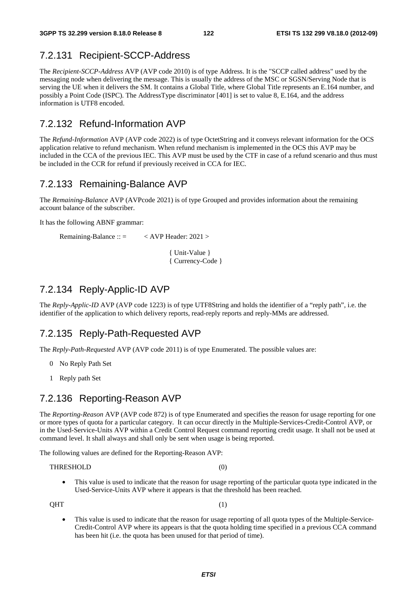### 7.2.131 Recipient-SCCP-Address

The *Recipient-SCCP-Address* AVP (AVP code 2010) is of type Address. It is the "SCCP called address" used by the messaging node when delivering the message. This is usually the address of the MSC or SGSN/Serving Node that is serving the UE when it delivers the SM. It contains a Global Title, where Global Title represents an E.164 number, and possibly a Point Code (ISPC). The AddressType discriminator [401] is set to value 8, E.164, and the address information is UTF8 encoded.

### 7.2.132 Refund-Information AVP

The *Refund-Information* AVP (AVP code 2022) is of type OctetString and it conveys relevant information for the OCS application relative to refund mechanism. When refund mechanism is implemented in the OCS this AVP may be included in the CCA of the previous IEC. This AVP must be used by the CTF in case of a refund scenario and thus must be included in the CCR for refund if previously received in CCA for IEC.

#### 7.2.133 Remaining-Balance AVP

The *Remaining-Balance* AVP (AVPcode 2021) is of type Grouped and provides information about the remaining account balance of the subscriber.

It has the following ABNF grammar:

Remaining-Balance :: = < AVP Header: 2021 >

 { Unit-Value } { Currency-Code }

### 7.2.134 Reply-Applic-ID AVP

The *Reply-Applic-ID* AVP (AVP code 1223) is of type UTF8String and holds the identifier of a "reply path", i.e. the identifier of the application to which delivery reports, read-reply reports and reply-MMs are addressed.

#### 7.2.135 Reply-Path-Requested AVP

The *Reply-Path-Requested* AVP (AVP code 2011) is of type Enumerated. The possible values are:

- 0 No Reply Path Set
- 1 Reply path Set

### 7.2.136 Reporting-Reason AVP

The *Reporting-Reason* AVP (AVP code 872) is of type Enumerated and specifies the reason for usage reporting for one or more types of quota for a particular category. It can occur directly in the Multiple-Services-Credit-Control AVP, or in the Used-Service-Units AVP within a Credit Control Request command reporting credit usage. It shall not be used at command level. It shall always and shall only be sent when usage is being reported.

The following values are defined for the Reporting-Reason AVP:

THRESHOLD (0)

• This value is used to indicate that the reason for usage reporting of the particular quota type indicated in the Used-Service-Units AVP where it appears is that the threshold has been reached.

 $QHT$  (1)

• This value is used to indicate that the reason for usage reporting of all quota types of the Multiple-Service-Credit-Control AVP where its appears is that the quota holding time specified in a previous CCA command has been hit (i.e. the quota has been unused for that period of time).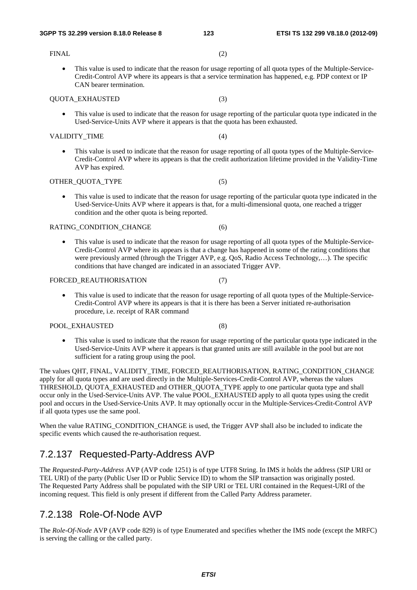#### FINAL (2)

• This value is used to indicate that the reason for usage reporting of all quota types of the Multiple-Service-Credit-Control AVP where its appears is that a service termination has happened, e.g. PDP context or IP CAN bearer termination.

#### QUOTA\_EXHAUSTED (3)

• This value is used to indicate that the reason for usage reporting of the particular quota type indicated in the Used-Service-Units AVP where it appears is that the quota has been exhausted.

#### VALIDITY TIME (4)

• This value is used to indicate that the reason for usage reporting of all quota types of the Multiple-Service-Credit-Control AVP where its appears is that the credit authorization lifetime provided in the Validity-Time AVP has expired.

#### OTHER QUOTA TYPE (5)

• This value is used to indicate that the reason for usage reporting of the particular quota type indicated in the Used-Service-Units AVP where it appears is that, for a multi-dimensional quota, one reached a trigger condition and the other quota is being reported.

#### RATING\_CONDITION\_CHANGE (6)

• This value is used to indicate that the reason for usage reporting of all quota types of the Multiple-Service-Credit-Control AVP where its appears is that a change has happened in some of the rating conditions that were previously armed (through the Trigger AVP, e.g. QoS, Radio Access Technology,…). The specific conditions that have changed are indicated in an associated Trigger AVP.

#### FORCED REAUTHORISATION (7)

• This value is used to indicate that the reason for usage reporting of all quota types of the Multiple-Service-Credit-Control AVP where its appears is that it is there has been a Server initiated re-authorisation procedure, i.e. receipt of RAR command

#### POOL\_EXHAUSTED (8)

This value is used to indicate that the reason for usage reporting of the particular quota type indicated in the Used-Service-Units AVP where it appears is that granted units are still available in the pool but are not sufficient for a rating group using the pool.

The values QHT, FINAL, VALIDITY\_TIME, FORCED\_REAUTHORISATION, RATING\_CONDITION\_CHANGE apply for all quota types and are used directly in the Multiple-Services-Credit-Control AVP, whereas the values THRESHOLD, QUOTA\_EXHAUSTED and OTHER\_QUOTA\_TYPE apply to one particular quota type and shall occur only in the Used-Service-Units AVP. The value POOL\_EXHAUSTED apply to all quota types using the credit pool and occurs in the Used-Service-Units AVP. It may optionally occur in the Multiple-Services-Credit-Control AVP if all quota types use the same pool.

When the value RATING CONDITION CHANGE is used, the Trigger AVP shall also be included to indicate the specific events which caused the re-authorisation request.

## 7.2.137 Requested-Party-Address AVP

The *Requested-Party-Address* AVP (AVP code 1251) is of type UTF8 String. In IMS it holds the address (SIP URI or TEL URI) of the party (Public User ID or Public Service ID) to whom the SIP transaction was originally posted. The Requested Party Address shall be populated with the SIP URI or TEL URI contained in the Request-URI of the incoming request. This field is only present if different from the Called Party Address parameter.

### 7.2.138 Role-Of-Node AVP

The *Role-Of-Node* AVP (AVP code 829) is of type Enumerated and specifies whether the IMS node (except the MRFC) is serving the calling or the called party.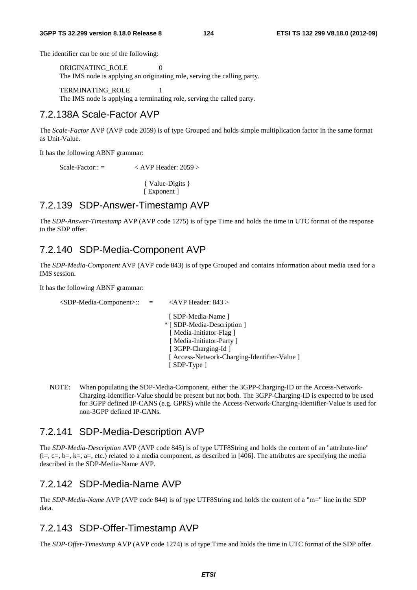The identifier can be one of the following:

ORIGINATING ROLE 0 The IMS node is applying an originating role, serving the calling party.

 TERMINATING\_ROLE 1 The IMS node is applying a terminating role, serving the called party.

#### 7.2.138A Scale-Factor AVP

The *Scale-Factor* AVP (AVP code 2059) is of type Grouped and holds simple multiplication factor in the same format as Unit-Value.

It has the following ABNF grammar:

 $Scale-Factor:: = \left\langle AVP \text{Header: } 2059 \right\rangle$ 

{ Value-Digits } [ Exponent ]

#### 7.2.139 SDP-Answer-Timestamp AVP

The *SDP-Answer-Timestamp* AVP (AVP code 1275) is of type Time and holds the time in UTC format of the response to the SDP offer.

#### 7.2.140 SDP-Media-Component AVP

The *SDP-Media-Component* AVP (AVP code 843) is of type Grouped and contains information about media used for a IMS session.

It has the following ABNF grammar:

 <SDP-Media-Component>:: = <AVP Header: 843 > [ SDP-Media-Name ] \* [ SDP-Media-Description ] [ Media-Initiator-Flag ] [ Media-Initiator-Party ] [ 3GPP-Charging-Id ] [ Access-Network-Charging-Identifier-Value ] [ SDP-Type ]

NOTE: When populating the SDP-Media-Component, either the 3GPP-Charging-ID or the Access-Network-Charging-Identifier-Value should be present but not both. The 3GPP-Charging-ID is expected to be used for 3GPP defined IP-CANS (e.g. GPRS) while the Access-Network-Charging-Identifier-Value is used for non-3GPP defined IP-CANs.

#### 7.2.141 SDP-Media-Description AVP

The *SDP-Media-Description* AVP (AVP code 845) is of type UTF8String and holds the content of an "attribute-line"  $(i=, c=, b=, k=, a=, etc.)$  related to a media component, as described in [406]. The attributes are specifying the media described in the SDP-Media-Name AVP.

#### 7.2.142 SDP-Media-Name AVP

The *SDP-Media-Name* AVP (AVP code 844) is of type UTF8String and holds the content of a "m=" line in the SDP data.

#### 7.2.143 SDP-Offer-Timestamp AVP

The *SDP-Offer-Timestamp* AVP (AVP code 1274) is of type Time and holds the time in UTC format of the SDP offer.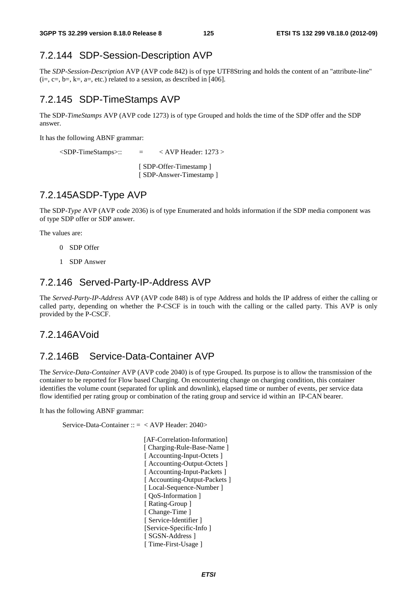## 7.2.144 SDP-Session-Description AVP

The *SDP-Session-Description* AVP (AVP code 842) is of type UTF8String and holds the content of an "attribute-line"  $(i=, c=, b=, k=, a=, etc.)$  related to a session, as described in [406].

## 7.2.145 SDP-TimeStamps AVP

The SDP-*TimeStamps* AVP (AVP code 1273) is of type Grouped and holds the time of the SDP offer and the SDP answer.

It has the following ABNF grammar:

 $\langle$ SDP-TimeStamps>::  $=$   $\langle$  AVP Header: 1273 >

[ SDP-Offer-Timestamp ] [ SDP-Answer-Timestamp ]

### 7.2.145A SDP-Type AVP

The SDP-*Type* AVP (AVP code 2036) is of type Enumerated and holds information if the SDP media component was of type SDP offer or SDP answer.

The values are:

- 0 SDP Offer
- 1 SDP Answer

#### 7.2.146 Served-Party-IP-Address AVP

The *Served-Party-IP-Address* AVP (AVP code 848) is of type Address and holds the IP address of either the calling or called party, depending on whether the P-CSCF is in touch with the calling or the called party. This AVP is only provided by the P-CSCF.

#### 7.2.146A Void

#### 7.2.146B Service-Data-Container AVP

The *Service-Data-Container* AVP (AVP code 2040) is of type Grouped. Its purpose is to allow the transmission of the container to be reported for Flow based Charging. On encountering change on charging condition, this container identifies the volume count (separated for uplink and downlink), elapsed time or number of events, per service data flow identified per rating group or combination of the rating group and service id within an IP-CAN bearer.

It has the following ABNF grammar:

Service-Data-Container :: = < AVP Header: 2040>

 [AF-Correlation-Information] [ Charging-Rule-Base-Name ] [ Accounting-Input-Octets ] [ Accounting-Output-Octets ] [ Accounting-Input-Packets ] [ Accounting-Output-Packets ] [ Local-Sequence-Number ] [ QoS-Information ] [ Rating-Group ] [ Change-Time ] [ Service-Identifier ] [Service-Specific-Info ] [ SGSN-Address ] [ Time-First-Usage ]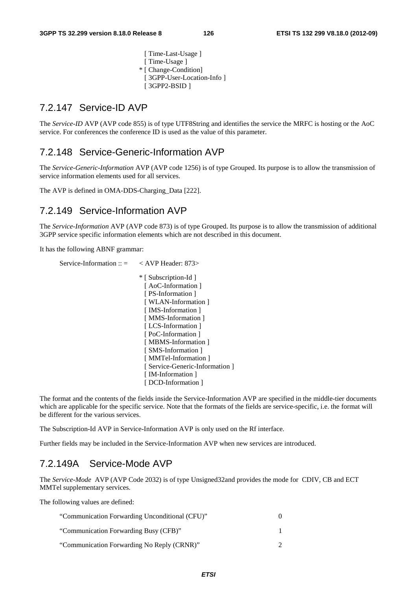[ Time-Last-Usage ] [ Time-Usage ] \* [ Change-Condition] [ 3GPP-User-Location-Info ] [ 3GPP2-BSID ]

#### 7.2.147 Service-ID AVP

The *Service-ID* AVP (AVP code 855) is of type UTF8String and identifies the service the MRFC is hosting or the AoC service. For conferences the conference ID is used as the value of this parameter.

#### 7.2.148 Service-Generic-Information AVP

The *Service-Generic-Information* AVP (AVP code 1256) is of type Grouped. Its purpose is to allow the transmission of service information elements used for all services.

The AVP is defined in OMA-DDS-Charging\_Data [222].

#### 7.2.149 Service-Information AVP

The *Service-Information* AVP (AVP code 873) is of type Grouped. Its purpose is to allow the transmission of additional 3GPP service specific information elements which are not described in this document.

It has the following ABNF grammar:

Service-Information ::  $=$  < AVP Header: 873> \* [ Subscription-Id ] [ AoC-Information ] [ PS-Information ] [ WLAN-Information ] [ IMS-Information ] [ MMS-Information ] [ LCS-Information ] [ PoC-Information ] [ MBMS-Information ] [ SMS-Information ] [ MMTel-Information ] [ Service-Generic-Information ] [ IM-Information ] [ DCD-Information ]

The format and the contents of the fields inside the Service-Information AVP are specified in the middle-tier documents which are applicable for the specific service. Note that the formats of the fields are service-specific, i.e. the format will be different for the various services.

The Subscription-Id AVP in Service-Information AVP is only used on the Rf interface.

Further fields may be included in the Service-Information AVP when new services are introduced.

#### 7.2.149A Service-Mode AVP

The *Service-Mode* AVP (AVP Code 2032) is of type Unsigned32and provides the mode for CDIV, CB and ECT MMTel supplementary services.

The following values are defined:

| "Communication Forwarding Unconditional (CFU)" |  |
|------------------------------------------------|--|
| "Communication Forwarding Busy (CFB)"          |  |
| "Communication Forwarding No Reply (CRNR)"     |  |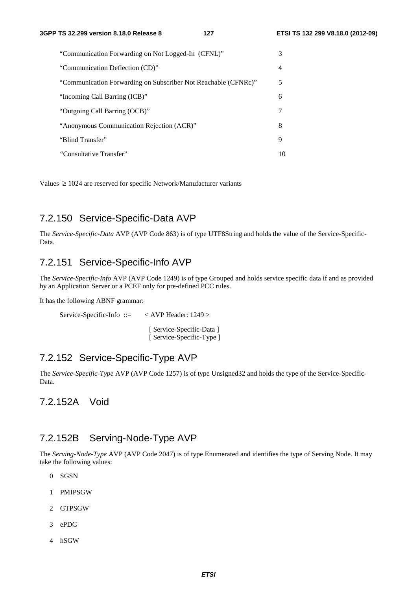| "Communication Forwarding on Not Logged-In (CFNL)"             | 3  |
|----------------------------------------------------------------|----|
| "Communication Deflection (CD)"                                | 4  |
| "Communication Forwarding on Subscriber Not Reachable (CFNRc)" | 5  |
| "Incoming Call Barring (ICB)"                                  | 6  |
| "Outgoing Call Barring (OCB)"                                  | 7  |
| "Anonymous Communication Rejection (ACR)"                      | 8  |
| "Blind Transfer"                                               | 9  |
| "Consultative Transfer"                                        | 10 |

Values  $\geq 1024$  are reserved for specific Network/Manufacturer variants

### 7.2.150 Service-Specific-Data AVP

The *Service-Specific-Data* AVP (AVP Code 863) is of type UTF8String and holds the value of the Service-Specific-Data.

### 7.2.151 Service-Specific-Info AVP

The *Service-Specific-Info* AVP (AVP Code 1249) is of type Grouped and holds service specific data if and as provided by an Application Server or a PCEF only for pre-defined PCC rules.

It has the following ABNF grammar:

Service-Specific-Info ::= < AVP Header: 1249 >

 [ Service-Specific-Data ] [ Service-Specific-Type ]

#### 7.2.152 Service-Specific-Type AVP

The *Service-Specific-Type* AVP (AVP Code 1257) is of type Unsigned32 and holds the type of the Service-Specific-Data.

7.2.152A Void

#### 7.2.152B Serving-Node-Type AVP

The *Serving-Node-Type* AVP (AVP Code 2047) is of type Enumerated and identifies the type of Serving Node. It may take the following values:

- 0 SGSN
- 1 PMIPSGW
- 2 GTPSGW
- 3 ePDG
- 4 hSGW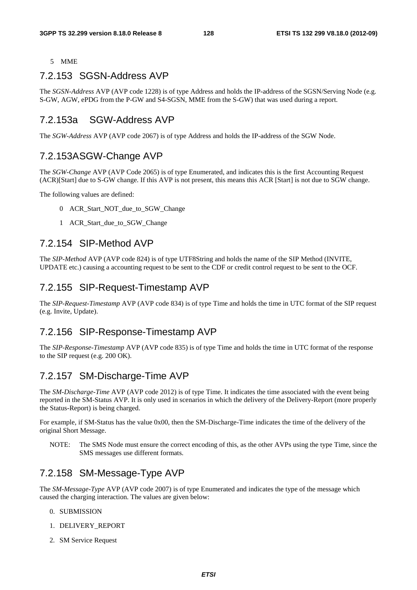#### 5 MME

## 7.2.153 SGSN-Address AVP

The *SGSN-Address* AVP (AVP code 1228) is of type Address and holds the IP-address of the SGSN/Serving Node (e.g. S-GW, AGW, ePDG from the P-GW and S4-SGSN, MME from the S-GW) that was used during a report.

### 7.2.153a SGW-Address AVP

The *SGW-Address* AVP (AVP code 2067) is of type Address and holds the IP-address of the SGW Node.

### 7.2.153A SGW-Change AVP

The *SGW-Change* AVP (AVP Code 2065) is of type Enumerated, and indicates this is the first Accounting Request (ACR)[Start] due to S-GW change. If this AVP is not present, this means this ACR [Start] is not due to SGW change.

The following values are defined:

- 0 ACR\_Start\_NOT\_due\_to\_SGW\_Change
- 1 ACR\_Start\_due\_to\_SGW\_Change

#### 7.2.154 SIP-Method AVP

The *SIP-Method* AVP (AVP code 824) is of type UTF8String and holds the name of the SIP Method (INVITE, UPDATE etc.) causing a accounting request to be sent to the CDF or credit control request to be sent to the OCF.

### 7.2.155 SIP-Request-Timestamp AVP

The *SIP-Request-Timestamp* AVP (AVP code 834) is of type Time and holds the time in UTC format of the SIP request (e.g. Invite, Update).

#### 7.2.156 SIP-Response-Timestamp AVP

The *SIP-Response-Timestamp* AVP (AVP code 835) is of type Time and holds the time in UTC format of the response to the SIP request (e.g. 200 OK).

### 7.2.157 SM-Discharge-Time AVP

The *SM-Discharge-Time* AVP (AVP code 2012) is of type Time. It indicates the time associated with the event being reported in the SM-Status AVP. It is only used in scenarios in which the delivery of the Delivery-Report (more properly the Status-Report) is being charged.

For example, if SM-Status has the value 0x00, then the SM-Discharge-Time indicates the time of the delivery of the original Short Message.

NOTE: The SMS Node must ensure the correct encoding of this, as the other AVPs using the type Time, since the SMS messages use different formats.

### 7.2.158 SM-Message-Type AVP

The *SM*-*Message-Type* AVP (AVP code 2007) is of type Enumerated and indicates the type of the message which caused the charging interaction. The values are given below:

- 0. SUBMISSION
- 1. DELIVERY\_REPORT
- 2. SM Service Request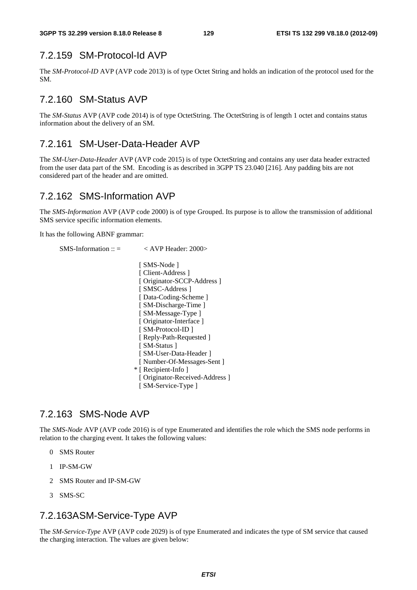## 7.2.159 SM-Protocol-Id AVP

The *SM-Protocol-ID* AVP (AVP code 2013) is of type Octet String and holds an indication of the protocol used for the SM.

### 7.2.160 SM-Status AVP

The *SM-Status* AVP (AVP code 2014) is of type OctetString. The OctetString is of length 1 octet and contains status information about the delivery of an SM.

#### 7.2.161 SM-User-Data-Header AVP

The *SM-User-Data-Header* AVP (AVP code 2015) is of type OctetString and contains any user data header extracted from the user data part of the SM. Encoding is as described in 3GPP TS 23.040 [216]. Any padding bits are not considered part of the header and are omitted.

#### 7.2.162 SMS-Information AVP

The *SMS-Information* AVP (AVP code 2000) is of type Grouped. Its purpose is to allow the transmission of additional SMS service specific information elements.

It has the following ABNF grammar:

```
SMS\text{-}Information :: = \langle AVP \text{Header}: 2000 \rangle
```
[ SMS-Node ] [ Client-Address ] [ Originator-SCCP-Address ] [ SMSC-Address ] [ Data-Coding-Scheme ] [ SM-Discharge-Time ] [ SM-Message-Type ] [ Originator-Interface ] [ SM-Protocol-ID ] [ Reply-Path-Requested ] [ SM-Status ] [ SM-User-Data-Header ] [ Number-Of-Messages-Sent ] \* [ Recipient-Info ] [ Originator-Received-Address ] [ SM-Service-Type ]

### 7.2.163 SMS-Node AVP

The *SMS-Node* AVP (AVP code 2016) is of type Enumerated and identifies the role which the SMS node performs in relation to the charging event. It takes the following values:

- 0 SMS Router
- 1 IP-SM-GW
- 2 SMS Router and IP-SM-GW
- 3 SMS-SC

#### 7.2.163A SM-Service-Type AVP

The *SM-Service-Type* AVP (AVP code 2029) is of type Enumerated and indicates the type of SM service that caused the charging interaction. The values are given below: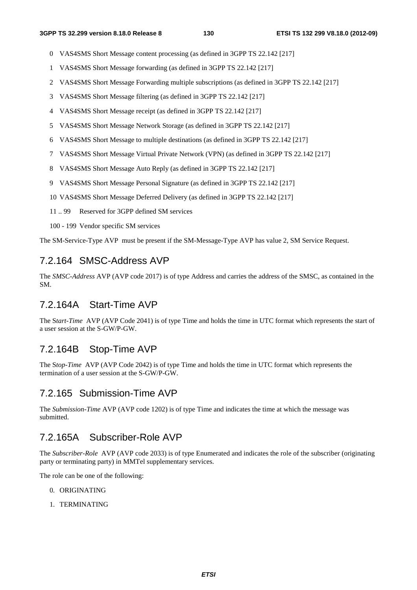- 0 VAS4SMS Short Message content processing (as defined in 3GPP TS 22.142 [217]
- 1 VAS4SMS Short Message forwarding (as defined in 3GPP TS 22.142 [217]
- 2 VAS4SMS Short Message Forwarding multiple subscriptions (as defined in 3GPP TS 22.142 [217]
- 3 VAS4SMS Short Message filtering (as defined in 3GPP TS 22.142 [217]
- 4 VAS4SMS Short Message receipt (as defined in 3GPP TS 22.142 [217]
- 5 VAS4SMS Short Message Network Storage (as defined in 3GPP TS 22.142 [217]
- 6 VAS4SMS Short Message to multiple destinations (as defined in 3GPP TS 22.142 [217]
- 7 VAS4SMS Short Message Virtual Private Network (VPN) (as defined in 3GPP TS 22.142 [217]
- 8 VAS4SMS Short Message Auto Reply (as defined in 3GPP TS 22.142 [217]
- 9 VAS4SMS Short Message Personal Signature (as defined in 3GPP TS 22.142 [217]
- 10 VAS4SMS Short Message Deferred Delivery (as defined in 3GPP TS 22.142 [217]
- 11 .. 99 Reserved for 3GPP defined SM services
- 100 199 Vendor specific SM services

The SM-Service-Type AVP must be present if the SM-Message-Type AVP has value 2, SM Service Request.

#### 7.2.164 SMSC-Address AVP

The *SMSC-Address* AVP (AVP code 2017) is of type Address and carries the address of the SMSC, as contained in the SM.

### 7.2.164A Start-Time AVP

The S*tart-Time* AVP (AVP Code 2041) is of type Time and holds the time in UTC format which represents the start of a user session at the S-GW/P-GW.

### 7.2.164B Stop-Time AVP

The S*top-Time* AVP (AVP Code 2042) is of type Time and holds the time in UTC format which represents the termination of a user session at the S-GW/P-GW.

#### 7.2.165 Submission-Time AVP

The *Submission-Time* AVP (AVP code 1202) is of type Time and indicates the time at which the message was submitted.

#### 7.2.165A Subscriber-Role AVP

The *Subscriber-Role* AVP (AVP code 2033) is of type Enumerated and indicates the role of the subscriber (originating party or terminating party) in MMTel supplementary services.

The role can be one of the following:

- 0. ORIGINATING
- 1. TERMINATING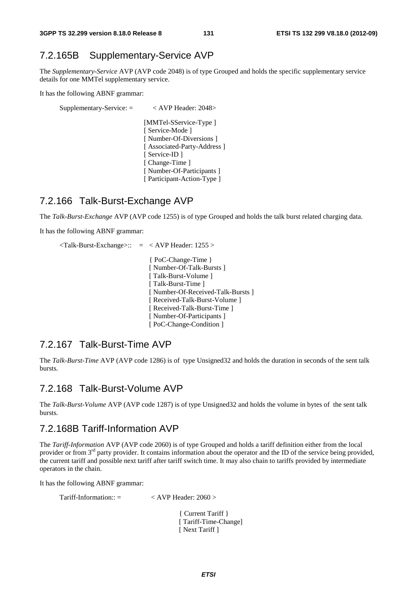## 7.2.165B Supplementary-Service AVP

The *Supplementary-Service* AVP (AVP code 2048) is of type Grouped and holds the specific supplementary service details for one MMTel supplementary service.

It has the following ABNF grammar:

```
Supplementary-Service: = < AVP Header: 2048> 
                 [MMTel-SService-Type ] 
                [ Service-Mode ]
                [ Number-Of-Diversions ]
                [ Associated-Party-Address ]
                [ Service-ID ] 
                [ Change-Time ] 
                [ Number-Of-Participants ] 
                [ Participant-Action-Type ]
```
#### 7.2.166 Talk-Burst-Exchange AVP

The *Talk-Burst-Exchange* AVP (AVP code 1255) is of type Grouped and holds the talk burst related charging data.

It has the following ABNF grammar:

```
\langleTalk-Burst-Exchange>:: = \langle AVP Header: 1255 >
                   { PoC-Change-Time } 
                   [ Number-Of-Talk-Bursts ] 
                   [ Talk-Burst-Volume ] 
                   [ Talk-Burst-Time ]
                   [ Number-Of-Received-Talk-Bursts ] 
                   [ Received-Talk-Burst-Volume ] 
                   [ Received-Talk-Burst-Time ] 
                   [ Number-Of-Participants ] 
                   [ PoC-Change-Condition ]
```
#### 7.2.167 Talk-Burst-Time AVP

The *Talk-Burst-Time* AVP (AVP code 1286) is of type Unsigned32 and holds the duration in seconds of the sent talk bursts.

#### 7.2.168 Talk-Burst-Volume AVP

The *Talk-Burst-Volume* AVP (AVP code 1287) is of type Unsigned32 and holds the volume in bytes of the sent talk bursts.

#### 7.2.168B Tariff-Information AVP

The *Tariff-Information* AVP (AVP code 2060) is of type Grouped and holds a tariff definition either from the local provider or from 3<sup>rd</sup> party provider. It contains information about the operator and the ID of the service being provided, the current tariff and possible next tariff after tariff switch time. It may also chain to tariffs provided by intermediate operators in the chain.

It has the following ABNF grammar:

| $Tariff\text{-}Information::=$ | $\langle$ AVP Header: 2060 $>$ |
|--------------------------------|--------------------------------|
|                                |                                |

 { Current Tariff } [ Tariff-Time-Change] [ Next Tariff ]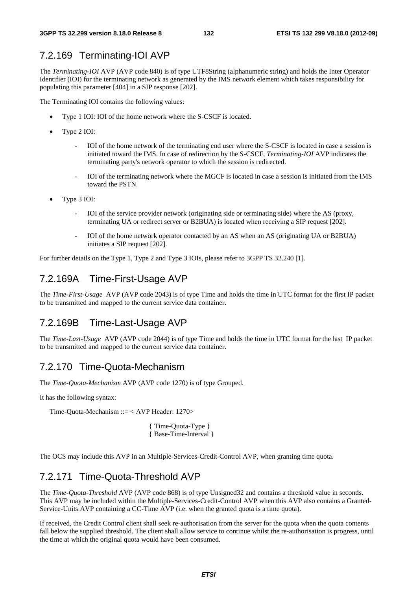## 7.2.169 Terminating-IOI AVP

The *Terminating-IOI* AVP (AVP code 840) is of type UTF8String (alphanumeric string) and holds the Inter Operator Identifier (IOI) for the terminating network as generated by the IMS network element which takes responsibility for populating this parameter [404] in a SIP response [202].

The Terminating IOI contains the following values:

- Type 1 IOI: IOI of the home network where the S-CSCF is located.
- Type 2 IOI:
	- IOI of the home network of the terminating end user where the S-CSCF is located in case a session is initiated toward the IMS. In case of redirection by the S-CSCF, *Terminating-IOI* AVP indicates the terminating party's network operator to which the session is redirected.
	- IOI of the terminating network where the MGCF is located in case a session is initiated from the IMS toward the PSTN.
- Type 3 IOI:
	- IOI of the service provider network (originating side or terminating side) where the AS (proxy, terminating UA or redirect server or B2BUA) is located when receiving a SIP request [202].
	- IOI of the home network operator contacted by an AS when an AS (originating UA or B2BUA) initiates a SIP request [202].

For further details on the Type 1, Type 2 and Type 3 IOIs, please refer to 3GPP TS 32.240 [1].

### 7.2.169A Time-First-Usage AVP

The *Time-First-Usage* AVP (AVP code 2043) is of type Time and holds the time in UTC format for the first IP packet to be transmitted and mapped to the current service data container.

### 7.2.169B Time-Last-Usage AVP

The *Time-Last-Usage* AVP (AVP code 2044) is of type Time and holds the time in UTC format for the last IP packet to be transmitted and mapped to the current service data container.

#### 7.2.170 Time-Quota-Mechanism

The *Time-Quota-Mechanism* AVP (AVP code 1270) is of type Grouped.

It has the following syntax:

Time-Quota-Mechanism ::= < AVP Header: 1270>

{ Time-Quota-Type } { Base-Time-Interval }

The OCS may include this AVP in an Multiple-Services-Credit-Control AVP, when granting time quota.

### 7.2.171 Time-Quota-Threshold AVP

The *Time-Quota-Threshold* AVP (AVP code 868) is of type Unsigned32 and contains a threshold value in seconds. This AVP may be included within the Multiple-Services-Credit-Control AVP when this AVP also contains a Granted-Service-Units AVP containing a CC-Time AVP (i.e. when the granted quota is a time quota).

If received, the Credit Control client shall seek re-authorisation from the server for the quota when the quota contents fall below the supplied threshold. The client shall allow service to continue whilst the re-authorisation is progress, until the time at which the original quota would have been consumed.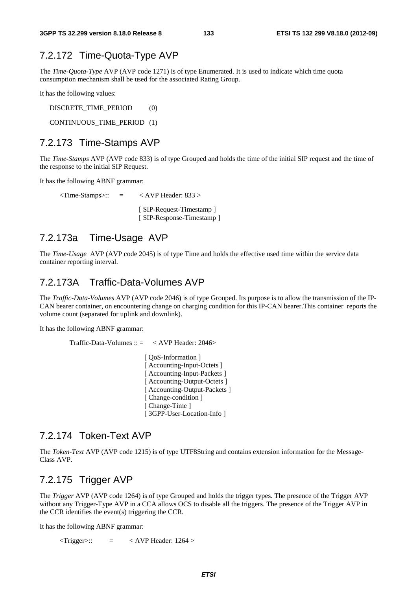#### 7.2.172 Time-Quota-Type AVP

The *Time-Quota-Type* AVP (AVP code 1271) is of type Enumerated. It is used to indicate which time quota consumption mechanism shall be used for the associated Rating Group.

It has the following values:

DISCRETE\_TIME\_PERIOD (0)

CONTINUOUS\_TIME\_PERIOD (1)

#### 7.2.173 Time-Stamps AVP

The *Time-Stamps* AVP (AVP code 833) is of type Grouped and holds the time of the initial SIP request and the time of the response to the initial SIP Request.

It has the following ABNF grammar:

 $\overline{\text{Time-Stamps}}$ : =  $\overline{\text{AVP}$  Header: 833 > [ SIP-Request-Timestamp ] [ SIP-Response-Timestamp ]

#### 7.2.173a Time-Usage AVP

The *Time-Usage* AVP (AVP code 2045) is of type Time and holds the effective used time within the service data container reporting interval.

#### 7.2.173A Traffic-Data-Volumes AVP

The *Traffic-Data-Volumes* AVP (AVP code 2046) is of type Grouped. Its purpose is to allow the transmission of the IP-CAN bearer container, on encountering change on charging condition for this IP-CAN bearer.This container reports the volume count (separated for uplink and downlink).

It has the following ABNF grammar:

Traffic-Data-Volumes  $\therefore$   $\leq$   $\lt$  AVP Header: 2046> [  $\cos$ -Information ] [ Accounting-Input-Octets ] [ Accounting-Input-Packets ] [ Accounting-Output-Octets ] [ Accounting-Output-Packets ] [ Change-condition ] [ Change-Time ] [ 3GPP-User-Location-Info ]

#### 7.2.174 Token-Text AVP

The *Token-Text* AVP (AVP code 1215) is of type UTF8String and contains extension information for the Message-Class AVP.

#### 7.2.175 Trigger AVP

The *Trigger* AVP (AVP code 1264) is of type Grouped and holds the trigger types. The presence of the Trigger AVP without any Trigger-Type AVP in a CCA allows OCS to disable all the triggers. The presence of the Trigger AVP in the CCR identifies the event(s) triggering the CCR.

It has the following ABNF grammar:

 $\langle$ Trigger>:: =  $\langle$  AVP Header: 1264 >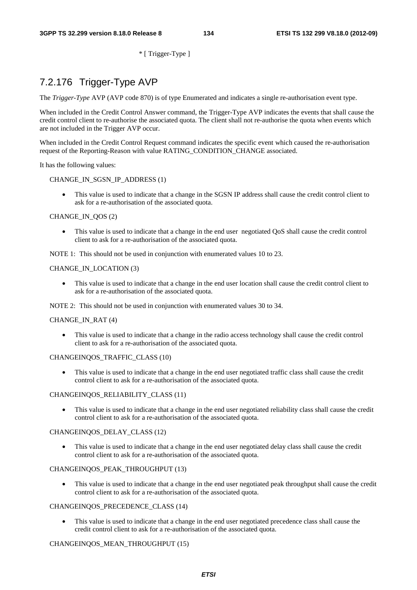\* [ Trigger-Type ]

## 7.2.176 Trigger-Type AVP

The *Trigger-Type* AVP (AVP code 870) is of type Enumerated and indicates a single re-authorisation event type.

When included in the Credit Control Answer command, the Trigger-Type AVP indicates the events that shall cause the credit control client to re-authorise the associated quota. The client shall not re-authorise the quota when events which are not included in the Trigger AVP occur.

When included in the Credit Control Request command indicates the specific event which caused the re-authorisation request of the Reporting-Reason with value RATING\_CONDITION\_CHANGE associated.

It has the following values:

#### CHANGE\_IN\_SGSN\_IP\_ADDRESS (1)

• This value is used to indicate that a change in the SGSN IP address shall cause the credit control client to ask for a re-authorisation of the associated quota.

#### CHANGE\_IN\_QOS (2)

• This value is used to indicate that a change in the end user negotiated QoS shall cause the credit control client to ask for a re-authorisation of the associated quota.

NOTE 1: This should not be used in conjunction with enumerated values 10 to 23.

#### CHANGE\_IN\_LOCATION (3)

• This value is used to indicate that a change in the end user location shall cause the credit control client to ask for a re-authorisation of the associated quota.

NOTE 2: This should not be used in conjunction with enumerated values 30 to 34.

#### CHANGE\_IN\_RAT (4)

• This value is used to indicate that a change in the radio access technology shall cause the credit control client to ask for a re-authorisation of the associated quota.

#### CHANGEINQOS\_TRAFFIC\_CLASS (10)

• This value is used to indicate that a change in the end user negotiated traffic class shall cause the credit control client to ask for a re-authorisation of the associated quota.

#### CHANGEINQOS\_RELIABILITY\_CLASS (11)

• This value is used to indicate that a change in the end user negotiated reliability class shall cause the credit control client to ask for a re-authorisation of the associated quota.

#### CHANGEINQOS\_DELAY\_CLASS (12)

• This value is used to indicate that a change in the end user negotiated delay class shall cause the credit control client to ask for a re-authorisation of the associated quota.

#### CHANGEINQOS\_PEAK\_THROUGHPUT (13)

• This value is used to indicate that a change in the end user negotiated peak throughput shall cause the credit control client to ask for a re-authorisation of the associated quota.

#### CHANGEINQOS\_PRECEDENCE\_CLASS (14)

This value is used to indicate that a change in the end user negotiated precedence class shall cause the credit control client to ask for a re-authorisation of the associated quota.

#### CHANGEINQOS\_MEAN\_THROUGHPUT (15)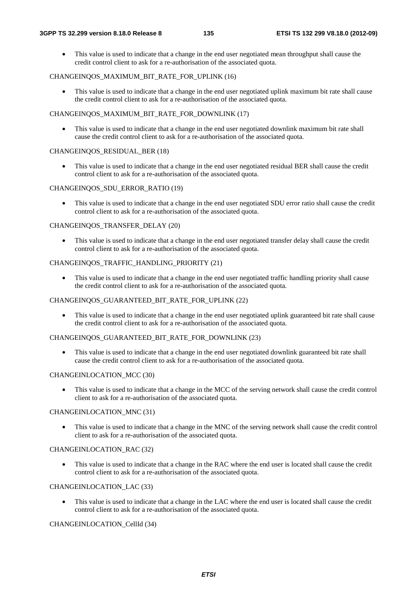• This value is used to indicate that a change in the end user negotiated mean throughput shall cause the credit control client to ask for a re-authorisation of the associated quota.

#### CHANGEINQOS\_MAXIMUM\_BIT\_RATE\_FOR\_UPLINK (16)

This value is used to indicate that a change in the end user negotiated uplink maximum bit rate shall cause the credit control client to ask for a re-authorisation of the associated quota.

#### CHANGEINOOS\_MAXIMUM\_BIT\_RATE\_FOR\_DOWNLINK (17)

This value is used to indicate that a change in the end user negotiated downlink maximum bit rate shall cause the credit control client to ask for a re-authorisation of the associated quota.

#### CHANGEINQOS\_RESIDUAL\_BER (18)

• This value is used to indicate that a change in the end user negotiated residual BER shall cause the credit control client to ask for a re-authorisation of the associated quota.

#### CHANGEINQOS\_SDU\_ERROR\_RATIO (19)

• This value is used to indicate that a change in the end user negotiated SDU error ratio shall cause the credit control client to ask for a re-authorisation of the associated quota.

#### CHANGEINQOS\_TRANSFER\_DELAY (20)

• This value is used to indicate that a change in the end user negotiated transfer delay shall cause the credit control client to ask for a re-authorisation of the associated quota.

#### CHANGEINQOS\_TRAFFIC\_HANDLING\_PRIORITY (21)

This value is used to indicate that a change in the end user negotiated traffic handling priority shall cause the credit control client to ask for a re-authorisation of the associated quota.

#### CHANGEINQOS\_GUARANTEED\_BIT\_RATE\_FOR\_UPLINK (22)

• This value is used to indicate that a change in the end user negotiated uplink guaranteed bit rate shall cause the credit control client to ask for a re-authorisation of the associated quota.

#### CHANGEINQOS\_GUARANTEED\_BIT\_RATE\_FOR\_DOWNLINK (23)

• This value is used to indicate that a change in the end user negotiated downlink guaranteed bit rate shall cause the credit control client to ask for a re-authorisation of the associated quota.

#### CHANGEINLOCATION\_MCC (30)

• This value is used to indicate that a change in the MCC of the serving network shall cause the credit control client to ask for a re-authorisation of the associated quota.

#### CHANGEINLOCATION\_MNC (31)

• This value is used to indicate that a change in the MNC of the serving network shall cause the credit control client to ask for a re-authorisation of the associated quota.

#### CHANGEINLOCATION\_RAC (32)

• This value is used to indicate that a change in the RAC where the end user is located shall cause the credit control client to ask for a re-authorisation of the associated quota.

#### CHANGEINLOCATION\_LAC (33)

• This value is used to indicate that a change in the LAC where the end user is located shall cause the credit control client to ask for a re-authorisation of the associated quota.

#### CHANGEINLOCATION\_CellId (34)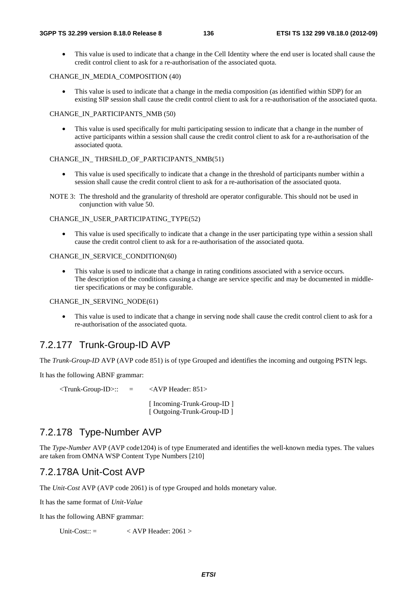• This value is used to indicate that a change in the Cell Identity where the end user is located shall cause the credit control client to ask for a re-authorisation of the associated quota.

#### CHANGE\_IN\_MEDIA\_COMPOSITION (40)

This value is used to indicate that a change in the media composition (as identified within SDP) for an existing SIP session shall cause the credit control client to ask for a re-authorisation of the associated quota.

#### CHANGE\_IN\_PARTICIPANTS\_NMB (50)

This value is used specifically for multi participating session to indicate that a change in the number of active participants within a session shall cause the credit control client to ask for a re-authorisation of the associated quota.

#### CHANGE\_IN\_ THRSHLD\_OF\_PARTICIPANTS\_NMB(51)

- This value is used specifically to indicate that a change in the threshold of participants number within a session shall cause the credit control client to ask for a re-authorisation of the associated quota.
- NOTE 3: The threshold and the granularity of threshold are operator configurable. This should not be used in conjunction with value 50.

#### CHANGE\_IN\_USER\_PARTICIPATING\_TYPE(52)

This value is used specifically to indicate that a change in the user participating type within a session shall cause the credit control client to ask for a re-authorisation of the associated quota.

#### CHANGE\_IN\_SERVICE\_CONDITION(60)

This value is used to indicate that a change in rating conditions associated with a service occurs. The description of the conditions causing a change are service specific and may be documented in middletier specifications or may be configurable.

#### CHANGE\_IN\_SERVING\_NODE(61)

This value is used to indicate that a change in serving node shall cause the credit control client to ask for a re-authorisation of the associated quota.

### 7.2.177 Trunk-Group-ID AVP

The *Trunk-Group-ID* AVP (AVP code 851) is of type Grouped and identifies the incoming and outgoing PSTN legs.

It has the following ABNF grammar:

 $\langle$ Trunk-Group-ID>:: =  $\langle$ AVP Header: 851>

 [ Incoming-Trunk-Group-ID ] [ Outgoing-Trunk-Group-ID ]

### 7.2.178 Type-Number AVP

The *Type-Number* AVP (AVP code1204) is of type Enumerated and identifies the well-known media types. The values are taken from OMNA WSP Content Type Numbers [210]

#### 7.2.178A Unit-Cost AVP

The *Unit-Cost* AVP (AVP code 2061) is of type Grouped and holds monetary value.

It has the same format of *Unit-Value*

It has the following ABNF grammar:

Unit-Cost::  $=$   $\langle$  AVP Header: 2061  $>$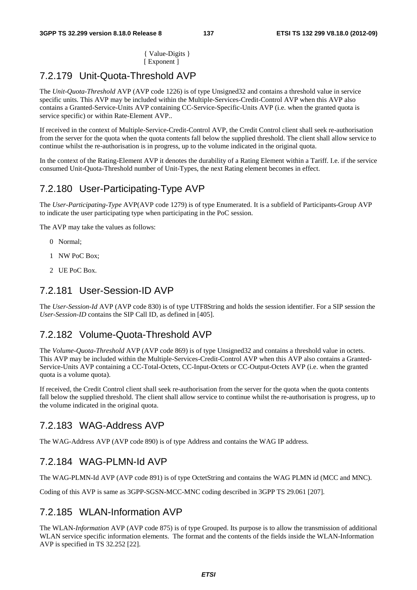{ Value-Digits } [ Exponent ]

## 7.2.179 Unit-Quota-Threshold AVP

The *Unit-Quota-Threshold* AVP (AVP code 1226) is of type Unsigned32 and contains a threshold value in service specific units. This AVP may be included within the Multiple-Services-Credit-Control AVP when this AVP also contains a Granted-Service-Units AVP containing CC-Service-Specific-Units AVP (i.e. when the granted quota is service specific) or within Rate-Element AVP..

If received in the context of Multiple-Service-Credit-Control AVP, the Credit Control client shall seek re-authorisation from the server for the quota when the quota contents fall below the supplied threshold. The client shall allow service to continue whilst the re-authorisation is in progress, up to the volume indicated in the original quota.

In the context of the Rating-Element AVP it denotes the durability of a Rating Element within a Tariff. I.e. if the service consumed Unit-Quota-Threshold number of Unit-Types, the next Rating element becomes in effect.

### 7.2.180 User-Participating-Type AVP

The *User-Participating-Type* AVP(AVP code 1279) is of type Enumerated. It is a subfield of Participants-Group AVP to indicate the user participating type when participating in the PoC session.

The AVP may take the values as follows:

- 0 Normal;
- 1 NW PoC Box;
- 2 UE PoC Box.

#### 7.2.181 User-Session-ID AVP

The *User-Session-Id* AVP (AVP code 830) is of type UTF8String and holds the session identifier. For a SIP session the *User-Session-ID* contains the SIP Call ID, as defined in [405].

#### 7.2.182 Volume-Quota-Threshold AVP

The *Volume-Quota-Threshold* AVP (AVP code 869) is of type Unsigned32 and contains a threshold value in octets. This AVP may be included within the Multiple-Services-Credit-Control AVP when this AVP also contains a Granted-Service-Units AVP containing a CC-Total-Octets, CC-Input-Octets or CC-Output-Octets AVP (i.e. when the granted quota is a volume quota).

If received, the Credit Control client shall seek re-authorisation from the server for the quota when the quota contents fall below the supplied threshold. The client shall allow service to continue whilst the re-authorisation is progress, up to the volume indicated in the original quota.

#### 7.2.183 WAG-Address AVP

The WAG-Address AVP (AVP code 890) is of type Address and contains the WAG IP address.

#### 7.2.184 WAG-PLMN-Id AVP

The WAG-PLMN-Id AVP (AVP code 891) is of type OctetString and contains the WAG PLMN id (MCC and MNC).

Coding of this AVP is same as 3GPP-SGSN-MCC-MNC coding described in 3GPP TS 29.061 [207].

#### 7.2.185 WLAN-Information AVP

The WLAN*-Information* AVP (AVP code 875) is of type Grouped. Its purpose is to allow the transmission of additional WLAN service specific information elements. The format and the contents of the fields inside the WLAN-Information AVP is specified in TS 32.252 [22].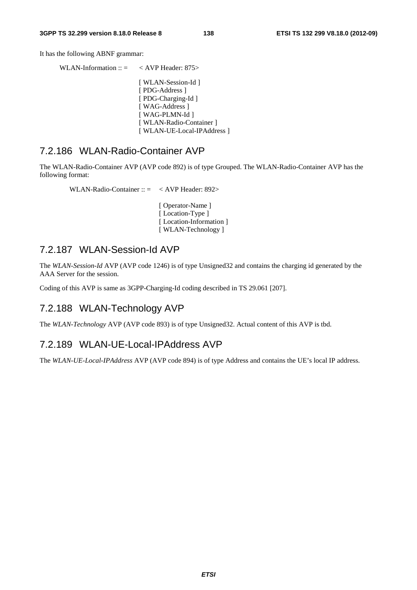It has the following ABNF grammar:

WLAN-Information ::  $=$  < AVP Header: 875> [ WLAN-Session-Id ] [ PDG-Address ] [ PDG-Charging-Id ] [ WAG-Address ] [ WAG-PLMN-Id ] [ WLAN-Radio-Container ] [ WLAN-UE-Local-IPAddress ]

#### 7.2.186 WLAN-Radio-Container AVP

The WLAN-Radio-Container AVP (AVP code 892) is of type Grouped. The WLAN-Radio-Container AVP has the following format:

WLAN-Radio-Container :: = < AVP Header: 892>

 [ Operator-Name ] [Location-Type ] [Location-Information] [ WLAN-Technology ]

#### 7.2.187 WLAN-Session-Id AVP

The *WLAN-Session-Id* AVP (AVP code 1246) is of type Unsigned32 and contains the charging id generated by the AAA Server for the session.

Coding of this AVP is same as 3GPP-Charging-Id coding described in TS 29.061 [207].

#### 7.2.188 WLAN-Technology AVP

The *WLAN-Technology* AVP (AVP code 893) is of type Unsigned32. Actual content of this AVP is tbd.

#### 7.2.189 WLAN-UE-Local-IPAddress AVP

The *WLAN-UE-Local-IPAddress* AVP (AVP code 894) is of type Address and contains the UE's local IP address.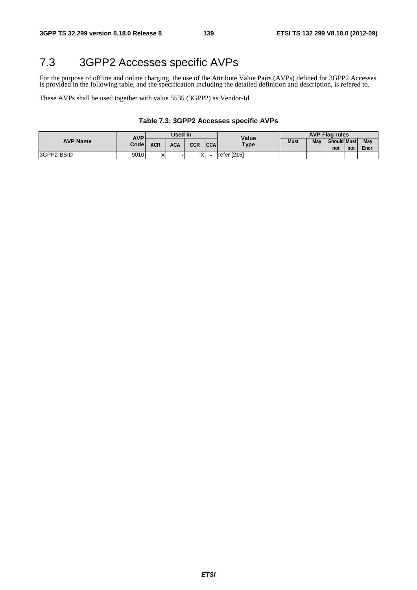## 7.3 3GPP2 Accesses specific AVPs

For the purpose of offline and online charging, the use of the Attribute Value Pairs (AVPs) defined for 3GPP2 Accesses is provided in the following table, and the specification including the detailed definition and description, is refered to.

These AVPs shall be used together with value 5535 (3GPP2) as Vendor-Id.

#### **Table 7.3: 3GPP2 Accesses specific AVPs**

|                 | <b>AVP</b><br>Codel | Used in           |            |     |            | Value       | <b>AVP Flag rules</b> |     |                           |     |              |
|-----------------|---------------------|-------------------|------------|-----|------------|-------------|-----------------------|-----|---------------------------|-----|--------------|
| <b>AVP Name</b> |                     | <b>ACR</b>        | <b>ACA</b> | CCR | <b>CCA</b> | <b>Type</b> | <b>Must</b>           | May | <b>Should Must</b><br>not | not | May<br>Encr. |
| 3GPP2-BSID      | 9010                | $\checkmark$<br>∧ |            |     |            | refer [215] |                       |     |                           |     |              |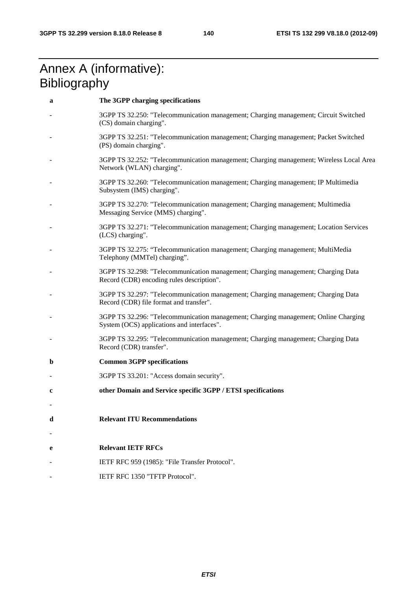## Annex A (informative): **Bibliography**

| a | The 3GPP charging specifications                                                                                                  |
|---|-----------------------------------------------------------------------------------------------------------------------------------|
|   | 3GPP TS 32.250: "Telecommunication management; Charging management; Circuit Switched<br>(CS) domain charging".                    |
|   | 3GPP TS 32.251: "Telecommunication management; Charging management; Packet Switched<br>(PS) domain charging".                     |
|   | 3GPP TS 32.252: "Telecommunication management; Charging management; Wireless Local Area<br>Network (WLAN) charging".              |
|   | 3GPP TS 32.260: "Telecommunication management; Charging management; IP Multimedia<br>Subsystem (IMS) charging".                   |
|   | 3GPP TS 32.270: "Telecommunication management; Charging management; Multimedia<br>Messaging Service (MMS) charging".              |
|   | 3GPP TS 32.271: "Telecommunication management; Charging management; Location Services<br>(LCS) charging".                         |
|   | 3GPP TS 32.275: "Telecommunication management; Charging management; MultiMedia<br>Telephony (MMTel) charging".                    |
|   | 3GPP TS 32.298: "Telecommunication management; Charging management; Charging Data<br>Record (CDR) encoding rules description".    |
|   | 3GPP TS 32.297: "Telecommunication management; Charging management; Charging Data<br>Record (CDR) file format and transfer".      |
|   | 3GPP TS 32.296: "Telecommunication management; Charging management; Online Charging<br>System (OCS) applications and interfaces". |
|   | 3GPP TS 32.295: "Telecommunication management; Charging management; Charging Data<br>Record (CDR) transfer".                      |
| b | <b>Common 3GPP specifications</b>                                                                                                 |
|   | 3GPP TS 33.201: "Access domain security".                                                                                         |
| c | other Domain and Service specific 3GPP / ETSI specifications                                                                      |
|   |                                                                                                                                   |
| d | <b>Relevant ITU Recommendations</b>                                                                                               |
|   |                                                                                                                                   |
| е | <b>Relevant IETF RFCs</b>                                                                                                         |
|   | IETF RFC 959 (1985): "File Transfer Protocol".                                                                                    |
|   | IETF RFC 1350 "TFTP Protocol".                                                                                                    |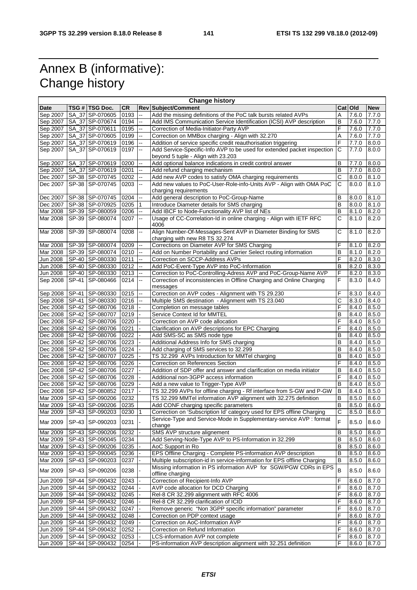# Annex B (informative): Change history

| <b>Change history</b> |  |                                    |           |                          |                                                                          |                |                 |            |  |
|-----------------------|--|------------------------------------|-----------|--------------------------|--------------------------------------------------------------------------|----------------|-----------------|------------|--|
| <b>Date</b>           |  | TSG # TSG Doc.                     | <b>CR</b> |                          | <b>Rev Subject/Comment</b>                                               |                | Cat Old         | <b>New</b> |  |
| Sep 2007              |  | SA_37 SP-070605                    | 0193      | Ξ.                       | Add the missing definitions of the PoC talk bursts related AVPs          | Α              | 7.6.0           | 7.7.0      |  |
|                       |  | Sep 2007   SA_37 SP-070674         | 0194      | $\overline{a}$           | Add IMS Communication Service Identification (ICSI) AVP description      | B              | 7.6.0           | 7.7.0      |  |
| Sep 2007              |  | SA_37 SP-070611                    | 0195      | $\overline{\phantom{a}}$ | Correction of Media-Initiator-Party AVP                                  | F              | 7.6.0           | 7.7.0      |  |
| Sep 2007              |  | SA_37 SP-070605                    | 0199      | $\overline{\phantom{a}}$ | Correction on MMBox charging - Align with 32.270                         | Α              | 7.6.0           | 7.7.0      |  |
| Sep 2007              |  | SA_37 SP-070619                    | 0196      | Ξ.                       | Addition of service specific credit reauthorisation triggering           | F              | 7.7.0           | 8.0.0      |  |
| Sep 2007              |  | SA_37 SP-070619                    | 0197      | $\ddotsc$                | Add Service-Specific-Info AVP to be used for extended packet inspection  | C              | 7.7.0           | 8.0.0      |  |
|                       |  |                                    |           |                          | beyond 5 tuple - Align with 23.203                                       |                |                 |            |  |
| Sep 2007              |  | SA_37 SP-070619                    | 0200      | $\overline{\phantom{a}}$ | Add optional balance indications in credit control answer                | в              | 7.7.0           | 8.0.0      |  |
| Sep 2007              |  | SA 37 SP-070619                    | 0201      | $\overline{a}$           | Add refund charging mechanism                                            | B              | 7.7.0           | 8.0.0      |  |
| Dec 2007              |  | SP-38 SP-070745                    | 0202      | $\overline{a}$           | Add new AVP codes to satisfy OMA charging requirements                   | C              | 8.0.0           | 8.1.0      |  |
| Dec 2007              |  | SP-38 SP-070745                    | 0203      | $\ddotsc$                | Add new values to PoC-User-Role-info-Units AVP - Align with OMA PoC      | С              | 8.0.0           | 8.1.0      |  |
|                       |  |                                    |           |                          | charging requirements                                                    |                |                 |            |  |
| Dec 2007              |  | SP-38 SP-070745                    | 0204      |                          | Add general description to PoC-Group-Name                                | в              | 8.0.0           | 8.1.0      |  |
| Dec 2007              |  | SP-38 SP-070925                    | 0205      | 1                        | Introduce Diameter details for SMS charging                              | B              | 8.0.0           | 8.1.0      |  |
| Mar 2008              |  | SP-39 SP-080059                    | 0206      | $\ddotsc$                | Add IBCF to Node-Functionality AVP list of NEs                           | B              | 8.1.0           | 8.2.0      |  |
| Mar 2008              |  | SP-39 SP-080074                    | 0207      | <sub>--</sub>            | Usage of CC-Correlation-Id in online charging - Align with IETF RFC      | С              | 8.1.0           | 8.2.0      |  |
|                       |  |                                    |           |                          | 4006                                                                     |                |                 |            |  |
| Mar 2008              |  | SP-39 SP-080074                    | 0208      | Ξ.                       | Align Number-Of-Messages-Sent AVP in Diameter Binding for SMS            | С              | 8.1.0           | 8.2.0      |  |
|                       |  |                                    |           |                          | charging with new R8 TS 32.274                                           |                |                 |            |  |
| Mar 2008              |  | SP-39 SP-080074                    | 0209      | $\overline{\phantom{a}}$ | Corrections on Diameter AVP for SMS Charging                             | F              | 8.1.0           | 8.2.0      |  |
| Mar 2008              |  | SP-39 SP-080074                    | 0210      | $\overline{\phantom{a}}$ | Add on Number Portability and Carrier Select routing information         | B              | 8.1.0           | 8.2.0      |  |
| <b>Jun 2008</b>       |  | SP-40 SP-080330                    | 0211      |                          | Correction on SCCP-Address AVPs                                          | F              | 8.2.0           | 8.3.0      |  |
|                       |  | SP-40 SP-080330                    |           |                          |                                                                          | B              |                 |            |  |
| Jun 2008              |  |                                    | 0212      | $\overline{\phantom{a}}$ | Add PoC-Event-Type AVP into PoC-Information                              |                | 8.2.0           | 8.3.0      |  |
| Jun 2008              |  | SP-40 SP-080330                    | 0213      | $\overline{a}$           | Correction to PoC-Controlling-Adress AVP and PoC-Group-Name AVP          | F              | 8.2.0           | 8.3.0      |  |
| Sep 2008              |  | SP-41 SP-080466                    | 0214      | Ξ.                       | Correction of inconsistencies in Offline Charging and Online Charging    | F              | 8.3.0           | 8.4.0      |  |
|                       |  |                                    |           |                          | messages                                                                 |                |                 |            |  |
| Sep 2008              |  | SP-41 SP-080330                    | 0215      | --                       | Correction on AVP codes - Alignment with TS 29.230                       | F              | 8.3.0           | 8.4.0      |  |
|                       |  | Sep 2008 SP-41 SP-080330           | 0216      |                          | Multiple SMS destination - Alignment with TS 23.040                      | С              | 8.3.0           | 8.4.0      |  |
|                       |  | Dec 2008   SP-42   SP-080706       | 0218      |                          | Completion on message tables                                             | F              | 8.4.0           | 8.5.0      |  |
|                       |  | Dec 2008   SP-42   SP-080707       | 0219      |                          | Service Context Id for MMTEL                                             | в              | 8.4.0           | 8.5.0      |  |
|                       |  | Dec 2008   SP-42   SP-080706       | 0220      |                          | Correction on AVP code allocation                                        | F              | 8.4.0           | 8.5.0      |  |
| Dec 2008              |  | SP-42 SP-080706                    | 0221      |                          | Clarification on AVP descriptions for EPC Charging                       | F              | 8.4.0           | 8.5.0      |  |
| Dec 2008              |  | SP-42 SP-080706                    | 0222      |                          | Add SMS-SC as SMS node type                                              | в              | 8.4.0           | 8.5.0      |  |
|                       |  | Dec 2008   SP-42   SP-080706       | 0223      |                          | Additional Address Info for SMS charging                                 | B              | 8.4.0           | 8.5.0      |  |
| Dec 2008              |  | SP-42 SP-080706                    | 0224      |                          | Add charging of SMS services to 32.299                                   | В              | 8.4.0           | 8.5.0      |  |
|                       |  | Dec 2008   SP-42   SP-080707       | 0225      |                          | TS 32.299 AVPs Introduction for MMTel charging                           | в              | 8.4.0           | 8.5.0      |  |
|                       |  | Dec 2008   SP-42   SP-080706       | 0226      |                          | Correction on References Section                                         | F              | 8.4.0           | 8.5.0      |  |
| Dec 2008              |  | SP-42 SP-080706                    | 0227      |                          | Addition of SDP offer and answer and clarification on media initiator    | В              | 8.4.0           | 8.5.0      |  |
| Dec 2008              |  | SP-42 SP-080706                    | 0228      |                          | Additional non-3GPP access information                                   | F              | 8.4.0           | 8.5.0      |  |
|                       |  | Dec 2008 SP-42 SP-080706           | 0229      |                          | Add a new value to Trigger-Type AVP                                      | B              | 8.4.0           | 8.5.0      |  |
|                       |  | Dec 2008   SP-42   SP-080852       | 0217      |                          | TS 32.299 AVPs for offline charging - Rf interface from S-GW and P-GW    | B              | 8.4.0           | 8.5.0      |  |
|                       |  | Mar 2009   SP-43   SP-090206       | 0232      |                          | TS 32.299 MMTel information AVP alignment with 32.275 definition         | в              | 8.5.0           | 8.6.0      |  |
| Mar 2009              |  | SP-43 SP-090206                    | 0235      |                          | Add CONF charging specific parameters                                    | B              | 8.5.0           | 8.6.0      |  |
|                       |  | Mar 2009 SP-43 SP-090203 0230 1    |           |                          | Correction on 'Subscription Id' category used for EPS offline Charging   | C              | $8.5.0$ $8.6.0$ |            |  |
|                       |  |                                    |           |                          | Service-Type and Service-Mode in Supplementary-service AVP : format      |                |                 |            |  |
| Mar 2009              |  | SP-43 SP-090203                    | 0231      |                          | change                                                                   | F              | 8.5.0           | 8.6.0      |  |
| Mar 2009              |  | SP-43 SP-090206                    | 0232      |                          | SMS AVP structure alignement                                             | B              | 8.5.0           | 8.6.0      |  |
| Mar 2009              |  | SP-43 SP-090045                    | 0234      |                          | Add Serving-Node-Type AVP to PS-Information in 32.299                    | $\sf B$        | 8.5.0           | 8.6.0      |  |
| Mar 2009              |  | SP-43 SP-090206                    | 0235      |                          | AoC Support in Ro                                                        | В              | 8.5.0           | 8.6.0      |  |
| Mar 2009              |  | SP-43 SP-090045                    | 0236      |                          | EPS Offline Charging - Complete PS-information AVP description           | B              | 8.5.0           | 8.6.0      |  |
| Mar 2009              |  | SP-43 SP-090203                    | 0237      |                          | Multiple subscription-id in service-information for EPS offline Charging | B              | 8.5.0           | 8.6.0      |  |
|                       |  |                                    |           |                          | Missing information in PS information AVP for SGW/PGW CDRs in EPS        |                |                 |            |  |
| Mar 2009              |  | SP-43 SP-090206                    | 0238      |                          | offline charging                                                         | $\overline{B}$ | 8.5.0           | 8.6.0      |  |
|                       |  |                                    |           |                          | Correction of Recipient-Info AVP                                         | F              |                 |            |  |
| Jun 2009<br>Jun 2009  |  | SP-44 SP-090432<br>SP-44 SP-090432 | 0243      |                          |                                                                          | F              | 8.6.0           | 8.7.0      |  |
|                       |  |                                    | 0244      |                          | AVP code allocation for DCD Charging                                     |                | 8.6.0           | 8.7.0      |  |
| Jun 2009              |  | SP-44 SP-090432                    | 0245      |                          | Rel-8 CR 32.299 alignment with RFC 4006                                  | F              | 8.6.0           | 8.7.0      |  |
| Jun 2009              |  | SP-44 SP-090432                    | 0246      |                          | Rel-8 CR 32.299 clarification of ICID                                    | F              | 8.6.0           | 8.7.0      |  |
| Jun 2009              |  | SP-44 SP-090432                    | 0247      |                          | Remove generic "Non 3GPP specific information" parameter                 | F              | 8.6.0           | 8.7.0      |  |
| Jun 2009              |  | SP-44 SP-090432                    | 0248      |                          | Correction on PDP context usage                                          | F              | 8.6.0           | 8.7.0      |  |
| Jun 2009              |  | SP-44 SP-090432                    | 0249      |                          | Correction on AoC-Information AVP                                        | F              | 8.6.0           | 8.7.0      |  |
| Jun 2009              |  | SP-44 SP-090432                    | 0252      |                          | Correction on Refund Information                                         | F              | 8.6.0           | 8.7.0      |  |
| Jun 2009              |  | SP-44 SP-090432                    | 0253      |                          | LCS-information AVP not complete                                         | F              | 8.6.0           | 8.7.0      |  |
| Jun 2009              |  | SP-44 SP-090432 0254 -             |           |                          | PS-information AVP description alignment with 32.251 definition          | F              | 8.6.0           | 8.7.0      |  |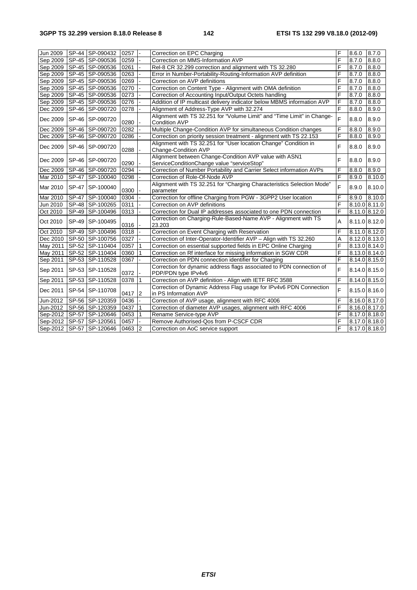| Jun 2009 | SP-44 SP-090432              | 0257 |   | Correction on EPC Charging                                                                           | F | 8.6.0 | 8.7.0         |
|----------|------------------------------|------|---|------------------------------------------------------------------------------------------------------|---|-------|---------------|
| Sep 2009 | SP-45 SP-090536              | 0259 |   | Correction on MMS-Information AVP                                                                    | F | 8.7.0 | 8.8.0         |
| Sep 2009 | SP-45 SP-090536              | 0261 |   | Rel-8 CR 32.299 correction and alignment with TS 32.280                                              | F | 8.7.0 | 8.8.0         |
| Sep 2009 | SP-45 SP-090536              | 0263 |   | Error in Number-Portability-Routing-Information AVP definition                                       | F | 8.7.0 | 8.8.0         |
| Sep 2009 | SP-45 SP-090536              | 0269 |   | Correction on AVP definitions                                                                        | F | 8.7.0 | 8.8.0         |
| Sep 2009 | SP-45 SP-090536              | 0270 |   | Correction on Content Type - Alignment with OMA definition                                           | F | 8.7.0 | 8.8.0         |
| Sep 2009 | SP-45 SP-090536              | 0273 |   | Correction of Accounting Input/Output Octets handling                                                | F | 8.7.0 | 8.8.0         |
| Sep 2009 | SP-45 SP-090536              | 0276 |   | Addition of IP multicast delivery indicator below MBMS information AVP                               | F | 8.7.0 | 8.8.0         |
| Dec 2009 | SP-46 SP-090720              | 0278 |   | Alignment of Address-Type AVP with 32.274                                                            | F | 8.8.0 | 8.9.0         |
| Dec 2009 | SP-46 SP-090720              | 0280 |   | Alignment with TS 32.251 for "Volume Limit" and "Time Limit" in Change-<br><b>Condition AVP</b>      | F | 8.8.0 | 8.9.0         |
| Dec 2009 | SP-46 SP-090720              | 0282 |   | Multiple Change-Condition AVP for simultaneous Condition changes                                     | F | 8.8.0 | 8.9.0         |
| Dec 2009 | SP-46 SP-090720              | 0286 |   | Correction on priority session treatment - alignment with TS 22.153                                  | F | 8.8.0 | 8.9.0         |
| Dec 2009 | SP-46 SP-090720              | 0288 |   | Alignment with TS 32.251 for "User location Change" Condition in<br>Change-Condition AVP             | F | 8.8.0 | 8.9.0         |
| Dec 2009 | SP-46 SP-090720              | 0290 |   | Alignment between Change-Condition AVP value with ASN1<br>ServiceConditionChange value "serviceStop" | F | 8.8.0 | 8.9.0         |
| Dec 2009 | SP-46 SP-090720              | 0294 |   | Correction of Number Portability and Carrier Select information AVPs                                 | F | 8.8.0 | 8.9.0         |
| Mar 2010 | SP-47 SP-100040              | 0298 |   | Correction of Role-Of-Node AVP                                                                       | F | 8.9.0 | 8.10.0        |
| Mar 2010 | SP-47 SP-100040              | 0300 |   | Alignment with TS 32.251 for "Charging Characteristics Selection Mode"<br>parameter                  | F | 8.9.0 | 8.10.0        |
| Mar 2010 | SP-47 SP-100040              | 0304 |   | Correction for offline Charging from PGW - 3GPP2 User location                                       | F | 8.9.0 | 8.10.0        |
| Jun 2010 | SP-48 SP-100265              | 0311 |   | Correction on AVP definitions                                                                        | F |       | 8.10.0 8.11.0 |
| Oct 2010 | SP-49 SP-100496              | 0313 |   | Correction for Dual IP addresses associated to one PDN connection                                    | F |       | 8.11.0 8.12.0 |
| Oct 2010 | SP-49 SP-100495              | 0316 |   | Correction on Charging-Rule-Based-Name AVP - Alignment with TS<br>23.203                             | A |       | 8.11.0 8.12.0 |
| Oct 2010 | SP-49 SP-100496              | 0318 |   | Correction on Event Charging with Reservation                                                        | F |       | 8.11.0 8.12.0 |
| Dec 2010 | SP-50 SP-100756              | 0327 |   | Correction of Inter-Operator-Identifier AVP - Align with TS 32.260                                   | Α |       | 8.12.0 8.13.0 |
| May 2011 | SP-52 SP-110404              | 0357 |   | Correction on essential supported fields in EPC Online Charging                                      | F |       | 8.13.0 8.14.0 |
| May 2011 | SP-52 SP-110404              | 0360 |   | Correction on Rf interface for missing information in SGW CDR                                        | F |       | 8.13.0 8.14.0 |
| Sep 2011 | SP-53 SP-110528              | 0367 |   | Correction on PDN connection identifier for Charging                                                 | F |       | 8.14.0 8.15.0 |
| Sep 2011 | SP-53 SP-110528              | 0372 |   | Correction for dynamic address flags associated to PDN connection of<br>PDP/PDN type IPv4v6          | F |       | 8.14.0 8.15.0 |
| Sep 2011 | SP-53 SP-110528              | 0378 |   | Correction on AVP definition - Align with IETF RFC 3588                                              | F |       | 8.14.0 8.15.0 |
| Dec 2011 | SP-54 SP-110708              | 0417 | 2 | Correction of Dynamic Address Flag usage for IPv4v6 PDN Connection<br>in PS Information AVP          | F |       | 8.15.0 8.16.0 |
| Jun-2012 | SP-56 SP-120359              | 0436 |   | Correction of AVP usage, alignment with RFC 4006                                                     | F |       | 8.16.0 8.17.0 |
| Jun-2012 | SP-56 SP-120359              | 0437 | 1 | Correction of diameter AVP usages, alignment with RFC 4006                                           | F |       | 8.16.0 8.17.0 |
|          | Sep-2012   SP-57   SP-120646 | 0453 |   | Rename Service-type AVP                                                                              | F |       | 8.17.0 8.18.0 |
|          | Sep-2012   SP-57   SP-120561 | 0457 |   | Remove Authorised-Qos from P-CSCF CDR                                                                | F |       | 8.17.0 8.18.0 |
|          | Sep-2012 SP-57 SP-120646     | 0463 | 2 | Correction on AoC service support                                                                    | F |       | 8.17.0 8.18.0 |